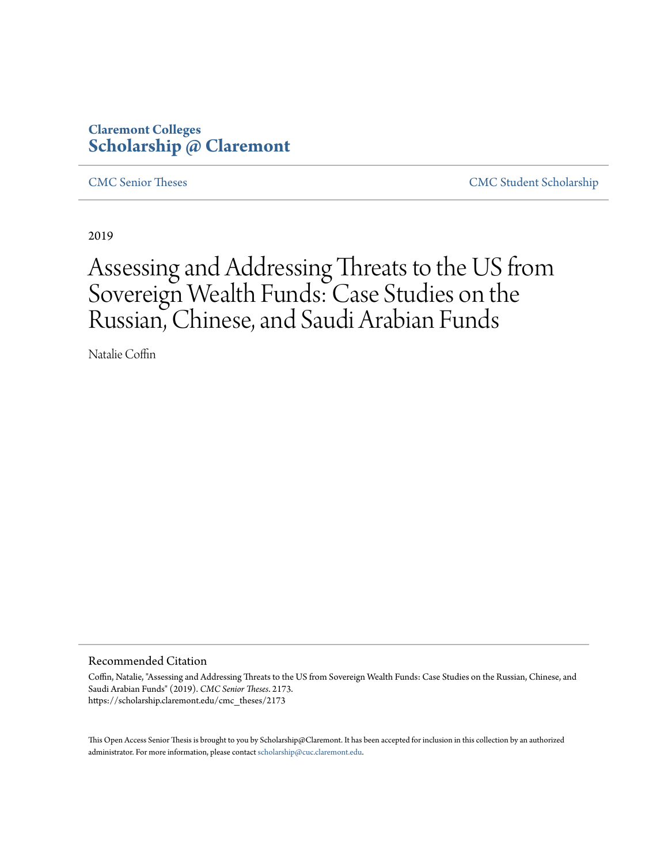# **Claremont Colleges [Scholarship @ Claremont](https://scholarship.claremont.edu)**

[CMC Senior Theses](https://scholarship.claremont.edu/cmc_theses) [CMC Student Scholarship](https://scholarship.claremont.edu/cmc_student)

2019

# Assessing and Addressing Threats to the US from Sovereign Wealth Funds: Case Studies on the Russian, Chinese, and Saudi Arabian Funds

Natalie Coffin

#### Recommended Citation

Coffin, Natalie, "Assessing and Addressing Threats to the US from Sovereign Wealth Funds: Case Studies on the Russian, Chinese, and Saudi Arabian Funds" (2019). *CMC Senior Theses*. 2173. https://scholarship.claremont.edu/cmc\_theses/2173

This Open Access Senior Thesis is brought to you by Scholarship@Claremont. It has been accepted for inclusion in this collection by an authorized administrator. For more information, please contact [scholarship@cuc.claremont.edu.](mailto:scholarship@cuc.claremont.edu)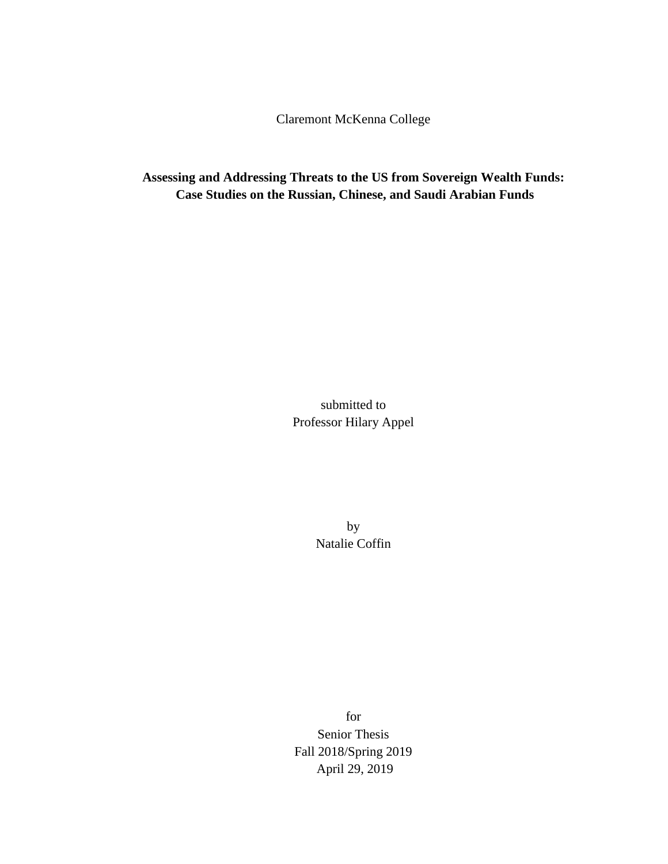Claremont McKenna College

**Assessing and Addressing Threats to the US from Sovereign Wealth Funds: Case Studies on the Russian, Chinese, and Saudi Arabian Funds** 

> submitted to Professor Hilary Appel

> > by Natalie Coffin

for Senior Thesis Fall 2018/Spring 2019 April 29, 2019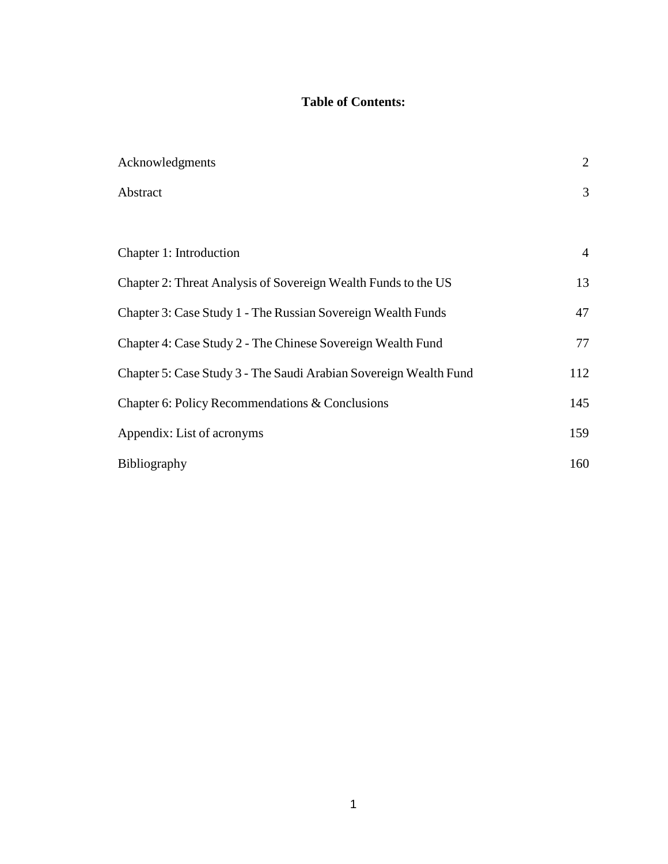# **Table of Contents:**

| Acknowledgments                                                   | $\overline{2}$ |
|-------------------------------------------------------------------|----------------|
| Abstract                                                          | 3              |
|                                                                   |                |
| Chapter 1: Introduction                                           | $\overline{4}$ |
| Chapter 2: Threat Analysis of Sovereign Wealth Funds to the US    | 13             |
| Chapter 3: Case Study 1 - The Russian Sovereign Wealth Funds      | 47             |
| Chapter 4: Case Study 2 - The Chinese Sovereign Wealth Fund       | 77             |
| Chapter 5: Case Study 3 - The Saudi Arabian Sovereign Wealth Fund | 112            |
| Chapter 6: Policy Recommendations & Conclusions                   | 145            |
| Appendix: List of acronyms                                        | 159            |
| <b>Bibliography</b>                                               | 160            |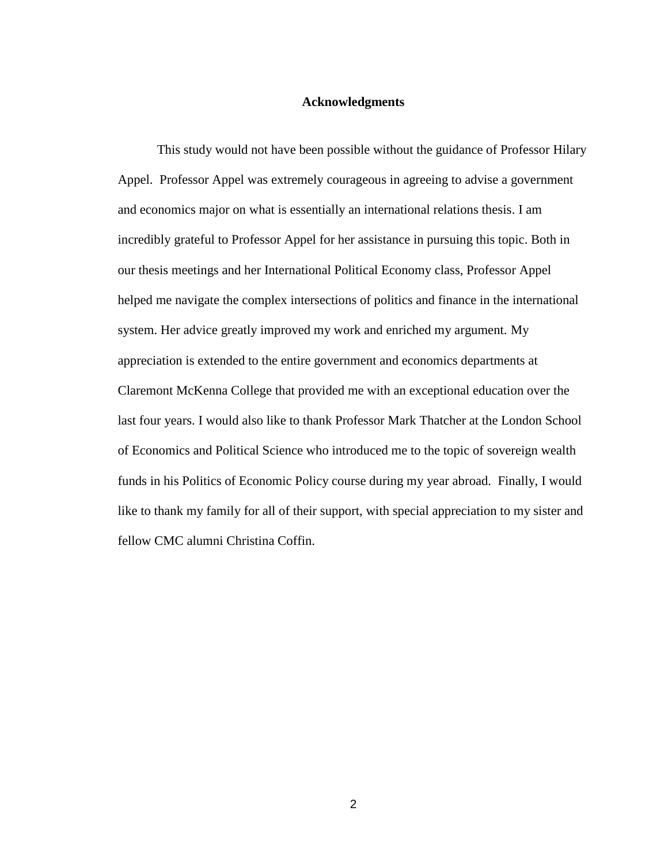# **Acknowledgments**

This study would not have been possible without the guidance of Professor Hilary Appel. Professor Appel was extremely courageous in agreeing to advise a government and economics major on what is essentially an international relations thesis. I am incredibly grateful to Professor Appel for her assistance in pursuing this topic. Both in our thesis meetings and her International Political Economy class, Professor Appel helped me navigate the complex intersections of politics and finance in the international system. Her advice greatly improved my work and enriched my argument. My appreciation is extended to the entire government and economics departments at Claremont McKenna College that provided me with an exceptional education over the last four years. I would also like to thank Professor Mark Thatcher at the London School of Economics and Political Science who introduced me to the topic of sovereign wealth funds in his Politics of Economic Policy course during my year abroad. Finally, I would like to thank my family for all of their support, with special appreciation to my sister and fellow CMC alumni Christina Coffin.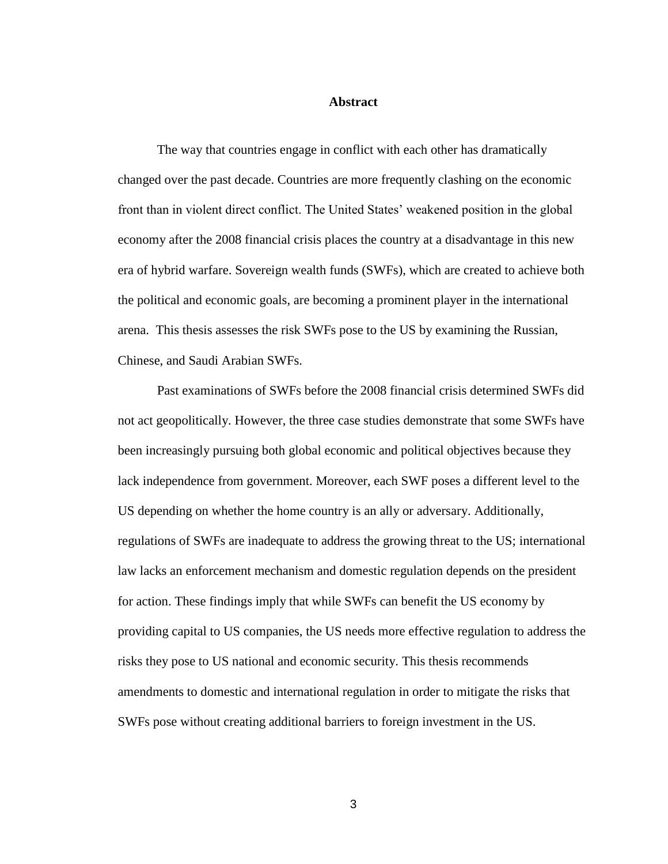# **Abstract**

The way that countries engage in conflict with each other has dramatically changed over the past decade. Countries are more frequently clashing on the economic front than in violent direct conflict. The United States' weakened position in the global economy after the 2008 financial crisis places the country at a disadvantage in this new era of hybrid warfare. Sovereign wealth funds (SWFs), which are created to achieve both the political and economic goals, are becoming a prominent player in the international arena. This thesis assesses the risk SWFs pose to the US by examining the Russian, Chinese, and Saudi Arabian SWFs.

Past examinations of SWFs before the 2008 financial crisis determined SWFs did not act geopolitically. However, the three case studies demonstrate that some SWFs have been increasingly pursuing both global economic and political objectives because they lack independence from government. Moreover, each SWF poses a different level to the US depending on whether the home country is an ally or adversary. Additionally, regulations of SWFs are inadequate to address the growing threat to the US; international law lacks an enforcement mechanism and domestic regulation depends on the president for action. These findings imply that while SWFs can benefit the US economy by providing capital to US companies, the US needs more effective regulation to address the risks they pose to US national and economic security. This thesis recommends amendments to domestic and international regulation in order to mitigate the risks that SWFs pose without creating additional barriers to foreign investment in the US.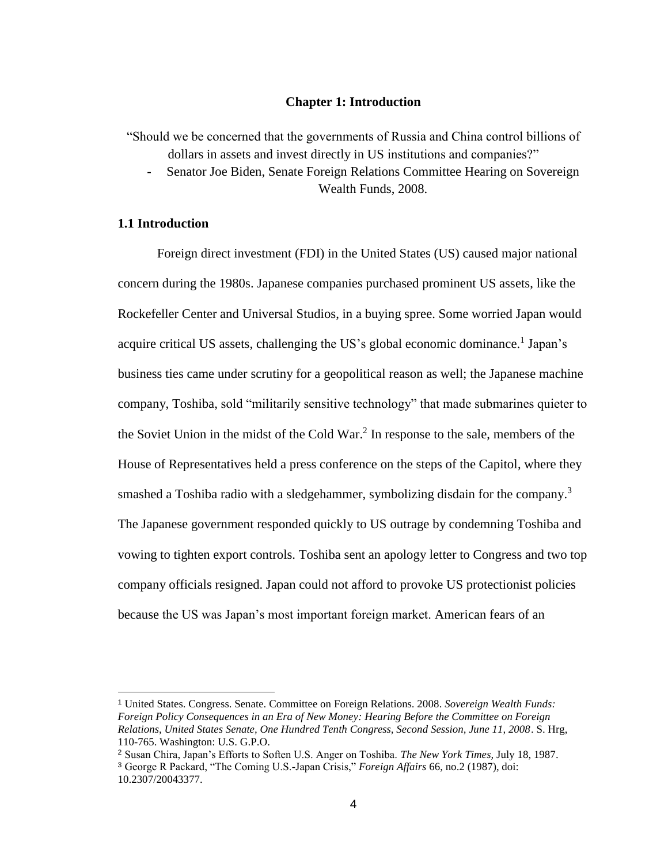# **Chapter 1: Introduction**

"Should we be concerned that the governments of Russia and China control billions of dollars in assets and invest directly in US institutions and companies?"

- Senator Joe Biden, Senate Foreign Relations Committee Hearing on Sovereign Wealth Funds, 2008.

# **1.1 Introduction**

Foreign direct investment (FDI) in the United States (US) caused major national concern during the 1980s. Japanese companies purchased prominent US assets, like the Rockefeller Center and Universal Studios, in a buying spree. Some worried Japan would acquire critical US assets, challenging the US's global economic dominance.<sup>1</sup> Japan's business ties came under scrutiny for a geopolitical reason as well; the Japanese machine company, Toshiba, sold "militarily sensitive technology" that made submarines quieter to the Soviet Union in the midst of the Cold War.<sup>2</sup> In response to the sale, members of the House of Representatives held a press conference on the steps of the Capitol, where they smashed a Toshiba radio with a sledgehammer, symbolizing disdain for the company.<sup>3</sup> The Japanese government responded quickly to US outrage by condemning Toshiba and vowing to tighten export controls. Toshiba sent an apology letter to Congress and two top company officials resigned. Japan could not afford to provoke US protectionist policies because the US was Japan's most important foreign market. American fears of an

<sup>1</sup> United States. Congress. Senate. Committee on Foreign Relations. 2008. *Sovereign Wealth Funds: Foreign Policy Consequences in an Era of New Money: Hearing Before the Committee on Foreign Relations, United States Senate, One Hundred Tenth Congress, Second Session, June 11, 2008*. S. Hrg, 110-765. Washington: U.S. G.P.O.

<sup>2</sup> Susan Chira, Japan's Efforts to Soften U.S. Anger on Toshiba. *The New York Times,* July 18, 1987.

<sup>3</sup> George R Packard, "The Coming U.S.-Japan Crisis," *Foreign Affairs* 66, no.2 (1987), doi: 10.2307/20043377.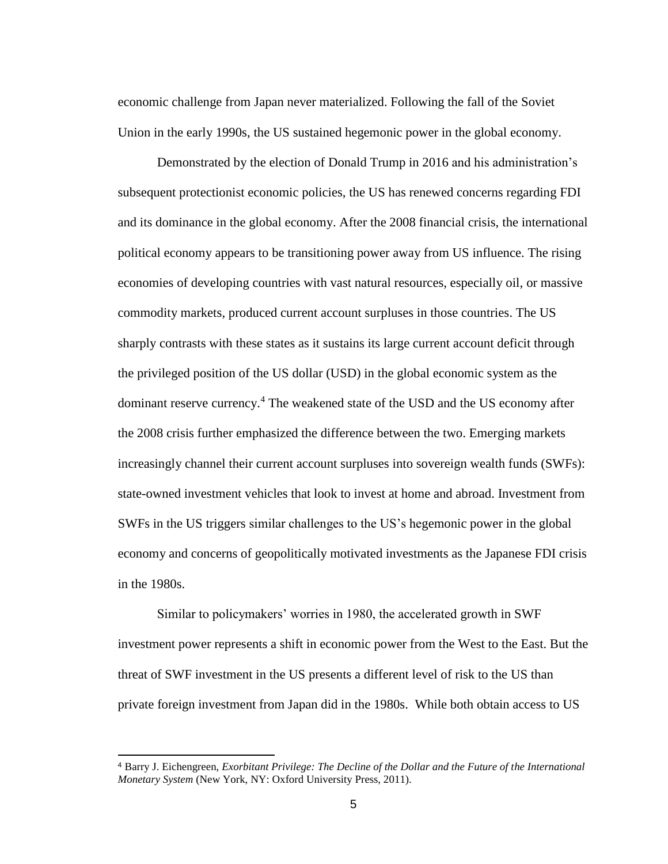economic challenge from Japan never materialized. Following the fall of the Soviet Union in the early 1990s, the US sustained hegemonic power in the global economy.

Demonstrated by the election of Donald Trump in 2016 and his administration's subsequent protectionist economic policies, the US has renewed concerns regarding FDI and its dominance in the global economy. After the 2008 financial crisis, the international political economy appears to be transitioning power away from US influence. The rising economies of developing countries with vast natural resources, especially oil, or massive commodity markets, produced current account surpluses in those countries. The US sharply contrasts with these states as it sustains its large current account deficit through the privileged position of the US dollar (USD) in the global economic system as the dominant reserve currency.<sup>4</sup> The weakened state of the USD and the US economy after the 2008 crisis further emphasized the difference between the two. Emerging markets increasingly channel their current account surpluses into sovereign wealth funds (SWFs): state-owned investment vehicles that look to invest at home and abroad. Investment from SWFs in the US triggers similar challenges to the US's hegemonic power in the global economy and concerns of geopolitically motivated investments as the Japanese FDI crisis in the 1980s.

Similar to policymakers' worries in 1980, the accelerated growth in SWF investment power represents a shift in economic power from the West to the East. But the threat of SWF investment in the US presents a different level of risk to the US than private foreign investment from Japan did in the 1980s. While both obtain access to US

<sup>4</sup> Barry J. Eichengreen, *Exorbitant Privilege: The Decline of the Dollar and the Future of the International Monetary System* (New York, NY: Oxford University Press, 2011).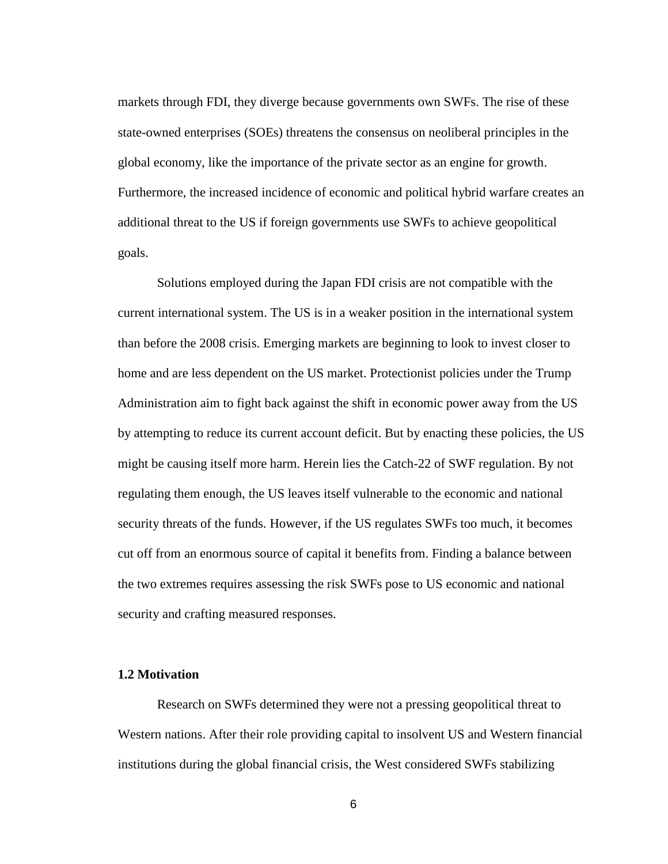markets through FDI, they diverge because governments own SWFs. The rise of these state-owned enterprises (SOEs) threatens the consensus on neoliberal principles in the global economy, like the importance of the private sector as an engine for growth. Furthermore, the increased incidence of economic and political hybrid warfare creates an additional threat to the US if foreign governments use SWFs to achieve geopolitical goals.

Solutions employed during the Japan FDI crisis are not compatible with the current international system. The US is in a weaker position in the international system than before the 2008 crisis. Emerging markets are beginning to look to invest closer to home and are less dependent on the US market. Protectionist policies under the Trump Administration aim to fight back against the shift in economic power away from the US by attempting to reduce its current account deficit. But by enacting these policies, the US might be causing itself more harm. Herein lies the Catch-22 of SWF regulation. By not regulating them enough, the US leaves itself vulnerable to the economic and national security threats of the funds. However, if the US regulates SWFs too much, it becomes cut off from an enormous source of capital it benefits from. Finding a balance between the two extremes requires assessing the risk SWFs pose to US economic and national security and crafting measured responses.

# **1.2 Motivation**

Research on SWFs determined they were not a pressing geopolitical threat to Western nations. After their role providing capital to insolvent US and Western financial institutions during the global financial crisis, the West considered SWFs stabilizing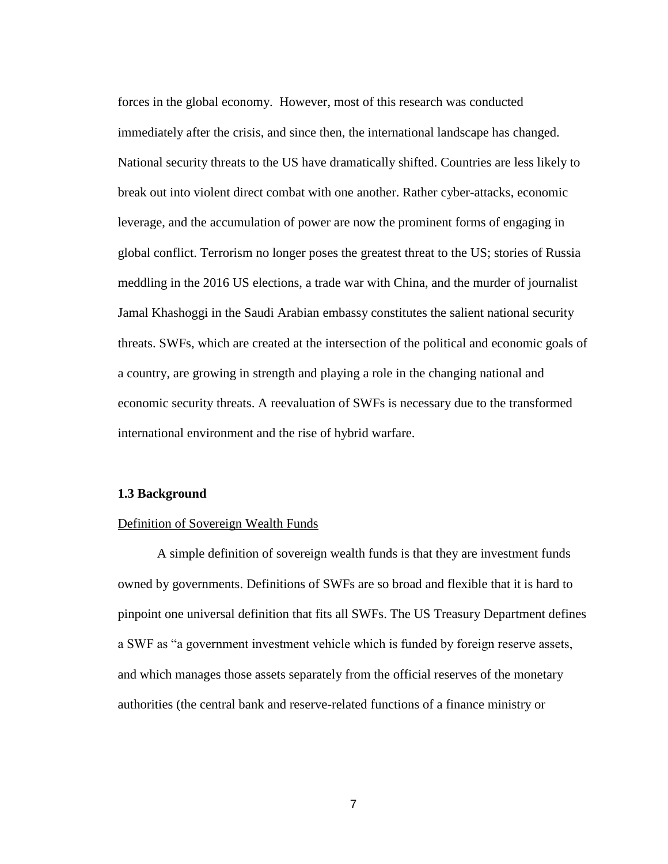forces in the global economy. However, most of this research was conducted immediately after the crisis, and since then, the international landscape has changed. National security threats to the US have dramatically shifted. Countries are less likely to break out into violent direct combat with one another. Rather cyber-attacks, economic leverage, and the accumulation of power are now the prominent forms of engaging in global conflict. Terrorism no longer poses the greatest threat to the US; stories of Russia meddling in the 2016 US elections, a trade war with China, and the murder of journalist Jamal Khashoggi in the Saudi Arabian embassy constitutes the salient national security threats. SWFs, which are created at the intersection of the political and economic goals of a country, are growing in strength and playing a role in the changing national and economic security threats. A reevaluation of SWFs is necessary due to the transformed international environment and the rise of hybrid warfare.

### **1.3 Background**

#### Definition of Sovereign Wealth Funds

A simple definition of sovereign wealth funds is that they are investment funds owned by governments. Definitions of SWFs are so broad and flexible that it is hard to pinpoint one universal definition that fits all SWFs. The US Treasury Department defines a SWF as "a government investment vehicle which is funded by foreign reserve assets, and which manages those assets separately from the official reserves of the monetary authorities (the central bank and reserve-related functions of a finance ministry or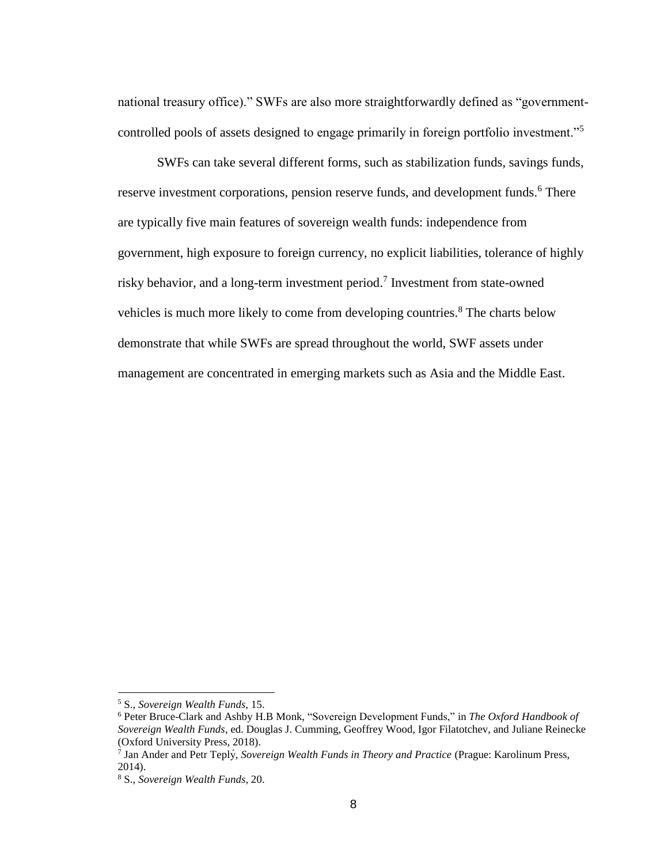national treasury office)." SWFs are also more straightforwardly defined as "governmentcontrolled pools of assets designed to engage primarily in foreign portfolio investment."<sup>5</sup>

SWFs can take several different forms, such as stabilization funds, savings funds, reserve investment corporations, pension reserve funds, and development funds.<sup>6</sup> There are typically five main features of sovereign wealth funds: independence from government, high exposure to foreign currency, no explicit liabilities, tolerance of highly risky behavior, and a long-term investment period.<sup>7</sup> Investment from state-owned vehicles is much more likely to come from developing countries.<sup>8</sup> The charts below demonstrate that while SWFs are spread throughout the world, SWF assets under management are concentrated in emerging markets such as Asia and the Middle East.

<sup>5</sup> S., *Sovereign Wealth Funds,* 15.

<sup>6</sup> Peter Bruce-Clark and Ashby H.B Monk, "Sovereign Development Funds," in *The Oxford Handbook of Sovereign Wealth Funds*, ed. Douglas J. Cumming, Geoffrey Wood, Igor Filatotchev, and Juliane Reinecke (Oxford University Press, 2018).

<sup>7</sup> Jan Ander and Petr Teplý , *Sovereign Wealth Funds in Theory and Practice* (Prague: Karolinum Press, 2014).

<sup>8</sup> S., *Sovereign Wealth Funds*, 20.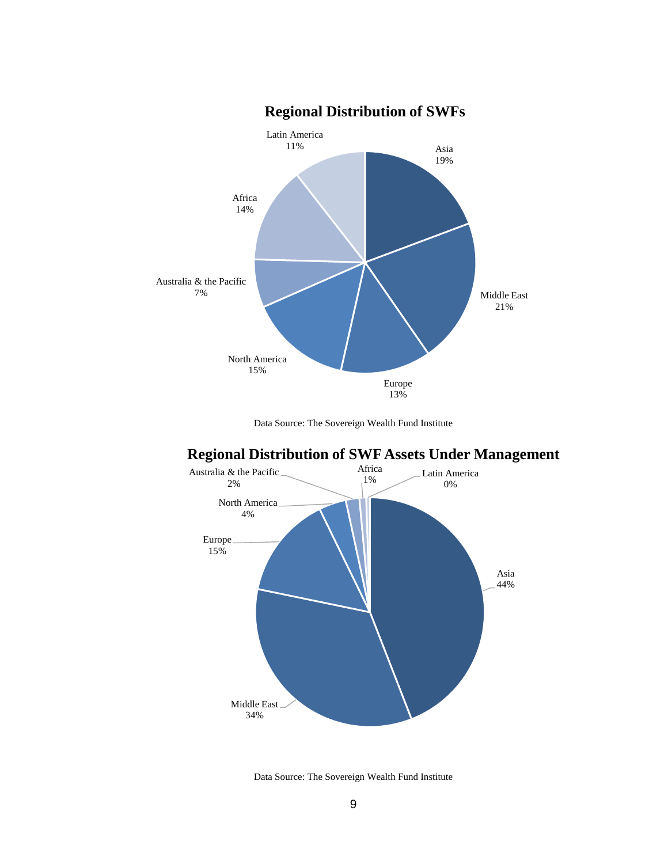

#### Data Source: The Sovereign Wealth Fund Institute





Data Source: The Sovereign Wealth Fund Institute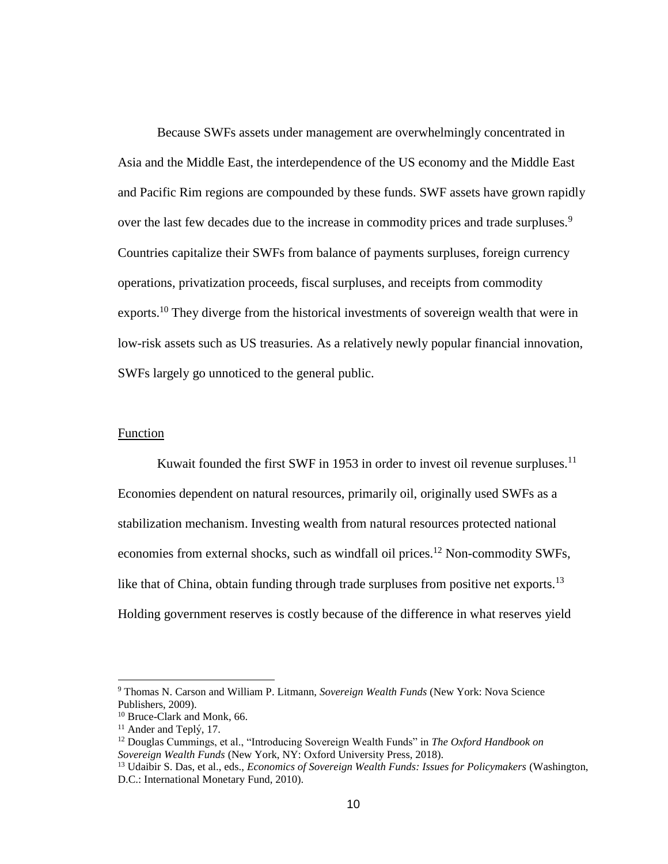Because SWFs assets under management are overwhelmingly concentrated in Asia and the Middle East, the interdependence of the US economy and the Middle East and Pacific Rim regions are compounded by these funds. SWF assets have grown rapidly over the last few decades due to the increase in commodity prices and trade surpluses.<sup>9</sup> Countries capitalize their SWFs from balance of payments surpluses, foreign currency operations, privatization proceeds, fiscal surpluses, and receipts from commodity exports.<sup>10</sup> They diverge from the historical investments of sovereign wealth that were in low-risk assets such as US treasuries. As a relatively newly popular financial innovation, SWFs largely go unnoticed to the general public.

# Function

Kuwait founded the first SWF in 1953 in order to invest oil revenue surpluses.<sup>11</sup> Economies dependent on natural resources, primarily oil, originally used SWFs as a stabilization mechanism. Investing wealth from natural resources protected national economies from external shocks, such as windfall oil prices.<sup>12</sup> Non-commodity SWFs, like that of China, obtain funding through trade surpluses from positive net exports.<sup>13</sup> Holding government reserves is costly because of the difference in what reserves yield

<sup>9</sup> Thomas N. Carson and William P. Litmann, *Sovereign Wealth Funds* (New York: Nova Science Publishers, 2009).

<sup>10</sup> Bruce-Clark and Monk, 66.

<sup>&</sup>lt;sup>11</sup> Ander and Teplý, 17.

<sup>12</sup> Douglas Cummings, et al., "Introducing Sovereign Wealth Funds" in *The Oxford Handbook on Sovereign Wealth Funds* (New York, NY: Oxford University Press, 2018).

<sup>13</sup> Udaibir S. Das, et al., eds., *Economics of Sovereign Wealth Funds: Issues for Policymakers* (Washington, D.C.: International Monetary Fund, 2010).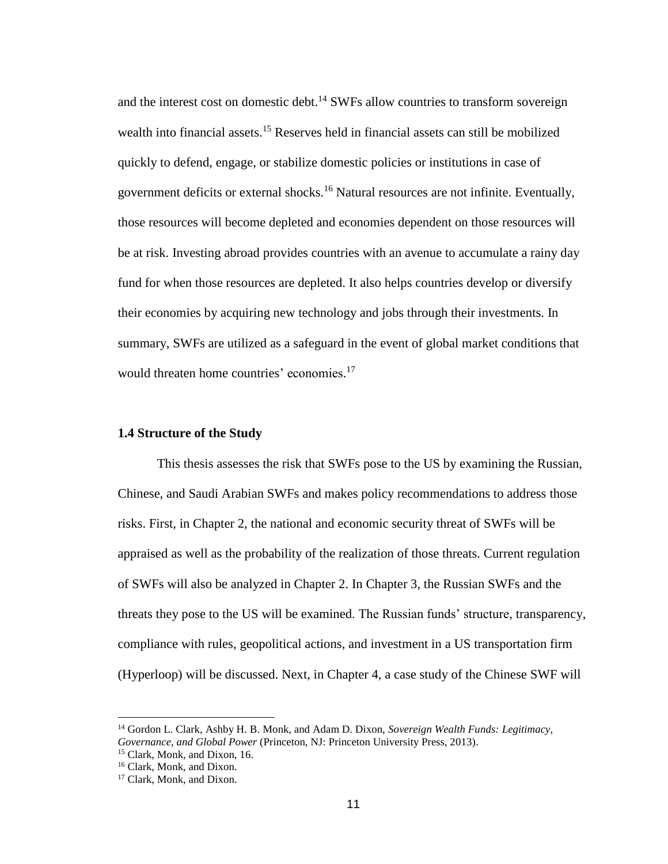and the interest cost on domestic debt.<sup>14</sup> SWFs allow countries to transform sovereign wealth into financial assets.<sup>15</sup> Reserves held in financial assets can still be mobilized quickly to defend, engage, or stabilize domestic policies or institutions in case of government deficits or external shocks.<sup>16</sup> Natural resources are not infinite. Eventually, those resources will become depleted and economies dependent on those resources will be at risk. Investing abroad provides countries with an avenue to accumulate a rainy day fund for when those resources are depleted. It also helps countries develop or diversify their economies by acquiring new technology and jobs through their investments. In summary, SWFs are utilized as a safeguard in the event of global market conditions that would threaten home countries' economies. 17

# **1.4 Structure of the Study**

This thesis assesses the risk that SWFs pose to the US by examining the Russian, Chinese, and Saudi Arabian SWFs and makes policy recommendations to address those risks. First, in Chapter 2, the national and economic security threat of SWFs will be appraised as well as the probability of the realization of those threats. Current regulation of SWFs will also be analyzed in Chapter 2. In Chapter 3, the Russian SWFs and the threats they pose to the US will be examined. The Russian funds' structure, transparency, compliance with rules, geopolitical actions, and investment in a US transportation firm (Hyperloop) will be discussed. Next, in Chapter 4, a case study of the Chinese SWF will

<sup>14</sup> Gordon L. Clark, Ashby H. B. Monk, and Adam D. Dixon, *Sovereign Wealth Funds: Legitimacy, Governance, and Global Power* (Princeton, NJ: Princeton University Press, 2013).

<sup>15</sup> Clark, Monk, and Dixon, 16.

<sup>16</sup> Clark, Monk, and Dixon.

<sup>&</sup>lt;sup>17</sup> Clark, Monk, and Dixon.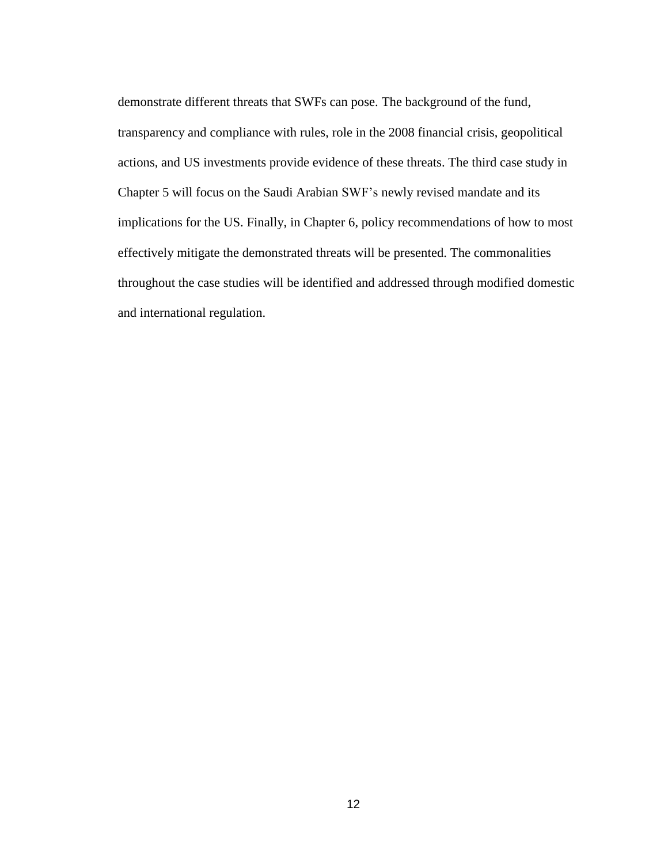demonstrate different threats that SWFs can pose. The background of the fund, transparency and compliance with rules, role in the 2008 financial crisis, geopolitical actions, and US investments provide evidence of these threats. The third case study in Chapter 5 will focus on the Saudi Arabian SWF's newly revised mandate and its implications for the US. Finally, in Chapter 6, policy recommendations of how to most effectively mitigate the demonstrated threats will be presented. The commonalities throughout the case studies will be identified and addressed through modified domestic and international regulation.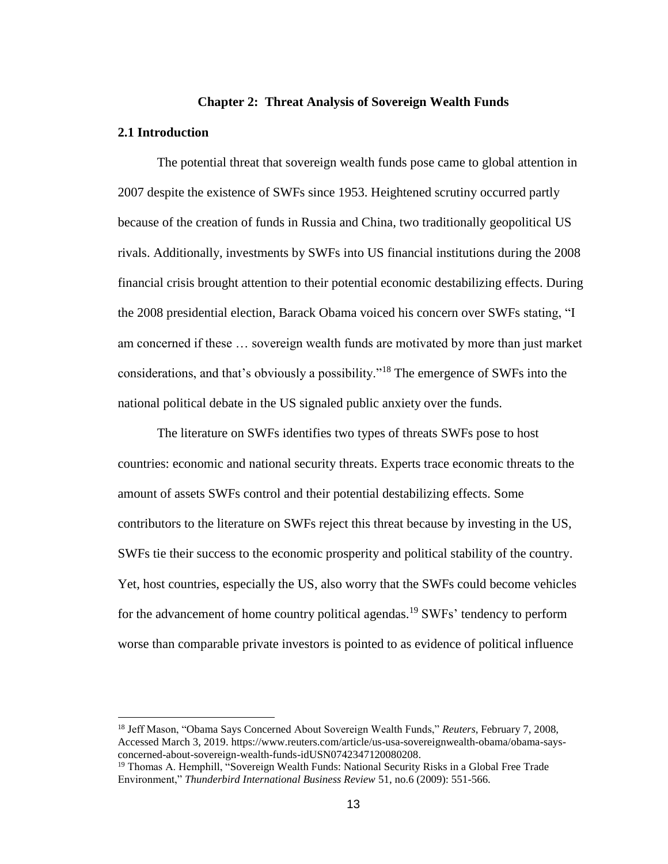#### **Chapter 2: Threat Analysis of Sovereign Wealth Funds**

#### **2.1 Introduction**

 $\overline{a}$ 

The potential threat that sovereign wealth funds pose came to global attention in 2007 despite the existence of SWFs since 1953. Heightened scrutiny occurred partly because of the creation of funds in Russia and China, two traditionally geopolitical US rivals. Additionally, investments by SWFs into US financial institutions during the 2008 financial crisis brought attention to their potential economic destabilizing effects. During the 2008 presidential election, Barack Obama voiced his concern over SWFs stating, "I am concerned if these … sovereign wealth funds are motivated by more than just market considerations, and that's obviously a possibility."<sup>18</sup> The emergence of SWFs into the national political debate in the US signaled public anxiety over the funds.

The literature on SWFs identifies two types of threats SWFs pose to host countries: economic and national security threats. Experts trace economic threats to the amount of assets SWFs control and their potential destabilizing effects. Some contributors to the literature on SWFs reject this threat because by investing in the US, SWFs tie their success to the economic prosperity and political stability of the country. Yet, host countries, especially the US, also worry that the SWFs could become vehicles for the advancement of home country political agendas.<sup>19</sup> SWFs' tendency to perform worse than comparable private investors is pointed to as evidence of political influence

<sup>18</sup> Jeff Mason, "Obama Says Concerned About Sovereign Wealth Funds," *Reuters*, February 7, 2008, Accessed March 3, 2019. [https://www.reuters.com/article/us-usa-sovereignwealth-obama/obama-says](https://www.reuters.com/article/us-usa-sovereignwealth-obama/obama-says-concerned-about-sovereign-wealth-funds-idUSN0742347120080208)[concerned-about-sovereign-wealth-funds-idUSN0742347120080208.](https://www.reuters.com/article/us-usa-sovereignwealth-obama/obama-says-concerned-about-sovereign-wealth-funds-idUSN0742347120080208)

<sup>&</sup>lt;sup>19</sup> Thomas A. Hemphill, "Sovereign Wealth Funds: National Security Risks in a Global Free Trade Environment," *Thunderbird International Business Review* 51, no.6 (2009): 551-566.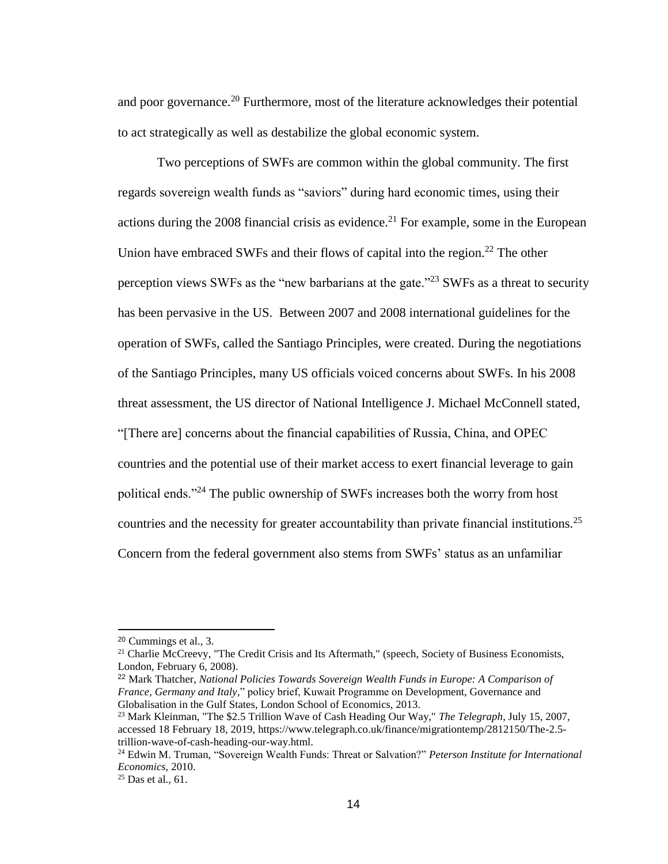and poor governance.<sup>20</sup> Furthermore, most of the literature acknowledges their potential to act strategically as well as destabilize the global economic system.

Two perceptions of SWFs are common within the global community. The first regards sovereign wealth funds as "saviors" during hard economic times, using their actions during the 2008 financial crisis as evidence.<sup>21</sup> For example, some in the European Union have embraced SWFs and their flows of capital into the region.<sup>22</sup> The other perception views SWFs as the "new barbarians at the gate."<sup>23</sup> SWFs as a threat to security has been pervasive in the US. Between 2007 and 2008 international guidelines for the operation of SWFs, called the Santiago Principles, were created. During the negotiations of the Santiago Principles, many US officials voiced concerns about SWFs. In his 2008 threat assessment, the US director of National Intelligence J. Michael McConnell stated, "[There are] concerns about the financial capabilities of Russia, China, and OPEC countries and the potential use of their market access to exert financial leverage to gain political ends."<sup>24</sup> The public ownership of SWFs increases both the worry from host countries and the necessity for greater accountability than private financial institutions.<sup>25</sup> Concern from the federal government also stems from SWFs' status as an unfamiliar

<sup>20</sup> Cummings et al., 3.

<sup>&</sup>lt;sup>21</sup> Charlie McCreevy, "The Credit Crisis and Its Aftermath," (speech, Society of Business Economists, London, February 6, 2008).

<sup>22</sup> Mark Thatcher, *National Policies Towards Sovereign Wealth Funds in Europe: A Comparison of France, Germany and Italy,*" policy brief, Kuwait Programme on Development, Governance and Globalisation in the Gulf States, London School of Economics, 2013.

<sup>23</sup> Mark Kleinman, "The \$2.5 Trillion Wave of Cash Heading Our Way," *The Telegraph*, July 15, 2007, accessed 18 February 18, 2019, [https://www.telegraph.co.uk/finance/migrationtemp/2812150/The-2.5](https://www.telegraph.co.uk/finance/migrationtemp/2812150/The-2.5-trillion-wave-of-cash-heading-our-way.html) [trillion-wave-of-cash-heading-our-way.html.](https://www.telegraph.co.uk/finance/migrationtemp/2812150/The-2.5-trillion-wave-of-cash-heading-our-way.html)

<sup>24</sup> Edwin M. Truman, "Sovereign Wealth Funds: Threat or Salvation?" *Peterson Institute for International Economics,* 2010.

 $25$  Das et al., 61.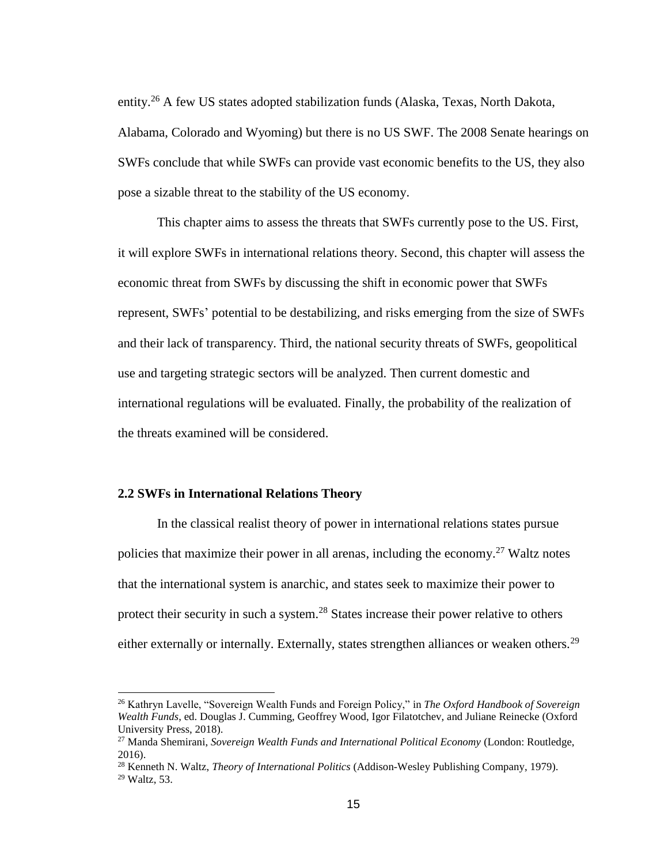entity.<sup>26</sup> A few US states adopted stabilization funds (Alaska, Texas, North Dakota, Alabama, Colorado and Wyoming) but there is no US SWF. The 2008 Senate hearings on SWFs conclude that while SWFs can provide vast economic benefits to the US, they also pose a sizable threat to the stability of the US economy.

This chapter aims to assess the threats that SWFs currently pose to the US. First, it will explore SWFs in international relations theory. Second, this chapter will assess the economic threat from SWFs by discussing the shift in economic power that SWFs represent, SWFs' potential to be destabilizing, and risks emerging from the size of SWFs and their lack of transparency. Third, the national security threats of SWFs, geopolitical use and targeting strategic sectors will be analyzed. Then current domestic and international regulations will be evaluated. Finally, the probability of the realization of the threats examined will be considered.

# **2.2 SWFs in International Relations Theory**

 $\overline{a}$ 

In the classical realist theory of power in international relations states pursue policies that maximize their power in all arenas, including the economy.<sup>27</sup> Waltz notes that the international system is anarchic, and states seek to maximize their power to protect their security in such a system.<sup>28</sup> States increase their power relative to others either externally or internally. Externally, states strengthen alliances or weaken others.<sup>29</sup>

<sup>26</sup> Kathryn Lavelle, "Sovereign Wealth Funds and Foreign Policy," in *The Oxford Handbook of Sovereign Wealth Funds*, ed. Douglas J. Cumming, Geoffrey Wood, Igor Filatotchev, and Juliane Reinecke (Oxford University Press, 2018).

<sup>27</sup> Manda Shemirani, *Sovereign Wealth Funds and International Political Economy* (London: Routledge, 2016).

<sup>28</sup> Kenneth N. Waltz, *Theory of International Politics* (Addison-Wesley Publishing Company, 1979). <sup>29</sup> Waltz, 53.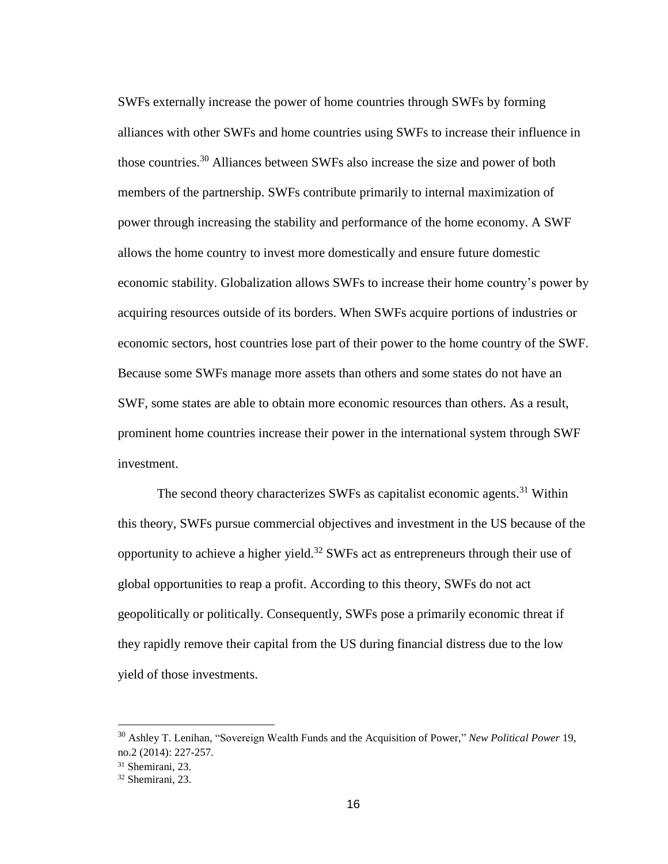SWFs externally increase the power of home countries through SWFs by forming alliances with other SWFs and home countries using SWFs to increase their influence in those countries. <sup>30</sup> Alliances between SWFs also increase the size and power of both members of the partnership. SWFs contribute primarily to internal maximization of power through increasing the stability and performance of the home economy. A SWF allows the home country to invest more domestically and ensure future domestic economic stability. Globalization allows SWFs to increase their home country's power by acquiring resources outside of its borders. When SWFs acquire portions of industries or economic sectors, host countries lose part of their power to the home country of the SWF. Because some SWFs manage more assets than others and some states do not have an SWF, some states are able to obtain more economic resources than others. As a result, prominent home countries increase their power in the international system through SWF investment.

The second theory characterizes SWFs as capitalist economic agents.<sup>31</sup> Within this theory, SWFs pursue commercial objectives and investment in the US because of the opportunity to achieve a higher yield.<sup>32</sup> SWFs act as entrepreneurs through their use of global opportunities to reap a profit. According to this theory, SWFs do not act geopolitically or politically. Consequently, SWFs pose a primarily economic threat if they rapidly remove their capital from the US during financial distress due to the low yield of those investments.

<sup>30</sup> Ashley T. Lenihan, "Sovereign Wealth Funds and the Acquisition of Power," *New Political Power* 19, no.2 (2014): 227-257.

<sup>31</sup> Shemirani, 23.

<sup>32</sup> Shemirani, 23.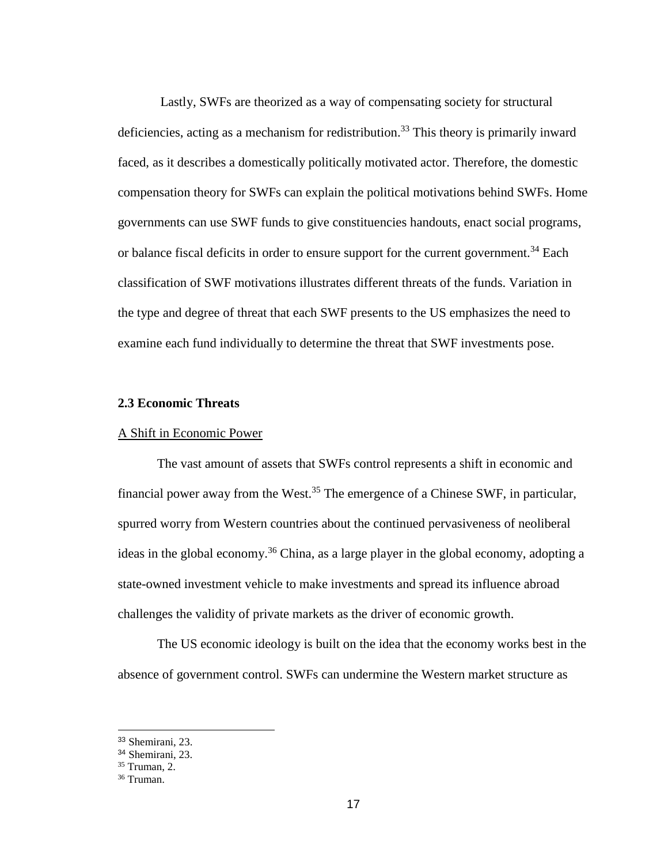Lastly, SWFs are theorized as a way of compensating society for structural deficiencies, acting as a mechanism for redistribution.<sup>33</sup> This theory is primarily inward faced, as it describes a domestically politically motivated actor. Therefore, the domestic compensation theory for SWFs can explain the political motivations behind SWFs. Home governments can use SWF funds to give constituencies handouts, enact social programs, or balance fiscal deficits in order to ensure support for the current government.<sup>34</sup> Each classification of SWF motivations illustrates different threats of the funds. Variation in the type and degree of threat that each SWF presents to the US emphasizes the need to examine each fund individually to determine the threat that SWF investments pose.

# **2.3 Economic Threats**

# A Shift in Economic Power

The vast amount of assets that SWFs control represents a shift in economic and financial power away from the West.<sup>35</sup> The emergence of a Chinese SWF, in particular, spurred worry from Western countries about the continued pervasiveness of neoliberal ideas in the global economy.<sup>36</sup> China, as a large player in the global economy, adopting a state-owned investment vehicle to make investments and spread its influence abroad challenges the validity of private markets as the driver of economic growth.

The US economic ideology is built on the idea that the economy works best in the absence of government control. SWFs can undermine the Western market structure as

<sup>33</sup> Shemirani, 23.

<sup>34</sup> Shemirani, 23.

<sup>35</sup> Truman, 2.

<sup>36</sup> Truman.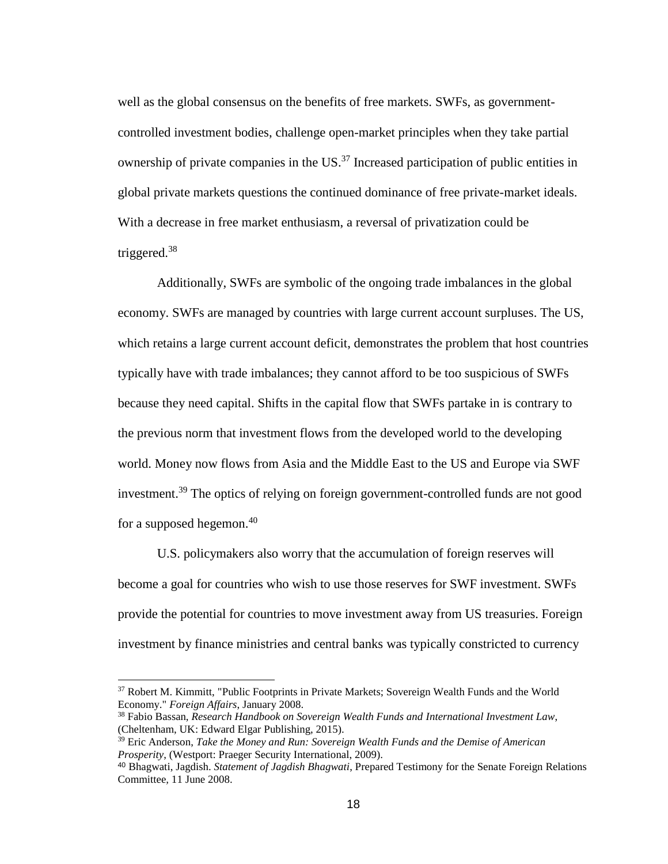well as the global consensus on the benefits of free markets. SWFs, as governmentcontrolled investment bodies, challenge open-market principles when they take partial ownership of private companies in the US. <sup>37</sup> Increased participation of public entities in global private markets questions the continued dominance of free private-market ideals. With a decrease in free market enthusiasm, a reversal of privatization could be triggered. $38$ 

Additionally, SWFs are symbolic of the ongoing trade imbalances in the global economy. SWFs are managed by countries with large current account surpluses. The US, which retains a large current account deficit, demonstrates the problem that host countries typically have with trade imbalances; they cannot afford to be too suspicious of SWFs because they need capital. Shifts in the capital flow that SWFs partake in is contrary to the previous norm that investment flows from the developed world to the developing world. Money now flows from Asia and the Middle East to the US and Europe via SWF investment.<sup>39</sup> The optics of relying on foreign government-controlled funds are not good for a supposed hegemon.<sup>40</sup>

U.S. policymakers also worry that the accumulation of foreign reserves will become a goal for countries who wish to use those reserves for SWF investment. SWFs provide the potential for countries to move investment away from US treasuries. Foreign investment by finance ministries and central banks was typically constricted to currency

<sup>&</sup>lt;sup>37</sup> Robert M. Kimmitt, "Public Footprints in Private Markets; Sovereign Wealth Funds and the World Economy." *Foreign Affairs*, January 2008.

<sup>38</sup> Fabio Bassan, *Research Handbook on Sovereign Wealth Funds and International Investment Law*, (Cheltenham, UK: Edward Elgar Publishing, 2015).

<sup>39</sup> Eric Anderson, *Take the Money and Run: Sovereign Wealth Funds and the Demise of American Prosperity*, (Westport: Praeger Security International, 2009).

<sup>40</sup> Bhagwati, Jagdish. *Statement of Jagdish Bhagwati*, Prepared Testimony for the Senate Foreign Relations Committee*,* 11 June 2008.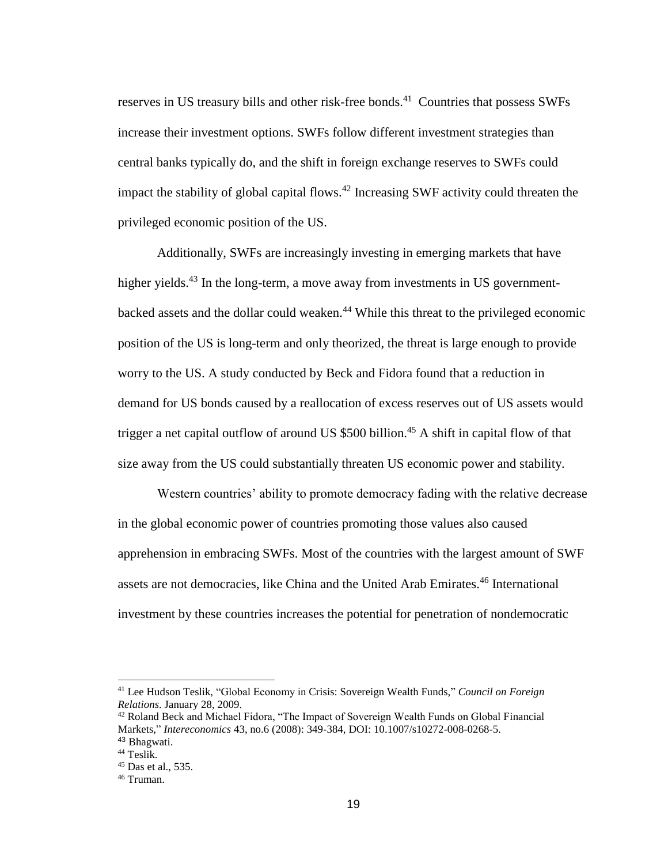reserves in US treasury bills and other risk-free bonds.<sup>41</sup> Countries that possess SWFs increase their investment options. SWFs follow different investment strategies than central banks typically do, and the shift in foreign exchange reserves to SWFs could impact the stability of global capital flows.<sup>42</sup> Increasing SWF activity could threaten the privileged economic position of the US.

Additionally, SWFs are increasingly investing in emerging markets that have higher yields.<sup>43</sup> In the long-term, a move away from investments in US governmentbacked assets and the dollar could weaken. <sup>44</sup> While this threat to the privileged economic position of the US is long-term and only theorized, the threat is large enough to provide worry to the US. A study conducted by Beck and Fidora found that a reduction in demand for US bonds caused by a reallocation of excess reserves out of US assets would trigger a net capital outflow of around US  $$500$  billion.<sup>45</sup> A shift in capital flow of that size away from the US could substantially threaten US economic power and stability.

Western countries' ability to promote democracy fading with the relative decrease in the global economic power of countries promoting those values also caused apprehension in embracing SWFs. Most of the countries with the largest amount of SWF assets are not democracies, like China and the United Arab Emirates. <sup>46</sup> International investment by these countries increases the potential for penetration of nondemocratic

<sup>41</sup> Lee Hudson Teslik, "Global Economy in Crisis: Sovereign Wealth Funds," *Council on Foreign Relations*. January 28, 2009.

<sup>&</sup>lt;sup>42</sup> Roland Beck and Michael Fidora, "The Impact of Sovereign Wealth Funds on Global Financial Markets," *Intereconomics* 43, no.6 (2008): 349-384, DOI: 10.1007/s10272-008-0268-5. <sup>43</sup> Bhagwati.

<sup>44</sup> Teslik.

<sup>45</sup> Das et al., 535.

<sup>46</sup> Truman.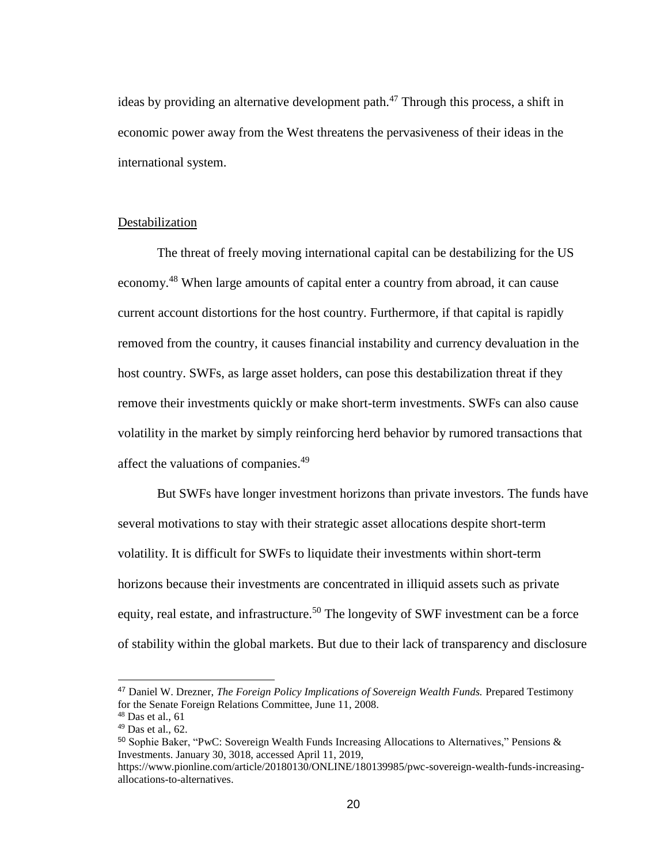ideas by providing an alternative development path. $47$  Through this process, a shift in economic power away from the West threatens the pervasiveness of their ideas in the international system.

# Destabilization

The threat of freely moving international capital can be destabilizing for the US economy.<sup>48</sup> When large amounts of capital enter a country from abroad, it can cause current account distortions for the host country. Furthermore, if that capital is rapidly removed from the country, it causes financial instability and currency devaluation in the host country. SWFs, as large asset holders, can pose this destabilization threat if they remove their investments quickly or make short-term investments. SWFs can also cause volatility in the market by simply reinforcing herd behavior by rumored transactions that affect the valuations of companies.<sup>49</sup>

But SWFs have longer investment horizons than private investors. The funds have several motivations to stay with their strategic asset allocations despite short-term volatility. It is difficult for SWFs to liquidate their investments within short-term horizons because their investments are concentrated in illiquid assets such as private equity, real estate, and infrastructure.<sup>50</sup> The longevity of SWF investment can be a force of stability within the global markets. But due to their lack of transparency and disclosure

<sup>47</sup> Daniel W. Drezner, *The Foreign Policy Implications of Sovereign Wealth Funds.* Prepared Testimony for the Senate Foreign Relations Committee, June 11, 2008.

 $48$  Das et al., 61

 $49$  Das et al., 62.

<sup>50</sup> Sophie Baker, "PwC: Sovereign Wealth Funds Increasing Allocations to Alternatives," Pensions & Investments. January 30, 3018, accessed April 11, 2019,

[https://www.pionline.com/article/20180130/ONLINE/180139985/pwc-sovereign-wealth-funds-increasing](https://www.pionline.com/article/20180130/ONLINE/180139985/pwc-sovereign-wealth-funds-increasing-allocations-to-alternatives)[allocations-to-alternatives.](https://www.pionline.com/article/20180130/ONLINE/180139985/pwc-sovereign-wealth-funds-increasing-allocations-to-alternatives)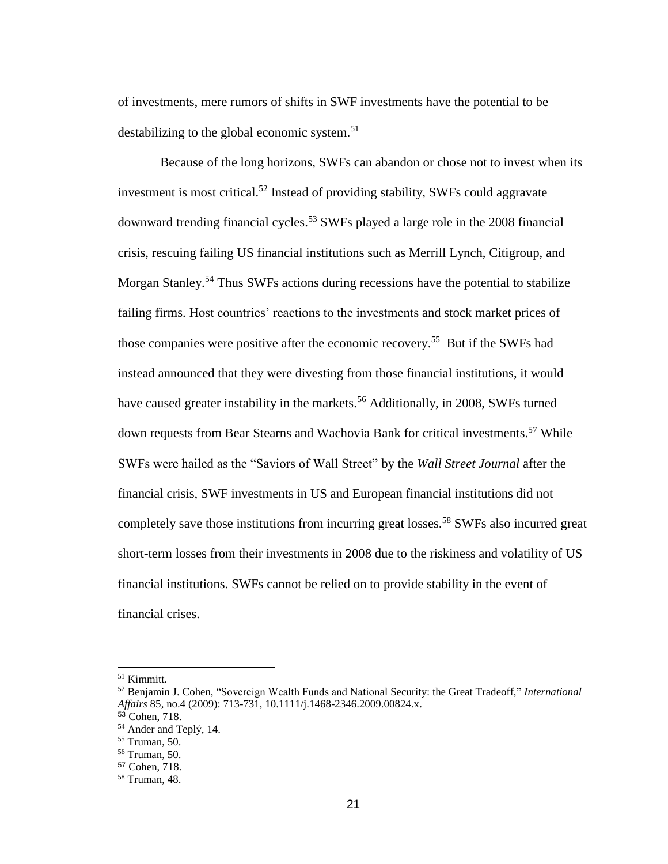of investments, mere rumors of shifts in SWF investments have the potential to be destabilizing to the global economic system.<sup>51</sup>

Because of the long horizons, SWFs can abandon or chose not to invest when its investment is most critical. <sup>52</sup> Instead of providing stability, SWFs could aggravate downward trending financial cycles.<sup>53</sup> SWFs played a large role in the 2008 financial crisis, rescuing failing US financial institutions such as Merrill Lynch, Citigroup, and Morgan Stanley.<sup>54</sup> Thus SWFs actions during recessions have the potential to stabilize failing firms. Host countries' reactions to the investments and stock market prices of those companies were positive after the economic recovery. <sup>55</sup> But if the SWFs had instead announced that they were divesting from those financial institutions, it would have caused greater instability in the markets.<sup>56</sup> Additionally, in 2008, SWFs turned down requests from Bear Stearns and Wachovia Bank for critical investments.<sup>57</sup> While SWFs were hailed as the "Saviors of Wall Street" by the *Wall Street Journal* after the financial crisis, SWF investments in US and European financial institutions did not completely save those institutions from incurring great losses.<sup>58</sup> SWFs also incurred great short-term losses from their investments in 2008 due to the riskiness and volatility of US financial institutions. SWFs cannot be relied on to provide stability in the event of financial crises.

<sup>51</sup> Kimmitt.

<sup>52</sup> Benjamin J. Cohen, "Sovereign Wealth Funds and National Security: the Great Tradeoff," *International Affairs* 85, no.4 (2009): 713-731, 10.1111/j.1468-2346.2009.00824.x.

<sup>53</sup> Cohen, 718.

<sup>54</sup> Ander and Teplý , 14.

<sup>55</sup> Truman, 50.

<sup>56</sup> Truman, 50.

<sup>57</sup> Cohen, 718.

<sup>58</sup> Truman, 48.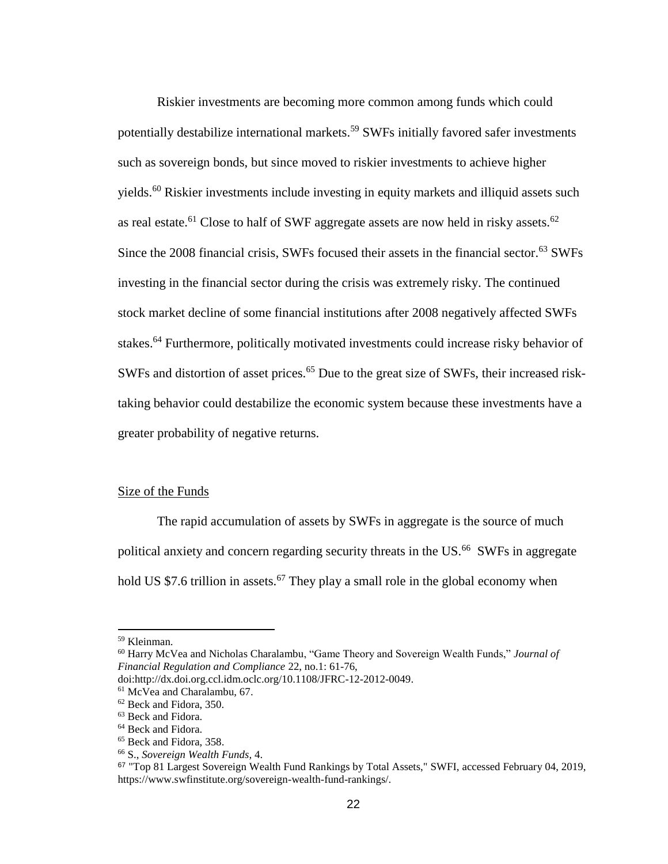Riskier investments are becoming more common among funds which could potentially destabilize international markets.<sup>59</sup> SWFs initially favored safer investments such as sovereign bonds, but since moved to riskier investments to achieve higher yields.<sup>60</sup> Riskier investments include investing in equity markets and illiquid assets such as real estate.<sup>61</sup> Close to half of SWF aggregate assets are now held in risky assets.<sup>62</sup> Since the 2008 financial crisis, SWFs focused their assets in the financial sector.<sup>63</sup> SWFs investing in the financial sector during the crisis was extremely risky. The continued stock market decline of some financial institutions after 2008 negatively affected SWFs stakes.<sup>64</sup> Furthermore, politically motivated investments could increase risky behavior of SWFs and distortion of asset prices.<sup>65</sup> Due to the great size of SWFs, their increased risktaking behavior could destabilize the economic system because these investments have a greater probability of negative returns.

### Size of the Funds

The rapid accumulation of assets by SWFs in aggregate is the source of much political anxiety and concern regarding security threats in the US.<sup>66</sup> SWFs in aggregate hold US \$7.6 trillion in assets.<sup>67</sup> They play a small role in the global economy when

<sup>59</sup> Kleinman.

<sup>60</sup> Harry McVea and Nicholas Charalambu, "Game Theory and Sovereign Wealth Funds," *Journal of Financial Regulation and Compliance* 22, no.1: 61-76,

doi:http://dx.doi.org.ccl.idm.oclc.org/10.1108/JFRC-12-2012-0049.

<sup>61</sup> McVea and Charalambu, 67.

<sup>62</sup> Beck and Fidora, 350.

<sup>63</sup> Beck and Fidora.

<sup>&</sup>lt;sup>64</sup> Beck and Fidora.

<sup>65</sup> Beck and Fidora, 358.

<sup>66</sup> S., *Sovereign Wealth Funds,* 4.

<sup>67</sup> "Top 81 Largest Sovereign Wealth Fund Rankings by Total Assets," SWFI, accessed February 04, 2019, https://www.swfinstitute.org/sovereign-wealth-fund-rankings/.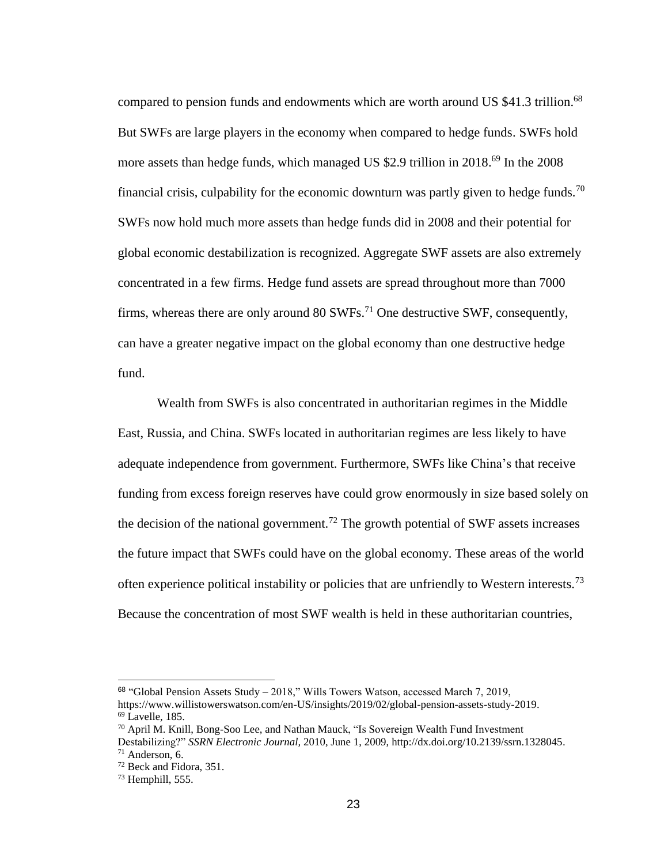compared to pension funds and endowments which are worth around US \$41.3 trillion.<sup>68</sup> But SWFs are large players in the economy when compared to hedge funds. SWFs hold more assets than hedge funds, which managed US \$2.9 trillion in 2018.<sup>69</sup> In the 2008 financial crisis, culpability for the economic downturn was partly given to hedge funds.<sup>70</sup> SWFs now hold much more assets than hedge funds did in 2008 and their potential for global economic destabilization is recognized. Aggregate SWF assets are also extremely concentrated in a few firms. Hedge fund assets are spread throughout more than 7000 firms, whereas there are only around  $80 \text{ SWFs}$ <sup>71</sup> One destructive SWF, consequently, can have a greater negative impact on the global economy than one destructive hedge fund.

Wealth from SWFs is also concentrated in authoritarian regimes in the Middle East, Russia, and China. SWFs located in authoritarian regimes are less likely to have adequate independence from government. Furthermore, SWFs like China's that receive funding from excess foreign reserves have could grow enormously in size based solely on the decision of the national government.<sup>72</sup> The growth potential of SWF assets increases the future impact that SWFs could have on the global economy. These areas of the world often experience political instability or policies that are unfriendly to Western interests.<sup>73</sup> Because the concentration of most SWF wealth is held in these authoritarian countries,

<sup>68</sup> "Global Pension Assets Study – 2018," Wills Towers Watson, accessed March 7, 2019,

[https://www.willistowerswatson.com/en-US/insights/2019/02/global-pension-assets-study-2019.](https://www.willistowerswatson.com/en-US/insights/2019/02/global-pension-assets-study-2019)  $69$  Lavelle, 185.

<sup>70</sup> April M. Knill, Bong-Soo Lee, and Nathan Mauck, "Is Sovereign Wealth Fund Investment Destabilizing?" *SSRN Electronic Journal,* 2010, June 1, 2009, [http://dx.doi.org/10.2139/ssrn.1328045.](https://dx.doi.org/10.2139/ssrn.1328045)  $71$  Anderson, 6.

<sup>72</sup> Beck and Fidora, 351.

<sup>73</sup> Hemphill, 555.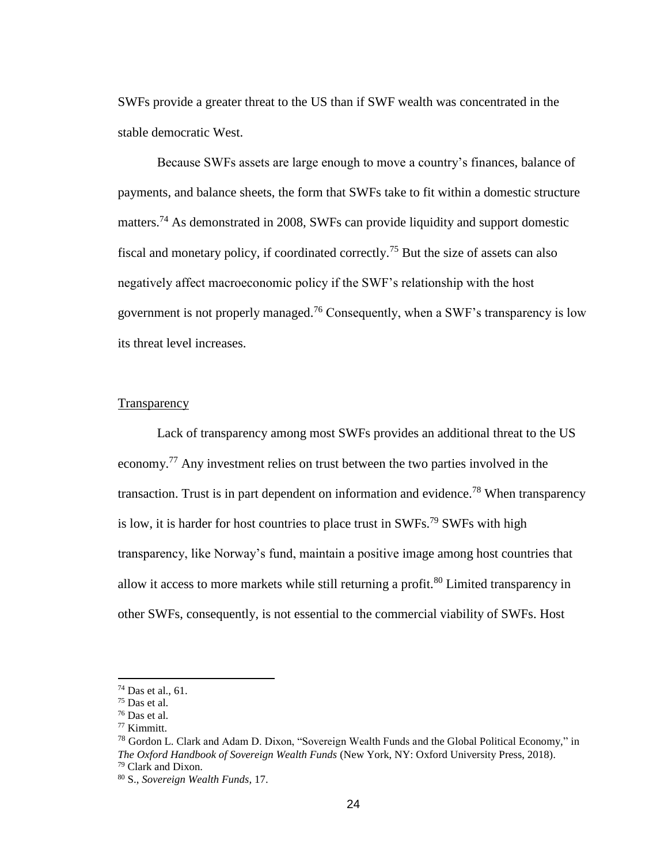SWFs provide a greater threat to the US than if SWF wealth was concentrated in the stable democratic West.

Because SWFs assets are large enough to move a country's finances, balance of payments, and balance sheets, the form that SWFs take to fit within a domestic structure matters.<sup>74</sup> As demonstrated in 2008, SWFs can provide liquidity and support domestic fiscal and monetary policy, if coordinated correctly.<sup>75</sup> But the size of assets can also negatively affect macroeconomic policy if the SWF's relationship with the host government is not properly managed.<sup>76</sup> Consequently, when a SWF's transparency is low its threat level increases.

### **Transparency**

Lack of transparency among most SWFs provides an additional threat to the US economy.<sup>77</sup> Any investment relies on trust between the two parties involved in the transaction. Trust is in part dependent on information and evidence.<sup>78</sup> When transparency is low, it is harder for host countries to place trust in  $SWFs^{79}SWFs$  with high transparency, like Norway's fund, maintain a positive image among host countries that allow it access to more markets while still returning a profit.<sup>80</sup> Limited transparency in other SWFs, consequently, is not essential to the commercial viability of SWFs. Host

<sup>74</sup> Das et al., 61.

<sup>75</sup> Das et al.

<sup>76</sup> Das et al.

<sup>77</sup> Kimmitt.

<sup>&</sup>lt;sup>78</sup> Gordon L. Clark and Adam D. Dixon, "Sovereign Wealth Funds and the Global Political Economy," in *The Oxford Handbook of Sovereign Wealth Funds* (New York, NY: Oxford University Press, 2018). <sup>79</sup> Clark and Dixon.

<sup>80</sup> S., *Sovereign Wealth Funds,* 17.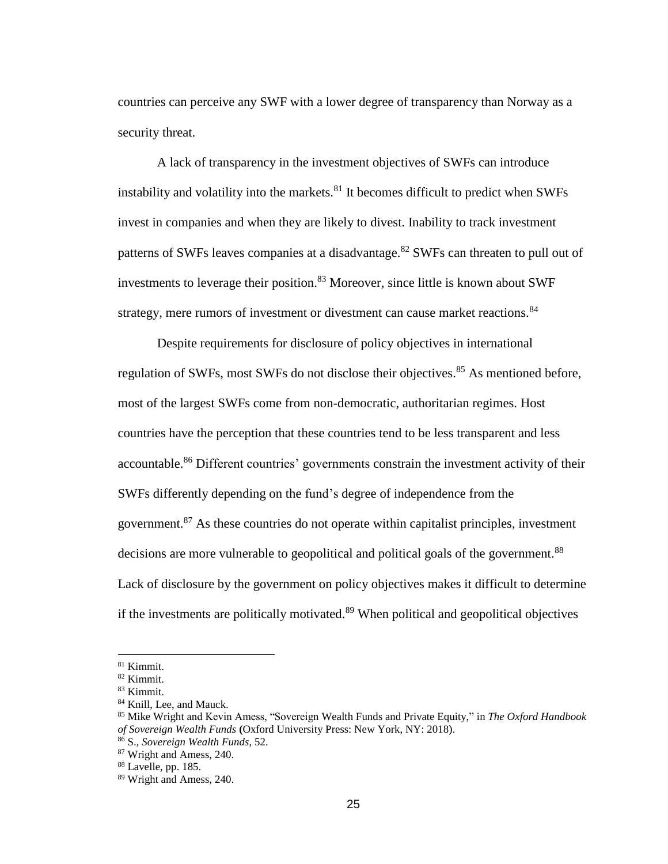countries can perceive any SWF with a lower degree of transparency than Norway as a security threat.

A lack of transparency in the investment objectives of SWFs can introduce instability and volatility into the markets. $81$  It becomes difficult to predict when SWFs invest in companies and when they are likely to divest. Inability to track investment patterns of SWFs leaves companies at a disadvantage.<sup>82</sup> SWFs can threaten to pull out of investments to leverage their position.<sup>83</sup> Moreover, since little is known about SWF strategy, mere rumors of investment or divestment can cause market reactions.<sup>84</sup>

Despite requirements for disclosure of policy objectives in international regulation of SWFs, most SWFs do not disclose their objectives.<sup>85</sup> As mentioned before, most of the largest SWFs come from non-democratic, authoritarian regimes. Host countries have the perception that these countries tend to be less transparent and less accountable.<sup>86</sup> Different countries' governments constrain the investment activity of their SWFs differently depending on the fund's degree of independence from the government.<sup>87</sup> As these countries do not operate within capitalist principles, investment decisions are more vulnerable to geopolitical and political goals of the government.<sup>88</sup> Lack of disclosure by the government on policy objectives makes it difficult to determine if the investments are politically motivated. $89$  When political and geopolitical objectives

<sup>81</sup> Kimmit.

<sup>82</sup> Kimmit. <sup>83</sup> Kimmit.

<sup>&</sup>lt;sup>84</sup> Knill, Lee, and Mauck.

<sup>85</sup> Mike Wright and Kevin Amess, "Sovereign Wealth Funds and Private Equity," in *The Oxford Handbook of Sovereign Wealth Funds* **(**Oxford University Press: New York, NY: 2018).

<sup>86</sup> S., *Sovereign Wealth Funds,* 52.

<sup>87</sup> Wright and Amess, 240.

<sup>88</sup> Lavelle, pp. 185.

<sup>89</sup> Wright and Amess, 240.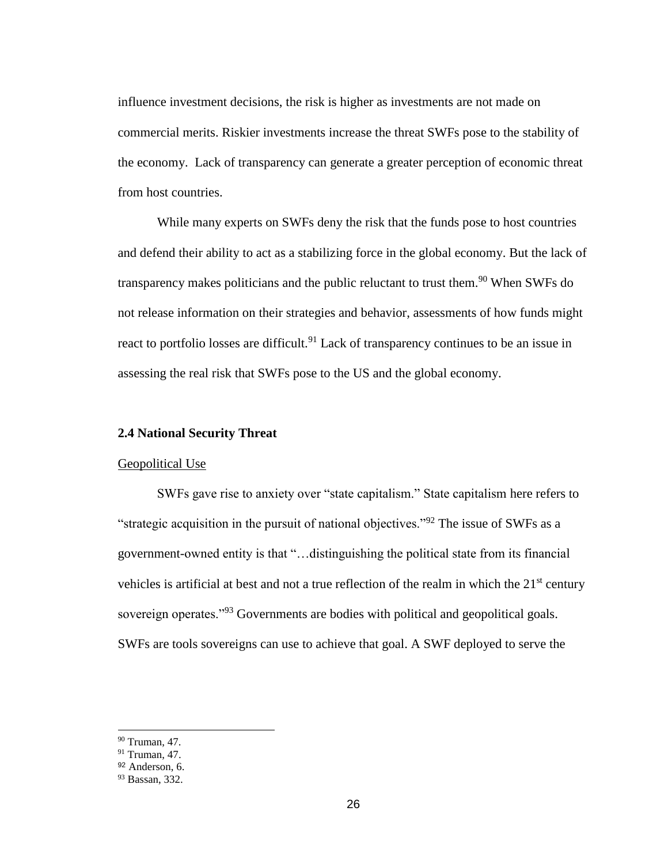influence investment decisions, the risk is higher as investments are not made on commercial merits. Riskier investments increase the threat SWFs pose to the stability of the economy. Lack of transparency can generate a greater perception of economic threat from host countries.

While many experts on SWFs deny the risk that the funds pose to host countries and defend their ability to act as a stabilizing force in the global economy. But the lack of transparency makes politicians and the public reluctant to trust them.<sup>90</sup> When SWFs do not release information on their strategies and behavior, assessments of how funds might react to portfolio losses are difficult.<sup>91</sup> Lack of transparency continues to be an issue in assessing the real risk that SWFs pose to the US and the global economy.

# **2.4 National Security Threat**

### Geopolitical Use

SWFs gave rise to anxiety over "state capitalism." State capitalism here refers to "strategic acquisition in the pursuit of national objectives."<sup>92</sup> The issue of SWFs as a government-owned entity is that "…distinguishing the political state from its financial vehicles is artificial at best and not a true reflection of the realm in which the  $21<sup>st</sup>$  century sovereign operates."<sup>93</sup> Governments are bodies with political and geopolitical goals. SWFs are tools sovereigns can use to achieve that goal. A SWF deployed to serve the

<sup>90</sup> Truman, 47.

<sup>91</sup> Truman, 47.

<sup>92</sup> Anderson, 6.

<sup>93</sup> Bassan, 332.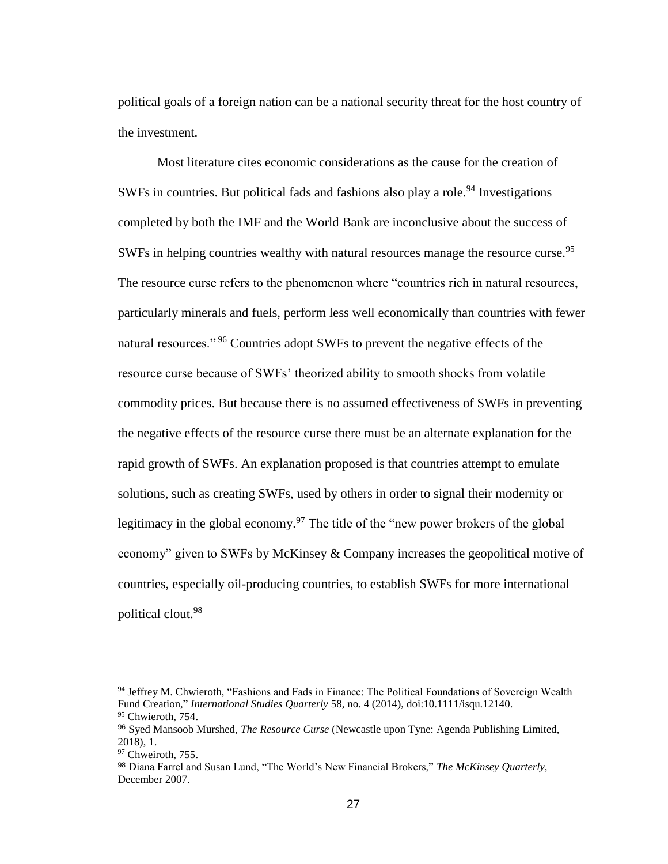political goals of a foreign nation can be a national security threat for the host country of the investment.

Most literature cites economic considerations as the cause for the creation of SWFs in countries. But political fads and fashions also play a role.<sup>94</sup> Investigations completed by both the IMF and the World Bank are inconclusive about the success of SWFs in helping countries wealthy with natural resources manage the resource curse.<sup>95</sup> The resource curse refers to the phenomenon where "countries rich in natural resources, particularly minerals and fuels, perform less well economically than countries with fewer natural resources."<sup>96</sup> Countries adopt SWFs to prevent the negative effects of the resource curse because of SWFs' theorized ability to smooth shocks from volatile commodity prices. But because there is no assumed effectiveness of SWFs in preventing the negative effects of the resource curse there must be an alternate explanation for the rapid growth of SWFs. An explanation proposed is that countries attempt to emulate solutions, such as creating SWFs, used by others in order to signal their modernity or legitimacy in the global economy.<sup>97</sup> The title of the "new power brokers of the global" economy" given to SWFs by McKinsey & Company increases the geopolitical motive of countries, especially oil-producing countries, to establish SWFs for more international political clout.<sup>98</sup>

<sup>94</sup> Jeffrey M. Chwieroth, "Fashions and Fads in Finance: The Political Foundations of Sovereign Wealth Fund Creation," *International Studies Quarterly* 58, no. 4 (2014), doi:10.1111/isqu.12140. <sup>95</sup> Chwieroth, 754.

<sup>96</sup> Syed Mansoob Murshed, *The Resource Curse* (Newcastle upon Tyne: Agenda Publishing Limited, 2018), 1.

<sup>&</sup>lt;sup>97</sup> Chweiroth, 755.

<sup>98</sup> Diana Farrel and Susan Lund, "The World's New Financial Brokers," *The McKinsey Quarterly,* December 2007.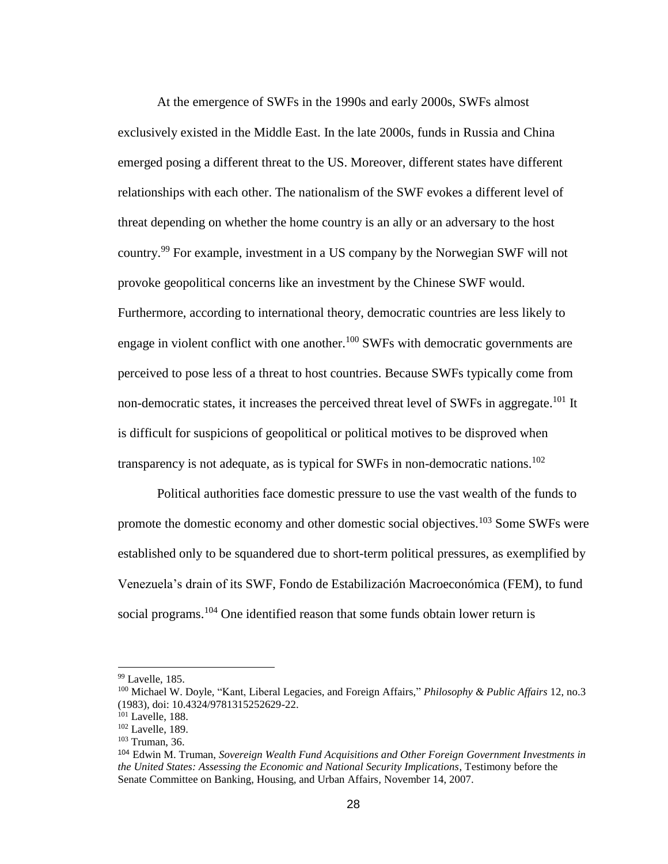At the emergence of SWFs in the 1990s and early 2000s, SWFs almost exclusively existed in the Middle East. In the late 2000s, funds in Russia and China emerged posing a different threat to the US. Moreover, different states have different relationships with each other. The nationalism of the SWF evokes a different level of threat depending on whether the home country is an ally or an adversary to the host country.<sup>99</sup> For example, investment in a US company by the Norwegian SWF will not provoke geopolitical concerns like an investment by the Chinese SWF would. Furthermore, according to international theory, democratic countries are less likely to engage in violent conflict with one another.<sup>100</sup> SWFs with democratic governments are perceived to pose less of a threat to host countries. Because SWFs typically come from non-democratic states, it increases the perceived threat level of SWFs in aggregate.<sup>101</sup> It is difficult for suspicions of geopolitical or political motives to be disproved when transparency is not adequate, as is typical for SWFs in non-democratic nations.<sup>102</sup>

Political authorities face domestic pressure to use the vast wealth of the funds to promote the domestic economy and other domestic social objectives.<sup>103</sup> Some SWFs were established only to be squandered due to short-term political pressures, as exemplified by Venezuela's drain of its SWF, Fondo de Estabilización Macroeconómica (FEM), to fund social programs.<sup>104</sup> One identified reason that some funds obtain lower return is

 $99$  Lavelle, 185.

<sup>100</sup> Michael W. Doyle, "Kant, Liberal Legacies, and Foreign Affairs," *Philosophy & Public Affairs* 12, no.3 (1983), doi: 10.4324/9781315252629-22.

<sup>&</sup>lt;sup>101</sup> Lavelle, 188.

<sup>&</sup>lt;sup>102</sup> Lavelle, 189.

<sup>103</sup> Truman, 36.

<sup>104</sup> Edwin M. Truman, *Sovereign Wealth Fund Acquisitions and Other Foreign Government Investments in the United States: Assessing the Economic and National Security Implications*, Testimony before the Senate Committee on Banking, Housing, and Urban Affairs*,* November 14, 2007.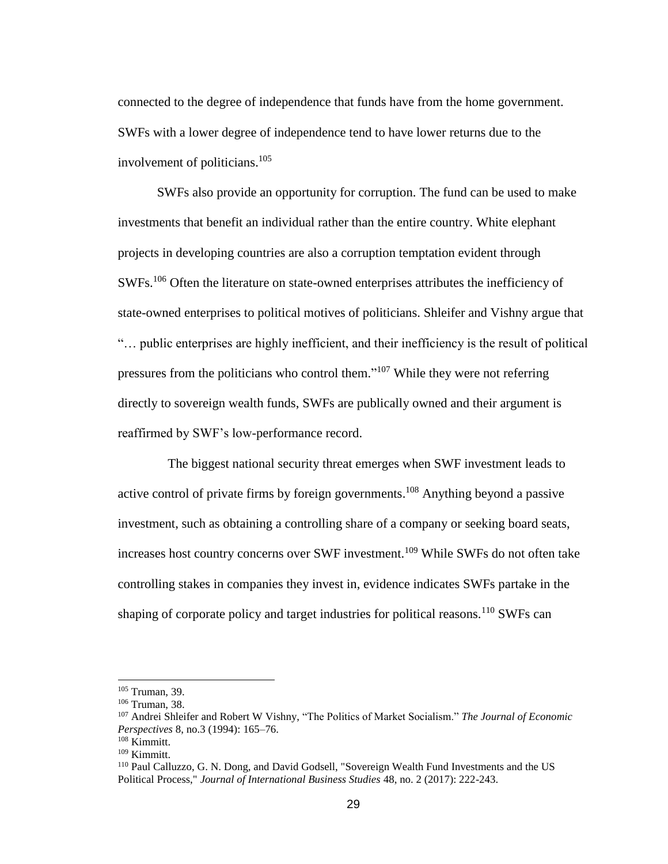connected to the degree of independence that funds have from the home government. SWFs with a lower degree of independence tend to have lower returns due to the involvement of politicians. 105

SWFs also provide an opportunity for corruption. The fund can be used to make investments that benefit an individual rather than the entire country. White elephant projects in developing countries are also a corruption temptation evident through SWFs.<sup>106</sup> Often the literature on state-owned enterprises attributes the inefficiency of state-owned enterprises to political motives of politicians. Shleifer and Vishny argue that "… public enterprises are highly inefficient, and their inefficiency is the result of political pressures from the politicians who control them."<sup>107</sup> While they were not referring directly to sovereign wealth funds, SWFs are publically owned and their argument is reaffirmed by SWF's low-performance record.

The biggest national security threat emerges when SWF investment leads to active control of private firms by foreign governments. <sup>108</sup> Anything beyond a passive investment, such as obtaining a controlling share of a company or seeking board seats, increases host country concerns over SWF investment.<sup>109</sup> While SWFs do not often take controlling stakes in companies they invest in, evidence indicates SWFs partake in the shaping of corporate policy and target industries for political reasons.<sup>110</sup> SWFs can

<sup>105</sup> Truman, 39.

<sup>106</sup> Truman, 38.

<sup>107</sup> Andrei Shleifer and Robert W Vishny, "The Politics of Market Socialism." *The Journal of Economic Perspectives* 8, no.3 (1994): 165–76.

<sup>108</sup> Kimmitt.

<sup>109</sup> Kimmitt.

<sup>110</sup> Paul Calluzzo, G. N. Dong, and David Godsell, "Sovereign Wealth Fund Investments and the US Political Process," *Journal of International Business Studies* 48, no. 2 (2017): 222-243.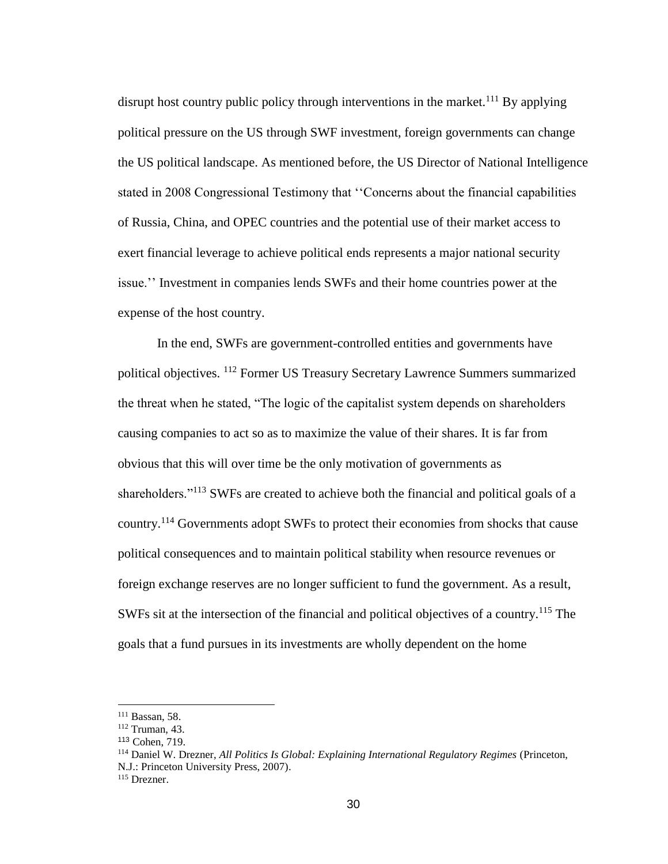disrupt host country public policy through interventions in the market.<sup>111</sup> By applying political pressure on the US through SWF investment, foreign governments can change the US political landscape. As mentioned before, the US Director of National Intelligence stated in 2008 Congressional Testimony that ''Concerns about the financial capabilities of Russia, China, and OPEC countries and the potential use of their market access to exert financial leverage to achieve political ends represents a major national security issue.'' Investment in companies lends SWFs and their home countries power at the expense of the host country.

In the end, SWFs are government-controlled entities and governments have political objectives. <sup>112</sup> Former US Treasury Secretary Lawrence Summers summarized the threat when he stated, "The logic of the capitalist system depends on shareholders causing companies to act so as to maximize the value of their shares. It is far from obvious that this will over time be the only motivation of governments as shareholders."<sup>113</sup> SWFs are created to achieve both the financial and political goals of a country.<sup>114</sup> Governments adopt SWFs to protect their economies from shocks that cause political consequences and to maintain political stability when resource revenues or foreign exchange reserves are no longer sufficient to fund the government. As a result, SWFs sit at the intersection of the financial and political objectives of a country.<sup>115</sup> The goals that a fund pursues in its investments are wholly dependent on the home

<sup>111</sup> Bassan, 58.

<sup>112</sup> Truman, 43.

<sup>113</sup> Cohen, 719.

<sup>114</sup> Daniel W. Drezner, *All Politics Is Global: Explaining International Regulatory Regimes* (Princeton, N.J.: Princeton University Press, 2007).

<sup>115</sup> Drezner.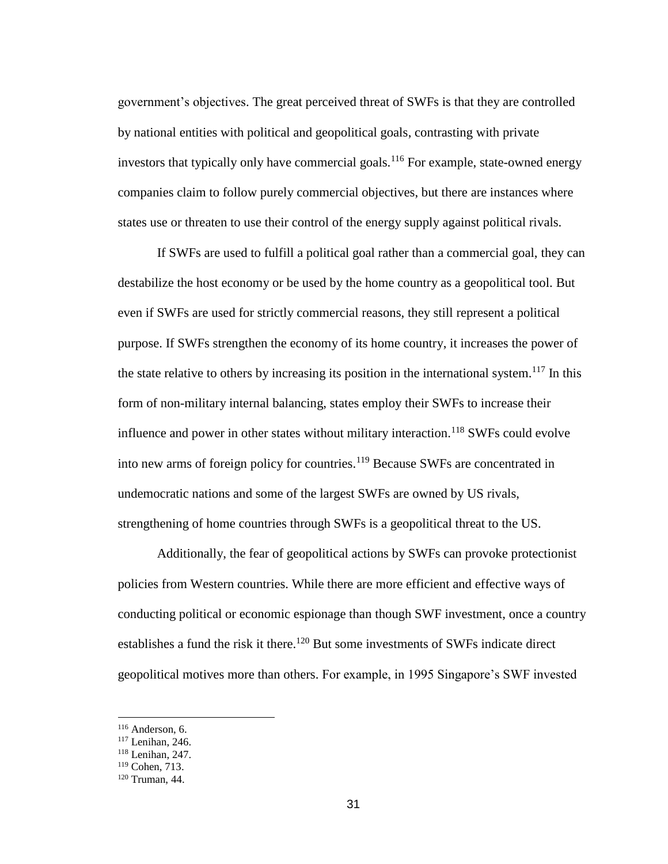government's objectives. The great perceived threat of SWFs is that they are controlled by national entities with political and geopolitical goals, contrasting with private investors that typically only have commercial goals.<sup>116</sup> For example, state-owned energy companies claim to follow purely commercial objectives, but there are instances where states use or threaten to use their control of the energy supply against political rivals.

If SWFs are used to fulfill a political goal rather than a commercial goal, they can destabilize the host economy or be used by the home country as a geopolitical tool. But even if SWFs are used for strictly commercial reasons, they still represent a political purpose. If SWFs strengthen the economy of its home country, it increases the power of the state relative to others by increasing its position in the international system.<sup>117</sup> In this form of non-military internal balancing, states employ their SWFs to increase their influence and power in other states without military interaction.<sup>118</sup> SWFs could evolve into new arms of foreign policy for countries.<sup>119</sup> Because SWFs are concentrated in undemocratic nations and some of the largest SWFs are owned by US rivals, strengthening of home countries through SWFs is a geopolitical threat to the US.

Additionally, the fear of geopolitical actions by SWFs can provoke protectionist policies from Western countries. While there are more efficient and effective ways of conducting political or economic espionage than though SWF investment, once a country establishes a fund the risk it there.<sup>120</sup> But some investments of SWFs indicate direct geopolitical motives more than others. For example, in 1995 Singapore's SWF invested

<sup>116</sup> Anderson, 6.

<sup>117</sup> Lenihan, 246.

<sup>118</sup> Lenihan, 247.

<sup>119</sup> Cohen, 713.

<sup>120</sup> Truman, 44.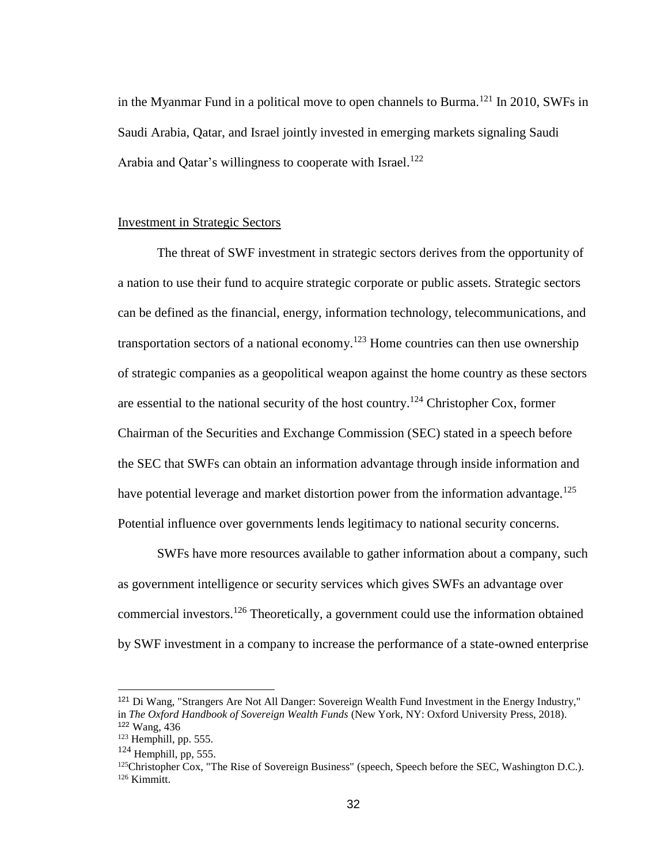in the Myanmar Fund in a political move to open channels to Burma.<sup>121</sup> In 2010, SWFs in Saudi Arabia, Qatar, and Israel jointly invested in emerging markets signaling Saudi Arabia and Qatar's willingness to cooperate with Israel.<sup>122</sup>

### Investment in Strategic Sectors

The threat of SWF investment in strategic sectors derives from the opportunity of a nation to use their fund to acquire strategic corporate or public assets. Strategic sectors can be defined as the financial, energy, information technology, telecommunications, and transportation sectors of a national economy.<sup>123</sup> Home countries can then use ownership of strategic companies as a geopolitical weapon against the home country as these sectors are essential to the national security of the host country.<sup>124</sup> Christopher Cox, former Chairman of the Securities and Exchange Commission (SEC) stated in a speech before the SEC that SWFs can obtain an information advantage through inside information and have potential leverage and market distortion power from the information advantage.<sup>125</sup> Potential influence over governments lends legitimacy to national security concerns.

SWFs have more resources available to gather information about a company, such as government intelligence or security services which gives SWFs an advantage over commercial investors.<sup>126</sup> Theoretically, a government could use the information obtained by SWF investment in a company to increase the performance of a state-owned enterprise

<sup>121</sup> Di Wang, "Strangers Are Not All Danger: Sovereign Wealth Fund Investment in the Energy Industry," in *The Oxford Handbook of Sovereign Wealth Funds* (New York, NY: Oxford University Press, 2018). <sup>122</sup> Wang, 436

 $123$  Hemphill, pp. 555.

 $124$  Hemphill, pp, 555.

<sup>&</sup>lt;sup>125</sup>Christopher Cox, "The Rise of Sovereign Business" (speech, Speech before the SEC, Washington D.C.). <sup>126</sup> Kimmitt.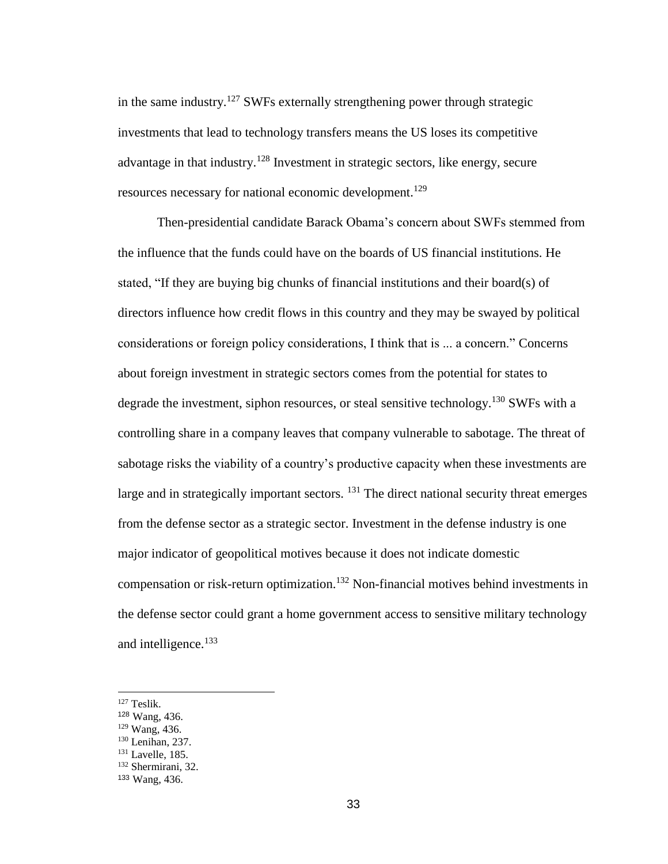in the same industry.<sup>127</sup> SWFs externally strengthening power through strategic investments that lead to technology transfers means the US loses its competitive advantage in that industry.<sup>128</sup> Investment in strategic sectors, like energy, secure resources necessary for national economic development.<sup>129</sup>

Then-presidential candidate Barack Obama's concern about SWFs stemmed from the influence that the funds could have on the boards of US financial institutions. He stated, "If they are buying big chunks of financial institutions and their board(s) of directors influence how credit flows in this country and they may be swayed by political considerations or foreign policy considerations, I think that is ... a concern." Concerns about foreign investment in strategic sectors comes from the potential for states to degrade the investment, siphon resources, or steal sensitive technology.<sup>130</sup> SWFs with a controlling share in a company leaves that company vulnerable to sabotage. The threat of sabotage risks the viability of a country's productive capacity when these investments are large and in strategically important sectors. <sup>131</sup> The direct national security threat emerges from the defense sector as a strategic sector. Investment in the defense industry is one major indicator of geopolitical motives because it does not indicate domestic compensation or risk-return optimization.<sup>132</sup> Non-financial motives behind investments in the defense sector could grant a home government access to sensitive military technology and intelligence.<sup>133</sup>

<sup>127</sup> Teslik.

<sup>128</sup> Wang, 436.

<sup>129</sup> Wang, 436.

<sup>130</sup> Lenihan, 237.

<sup>131</sup> Lavelle, 185.

<sup>132</sup> Shermirani, 32.

<sup>133</sup> Wang, 436.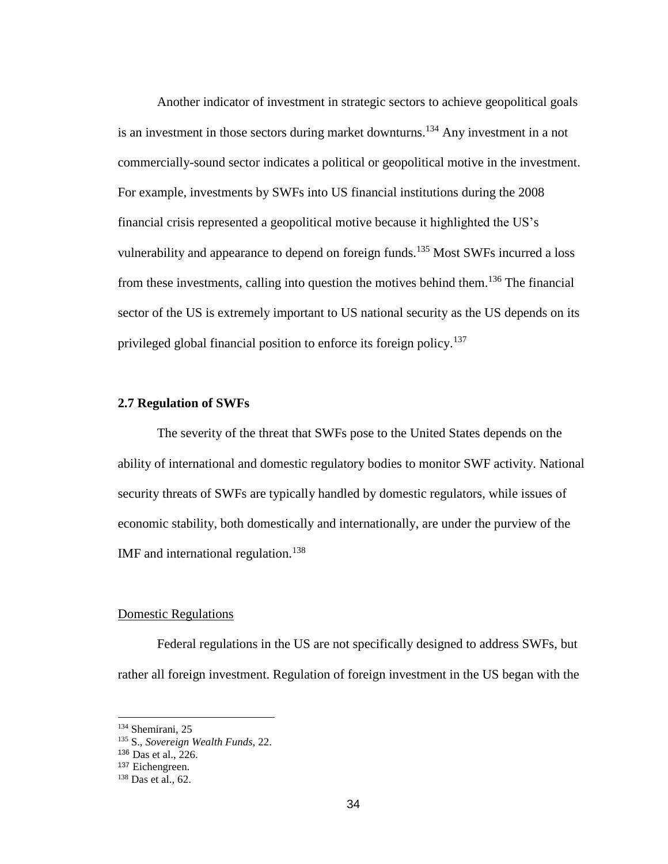Another indicator of investment in strategic sectors to achieve geopolitical goals is an investment in those sectors during market downturns.<sup>134</sup> Any investment in a not commercially-sound sector indicates a political or geopolitical motive in the investment. For example, investments by SWFs into US financial institutions during the 2008 financial crisis represented a geopolitical motive because it highlighted the US's vulnerability and appearance to depend on foreign funds.<sup>135</sup> Most SWFs incurred a loss from these investments, calling into question the motives behind them.<sup>136</sup> The financial sector of the US is extremely important to US national security as the US depends on its privileged global financial position to enforce its foreign policy.<sup>137</sup>

### **2.7 Regulation of SWFs**

The severity of the threat that SWFs pose to the United States depends on the ability of international and domestic regulatory bodies to monitor SWF activity. National security threats of SWFs are typically handled by domestic regulators, while issues of economic stability, both domestically and internationally, are under the purview of the IMF and international regulation.<sup>138</sup>

# Domestic Regulations

Federal regulations in the US are not specifically designed to address SWFs, but rather all foreign investment. Regulation of foreign investment in the US began with the

<sup>134</sup> Shemirani, 25

<sup>135</sup> S., *Sovereign Wealth Funds,* 22.

<sup>136</sup> Das et al., 226.

<sup>137</sup> Eichengreen.

<sup>138</sup> Das et al., 62.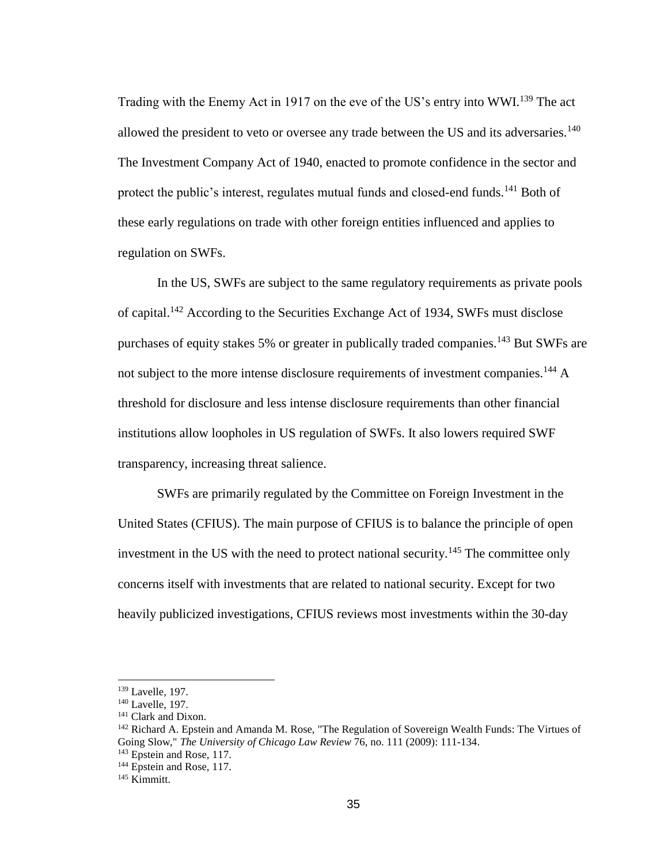Trading with the Enemy Act in 1917 on the eve of the US's entry into WWI.<sup>139</sup> The act allowed the president to veto or oversee any trade between the US and its adversaries.<sup>140</sup> The Investment Company Act of 1940, enacted to promote confidence in the sector and protect the public's interest, regulates mutual funds and closed-end funds.<sup>141</sup> Both of these early regulations on trade with other foreign entities influenced and applies to regulation on SWFs.

In the US, SWFs are subject to the same regulatory requirements as private pools of capital.<sup>142</sup> According to the Securities Exchange Act of 1934, SWFs must disclose purchases of equity stakes 5% or greater in publically traded companies.<sup>143</sup> But SWFs are not subject to the more intense disclosure requirements of investment companies.<sup>144</sup> A threshold for disclosure and less intense disclosure requirements than other financial institutions allow loopholes in US regulation of SWFs. It also lowers required SWF transparency, increasing threat salience.

SWFs are primarily regulated by the Committee on Foreign Investment in the United States (CFIUS). The main purpose of CFIUS is to balance the principle of open investment in the US with the need to protect national security.<sup>145</sup> The committee only concerns itself with investments that are related to national security. Except for two heavily publicized investigations, CFIUS reviews most investments within the 30-day

<sup>139</sup> Lavelle, 197.

<sup>140</sup> Lavelle, 197.

<sup>&</sup>lt;sup>141</sup> Clark and Dixon.

<sup>&</sup>lt;sup>142</sup> Richard A. Epstein and Amanda M. Rose, "The Regulation of Sovereign Wealth Funds: The Virtues of Going Slow," *The University of Chicago Law Review* 76, no. 111 (2009): 111-134.

<sup>&</sup>lt;sup>143</sup> Epstein and Rose, 117.

<sup>&</sup>lt;sup>144</sup> Epstein and Rose, 117.

<sup>145</sup> Kimmitt.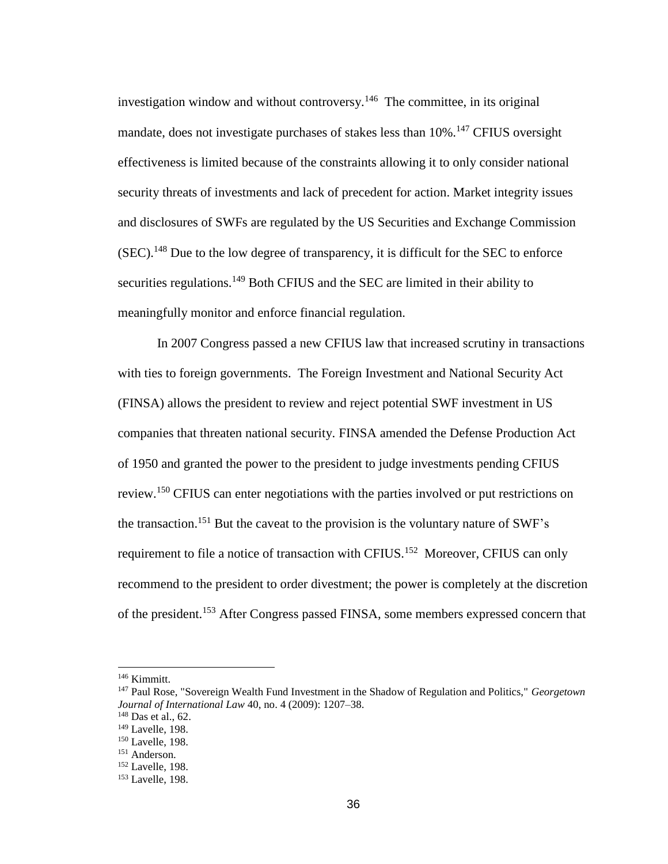investigation window and without controversy.<sup>146</sup> The committee, in its original mandate, does not investigate purchases of stakes less than  $10\%$ <sup>147</sup> CFIUS oversight effectiveness is limited because of the constraints allowing it to only consider national security threats of investments and lack of precedent for action. Market integrity issues and disclosures of SWFs are regulated by the US Securities and Exchange Commission  $(SEC).<sup>148</sup>$  Due to the low degree of transparency, it is difficult for the SEC to enforce securities regulations.<sup>149</sup> Both CFIUS and the SEC are limited in their ability to meaningfully monitor and enforce financial regulation.

In 2007 Congress passed a new CFIUS law that increased scrutiny in transactions with ties to foreign governments. The Foreign Investment and National Security Act (FINSA) allows the president to review and reject potential SWF investment in US companies that threaten national security. FINSA amended the Defense Production Act of 1950 and granted the power to the president to judge investments pending CFIUS review.<sup>150</sup> CFIUS can enter negotiations with the parties involved or put restrictions on the transaction.<sup>151</sup> But the caveat to the provision is the voluntary nature of SWF's requirement to file a notice of transaction with CFIUS.<sup>152</sup> Moreover, CFIUS can only recommend to the president to order divestment; the power is completely at the discretion of the president.<sup>153</sup> After Congress passed FINSA, some members expressed concern that

<sup>146</sup> Kimmitt.

<sup>147</sup> Paul Rose, "Sovereign Wealth Fund Investment in the Shadow of Regulation and Politics," *Georgetown Journal of International Law* 40, no. 4 (2009): 1207–38.

<sup>148</sup> Das et al., 62.

<sup>149</sup> Lavelle, 198.

<sup>&</sup>lt;sup>150</sup> Lavelle, 198.

<sup>151</sup> Anderson.

<sup>&</sup>lt;sup>152</sup> Lavelle, 198.

<sup>153</sup> Lavelle, 198.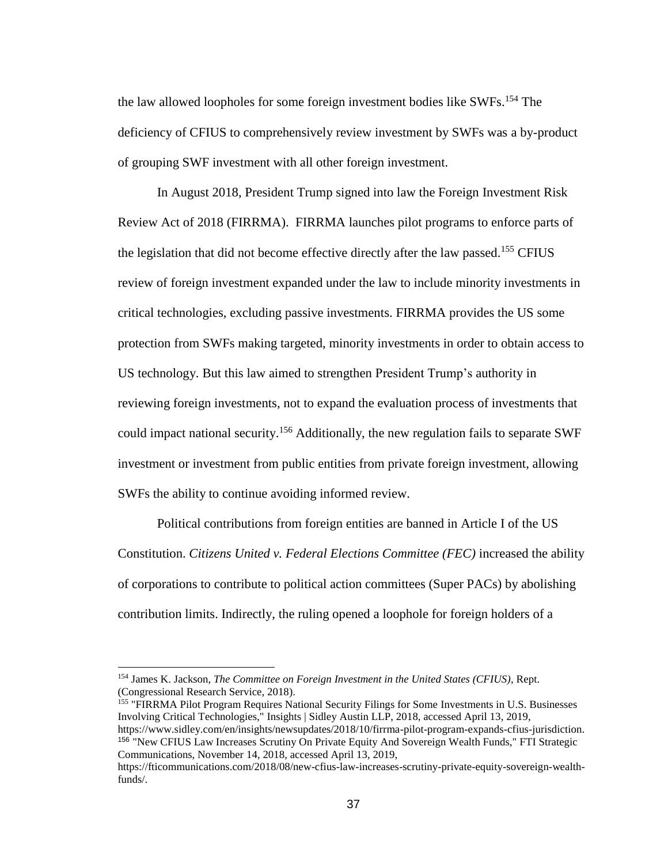the law allowed loopholes for some foreign investment bodies like SWFs.<sup>154</sup> The deficiency of CFIUS to comprehensively review investment by SWFs was a by-product of grouping SWF investment with all other foreign investment.

In August 2018, President Trump signed into law the Foreign Investment Risk Review Act of 2018 (FIRRMA). FIRRMA launches pilot programs to enforce parts of the legislation that did not become effective directly after the law passed.<sup>155</sup> CFIUS review of foreign investment expanded under the law to include minority investments in critical technologies, excluding passive investments. FIRRMA provides the US some protection from SWFs making targeted, minority investments in order to obtain access to US technology. But this law aimed to strengthen President Trump's authority in reviewing foreign investments, not to expand the evaluation process of investments that could impact national security.<sup>156</sup> Additionally, the new regulation fails to separate SWF investment or investment from public entities from private foreign investment, allowing SWFs the ability to continue avoiding informed review.

Political contributions from foreign entities are banned in Article I of the US Constitution. *Citizens United v. Federal Elections Committee (FEC)* increased the ability of corporations to contribute to political action committees (Super PACs) by abolishing contribution limits. Indirectly, the ruling opened a loophole for foreign holders of a

<sup>155</sup> "FIRRMA Pilot Program Requires National Security Filings for Some Investments in U.S. Businesses Involving Critical Technologies," Insights | Sidley Austin LLP, 2018, accessed April 13, 2019, https://www.sidley.com/en/insights/newsupdates/2018/10/firrma-pilot-program-expands-cfius-jurisdiction. <sup>156</sup> "New CFIUS Law Increases Scrutiny On Private Equity And Sovereign Wealth Funds," FTI Strategic Communications, November 14, 2018, accessed April 13, 2019,

<sup>154</sup> James K. Jackson, *The Committee on Foreign Investment in the United States (CFIUS)*, Rept. (Congressional Research Service, 2018).

https://fticommunications.com/2018/08/new-cfius-law-increases-scrutiny-private-equity-sovereign-wealthfunds/.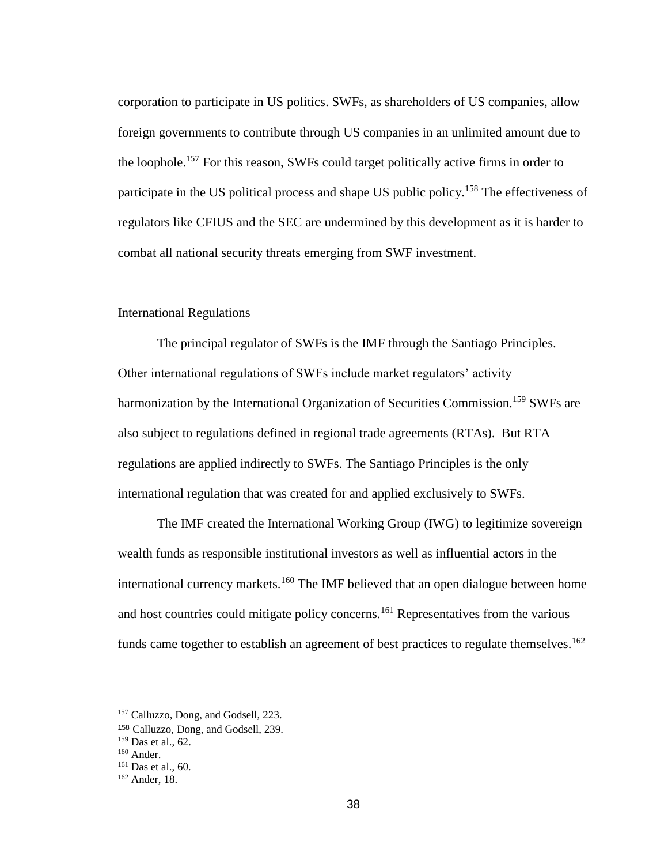corporation to participate in US politics. SWFs, as shareholders of US companies, allow foreign governments to contribute through US companies in an unlimited amount due to the loophole.<sup>157</sup> For this reason, SWFs could target politically active firms in order to participate in the US political process and shape US public policy.<sup>158</sup> The effectiveness of regulators like CFIUS and the SEC are undermined by this development as it is harder to combat all national security threats emerging from SWF investment.

## International Regulations

The principal regulator of SWFs is the IMF through the Santiago Principles. Other international regulations of SWFs include market regulators' activity harmonization by the International Organization of Securities Commission.<sup>159</sup> SWFs are also subject to regulations defined in regional trade agreements (RTAs). But RTA regulations are applied indirectly to SWFs. The Santiago Principles is the only international regulation that was created for and applied exclusively to SWFs.

The IMF created the International Working Group (IWG) to legitimize sovereign wealth funds as responsible institutional investors as well as influential actors in the international currency markets.<sup>160</sup> The IMF believed that an open dialogue between home and host countries could mitigate policy concerns.<sup>161</sup> Representatives from the various funds came together to establish an agreement of best practices to regulate themselves.<sup>162</sup>

<sup>157</sup> Calluzzo, Dong, and Godsell, 223.

<sup>158</sup> Calluzzo, Dong, and Godsell, 239.

<sup>159</sup> Das et al., 62.

<sup>160</sup> Ander.

<sup>161</sup> Das et al., 60.

<sup>162</sup> Ander, 18.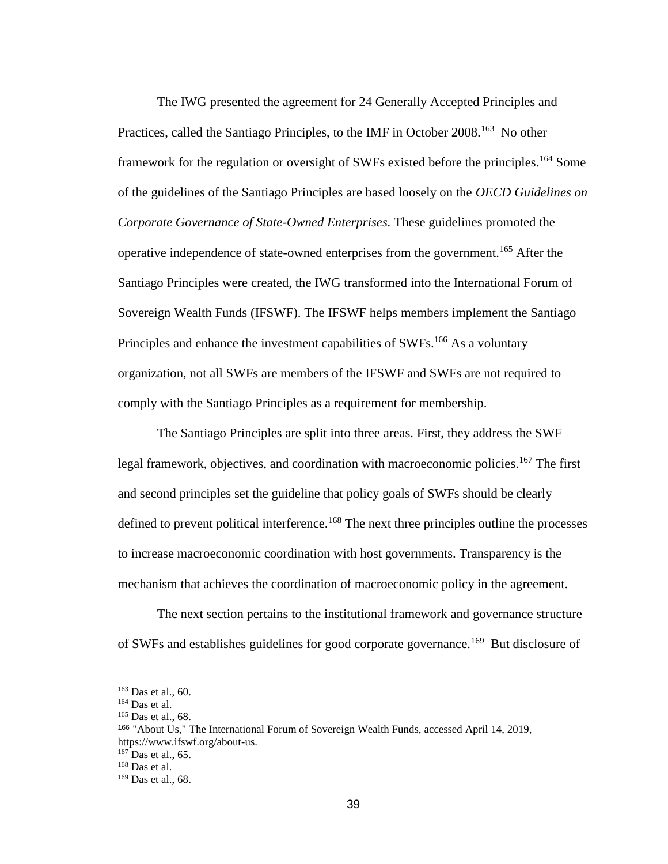The IWG presented the agreement for 24 Generally Accepted Principles and Practices, called the Santiago Principles, to the IMF in October 2008.<sup>163</sup> No other framework for the regulation or oversight of SWFs existed before the principles.<sup>164</sup> Some of the guidelines of the Santiago Principles are based loosely on the *OECD Guidelines on Corporate Governance of State-Owned Enterprises.* These guidelines promoted the operative independence of state-owned enterprises from the government.<sup>165</sup> After the Santiago Principles were created, the IWG transformed into the International Forum of Sovereign Wealth Funds (IFSWF). The IFSWF helps members implement the Santiago Principles and enhance the investment capabilities of SWFs.<sup>166</sup> As a voluntary organization, not all SWFs are members of the IFSWF and SWFs are not required to comply with the Santiago Principles as a requirement for membership.

The Santiago Principles are split into three areas. First, they address the SWF legal framework, objectives, and coordination with macroeconomic policies.<sup>167</sup> The first and second principles set the guideline that policy goals of SWFs should be clearly defined to prevent political interference.<sup>168</sup> The next three principles outline the processes to increase macroeconomic coordination with host governments. Transparency is the mechanism that achieves the coordination of macroeconomic policy in the agreement.

The next section pertains to the institutional framework and governance structure of SWFs and establishes guidelines for good corporate governance.<sup>169</sup> But disclosure of

<sup>163</sup> Das et al., 60.

 $164$  Das et al.

<sup>165</sup> Das et al., 68.

<sup>166</sup> "About Us," The International Forum of Sovereign Wealth Funds, accessed April 14, 2019, https://www.ifswf.org/about-us.

 $167$  Das et al., 65.

<sup>168</sup> Das et al.

<sup>169</sup> Das et al., 68.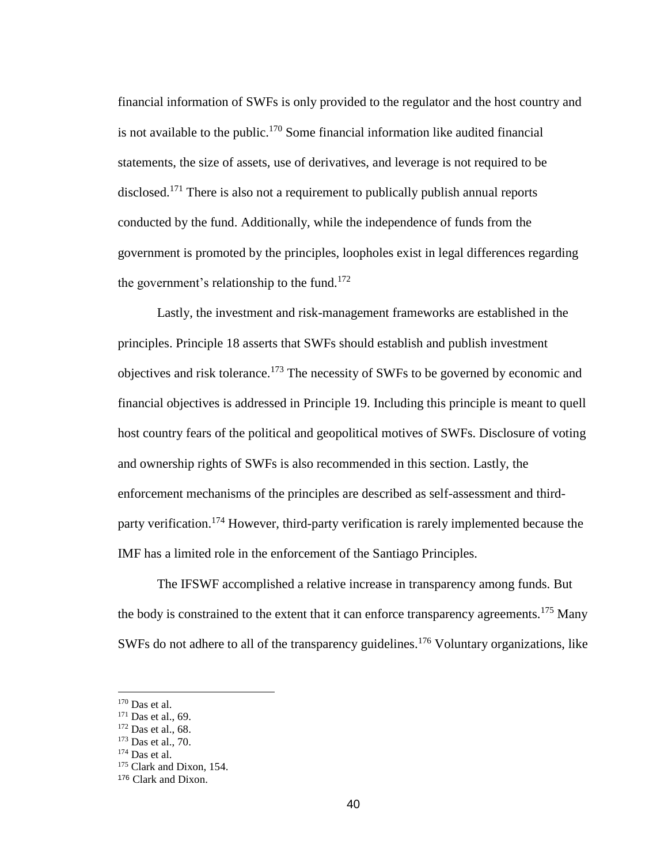financial information of SWFs is only provided to the regulator and the host country and is not available to the public.<sup>170</sup> Some financial information like audited financial statements, the size of assets, use of derivatives, and leverage is not required to be disclosed.<sup>171</sup> There is also not a requirement to publically publish annual reports conducted by the fund. Additionally, while the independence of funds from the government is promoted by the principles, loopholes exist in legal differences regarding the government's relationship to the fund.<sup>172</sup>

Lastly, the investment and risk-management frameworks are established in the principles. Principle 18 asserts that SWFs should establish and publish investment objectives and risk tolerance.<sup>173</sup> The necessity of SWFs to be governed by economic and financial objectives is addressed in Principle 19. Including this principle is meant to quell host country fears of the political and geopolitical motives of SWFs. Disclosure of voting and ownership rights of SWFs is also recommended in this section. Lastly, the enforcement mechanisms of the principles are described as self-assessment and thirdparty verification.<sup>174</sup> However, third-party verification is rarely implemented because the IMF has a limited role in the enforcement of the Santiago Principles.

The IFSWF accomplished a relative increase in transparency among funds. But the body is constrained to the extent that it can enforce transparency agreements.<sup>175</sup> Many SWFs do not adhere to all of the transparency guidelines.<sup>176</sup> Voluntary organizations, like

 $170$  Das et al.

<sup>&</sup>lt;sup>171</sup> Das et al., 69.

<sup>172</sup> Das et al., 68.

<sup>173</sup> Das et al., 70.

<sup>174</sup> Das et al.

<sup>&</sup>lt;sup>175</sup> Clark and Dixon, 154.

<sup>176</sup> Clark and Dixon.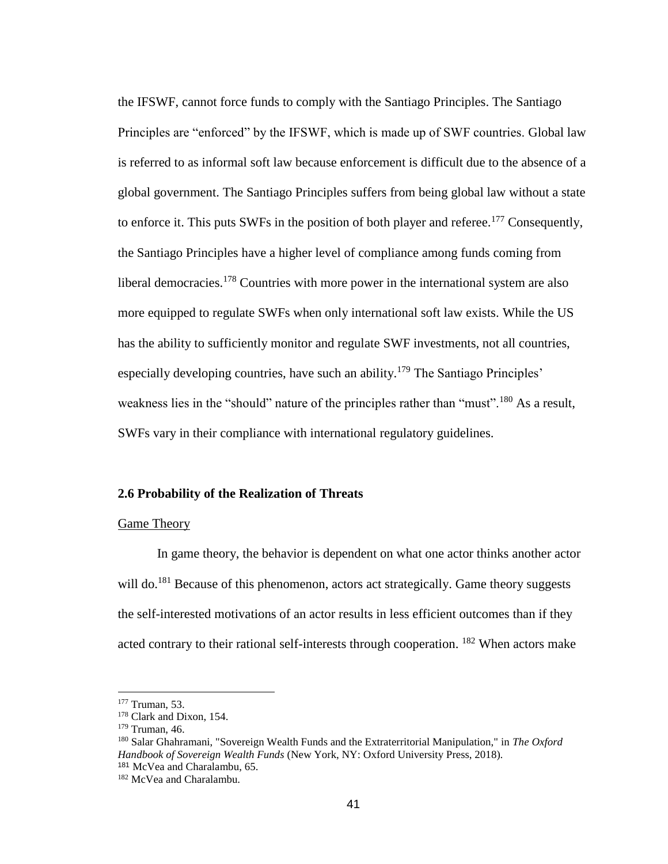the IFSWF, cannot force funds to comply with the Santiago Principles. The Santiago Principles are "enforced" by the IFSWF, which is made up of SWF countries. Global law is referred to as informal soft law because enforcement is difficult due to the absence of a global government. The Santiago Principles suffers from being global law without a state to enforce it. This puts SWFs in the position of both player and referee.<sup>177</sup> Consequently, the Santiago Principles have a higher level of compliance among funds coming from liberal democracies.<sup>178</sup> Countries with more power in the international system are also more equipped to regulate SWFs when only international soft law exists. While the US has the ability to sufficiently monitor and regulate SWF investments, not all countries, especially developing countries, have such an ability.<sup>179</sup> The Santiago Principles' weakness lies in the "should" nature of the principles rather than "must".<sup>180</sup> As a result, SWFs vary in their compliance with international regulatory guidelines.

### **2.6 Probability of the Realization of Threats**

#### Game Theory

In game theory, the behavior is dependent on what one actor thinks another actor will do.<sup>181</sup> Because of this phenomenon, actors act strategically. Game theory suggests the self-interested motivations of an actor results in less efficient outcomes than if they acted contrary to their rational self-interests through cooperation. <sup>182</sup> When actors make

<sup>177</sup> Truman, 53.

<sup>&</sup>lt;sup>178</sup> Clark and Dixon, 154.

 $179$  Truman, 46.

<sup>180</sup> Salar Ghahramani, "Sovereign Wealth Funds and the Extraterritorial Manipulation," in *The Oxford Handbook of Sovereign Wealth Funds* (New York, NY: Oxford University Press, 2018). <sup>181</sup> McVea and Charalambu, 65.

<sup>182</sup> McVea and Charalambu.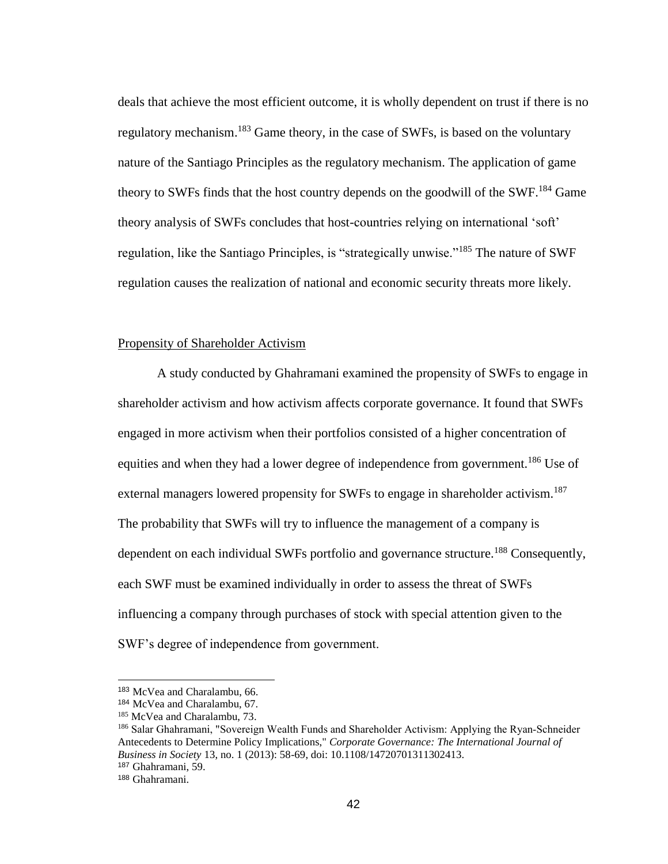deals that achieve the most efficient outcome, it is wholly dependent on trust if there is no regulatory mechanism.<sup>183</sup> Game theory, in the case of SWFs, is based on the voluntary nature of the Santiago Principles as the regulatory mechanism. The application of game theory to SWFs finds that the host country depends on the goodwill of the SWF.<sup>184</sup> Game theory analysis of SWFs concludes that host-countries relying on international 'soft' regulation, like the Santiago Principles, is "strategically unwise."<sup>185</sup> The nature of SWF regulation causes the realization of national and economic security threats more likely.

### Propensity of Shareholder Activism

A study conducted by Ghahramani examined the propensity of SWFs to engage in shareholder activism and how activism affects corporate governance. It found that SWFs engaged in more activism when their portfolios consisted of a higher concentration of equities and when they had a lower degree of independence from government.<sup>186</sup> Use of external managers lowered propensity for SWFs to engage in shareholder activism.<sup>187</sup> The probability that SWFs will try to influence the management of a company is dependent on each individual SWFs portfolio and governance structure.<sup>188</sup> Consequently, each SWF must be examined individually in order to assess the threat of SWFs influencing a company through purchases of stock with special attention given to the SWF's degree of independence from government.

<sup>183</sup> McVea and Charalambu, 66.

<sup>184</sup> McVea and Charalambu, 67.

<sup>&</sup>lt;sup>185</sup> McVea and Charalambu, 73.

<sup>&</sup>lt;sup>186</sup> Salar Ghahramani, "Sovereign Wealth Funds and Shareholder Activism: Applying the Ryan-Schneider Antecedents to Determine Policy Implications," *Corporate Governance: The International Journal of Business in Society* 13, no. 1 (2013): 58-69, doi: 10.1108/14720701311302413. <sup>187</sup> Ghahramani, 59.

<sup>188</sup> Ghahramani.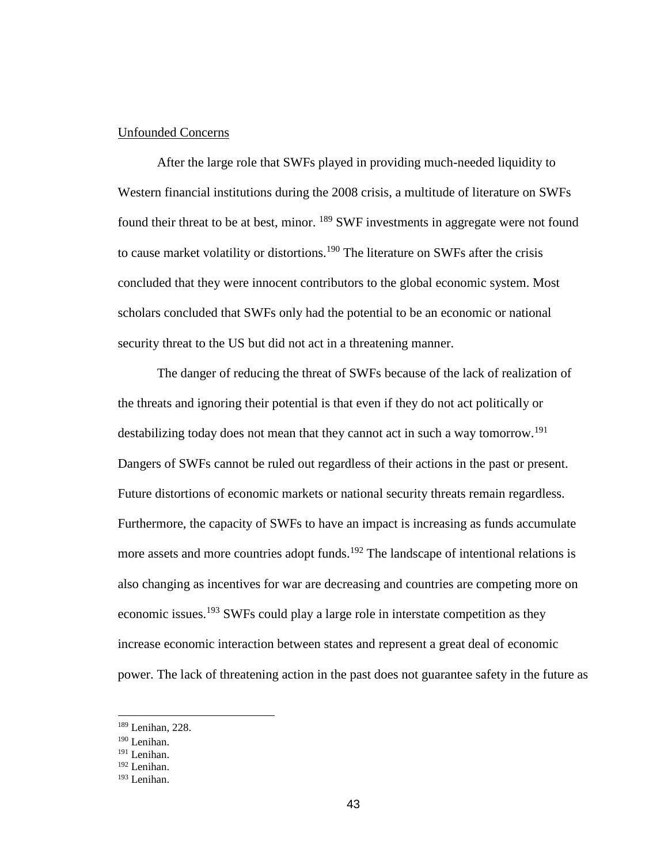### Unfounded Concerns

After the large role that SWFs played in providing much-needed liquidity to Western financial institutions during the 2008 crisis, a multitude of literature on SWFs found their threat to be at best, minor. <sup>189</sup> SWF investments in aggregate were not found to cause market volatility or distortions.<sup>190</sup> The literature on SWFs after the crisis concluded that they were innocent contributors to the global economic system. Most scholars concluded that SWFs only had the potential to be an economic or national security threat to the US but did not act in a threatening manner.

The danger of reducing the threat of SWFs because of the lack of realization of the threats and ignoring their potential is that even if they do not act politically or destabilizing today does not mean that they cannot act in such a way tomorrow.<sup>191</sup> Dangers of SWFs cannot be ruled out regardless of their actions in the past or present. Future distortions of economic markets or national security threats remain regardless. Furthermore, the capacity of SWFs to have an impact is increasing as funds accumulate more assets and more countries adopt funds.<sup>192</sup> The landscape of intentional relations is also changing as incentives for war are decreasing and countries are competing more on economic issues.<sup>193</sup> SWFs could play a large role in interstate competition as they increase economic interaction between states and represent a great deal of economic power. The lack of threatening action in the past does not guarantee safety in the future as

<sup>189</sup> Lenihan, 228.

<sup>190</sup> Lenihan.

<sup>191</sup> Lenihan.

<sup>192</sup> Lenihan.

<sup>193</sup> Lenihan.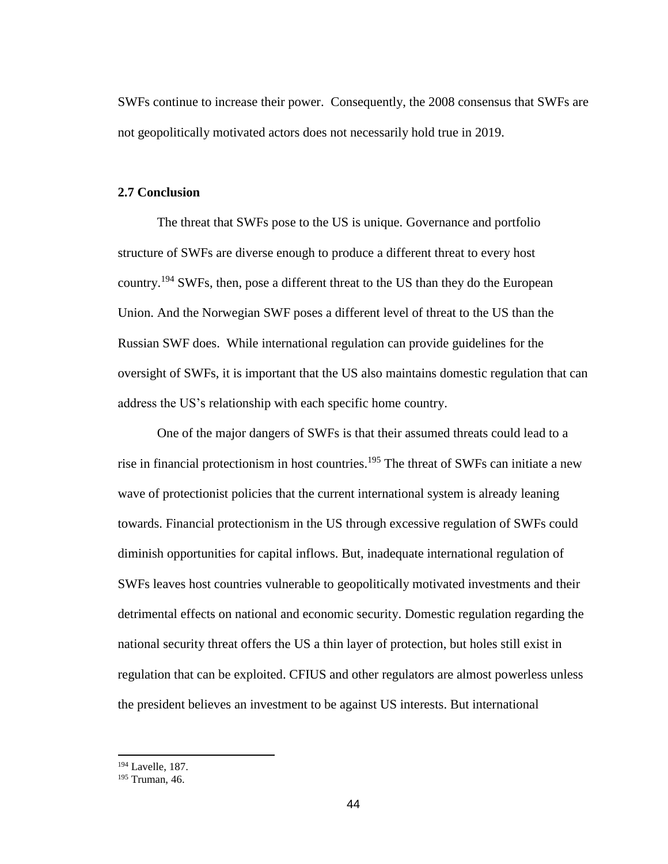SWFs continue to increase their power. Consequently, the 2008 consensus that SWFs are not geopolitically motivated actors does not necessarily hold true in 2019.

# **2.7 Conclusion**

The threat that SWFs pose to the US is unique. Governance and portfolio structure of SWFs are diverse enough to produce a different threat to every host country.<sup>194</sup> SWFs, then, pose a different threat to the US than they do the European Union. And the Norwegian SWF poses a different level of threat to the US than the Russian SWF does. While international regulation can provide guidelines for the oversight of SWFs, it is important that the US also maintains domestic regulation that can address the US's relationship with each specific home country.

One of the major dangers of SWFs is that their assumed threats could lead to a rise in financial protectionism in host countries.<sup>195</sup> The threat of SWFs can initiate a new wave of protectionist policies that the current international system is already leaning towards. Financial protectionism in the US through excessive regulation of SWFs could diminish opportunities for capital inflows. But, inadequate international regulation of SWFs leaves host countries vulnerable to geopolitically motivated investments and their detrimental effects on national and economic security. Domestic regulation regarding the national security threat offers the US a thin layer of protection, but holes still exist in regulation that can be exploited. CFIUS and other regulators are almost powerless unless the president believes an investment to be against US interests. But international

<sup>194</sup> Lavelle, 187.

<sup>195</sup> Truman, 46.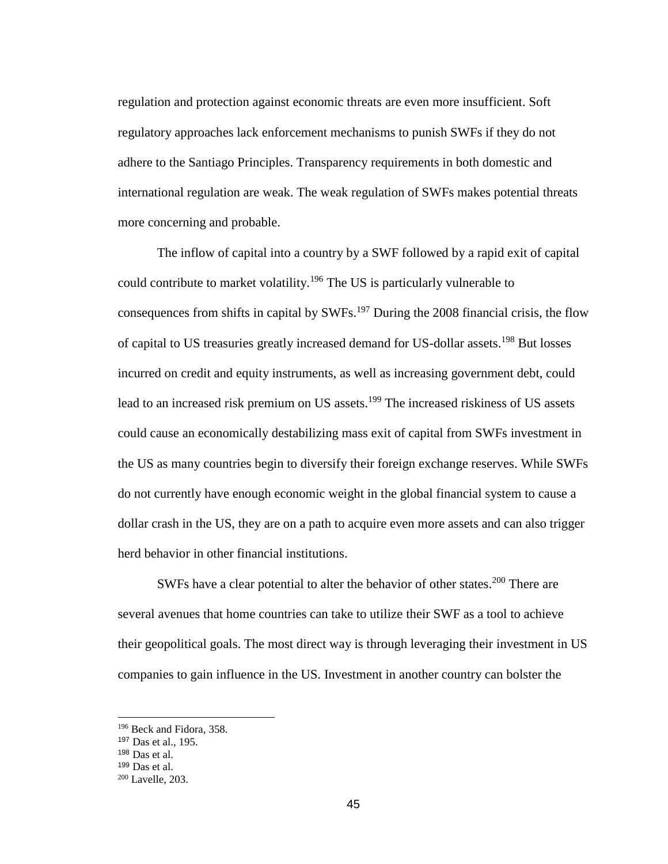regulation and protection against economic threats are even more insufficient. Soft regulatory approaches lack enforcement mechanisms to punish SWFs if they do not adhere to the Santiago Principles. Transparency requirements in both domestic and international regulation are weak. The weak regulation of SWFs makes potential threats more concerning and probable.

The inflow of capital into a country by a SWF followed by a rapid exit of capital could contribute to market volatility.<sup>196</sup> The US is particularly vulnerable to consequences from shifts in capital by SWFs.<sup>197</sup> During the 2008 financial crisis, the flow of capital to US treasuries greatly increased demand for US-dollar assets.<sup>198</sup> But losses incurred on credit and equity instruments, as well as increasing government debt, could lead to an increased risk premium on US assets.<sup>199</sup> The increased riskiness of US assets could cause an economically destabilizing mass exit of capital from SWFs investment in the US as many countries begin to diversify their foreign exchange reserves. While SWFs do not currently have enough economic weight in the global financial system to cause a dollar crash in the US, they are on a path to acquire even more assets and can also trigger herd behavior in other financial institutions.

SWFs have a clear potential to alter the behavior of other states.<sup>200</sup> There are several avenues that home countries can take to utilize their SWF as a tool to achieve their geopolitical goals. The most direct way is through leveraging their investment in US companies to gain influence in the US. Investment in another country can bolster the

<sup>196</sup> Beck and Fidora, 358.

<sup>197</sup> Das et al., 195.

<sup>198</sup> Das et al.

<sup>199</sup> Das et al.

<sup>200</sup> Lavelle, 203.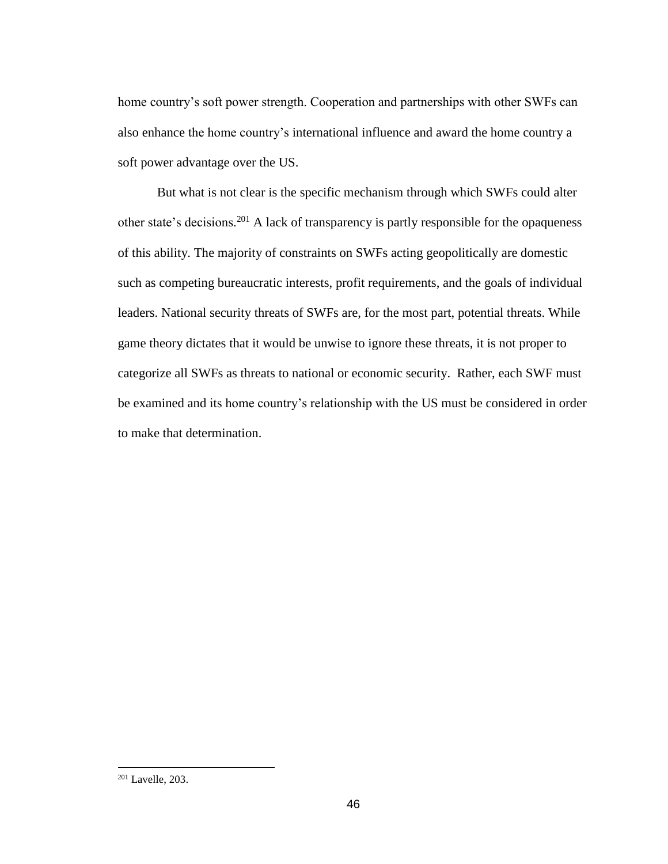home country's soft power strength. Cooperation and partnerships with other SWFs can also enhance the home country's international influence and award the home country a soft power advantage over the US.

But what is not clear is the specific mechanism through which SWFs could alter other state's decisions.<sup>201</sup> A lack of transparency is partly responsible for the opaqueness of this ability. The majority of constraints on SWFs acting geopolitically are domestic such as competing bureaucratic interests, profit requirements, and the goals of individual leaders. National security threats of SWFs are, for the most part, potential threats. While game theory dictates that it would be unwise to ignore these threats, it is not proper to categorize all SWFs as threats to national or economic security. Rather, each SWF must be examined and its home country's relationship with the US must be considered in order to make that determination.

<sup>201</sup> Lavelle, 203.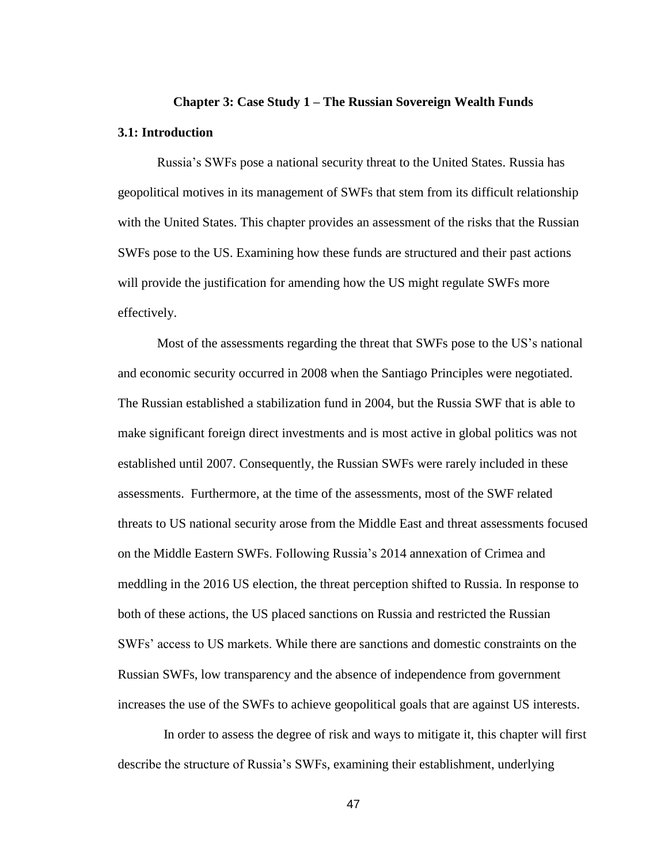#### **Chapter 3: Case Study 1 – The Russian Sovereign Wealth Funds**

# **3.1: Introduction**

Russia's SWFs pose a national security threat to the United States. Russia has geopolitical motives in its management of SWFs that stem from its difficult relationship with the United States. This chapter provides an assessment of the risks that the Russian SWFs pose to the US. Examining how these funds are structured and their past actions will provide the justification for amending how the US might regulate SWFs more effectively.

Most of the assessments regarding the threat that SWFs pose to the US's national and economic security occurred in 2008 when the Santiago Principles were negotiated. The Russian established a stabilization fund in 2004, but the Russia SWF that is able to make significant foreign direct investments and is most active in global politics was not established until 2007. Consequently, the Russian SWFs were rarely included in these assessments. Furthermore, at the time of the assessments, most of the SWF related threats to US national security arose from the Middle East and threat assessments focused on the Middle Eastern SWFs. Following Russia's 2014 annexation of Crimea and meddling in the 2016 US election, the threat perception shifted to Russia. In response to both of these actions, the US placed sanctions on Russia and restricted the Russian SWFs' access to US markets. While there are sanctions and domestic constraints on the Russian SWFs, low transparency and the absence of independence from government increases the use of the SWFs to achieve geopolitical goals that are against US interests.

 In order to assess the degree of risk and ways to mitigate it, this chapter will first describe the structure of Russia's SWFs, examining their establishment, underlying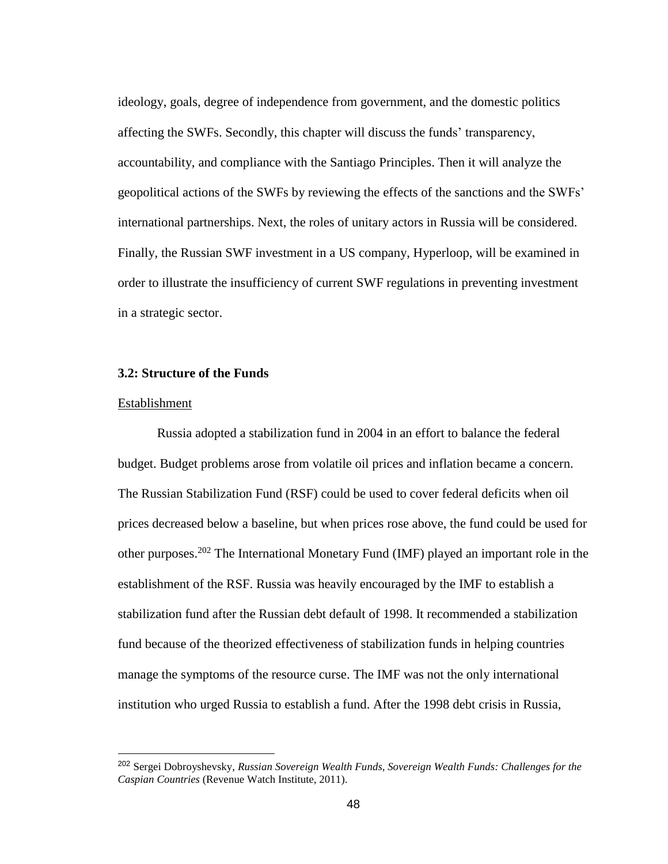ideology, goals, degree of independence from government, and the domestic politics affecting the SWFs. Secondly, this chapter will discuss the funds' transparency, accountability, and compliance with the Santiago Principles. Then it will analyze the geopolitical actions of the SWFs by reviewing the effects of the sanctions and the SWFs' international partnerships. Next, the roles of unitary actors in Russia will be considered. Finally, the Russian SWF investment in a US company, Hyperloop, will be examined in order to illustrate the insufficiency of current SWF regulations in preventing investment in a strategic sector.

# **3.2: Structure of the Funds**

# Establishment

 $\overline{a}$ 

Russia adopted a stabilization fund in 2004 in an effort to balance the federal budget. Budget problems arose from volatile oil prices and inflation became a concern. The Russian Stabilization Fund (RSF) could be used to cover federal deficits when oil prices decreased below a baseline, but when prices rose above, the fund could be used for other purposes.<sup>202</sup> The International Monetary Fund (IMF) played an important role in the establishment of the RSF. Russia was heavily encouraged by the IMF to establish a stabilization fund after the Russian debt default of 1998. It recommended a stabilization fund because of the theorized effectiveness of stabilization funds in helping countries manage the symptoms of the resource curse. The IMF was not the only international institution who urged Russia to establish a fund. After the 1998 debt crisis in Russia,

<sup>202</sup> Sergei Dobroyshevsky, *Russian Sovereign Wealth Funds, Sovereign Wealth Funds: Challenges for the Caspian Countries* (Revenue Watch Institute, 2011).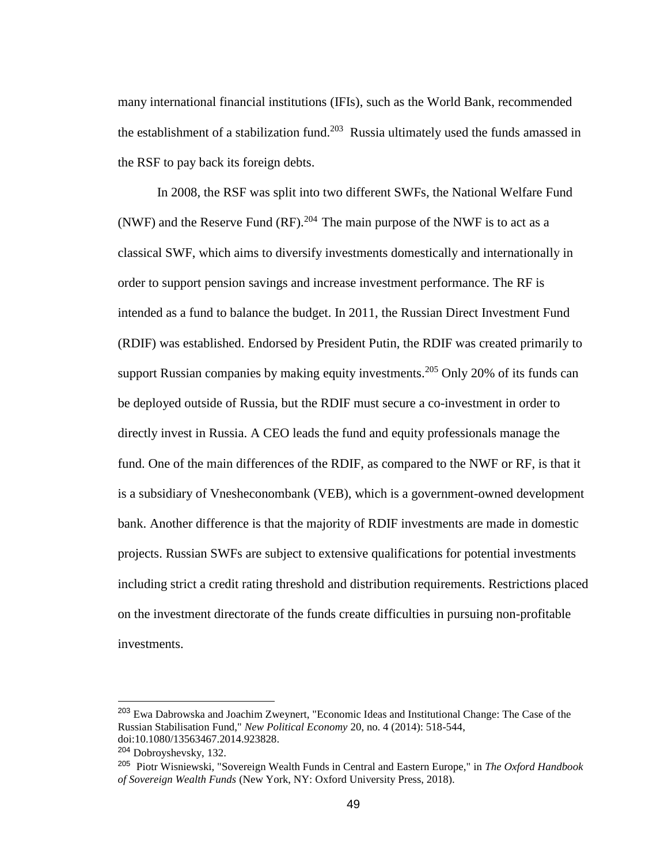many international financial institutions (IFIs), such as the World Bank, recommended the establishment of a stabilization fund.<sup>203</sup> Russia ultimately used the funds amassed in the RSF to pay back its foreign debts.

In 2008, the RSF was split into two different SWFs, the National Welfare Fund (NWF) and the Reserve Fund (RF).<sup>204</sup> The main purpose of the NWF is to act as a classical SWF, which aims to diversify investments domestically and internationally in order to support pension savings and increase investment performance. The RF is intended as a fund to balance the budget. In 2011, the Russian Direct Investment Fund (RDIF) was established. Endorsed by President Putin, the RDIF was created primarily to support Russian companies by making equity investments.<sup>205</sup> Only 20% of its funds can be deployed outside of Russia, but the RDIF must secure a co-investment in order to directly invest in Russia. A CEO leads the fund and equity professionals manage the fund. One of the main differences of the RDIF, as compared to the NWF or RF, is that it is a subsidiary of Vnesheconombank (VEB), which is a government-owned development bank. Another difference is that the majority of RDIF investments are made in domestic projects. Russian SWFs are subject to extensive qualifications for potential investments including strict a credit rating threshold and distribution requirements. Restrictions placed on the investment directorate of the funds create difficulties in pursuing non-profitable investments.

<sup>&</sup>lt;sup>203</sup> Ewa Dabrowska and Joachim Zweynert, "Economic Ideas and Institutional Change: The Case of the Russian Stabilisation Fund," *New Political Economy* 20, no. 4 (2014): 518-544, doi:10.1080/13563467.2014.923828.

<sup>204</sup> Dobroyshevsky, 132.

<sup>205</sup> Piotr Wisniewski, "Sovereign Wealth Funds in Central and Eastern Europe," in *The Oxford Handbook of Sovereign Wealth Funds* (New York, NY: Oxford University Press, 2018).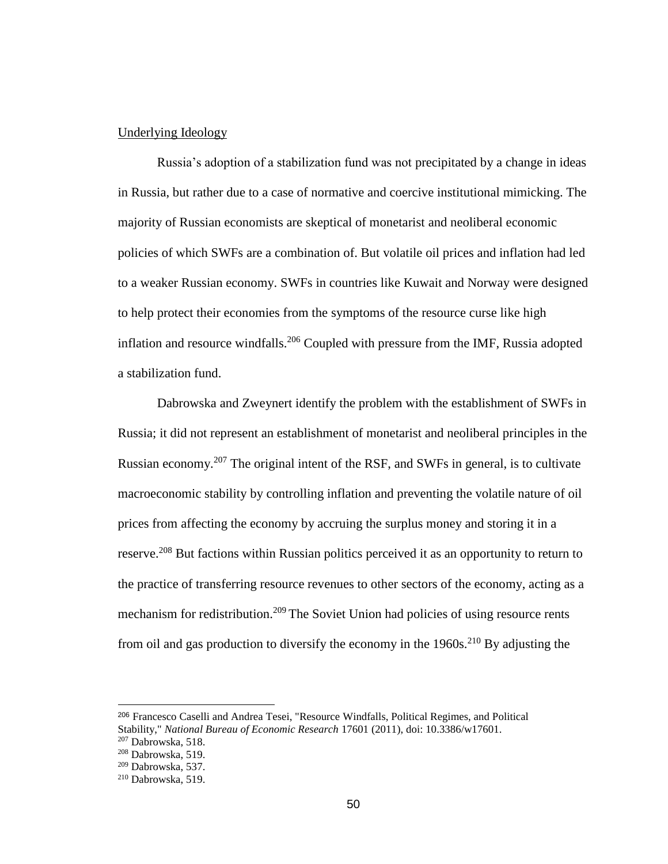## Underlying Ideology

Russia's adoption of a stabilization fund was not precipitated by a change in ideas in Russia, but rather due to a case of normative and coercive institutional mimicking. The majority of Russian economists are skeptical of monetarist and neoliberal economic policies of which SWFs are a combination of. But volatile oil prices and inflation had led to a weaker Russian economy. SWFs in countries like Kuwait and Norway were designed to help protect their economies from the symptoms of the resource curse like high inflation and resource windfalls.<sup>206</sup> Coupled with pressure from the IMF, Russia adopted a stabilization fund.

Dabrowska and Zweynert identify the problem with the establishment of SWFs in Russia; it did not represent an establishment of monetarist and neoliberal principles in the Russian economy.<sup>207</sup> The original intent of the RSF, and SWFs in general, is to cultivate macroeconomic stability by controlling inflation and preventing the volatile nature of oil prices from affecting the economy by accruing the surplus money and storing it in a reserve.<sup>208</sup> But factions within Russian politics perceived it as an opportunity to return to the practice of transferring resource revenues to other sectors of the economy, acting as a mechanism for redistribution.<sup>209</sup> The Soviet Union had policies of using resource rents from oil and gas production to diversify the economy in the  $1960s$ <sup>210</sup> By adjusting the

<sup>206</sup> Francesco Caselli and Andrea Tesei, "Resource Windfalls, Political Regimes, and Political Stability," *National Bureau of Economic Research* 17601 (2011), doi: 10.3386/w17601.

 $207$  Dabrowska, 518.

<sup>208</sup> Dabrowska, 519.

 $209$  Dabrowska, 537.

<sup>210</sup> Dabrowska, 519.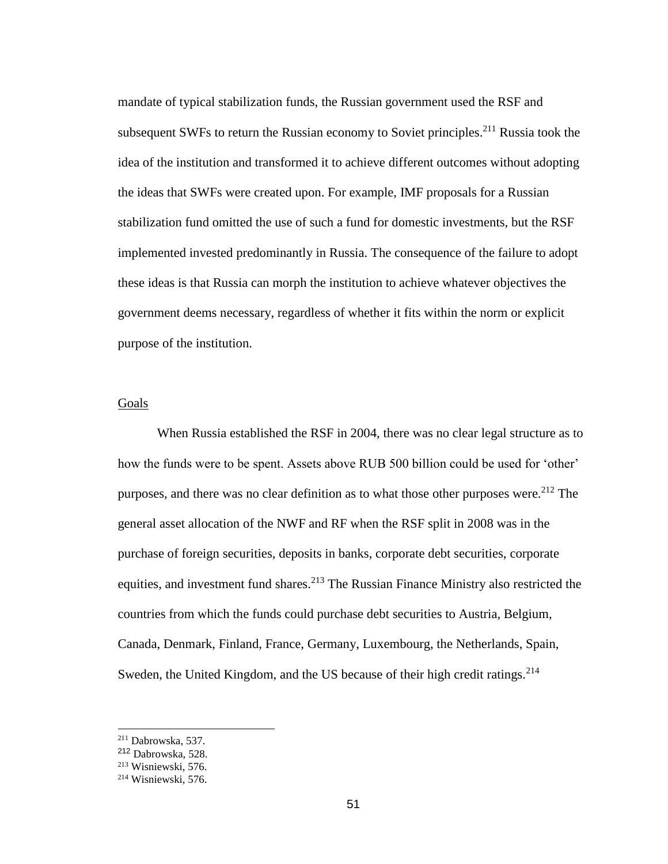mandate of typical stabilization funds, the Russian government used the RSF and subsequent SWFs to return the Russian economy to Soviet principles.<sup>211</sup> Russia took the idea of the institution and transformed it to achieve different outcomes without adopting the ideas that SWFs were created upon. For example, IMF proposals for a Russian stabilization fund omitted the use of such a fund for domestic investments, but the RSF implemented invested predominantly in Russia. The consequence of the failure to adopt these ideas is that Russia can morph the institution to achieve whatever objectives the government deems necessary, regardless of whether it fits within the norm or explicit purpose of the institution.

# Goals

When Russia established the RSF in 2004, there was no clear legal structure as to how the funds were to be spent. Assets above RUB 500 billion could be used for 'other' purposes, and there was no clear definition as to what those other purposes were.<sup>212</sup> The general asset allocation of the NWF and RF when the RSF split in 2008 was in the purchase of foreign securities, deposits in banks, corporate debt securities, corporate equities, and investment fund shares.<sup>213</sup> The Russian Finance Ministry also restricted the countries from which the funds could purchase debt securities to Austria, Belgium, Canada, Denmark, Finland, France, Germany, Luxembourg, the Netherlands, Spain, Sweden, the United Kingdom, and the US because of their high credit ratings.<sup>214</sup>

<sup>211</sup> Dabrowska, 537.

<sup>212</sup> Dabrowska, 528.

 $213$  Wisniewski, 576.

<sup>214</sup> Wisniewski, 576.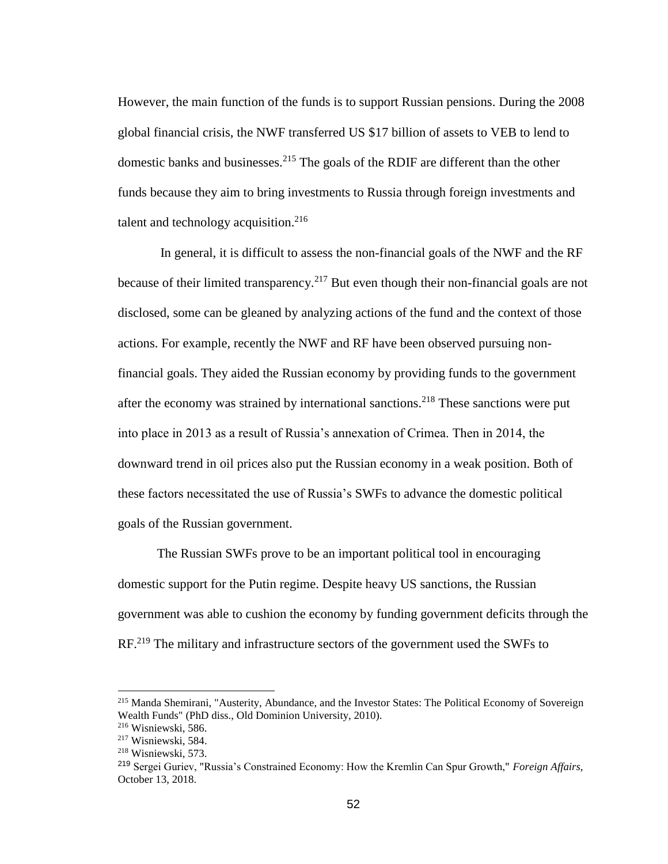However, the main function of the funds is to support Russian pensions. During the 2008 global financial crisis, the NWF transferred US \$17 billion of assets to VEB to lend to domestic banks and businesses.<sup>215</sup> The goals of the RDIF are different than the other funds because they aim to bring investments to Russia through foreign investments and talent and technology acquisition.<sup>216</sup>

In general, it is difficult to assess the non-financial goals of the NWF and the RF because of their limited transparency.<sup>217</sup> But even though their non-financial goals are not disclosed, some can be gleaned by analyzing actions of the fund and the context of those actions. For example, recently the NWF and RF have been observed pursuing nonfinancial goals. They aided the Russian economy by providing funds to the government after the economy was strained by international sanctions.<sup>218</sup> These sanctions were put into place in 2013 as a result of Russia's annexation of Crimea. Then in 2014, the downward trend in oil prices also put the Russian economy in a weak position. Both of these factors necessitated the use of Russia's SWFs to advance the domestic political goals of the Russian government.

The Russian SWFs prove to be an important political tool in encouraging domestic support for the Putin regime. Despite heavy US sanctions, the Russian government was able to cushion the economy by funding government deficits through the RF.<sup>219</sup> The military and infrastructure sectors of the government used the SWFs to

<sup>215</sup> Manda Shemirani, "Austerity, Abundance, and the Investor States: The Political Economy of Sovereign Wealth Funds" (PhD diss., Old Dominion University, 2010).

<sup>216</sup> Wisniewski, 586.

<sup>217</sup> Wisniewski, 584.

<sup>218</sup> Wisniewski, 573.

<sup>219</sup> Sergei Guriev, "Russia's Constrained Economy: How the Kremlin Can Spur Growth," *Foreign Affairs*, October 13, 2018.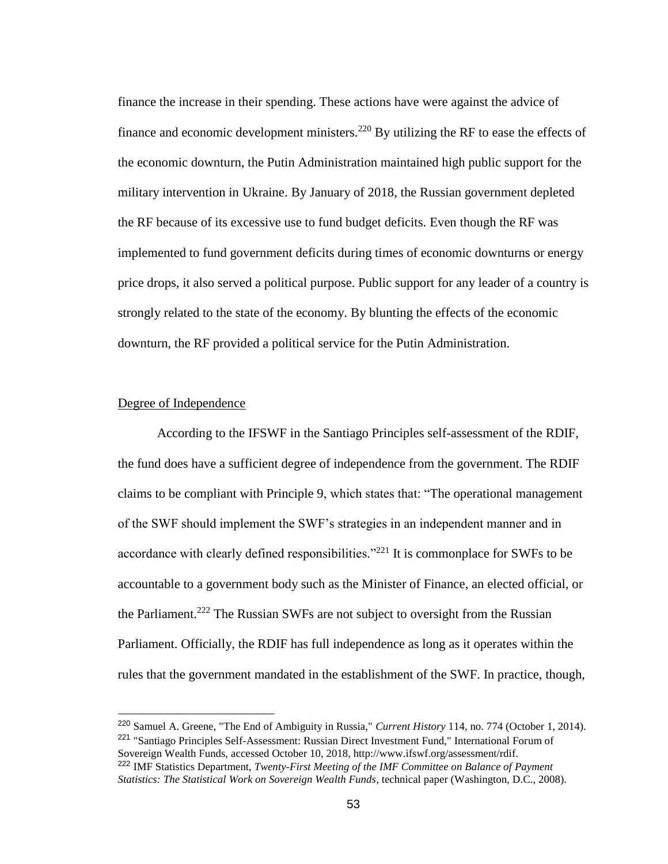finance the increase in their spending. These actions have were against the advice of finance and economic development ministers.<sup>220</sup> By utilizing the RF to ease the effects of the economic downturn, the Putin Administration maintained high public support for the military intervention in Ukraine. By January of 2018, the Russian government depleted the RF because of its excessive use to fund budget deficits. Even though the RF was implemented to fund government deficits during times of economic downturns or energy price drops, it also served a political purpose. Public support for any leader of a country is strongly related to the state of the economy. By blunting the effects of the economic downturn, the RF provided a political service for the Putin Administration.

## Degree of Independence

 $\overline{a}$ 

According to the IFSWF in the Santiago Principles self-assessment of the RDIF, the fund does have a sufficient degree of independence from the government. The RDIF claims to be compliant with Principle 9, which states that: "The operational management of the SWF should implement the SWF's strategies in an independent manner and in accordance with clearly defined responsibilities."<sup>221</sup> It is commonplace for SWFs to be accountable to a government body such as the Minister of Finance, an elected official, or the Parliament.<sup>222</sup> The Russian SWFs are not subject to oversight from the Russian Parliament. Officially, the RDIF has full independence as long as it operates within the rules that the government mandated in the establishment of the SWF. In practice, though,

<sup>220</sup> Samuel A. Greene, "The End of Ambiguity in Russia," *Current History* 114, no. 774 (October 1, 2014). <sup>221</sup> "Santiago Principles Self-Assessment: Russian Direct Investment Fund," International Forum of Sovereign Wealth Funds, accessed October 10, 2018, http://www.ifswf.org/assessment/rdif. <sup>222</sup> IMF Statistics Department, *Twenty-First Meeting of the IMF Committee on Balance of Payment* 

*Statistics: The Statistical Work on Sovereign Wealth Funds*, technical paper (Washington, D.C., 2008).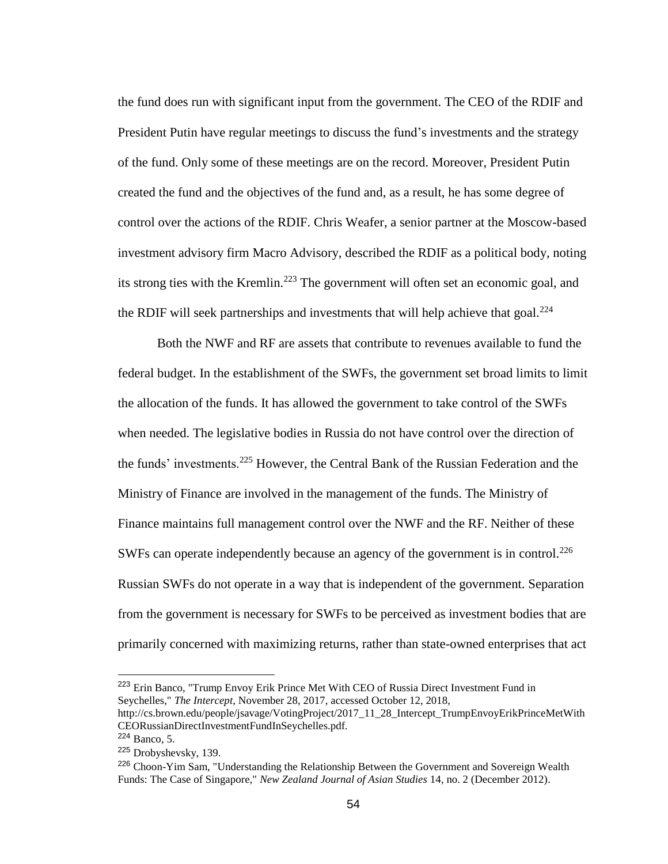the fund does run with significant input from the government. The CEO of the RDIF and President Putin have regular meetings to discuss the fund's investments and the strategy of the fund. Only some of these meetings are on the record. Moreover, President Putin created the fund and the objectives of the fund and, as a result, he has some degree of control over the actions of the RDIF. Chris Weafer, a senior partner at the Moscow-based investment advisory firm Macro Advisory, described the RDIF as a political body, noting its strong ties with the Kremlin.<sup>223</sup> The government will often set an economic goal, and the RDIF will seek partnerships and investments that will help achieve that goal. $^{224}$ 

Both the NWF and RF are assets that contribute to revenues available to fund the federal budget. In the establishment of the SWFs, the government set broad limits to limit the allocation of the funds. It has allowed the government to take control of the SWFs when needed. The legislative bodies in Russia do not have control over the direction of the funds' investments.<sup>225</sup> However, the Central Bank of the Russian Federation and the Ministry of Finance are involved in the management of the funds. The Ministry of Finance maintains full management control over the NWF and the RF. Neither of these SWFs can operate independently because an agency of the government is in control.<sup>226</sup> Russian SWFs do not operate in a way that is independent of the government. Separation from the government is necessary for SWFs to be perceived as investment bodies that are primarily concerned with maximizing returns, rather than state-owned enterprises that act

<sup>223</sup> Erin Banco, "Trump Envoy Erik Prince Met With CEO of Russia Direct Investment Fund in Seychelles," *The Intercept*, November 28, 2017, accessed October 12, 2018,

http://cs.brown.edu/people/jsavage/VotingProject/2017\_11\_28\_Intercept\_TrumpEnvoyErikPrinceMetWith CEORussianDirectInvestmentFundInSeychelles.pdf.

<sup>224</sup> Banco, 5.

<sup>225</sup> Drobyshevsky, 139.

<sup>&</sup>lt;sup>226</sup> Choon-Yim Sam, "Understanding the Relationship Between the Government and Sovereign Wealth Funds: The Case of Singapore," *New Zealand Journal of Asian Studies* 14, no. 2 (December 2012).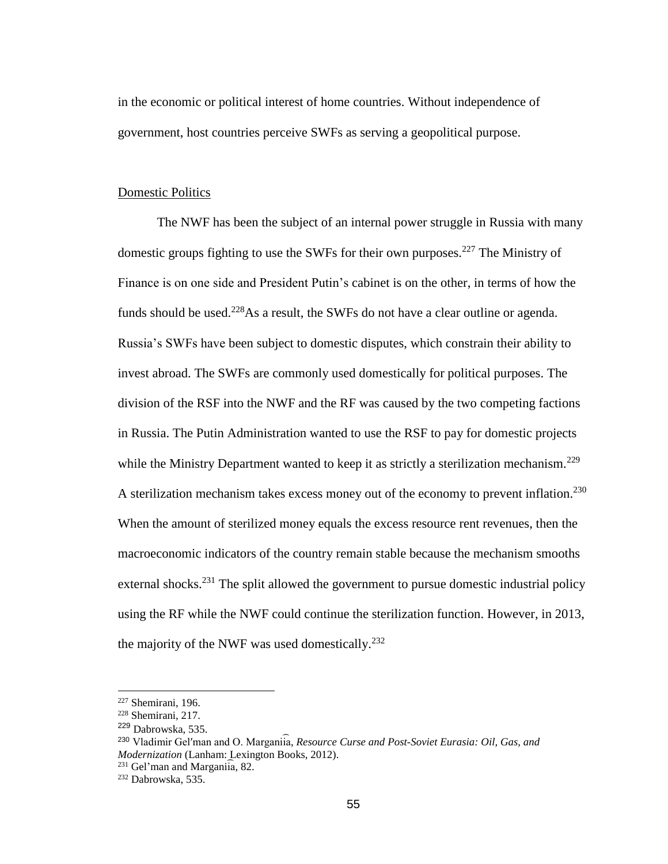in the economic or political interest of home countries. Without independence of government, host countries perceive SWFs as serving a geopolitical purpose.

# Domestic Politics

The NWF has been the subject of an internal power struggle in Russia with many domestic groups fighting to use the SWFs for their own purposes.<sup>227</sup> The Ministry of Finance is on one side and President Putin's cabinet is on the other, in terms of how the funds should be used.<sup>228</sup>As a result, the SWFs do not have a clear outline or agenda. Russia's SWFs have been subject to domestic disputes, which constrain their ability to invest abroad. The SWFs are commonly used domestically for political purposes. The division of the RSF into the NWF and the RF was caused by the two competing factions in Russia. The Putin Administration wanted to use the RSF to pay for domestic projects while the Ministry Department wanted to keep it as strictly a sterilization mechanism.<sup>229</sup> A sterilization mechanism takes excess money out of the economy to prevent inflation.<sup>230</sup> When the amount of sterilized money equals the excess resource rent revenues, then the macroeconomic indicators of the country remain stable because the mechanism smooths external shocks.<sup>231</sup> The split allowed the government to pursue domestic industrial policy using the RF while the NWF could continue the sterilization function. However, in 2013, the majority of the NWF was used domestically.<sup>232</sup>

 $227$  Shemirani, 196.

<sup>228</sup> Shemirani, 217.

<sup>229</sup> Dabrowska, 535.

<sup>&</sup>lt;sup>230</sup> Vladimir Gel'man and O. Marganiia, Resource Curse and Post-Soviet Eurasia: Oil, Gas, and *Modernization* (Lanham: Lexington Books, 2012).

 $^{231}$  Gel'man and Marganiia, 82.

<sup>232</sup> Dabrowska, 535.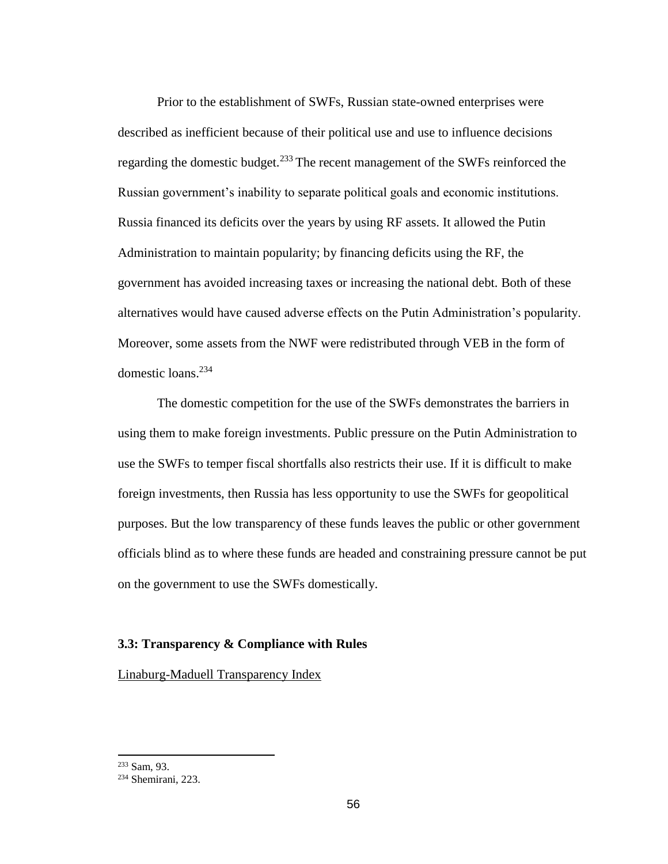Prior to the establishment of SWFs, Russian state-owned enterprises were described as inefficient because of their political use and use to influence decisions regarding the domestic budget.<sup>233</sup> The recent management of the SWFs reinforced the Russian government's inability to separate political goals and economic institutions. Russia financed its deficits over the years by using RF assets. It allowed the Putin Administration to maintain popularity; by financing deficits using the RF, the government has avoided increasing taxes or increasing the national debt. Both of these alternatives would have caused adverse effects on the Putin Administration's popularity. Moreover, some assets from the NWF were redistributed through VEB in the form of domestic loans.<sup>234</sup>

The domestic competition for the use of the SWFs demonstrates the barriers in using them to make foreign investments. Public pressure on the Putin Administration to use the SWFs to temper fiscal shortfalls also restricts their use. If it is difficult to make foreign investments, then Russia has less opportunity to use the SWFs for geopolitical purposes. But the low transparency of these funds leaves the public or other government officials blind as to where these funds are headed and constraining pressure cannot be put on the government to use the SWFs domestically.

# **3.3: Transparency & Compliance with Rules**

Linaburg-Maduell Transparency Index

<sup>233</sup> Sam, 93.

<sup>234</sup> Shemirani, 223.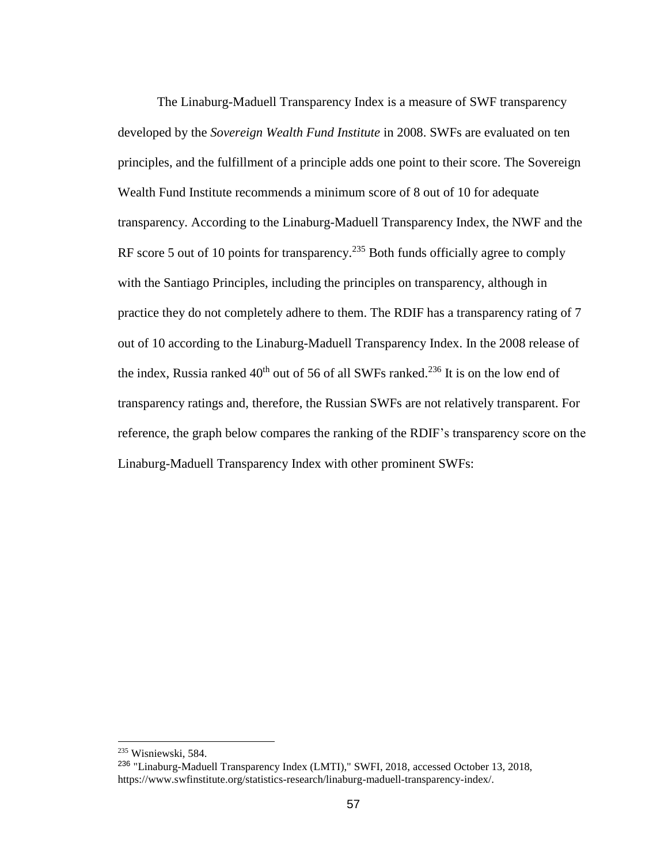The Linaburg-Maduell Transparency Index is a measure of SWF transparency developed by the *Sovereign Wealth Fund Institute* in 2008. SWFs are evaluated on ten principles, and the fulfillment of a principle adds one point to their score. The Sovereign Wealth Fund Institute recommends a minimum score of 8 out of 10 for adequate transparency. According to the Linaburg-Maduell Transparency Index, the NWF and the RF score 5 out of 10 points for transparency.<sup>235</sup> Both funds officially agree to comply with the Santiago Principles, including the principles on transparency, although in practice they do not completely adhere to them. The RDIF has a transparency rating of 7 out of 10 according to the Linaburg-Maduell Transparency Index. In the 2008 release of the index, Russia ranked  $40<sup>th</sup>$  out of 56 of all SWFs ranked.<sup>236</sup> It is on the low end of transparency ratings and, therefore, the Russian SWFs are not relatively transparent. For reference, the graph below compares the ranking of the RDIF's transparency score on the Linaburg-Maduell Transparency Index with other prominent SWFs:

<sup>235</sup> Wisniewski, 584.

<sup>236</sup> "Linaburg-Maduell Transparency Index (LMTI)," SWFI, 2018, accessed October 13, 2018, https://www.swfinstitute.org/statistics-research/linaburg-maduell-transparency-index/.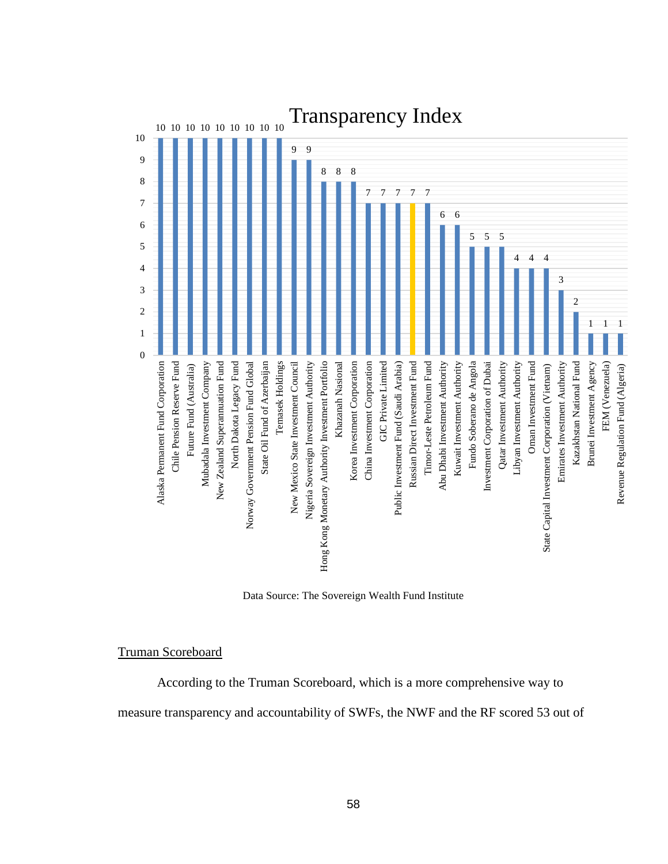

Data Source: The Sovereign Wealth Fund Institute

## Truman Scoreboard

According to the Truman Scoreboard, which is a more comprehensive way to

measure transparency and accountability of SWFs, the NWF and the RF scored 53 out of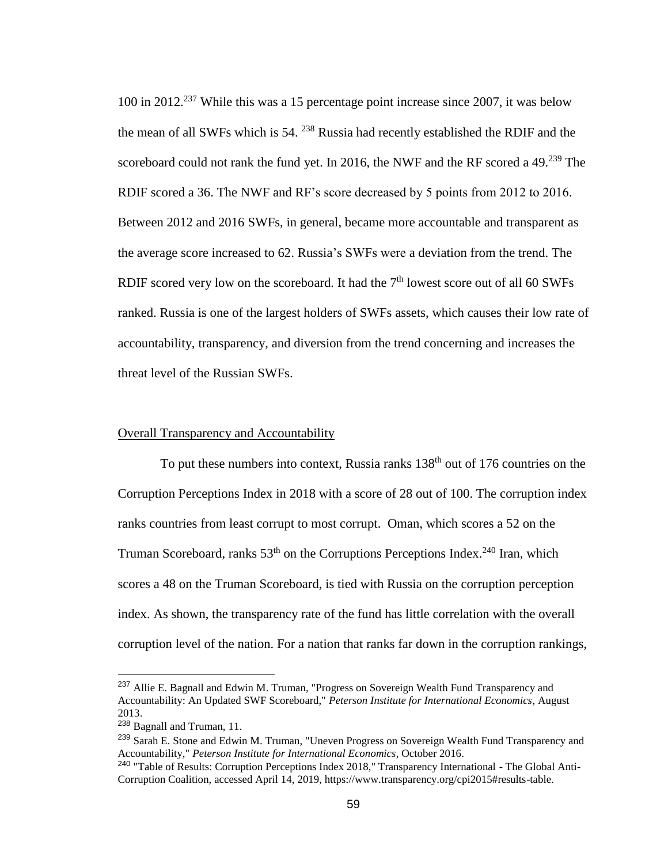100 in 2012.<sup>237</sup> While this was a 15 percentage point increase since 2007, it was below the mean of all SWFs which is 54. <sup>238</sup> Russia had recently established the RDIF and the scoreboard could not rank the fund yet. In 2016, the NWF and the RF scored a  $49.^{239}$  The RDIF scored a 36. The NWF and RF's score decreased by 5 points from 2012 to 2016. Between 2012 and 2016 SWFs, in general, became more accountable and transparent as the average score increased to 62. Russia's SWFs were a deviation from the trend. The RDIF scored very low on the scoreboard. It had the  $7<sup>th</sup>$  lowest score out of all 60 SWFs ranked. Russia is one of the largest holders of SWFs assets, which causes their low rate of accountability, transparency, and diversion from the trend concerning and increases the threat level of the Russian SWFs.

# Overall Transparency and Accountability

To put these numbers into context, Russia ranks  $138<sup>th</sup>$  out of 176 countries on the Corruption Perceptions Index in 2018 with a score of 28 out of 100. The corruption index ranks countries from least corrupt to most corrupt. Oman, which scores a 52 on the Truman Scoreboard, ranks  $53<sup>th</sup>$  on the Corruptions Perceptions Index.<sup>240</sup> Iran, which scores a 48 on the Truman Scoreboard, is tied with Russia on the corruption perception index. As shown, the transparency rate of the fund has little correlation with the overall corruption level of the nation. For a nation that ranks far down in the corruption rankings,

<sup>&</sup>lt;sup>237</sup> Allie E. Bagnall and Edwin M. Truman, "Progress on Sovereign Wealth Fund Transparency and Accountability: An Updated SWF Scoreboard," *Peterson Institute for International Economics*, August 2013.

<sup>238</sup> Bagnall and Truman, 11.

<sup>&</sup>lt;sup>239</sup> Sarah E. Stone and Edwin M. Truman, "Uneven Progress on Sovereign Wealth Fund Transparency and Accountability," *Peterson Institute for International Economics*, October 2016.

<sup>240</sup> "Table of Results: Corruption Perceptions Index 2018," Transparency International - The Global Anti-Corruption Coalition, accessed April 14, 2019, https://www.transparency.org/cpi2015#results-table.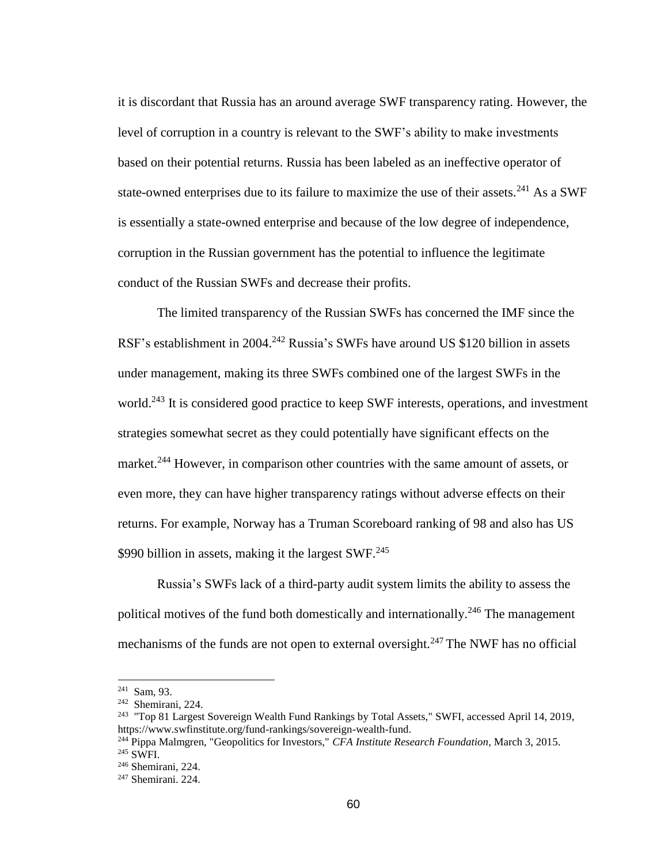it is discordant that Russia has an around average SWF transparency rating. However, the level of corruption in a country is relevant to the SWF's ability to make investments based on their potential returns. Russia has been labeled as an ineffective operator of state-owned enterprises due to its failure to maximize the use of their assets.<sup>241</sup> As a SWF is essentially a state-owned enterprise and because of the low degree of independence, corruption in the Russian government has the potential to influence the legitimate conduct of the Russian SWFs and decrease their profits.

The limited transparency of the Russian SWFs has concerned the IMF since the RSF's establishment in 2004.<sup>242</sup> Russia's SWFs have around US \$120 billion in assets under management, making its three SWFs combined one of the largest SWFs in the world.<sup>243</sup> It is considered good practice to keep SWF interests, operations, and investment strategies somewhat secret as they could potentially have significant effects on the market.<sup>244</sup> However, in comparison other countries with the same amount of assets, or even more, they can have higher transparency ratings without adverse effects on their returns. For example, Norway has a Truman Scoreboard ranking of 98 and also has US \$990 billion in assets, making it the largest  $SWF<sup>.245</sup>$ 

Russia's SWFs lack of a third-party audit system limits the ability to assess the political motives of the fund both domestically and internationally.<sup>246</sup> The management mechanisms of the funds are not open to external oversight.<sup>247</sup> The NWF has no official

<sup>241</sup> Sam, 93.

<sup>242</sup> Shemirani, 224.

<sup>&</sup>lt;sup>243</sup> "Top 81 Largest Sovereign Wealth Fund Rankings by Total Assets," SWFI, accessed April 14, 2019, https://www.swfinstitute.org/fund-rankings/sovereign-wealth-fund.

<sup>244</sup> Pippa Malmgren, "Geopolitics for Investors," *CFA Institute Research Foundation*, March 3, 2015. <sup>245</sup> SWFI.

<sup>246</sup> Shemirani, 224.

<sup>247</sup> Shemirani. 224.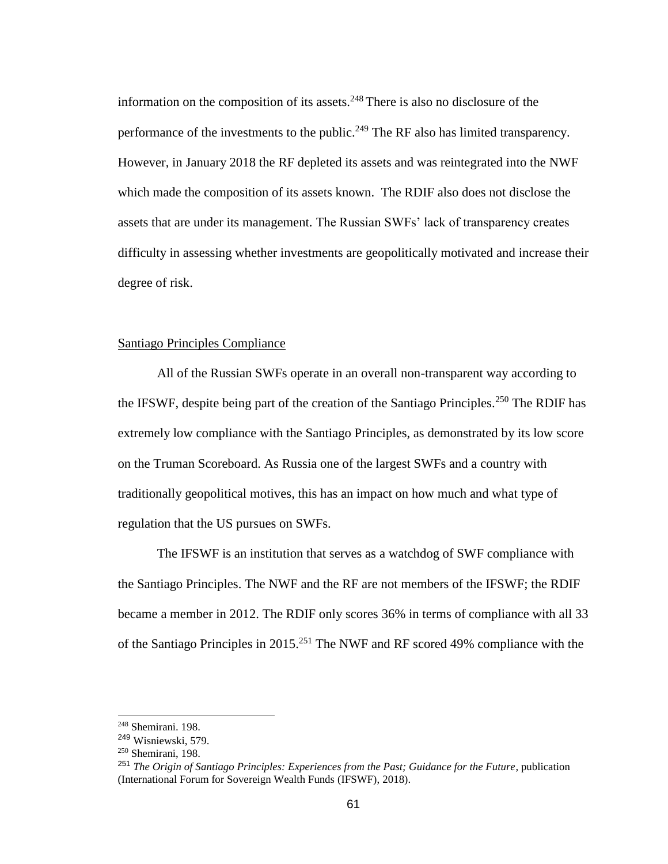information on the composition of its assets. $248$  There is also no disclosure of the performance of the investments to the public.<sup>249</sup> The RF also has limited transparency. However, in January 2018 the RF depleted its assets and was reintegrated into the NWF which made the composition of its assets known. The RDIF also does not disclose the assets that are under its management. The Russian SWFs' lack of transparency creates difficulty in assessing whether investments are geopolitically motivated and increase their degree of risk.

### Santiago Principles Compliance

All of the Russian SWFs operate in an overall non-transparent way according to the IFSWF, despite being part of the creation of the Santiago Principles.<sup>250</sup> The RDIF has extremely low compliance with the Santiago Principles, as demonstrated by its low score on the Truman Scoreboard. As Russia one of the largest SWFs and a country with traditionally geopolitical motives, this has an impact on how much and what type of regulation that the US pursues on SWFs.

The IFSWF is an institution that serves as a watchdog of SWF compliance with the Santiago Principles. The NWF and the RF are not members of the IFSWF; the RDIF became a member in 2012. The RDIF only scores 36% in terms of compliance with all 33 of the Santiago Principles in 2015.<sup>251</sup> The NWF and RF scored 49% compliance with the

<sup>248</sup> Shemirani. 198.

<sup>249</sup> Wisniewski, 579.

<sup>250</sup> Shemirani, 198.

<sup>251</sup> *The Origin of Santiago Principles: Experiences from the Past; Guidance for the Future*, publication (International Forum for Sovereign Wealth Funds (IFSWF), 2018).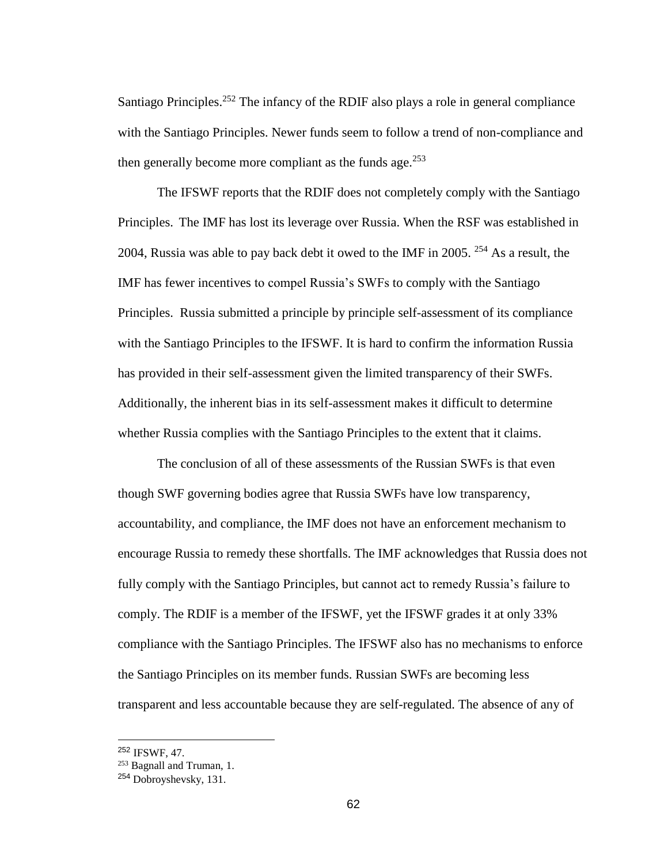Santiago Principles.<sup>252</sup> The infancy of the RDIF also plays a role in general compliance with the Santiago Principles. Newer funds seem to follow a trend of non-compliance and then generally become more compliant as the funds age.  $253$ 

The IFSWF reports that the RDIF does not completely comply with the Santiago Principles. The IMF has lost its leverage over Russia. When the RSF was established in 2004, Russia was able to pay back debt it owed to the IMF in 2005. <sup>254</sup> As a result, the IMF has fewer incentives to compel Russia's SWFs to comply with the Santiago Principles. Russia submitted a principle by principle self-assessment of its compliance with the Santiago Principles to the IFSWF. It is hard to confirm the information Russia has provided in their self-assessment given the limited transparency of their SWFs. Additionally, the inherent bias in its self-assessment makes it difficult to determine whether Russia complies with the Santiago Principles to the extent that it claims.

The conclusion of all of these assessments of the Russian SWFs is that even though SWF governing bodies agree that Russia SWFs have low transparency, accountability, and compliance, the IMF does not have an enforcement mechanism to encourage Russia to remedy these shortfalls. The IMF acknowledges that Russia does not fully comply with the Santiago Principles, but cannot act to remedy Russia's failure to comply. The RDIF is a member of the IFSWF, yet the IFSWF grades it at only 33% compliance with the Santiago Principles. The IFSWF also has no mechanisms to enforce the Santiago Principles on its member funds. Russian SWFs are becoming less transparent and less accountable because they are self-regulated. The absence of any of

<sup>252</sup> IFSWF, 47.

<sup>253</sup> Bagnall and Truman, 1.

<sup>254</sup> Dobroyshevsky, 131.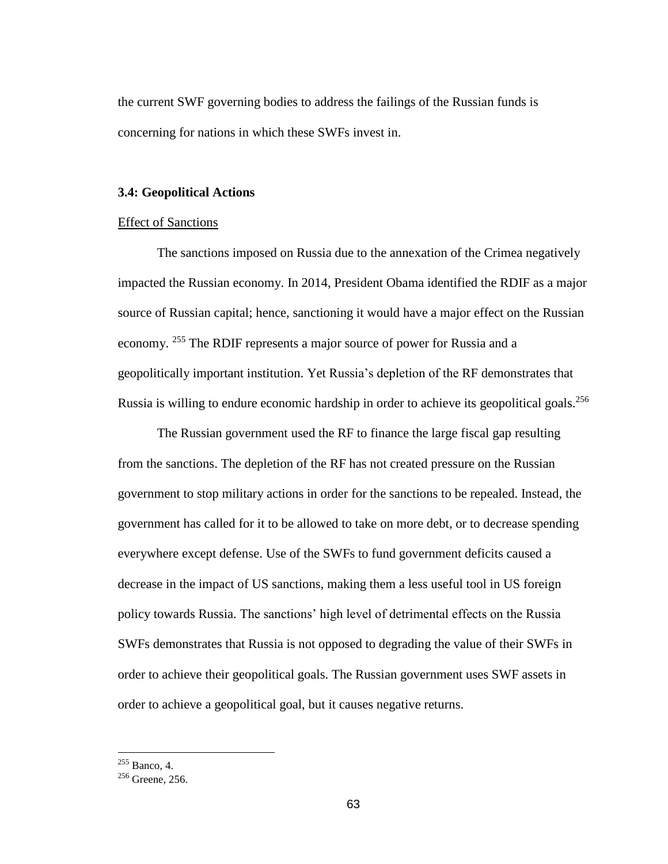the current SWF governing bodies to address the failings of the Russian funds is concerning for nations in which these SWFs invest in.

### **3.4: Geopolitical Actions**

# Effect of Sanctions

The sanctions imposed on Russia due to the annexation of the Crimea negatively impacted the Russian economy. In 2014, President Obama identified the RDIF as a major source of Russian capital; hence, sanctioning it would have a major effect on the Russian economy. <sup>255</sup> The RDIF represents a major source of power for Russia and a geopolitically important institution. Yet Russia's depletion of the RF demonstrates that Russia is willing to endure economic hardship in order to achieve its geopolitical goals.<sup>256</sup>

The Russian government used the RF to finance the large fiscal gap resulting from the sanctions. The depletion of the RF has not created pressure on the Russian government to stop military actions in order for the sanctions to be repealed. Instead, the government has called for it to be allowed to take on more debt, or to decrease spending everywhere except defense. Use of the SWFs to fund government deficits caused a decrease in the impact of US sanctions, making them a less useful tool in US foreign policy towards Russia. The sanctions' high level of detrimental effects on the Russia SWFs demonstrates that Russia is not opposed to degrading the value of their SWFs in order to achieve their geopolitical goals. The Russian government uses SWF assets in order to achieve a geopolitical goal, but it causes negative returns.

 $255$  Banco, 4.

 $256$  Greene, 256.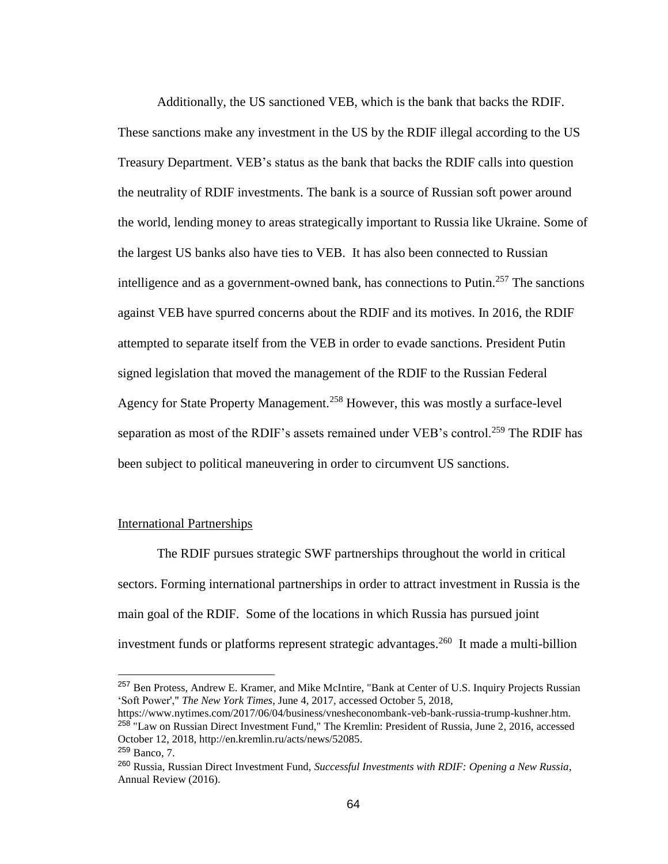Additionally, the US sanctioned VEB, which is the bank that backs the RDIF. These sanctions make any investment in the US by the RDIF illegal according to the US Treasury Department. VEB's status as the bank that backs the RDIF calls into question the neutrality of RDIF investments. The bank is a source of Russian soft power around the world, lending money to areas strategically important to Russia like Ukraine. Some of the largest US banks also have ties to VEB. It has also been connected to Russian intelligence and as a government-owned bank, has connections to Putin.<sup>257</sup> The sanctions against VEB have spurred concerns about the RDIF and its motives. In 2016, the RDIF attempted to separate itself from the VEB in order to evade sanctions. President Putin signed legislation that moved the management of the RDIF to the Russian Federal Agency for State Property Management.<sup>258</sup> However, this was mostly a surface-level separation as most of the RDIF's assets remained under VEB's control.<sup>259</sup> The RDIF has been subject to political maneuvering in order to circumvent US sanctions.

### International Partnerships

The RDIF pursues strategic SWF partnerships throughout the world in critical sectors. Forming international partnerships in order to attract investment in Russia is the main goal of the RDIF. Some of the locations in which Russia has pursued joint investment funds or platforms represent strategic advantages.<sup>260</sup> It made a multi-billion

<sup>257</sup> Ben Protess, Andrew E. Kramer, and Mike McIntire, "Bank at Center of U.S. Inquiry Projects Russian 'Soft Power'," *The New York Times*, June 4, 2017, accessed October 5, 2018,

https://www.nytimes.com/2017/06/04/business/vnesheconombank-veb-bank-russia-trump-kushner.htm. <sup>258</sup> "Law on Russian Direct Investment Fund," The Kremlin: President of Russia, June 2, 2016, accessed October 12, 2018, http://en.kremlin.ru/acts/news/52085.

<sup>259</sup> Banco, 7.

<sup>260</sup> Russia, Russian Direct Investment Fund, *Successful Investments with RDIF: Opening a New Russia*, Annual Review (2016).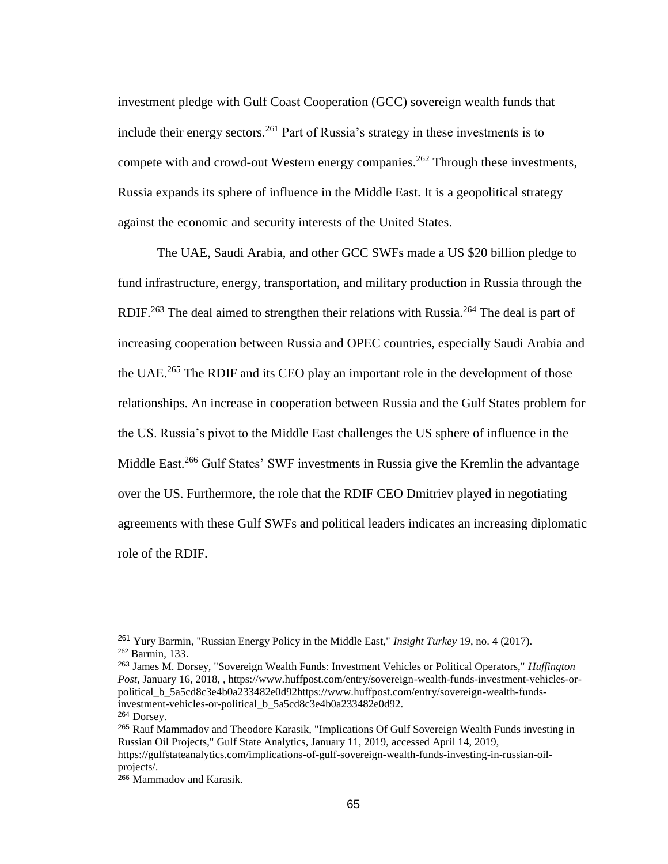investment pledge with Gulf Coast Cooperation (GCC) sovereign wealth funds that include their energy sectors.<sup>261</sup> Part of Russia's strategy in these investments is to compete with and crowd-out Western energy companies.<sup>262</sup> Through these investments, Russia expands its sphere of influence in the Middle East. It is a geopolitical strategy against the economic and security interests of the United States.

The UAE, Saudi Arabia, and other GCC SWFs made a US \$20 billion pledge to fund infrastructure, energy, transportation, and military production in Russia through the RDIF.<sup>263</sup> The deal aimed to strengthen their relations with Russia.<sup>264</sup> The deal is part of increasing cooperation between Russia and OPEC countries, especially Saudi Arabia and the UAE.<sup>265</sup> The RDIF and its CEO play an important role in the development of those relationships. An increase in cooperation between Russia and the Gulf States problem for the US. Russia's pivot to the Middle East challenges the US sphere of influence in the Middle East.<sup>266</sup> Gulf States' SWF investments in Russia give the Kremlin the advantage over the US. Furthermore, the role that the RDIF CEO Dmitriev played in negotiating agreements with these Gulf SWFs and political leaders indicates an increasing diplomatic role of the RDIF.

<sup>261</sup> Yury Barmin, "Russian Energy Policy in the Middle East," *Insight Turkey* 19, no. 4 (2017). <sup>262</sup> Barmin, 133.

<sup>263</sup> James M. Dorsey, "Sovereign Wealth Funds: Investment Vehicles or Political Operators," *Huffington Post*, January 16, 2018, , https://www.huffpost.com/entry/sovereign-wealth-funds-investment-vehicles-orpolitical\_b\_5a5cd8c3e4b0a233482e0d92https://www.huffpost.com/entry/sovereign-wealth-fundsinvestment-vehicles-or-political\_b\_5a5cd8c3e4b0a233482e0d92. <sup>264</sup> Dorsey.

<sup>265</sup> Rauf Mammadov and Theodore Karasik, "Implications Of Gulf Sovereign Wealth Funds investing in Russian Oil Projects," Gulf State Analytics, January 11, 2019, accessed April 14, 2019, https://gulfstateanalytics.com/implications-of-gulf-sovereign-wealth-funds-investing-in-russian-oilprojects/.

<sup>&</sup>lt;sup>266</sup> Mammadov and Karasik.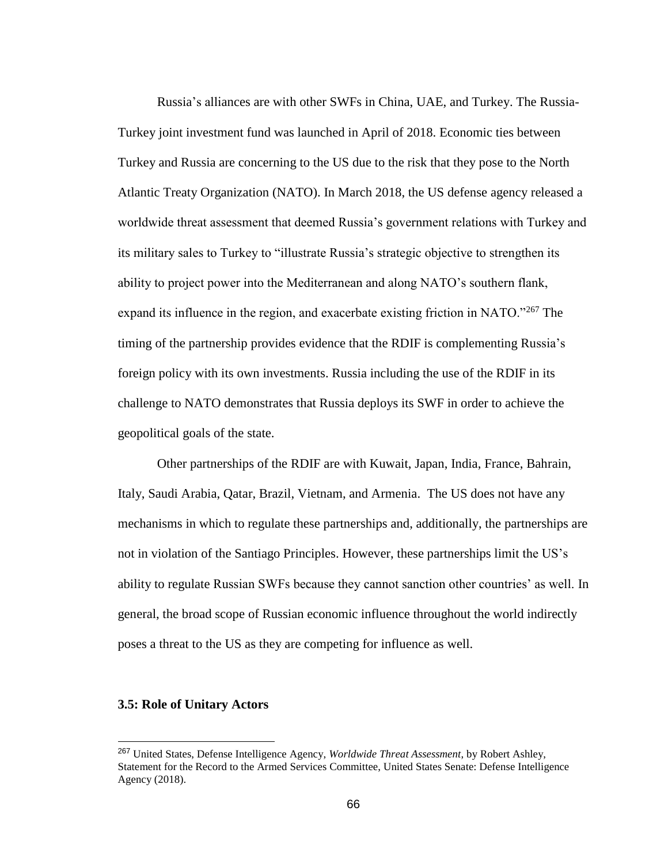Russia's alliances are with other SWFs in China, UAE, and Turkey. The Russia-Turkey joint investment fund was launched in April of 2018. Economic ties between Turkey and Russia are concerning to the US due to the risk that they pose to the North Atlantic Treaty Organization (NATO). In March 2018, the US defense agency released a worldwide threat assessment that deemed Russia's government relations with Turkey and its military sales to Turkey to "illustrate Russia's strategic objective to strengthen its ability to project power into the Mediterranean and along NATO's southern flank, expand its influence in the region, and exacerbate existing friction in NATO."<sup>267</sup> The timing of the partnership provides evidence that the RDIF is complementing Russia's foreign policy with its own investments. Russia including the use of the RDIF in its challenge to NATO demonstrates that Russia deploys its SWF in order to achieve the geopolitical goals of the state.

Other partnerships of the RDIF are with Kuwait, Japan, India, France, Bahrain, Italy, Saudi Arabia, Qatar, Brazil, Vietnam, and Armenia. The US does not have any mechanisms in which to regulate these partnerships and, additionally, the partnerships are not in violation of the Santiago Principles. However, these partnerships limit the US's ability to regulate Russian SWFs because they cannot sanction other countries' as well. In general, the broad scope of Russian economic influence throughout the world indirectly poses a threat to the US as they are competing for influence as well.

## **3.5: Role of Unitary Actors**

<sup>267</sup> United States, Defense Intelligence Agency, *Worldwide Threat Assessment*, by Robert Ashley, Statement for the Record to the Armed Services Committee, United States Senate: Defense Intelligence Agency (2018).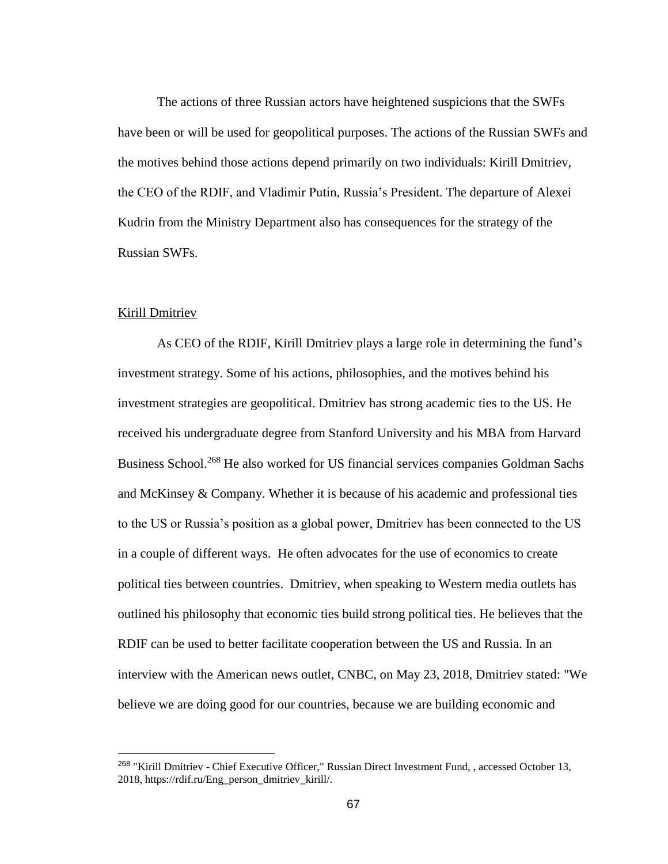The actions of three Russian actors have heightened suspicions that the SWFs have been or will be used for geopolitical purposes. The actions of the Russian SWFs and the motives behind those actions depend primarily on two individuals: Kirill Dmitriev, the CEO of the RDIF, and Vladimir Putin, Russia's President. The departure of Alexei Kudrin from the Ministry Department also has consequences for the strategy of the Russian SWFs.

### Kirill Dmitriev

 $\overline{a}$ 

As CEO of the RDIF, Kirill Dmitriev plays a large role in determining the fund's investment strategy. Some of his actions, philosophies, and the motives behind his investment strategies are geopolitical. Dmitriev has strong academic ties to the US. He received his undergraduate degree from Stanford University and his MBA from Harvard Business School.<sup>268</sup> He also worked for US financial services companies Goldman Sachs and McKinsey & Company. Whether it is because of his academic and professional ties to the US or Russia's position as a global power, Dmitriev has been connected to the US in a couple of different ways. He often advocates for the use of economics to create political ties between countries. Dmitriev, when speaking to Western media outlets has outlined his philosophy that economic ties build strong political ties. He believes that the RDIF can be used to better facilitate cooperation between the US and Russia. In an interview with the American news outlet, CNBC, on May 23, 2018, Dmitriev stated: "We believe we are doing good for our countries, because we are building economic and

<sup>268</sup> "Kirill Dmitriev - Chief Executive Officer," Russian Direct Investment Fund, , accessed October 13, 2018, https://rdif.ru/Eng\_person\_dmitriev\_kirill/.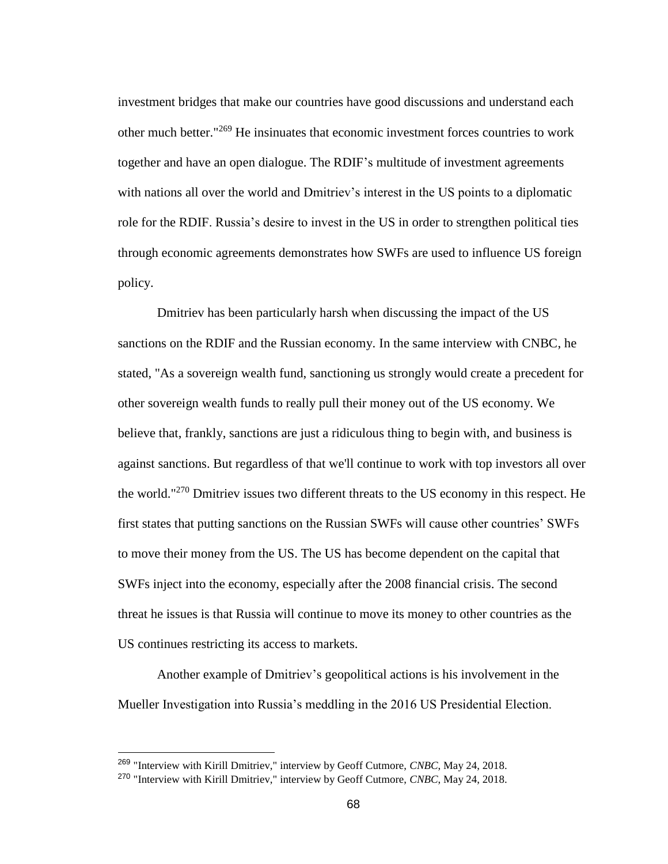investment bridges that make our countries have good discussions and understand each other much better."<sup>269</sup> He insinuates that economic investment forces countries to work together and have an open dialogue. The RDIF's multitude of investment agreements with nations all over the world and Dmitriev's interest in the US points to a diplomatic role for the RDIF. Russia's desire to invest in the US in order to strengthen political ties through economic agreements demonstrates how SWFs are used to influence US foreign policy.

Dmitriev has been particularly harsh when discussing the impact of the US sanctions on the RDIF and the Russian economy. In the same interview with CNBC, he stated, "As a sovereign wealth fund, sanctioning us strongly would create a precedent for other sovereign wealth funds to really pull their money out of the US economy. We believe that, frankly, sanctions are just a ridiculous thing to begin with, and business is against sanctions. But regardless of that we'll continue to work with top investors all over the world."<sup>270</sup> Dmitriev issues two different threats to the US economy in this respect. He first states that putting sanctions on the Russian SWFs will cause other countries' SWFs to move their money from the US. The US has become dependent on the capital that SWFs inject into the economy, especially after the 2008 financial crisis. The second threat he issues is that Russia will continue to move its money to other countries as the US continues restricting its access to markets.

Another example of Dmitriev's geopolitical actions is his involvement in the Mueller Investigation into Russia's meddling in the 2016 US Presidential Election.

<sup>269</sup> "Interview with Kirill Dmitriev," interview by Geoff Cutmore, *CNBC*, May 24, 2018.

<sup>270</sup> "Interview with Kirill Dmitriev," interview by Geoff Cutmore, *CNBC*, May 24, 2018.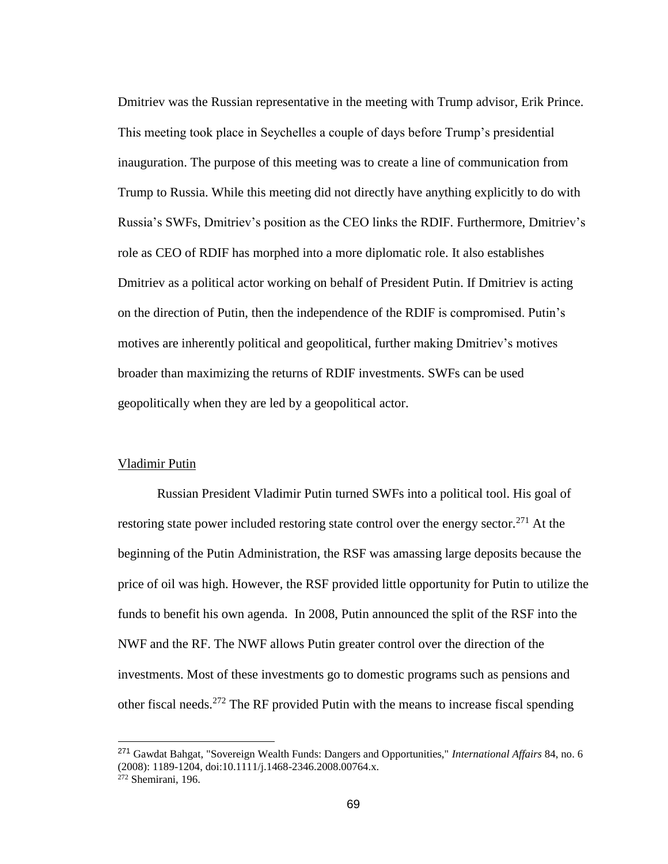Dmitriev was the Russian representative in the meeting with Trump advisor, Erik Prince. This meeting took place in Seychelles a couple of days before Trump's presidential inauguration. The purpose of this meeting was to create a line of communication from Trump to Russia. While this meeting did not directly have anything explicitly to do with Russia's SWFs, Dmitriev's position as the CEO links the RDIF. Furthermore, Dmitriev's role as CEO of RDIF has morphed into a more diplomatic role. It also establishes Dmitriev as a political actor working on behalf of President Putin. If Dmitriev is acting on the direction of Putin, then the independence of the RDIF is compromised. Putin's motives are inherently political and geopolitical, further making Dmitriev's motives broader than maximizing the returns of RDIF investments. SWFs can be used geopolitically when they are led by a geopolitical actor.

### Vladimir Putin

Russian President Vladimir Putin turned SWFs into a political tool. His goal of restoring state power included restoring state control over the energy sector.<sup>271</sup> At the beginning of the Putin Administration, the RSF was amassing large deposits because the price of oil was high. However, the RSF provided little opportunity for Putin to utilize the funds to benefit his own agenda. In 2008, Putin announced the split of the RSF into the NWF and the RF. The NWF allows Putin greater control over the direction of the investments. Most of these investments go to domestic programs such as pensions and other fiscal needs.<sup>272</sup> The RF provided Putin with the means to increase fiscal spending

<sup>271</sup> Gawdat Bahgat, "Sovereign Wealth Funds: Dangers and Opportunities," *International Affairs* 84, no. 6 (2008): 1189-1204, doi:10.1111/j.1468-2346.2008.00764.x.  $272$  Shemirani, 196.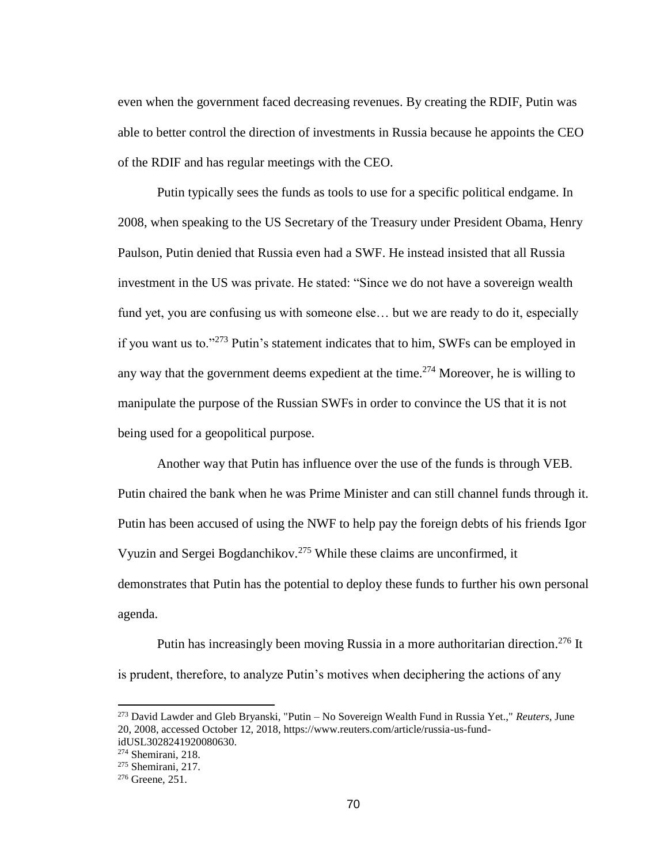even when the government faced decreasing revenues. By creating the RDIF, Putin was able to better control the direction of investments in Russia because he appoints the CEO of the RDIF and has regular meetings with the CEO.

Putin typically sees the funds as tools to use for a specific political endgame. In 2008, when speaking to the US Secretary of the Treasury under President Obama, Henry Paulson, Putin denied that Russia even had a SWF. He instead insisted that all Russia investment in the US was private. He stated: "Since we do not have a sovereign wealth fund yet, you are confusing us with someone else... but we are ready to do it, especially if you want us to."<sup>273</sup> Putin's statement indicates that to him, SWFs can be employed in any way that the government deems expedient at the time.<sup>274</sup> Moreover, he is willing to manipulate the purpose of the Russian SWFs in order to convince the US that it is not being used for a geopolitical purpose.

Another way that Putin has influence over the use of the funds is through VEB. Putin chaired the bank when he was Prime Minister and can still channel funds through it. Putin has been accused of using the NWF to help pay the foreign debts of his friends Igor Vyuzin and Sergei Bogdanchikov.<sup>275</sup> While these claims are unconfirmed, it demonstrates that Putin has the potential to deploy these funds to further his own personal agenda.

Putin has increasingly been moving Russia in a more authoritarian direction.<sup>276</sup> It is prudent, therefore, to analyze Putin's motives when deciphering the actions of any

<sup>273</sup> David Lawder and Gleb Bryanski, "Putin – No Sovereign Wealth Fund in Russia Yet.," *Reuters*, June 20, 2008, accessed October 12, 2018, https://www.reuters.com/article/russia-us-fundidUSL3028241920080630.

<sup>274</sup> Shemirani, 218.

 $275$  Shemirani, 217.

<sup>276</sup> Greene, 251.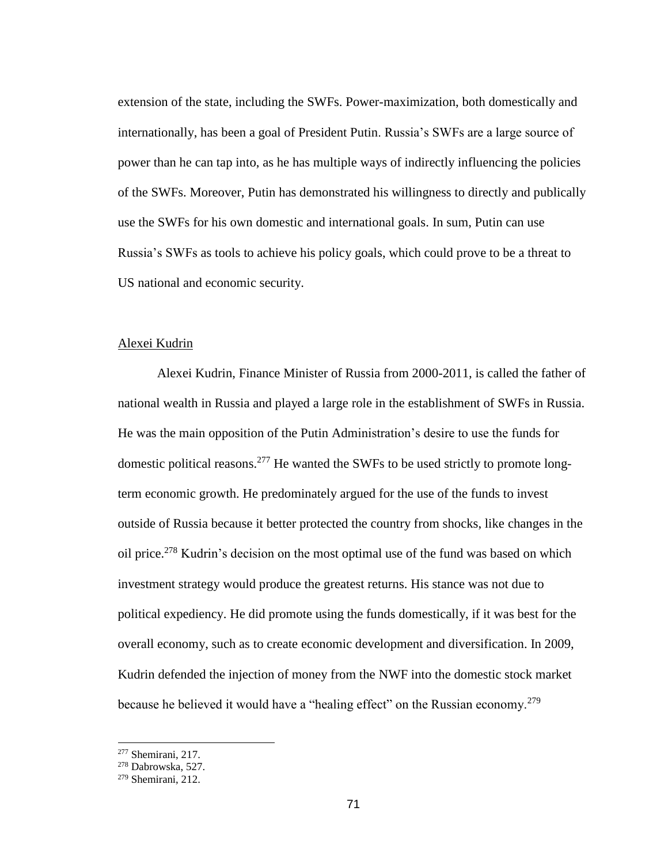extension of the state, including the SWFs. Power-maximization, both domestically and internationally, has been a goal of President Putin. Russia's SWFs are a large source of power than he can tap into, as he has multiple ways of indirectly influencing the policies of the SWFs. Moreover, Putin has demonstrated his willingness to directly and publically use the SWFs for his own domestic and international goals. In sum, Putin can use Russia's SWFs as tools to achieve his policy goals, which could prove to be a threat to US national and economic security.

## Alexei Kudrin

Alexei Kudrin, Finance Minister of Russia from 2000-2011, is called the father of national wealth in Russia and played a large role in the establishment of SWFs in Russia. He was the main opposition of the Putin Administration's desire to use the funds for domestic political reasons.<sup>277</sup> He wanted the SWFs to be used strictly to promote longterm economic growth. He predominately argued for the use of the funds to invest outside of Russia because it better protected the country from shocks, like changes in the oil price.<sup>278</sup> Kudrin's decision on the most optimal use of the fund was based on which investment strategy would produce the greatest returns. His stance was not due to political expediency. He did promote using the funds domestically, if it was best for the overall economy, such as to create economic development and diversification. In 2009, Kudrin defended the injection of money from the NWF into the domestic stock market because he believed it would have a "healing effect" on the Russian economy.<sup>279</sup>

<sup>277</sup> Shemirani, 217.

<sup>278</sup> Dabrowska, 527.

<sup>279</sup> Shemirani, 212.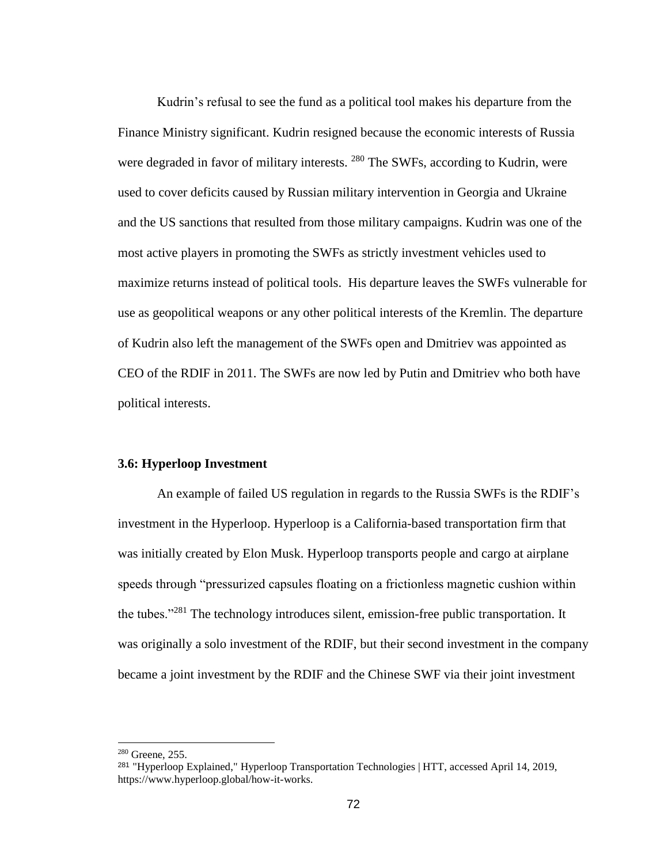Kudrin's refusal to see the fund as a political tool makes his departure from the Finance Ministry significant. Kudrin resigned because the economic interests of Russia were degraded in favor of military interests. <sup>280</sup> The SWFs, according to Kudrin, were used to cover deficits caused by Russian military intervention in Georgia and Ukraine and the US sanctions that resulted from those military campaigns. Kudrin was one of the most active players in promoting the SWFs as strictly investment vehicles used to maximize returns instead of political tools. His departure leaves the SWFs vulnerable for use as geopolitical weapons or any other political interests of the Kremlin. The departure of Kudrin also left the management of the SWFs open and Dmitriev was appointed as CEO of the RDIF in 2011. The SWFs are now led by Putin and Dmitriev who both have political interests.

#### **3.6: Hyperloop Investment**

An example of failed US regulation in regards to the Russia SWFs is the RDIF's investment in the Hyperloop. Hyperloop is a California-based transportation firm that was initially created by Elon Musk. Hyperloop transports people and cargo at airplane speeds through "pressurized capsules floating on a frictionless magnetic cushion within the tubes."<sup>281</sup> The technology introduces silent, emission-free public transportation. It was originally a solo investment of the RDIF, but their second investment in the company became a joint investment by the RDIF and the Chinese SWF via their joint investment

<sup>280</sup> Greene, 255.

<sup>281</sup> "Hyperloop Explained," Hyperloop Transportation Technologies | HTT, accessed April 14, 2019, https://www.hyperloop.global/how-it-works.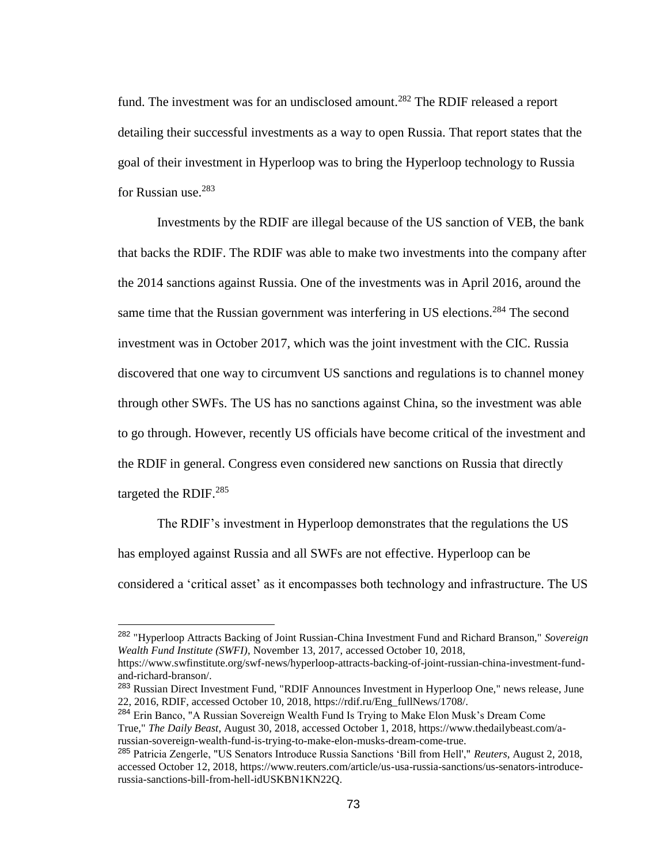fund. The investment was for an undisclosed amount.<sup>282</sup> The RDIF released a report detailing their successful investments as a way to open Russia. That report states that the goal of their investment in Hyperloop was to bring the Hyperloop technology to Russia for Russian use.<sup>283</sup>

Investments by the RDIF are illegal because of the US sanction of VEB, the bank that backs the RDIF. The RDIF was able to make two investments into the company after the 2014 sanctions against Russia. One of the investments was in April 2016, around the same time that the Russian government was interfering in US elections.<sup>284</sup> The second investment was in October 2017, which was the joint investment with the CIC. Russia discovered that one way to circumvent US sanctions and regulations is to channel money through other SWFs. The US has no sanctions against China, so the investment was able to go through. However, recently US officials have become critical of the investment and the RDIF in general. Congress even considered new sanctions on Russia that directly targeted the RDIF.<sup>285</sup>

The RDIF's investment in Hyperloop demonstrates that the regulations the US has employed against Russia and all SWFs are not effective. Hyperloop can be considered a 'critical asset' as it encompasses both technology and infrastructure. The US

<sup>282</sup> "Hyperloop Attracts Backing of Joint Russian-China Investment Fund and Richard Branson," *Sovereign Wealth Fund Institute (SWFI)*, November 13, 2017, accessed October 10, 2018,

https://www.swfinstitute.org/swf-news/hyperloop-attracts-backing-of-joint-russian-china-investment-fundand-richard-branson/.

<sup>283</sup> Russian Direct Investment Fund, "RDIF Announces Investment in Hyperloop One," news release, June 22, 2016, RDIF, accessed October 10, 2018, https://rdif.ru/Eng\_fullNews/1708/.

<sup>&</sup>lt;sup>284</sup> Erin Banco, "A Russian Sovereign Wealth Fund Is Trying to Make Elon Musk's Dream Come True," *The Daily Beast*, August 30, 2018, accessed October 1, 2018, https://www.thedailybeast.com/arussian-sovereign-wealth-fund-is-trying-to-make-elon-musks-dream-come-true.

<sup>285</sup> Patricia Zengerle, "US Senators Introduce Russia Sanctions 'Bill from Hell'," *Reuters*, August 2, 2018, accessed October 12, 2018, https://www.reuters.com/article/us-usa-russia-sanctions/us-senators-introducerussia-sanctions-bill-from-hell-idUSKBN1KN22Q.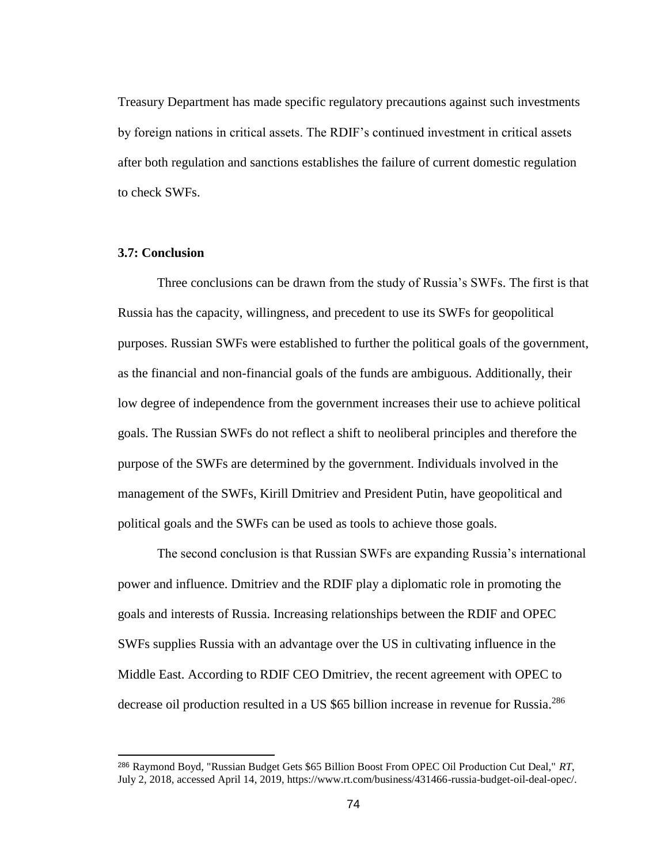Treasury Department has made specific regulatory precautions against such investments by foreign nations in critical assets. The RDIF's continued investment in critical assets after both regulation and sanctions establishes the failure of current domestic regulation to check SWFs.

## **3.7: Conclusion**

 $\overline{a}$ 

Three conclusions can be drawn from the study of Russia's SWFs. The first is that Russia has the capacity, willingness, and precedent to use its SWFs for geopolitical purposes. Russian SWFs were established to further the political goals of the government, as the financial and non-financial goals of the funds are ambiguous. Additionally, their low degree of independence from the government increases their use to achieve political goals. The Russian SWFs do not reflect a shift to neoliberal principles and therefore the purpose of the SWFs are determined by the government. Individuals involved in the management of the SWFs, Kirill Dmitriev and President Putin, have geopolitical and political goals and the SWFs can be used as tools to achieve those goals.

The second conclusion is that Russian SWFs are expanding Russia's international power and influence. Dmitriev and the RDIF play a diplomatic role in promoting the goals and interests of Russia. Increasing relationships between the RDIF and OPEC SWFs supplies Russia with an advantage over the US in cultivating influence in the Middle East. According to RDIF CEO Dmitriev, the recent agreement with OPEC to decrease oil production resulted in a US \$65 billion increase in revenue for Russia.<sup>286</sup>

<sup>286</sup> Raymond Boyd, "Russian Budget Gets \$65 Billion Boost From OPEC Oil Production Cut Deal," *RT*, July 2, 2018, accessed April 14, 2019, https://www.rt.com/business/431466-russia-budget-oil-deal-opec/.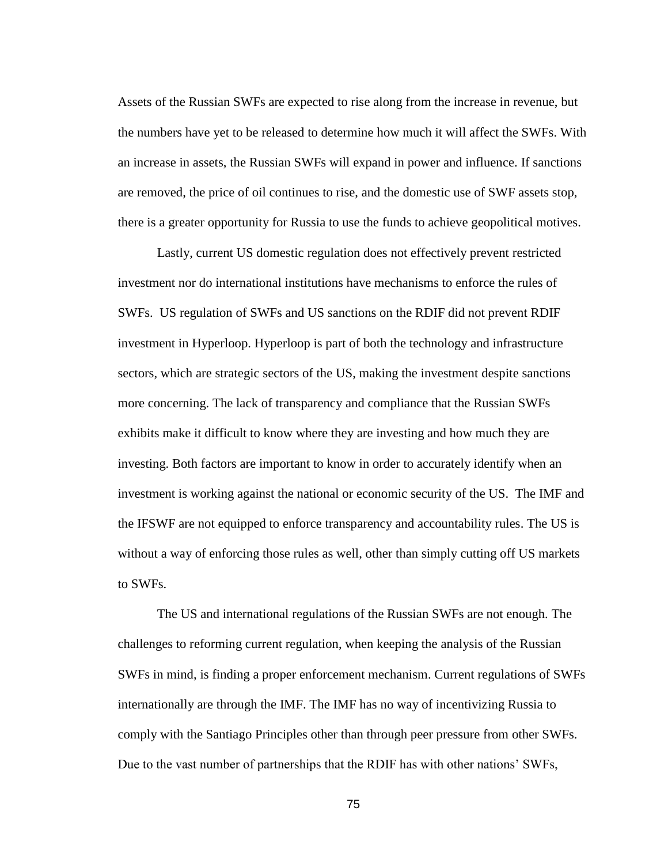Assets of the Russian SWFs are expected to rise along from the increase in revenue, but the numbers have yet to be released to determine how much it will affect the SWFs. With an increase in assets, the Russian SWFs will expand in power and influence. If sanctions are removed, the price of oil continues to rise, and the domestic use of SWF assets stop, there is a greater opportunity for Russia to use the funds to achieve geopolitical motives.

Lastly, current US domestic regulation does not effectively prevent restricted investment nor do international institutions have mechanisms to enforce the rules of SWFs. US regulation of SWFs and US sanctions on the RDIF did not prevent RDIF investment in Hyperloop. Hyperloop is part of both the technology and infrastructure sectors, which are strategic sectors of the US, making the investment despite sanctions more concerning. The lack of transparency and compliance that the Russian SWFs exhibits make it difficult to know where they are investing and how much they are investing. Both factors are important to know in order to accurately identify when an investment is working against the national or economic security of the US. The IMF and the IFSWF are not equipped to enforce transparency and accountability rules. The US is without a way of enforcing those rules as well, other than simply cutting off US markets to SWFs.

The US and international regulations of the Russian SWFs are not enough. The challenges to reforming current regulation, when keeping the analysis of the Russian SWFs in mind, is finding a proper enforcement mechanism. Current regulations of SWFs internationally are through the IMF. The IMF has no way of incentivizing Russia to comply with the Santiago Principles other than through peer pressure from other SWFs. Due to the vast number of partnerships that the RDIF has with other nations' SWFs,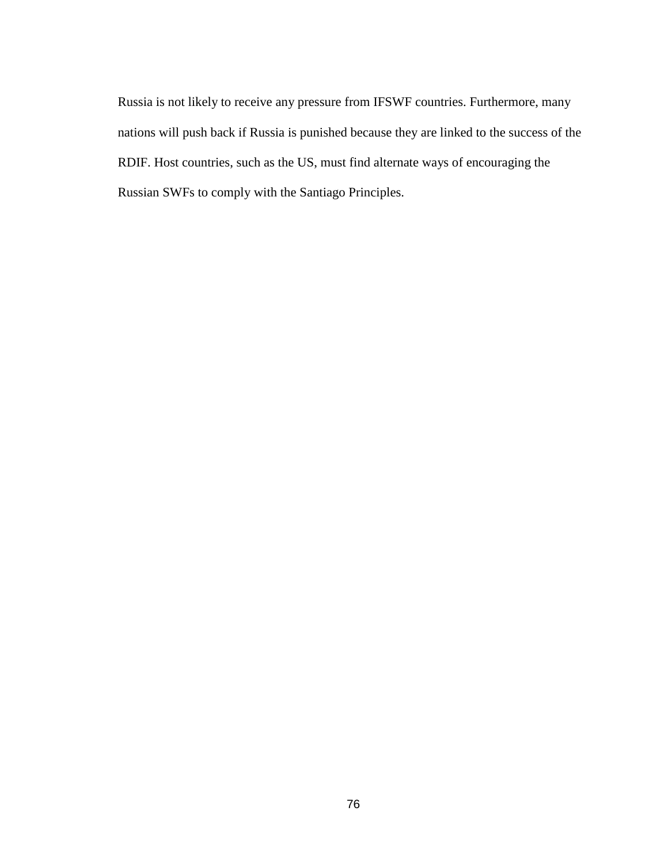Russia is not likely to receive any pressure from IFSWF countries. Furthermore, many nations will push back if Russia is punished because they are linked to the success of the RDIF. Host countries, such as the US, must find alternate ways of encouraging the Russian SWFs to comply with the Santiago Principles.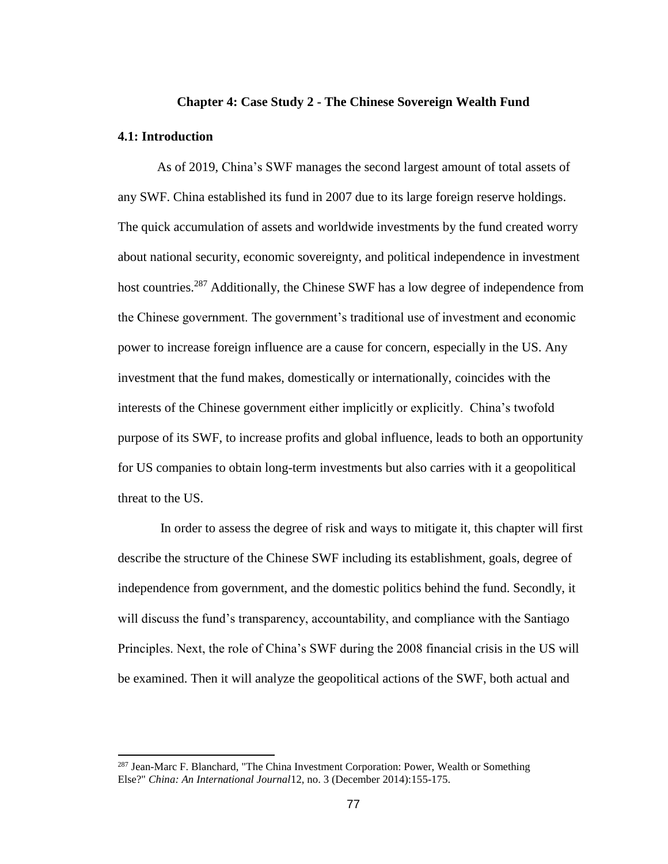#### **Chapter 4: Case Study 2 - The Chinese Sovereign Wealth Fund**

#### **4.1: Introduction**

 $\overline{a}$ 

As of 2019, China's SWF manages the second largest amount of total assets of any SWF. China established its fund in 2007 due to its large foreign reserve holdings. The quick accumulation of assets and worldwide investments by the fund created worry about national security, economic sovereignty, and political independence in investment host countries.<sup>287</sup> Additionally, the Chinese SWF has a low degree of independence from the Chinese government. The government's traditional use of investment and economic power to increase foreign influence are a cause for concern, especially in the US. Any investment that the fund makes, domestically or internationally, coincides with the interests of the Chinese government either implicitly or explicitly. China's twofold purpose of its SWF, to increase profits and global influence, leads to both an opportunity for US companies to obtain long-term investments but also carries with it a geopolitical threat to the US.

In order to assess the degree of risk and ways to mitigate it, this chapter will first describe the structure of the Chinese SWF including its establishment, goals, degree of independence from government, and the domestic politics behind the fund. Secondly, it will discuss the fund's transparency, accountability, and compliance with the Santiago Principles. Next, the role of China's SWF during the 2008 financial crisis in the US will be examined. Then it will analyze the geopolitical actions of the SWF, both actual and

<sup>287</sup> Jean-Marc F. Blanchard, "The China Investment Corporation: Power, Wealth or Something Else?" *China: An International Journal*12, no. 3 (December 2014):155-175.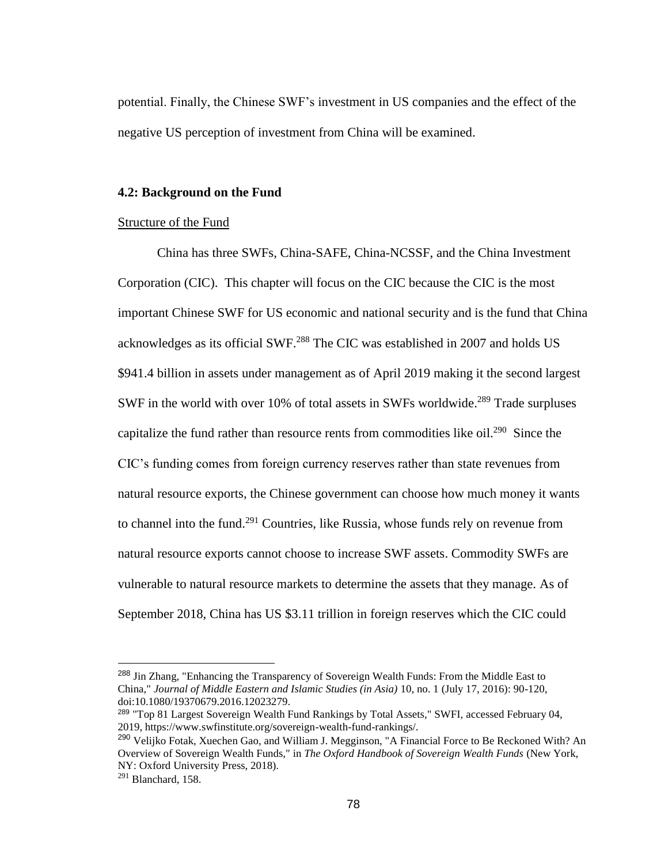potential. Finally, the Chinese SWF's investment in US companies and the effect of the negative US perception of investment from China will be examined.

#### **4.2: Background on the Fund**

## Structure of the Fund

China has three SWFs, China-SAFE, China-NCSSF, and the China Investment Corporation (CIC). This chapter will focus on the CIC because the CIC is the most important Chinese SWF for US economic and national security and is the fund that China acknowledges as its official SWF.<sup>288</sup> The CIC was established in 2007 and holds US \$941.4 billion in assets under management as of April 2019 making it the second largest SWF in the world with over 10% of total assets in SWFs worldwide.<sup>289</sup> Trade surpluses capitalize the fund rather than resource rents from commodities like oil.<sup>290</sup> Since the CIC's funding comes from foreign currency reserves rather than state revenues from natural resource exports, the Chinese government can choose how much money it wants to channel into the fund.<sup>291</sup> Countries, like Russia, whose funds rely on revenue from natural resource exports cannot choose to increase SWF assets. Commodity SWFs are vulnerable to natural resource markets to determine the assets that they manage. As of September 2018, China has US \$3.11 trillion in foreign reserves which the CIC could

<sup>&</sup>lt;sup>288</sup> Jin Zhang, "Enhancing the Transparency of Sovereign Wealth Funds: From the Middle East to China," *Journal of Middle Eastern and Islamic Studies (in Asia)* 10, no. 1 (July 17, 2016): 90-120, doi:10.1080/19370679.2016.12023279.

<sup>289</sup> "Top 81 Largest Sovereign Wealth Fund Rankings by Total Assets," SWFI, accessed February 04, 2019, https://www.swfinstitute.org/sovereign-wealth-fund-rankings/.

<sup>&</sup>lt;sup>290</sup> Velijko Fotak, Xuechen Gao, and William J. Megginson, "A Financial Force to Be Reckoned With? An Overview of Sovereign Wealth Funds," in *The Oxford Handbook of Sovereign Wealth Funds* (New York, NY: Oxford University Press, 2018).

 $291$  Blanchard, 158.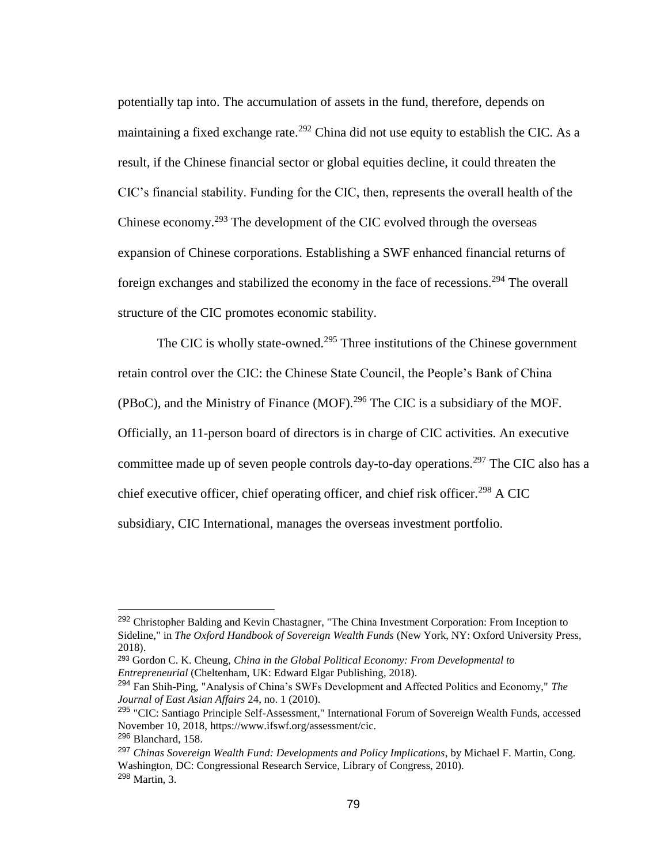potentially tap into. The accumulation of assets in the fund, therefore, depends on maintaining a fixed exchange rate.<sup>292</sup> China did not use equity to establish the CIC. As a result, if the Chinese financial sector or global equities decline, it could threaten the CIC's financial stability. Funding for the CIC, then, represents the overall health of the Chinese economy.<sup>293</sup> The development of the CIC evolved through the overseas expansion of Chinese corporations. Establishing a SWF enhanced financial returns of foreign exchanges and stabilized the economy in the face of recessions.<sup>294</sup> The overall structure of the CIC promotes economic stability.

The CIC is wholly state-owned.<sup>295</sup> Three institutions of the Chinese government retain control over the CIC: the Chinese State Council, the People's Bank of China (PBoC), and the Ministry of Finance (MOF).<sup>296</sup> The CIC is a subsidiary of the MOF. Officially, an 11-person board of directors is in charge of CIC activities. An executive committee made up of seven people controls day-to-day operations.<sup>297</sup> The CIC also has a chief executive officer, chief operating officer, and chief risk officer.<sup>298</sup> A CIC subsidiary, CIC International, manages the overseas investment portfolio.

<sup>&</sup>lt;sup>292</sup> Christopher Balding and Kevin Chastagner, "The China Investment Corporation: From Inception to Sideline," in *The Oxford Handbook of Sovereign Wealth Funds* (New York, NY: Oxford University Press, 2018).

<sup>293</sup> Gordon C. K. Cheung, *China in the Global Political Economy: From Developmental to Entrepreneurial* (Cheltenham, UK: Edward Elgar Publishing, 2018).

<sup>294</sup> Fan Shih-Ping, "Analysis of China's SWFs Development and Affected Politics and Economy," *The Journal of East Asian Affairs* 24, no. 1 (2010).

<sup>295</sup> "CIC: Santiago Principle Self-Assessment," International Forum of Sovereign Wealth Funds, accessed November 10, 2018, https://www.ifswf.org/assessment/cic.

<sup>296</sup> Blanchard, 158.

<sup>297</sup> *Chinas Sovereign Wealth Fund: Developments and Policy Implications*, by Michael F. Martin, Cong. Washington, DC: Congressional Research Service, Library of Congress, 2010). <sup>298</sup> Martin, 3.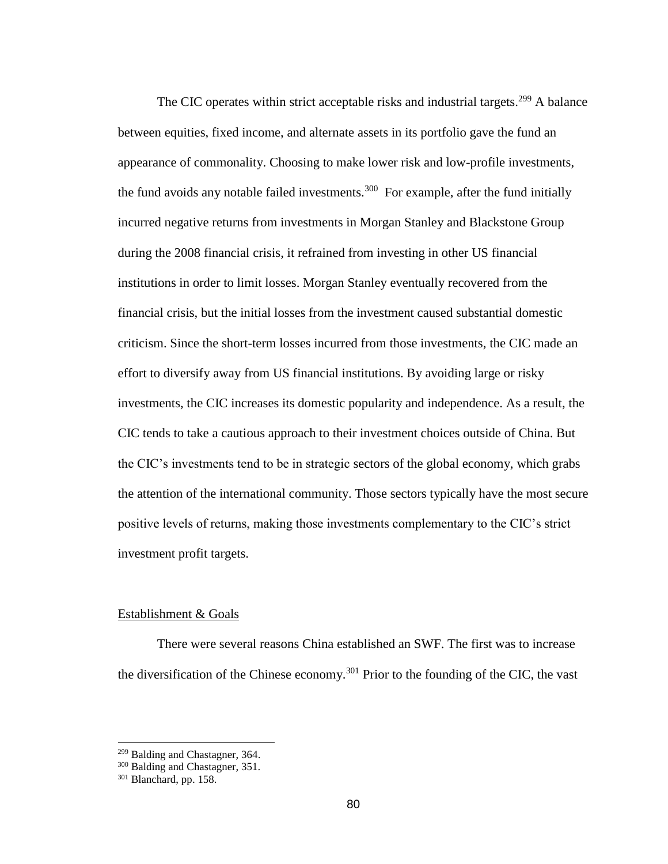The CIC operates within strict acceptable risks and industrial targets.<sup>299</sup> A balance between equities, fixed income, and alternate assets in its portfolio gave the fund an appearance of commonality. Choosing to make lower risk and low-profile investments, the fund avoids any notable failed investments.<sup>300</sup> For example, after the fund initially incurred negative returns from investments in Morgan Stanley and Blackstone Group during the 2008 financial crisis, it refrained from investing in other US financial institutions in order to limit losses. Morgan Stanley eventually recovered from the financial crisis, but the initial losses from the investment caused substantial domestic criticism. Since the short-term losses incurred from those investments, the CIC made an effort to diversify away from US financial institutions. By avoiding large or risky investments, the CIC increases its domestic popularity and independence. As a result, the CIC tends to take a cautious approach to their investment choices outside of China. But the CIC's investments tend to be in strategic sectors of the global economy, which grabs the attention of the international community. Those sectors typically have the most secure positive levels of returns, making those investments complementary to the CIC's strict investment profit targets.

## Establishment & Goals

There were several reasons China established an SWF. The first was to increase the diversification of the Chinese economy.<sup>301</sup> Prior to the founding of the CIC, the vast

<sup>&</sup>lt;sup>299</sup> Balding and Chastagner, 364.

<sup>&</sup>lt;sup>300</sup> Balding and Chastagner, 351.

<sup>&</sup>lt;sup>301</sup> Blanchard, pp. 158.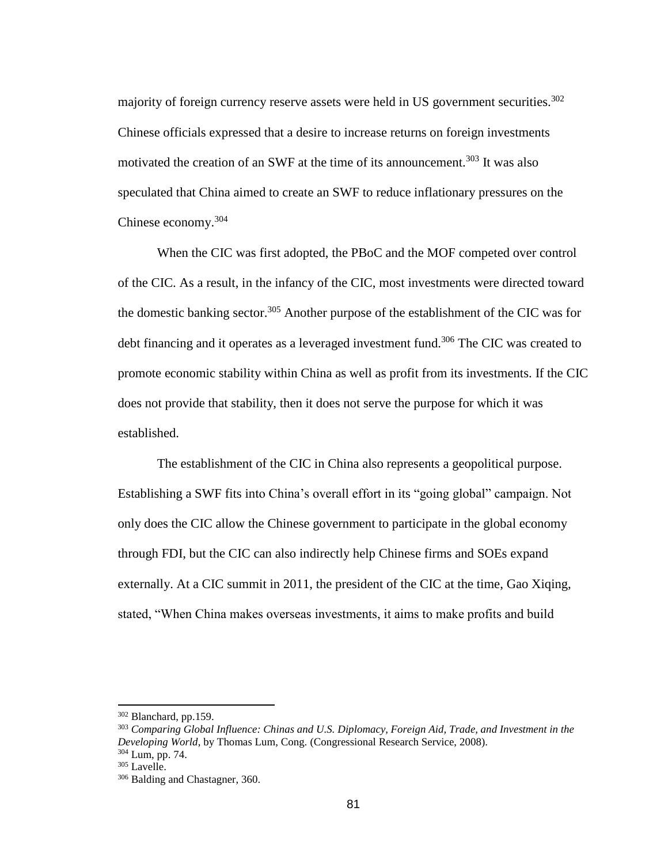majority of foreign currency reserve assets were held in US government securities.<sup>302</sup> Chinese officials expressed that a desire to increase returns on foreign investments motivated the creation of an SWF at the time of its announcement.<sup>303</sup> It was also speculated that China aimed to create an SWF to reduce inflationary pressures on the Chinese economy.<sup>304</sup>

When the CIC was first adopted, the PBoC and the MOF competed over control of the CIC. As a result, in the infancy of the CIC, most investments were directed toward the domestic banking sector.<sup>305</sup> Another purpose of the establishment of the CIC was for debt financing and it operates as a leveraged investment fund.<sup>306</sup> The CIC was created to promote economic stability within China as well as profit from its investments. If the CIC does not provide that stability, then it does not serve the purpose for which it was established.

The establishment of the CIC in China also represents a geopolitical purpose. Establishing a SWF fits into China's overall effort in its "going global" campaign. Not only does the CIC allow the Chinese government to participate in the global economy through FDI, but the CIC can also indirectly help Chinese firms and SOEs expand externally. At a CIC summit in 2011, the president of the CIC at the time, Gao Xiqing, stated, "When China makes overseas investments, it aims to make profits and build

<sup>302</sup> Blanchard, pp.159.

<sup>303</sup> *Comparing Global Influence: Chinas and U.S. Diplomacy, Foreign Aid, Trade, and Investment in the Developing World*, by Thomas Lum, Cong. (Congressional Research Service, 2008). <sup>304</sup> Lum, pp. 74.

<sup>305</sup> Lavelle.

<sup>306</sup> Balding and Chastagner, 360.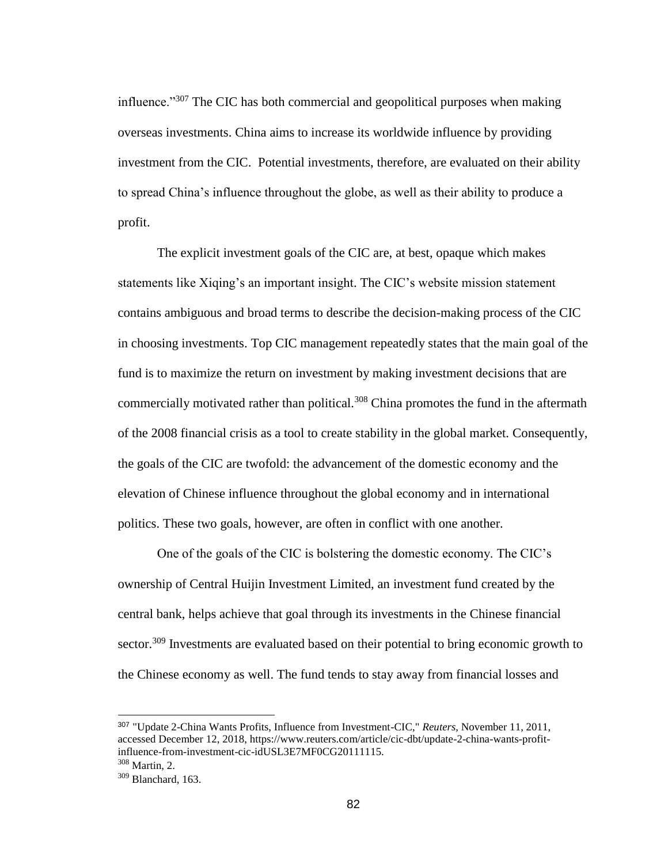influence."<sup>307</sup> The CIC has both commercial and geopolitical purposes when making overseas investments. China aims to increase its worldwide influence by providing investment from the CIC. Potential investments, therefore, are evaluated on their ability to spread China's influence throughout the globe, as well as their ability to produce a profit.

The explicit investment goals of the CIC are, at best, opaque which makes statements like Xiqing's an important insight. The CIC's website mission statement contains ambiguous and broad terms to describe the decision-making process of the CIC in choosing investments. Top CIC management repeatedly states that the main goal of the fund is to maximize the return on investment by making investment decisions that are commercially motivated rather than political.<sup>308</sup> China promotes the fund in the aftermath of the 2008 financial crisis as a tool to create stability in the global market. Consequently, the goals of the CIC are twofold: the advancement of the domestic economy and the elevation of Chinese influence throughout the global economy and in international politics. These two goals, however, are often in conflict with one another.

One of the goals of the CIC is bolstering the domestic economy. The CIC's ownership of Central Huijin Investment Limited, an investment fund created by the central bank, helps achieve that goal through its investments in the Chinese financial sector.<sup>309</sup> Investments are evaluated based on their potential to bring economic growth to the Chinese economy as well. The fund tends to stay away from financial losses and

<sup>307</sup> "Update 2-China Wants Profits, Influence from Investment-CIC," *Reuters*, November 11, 2011, accessed December 12, 2018, https://www.reuters.com/article/cic-dbt/update-2-china-wants-profitinfluence-from-investment-cic-idUSL3E7MF0CG20111115.

<sup>308</sup> Martin, 2.

<sup>309</sup> Blanchard, 163.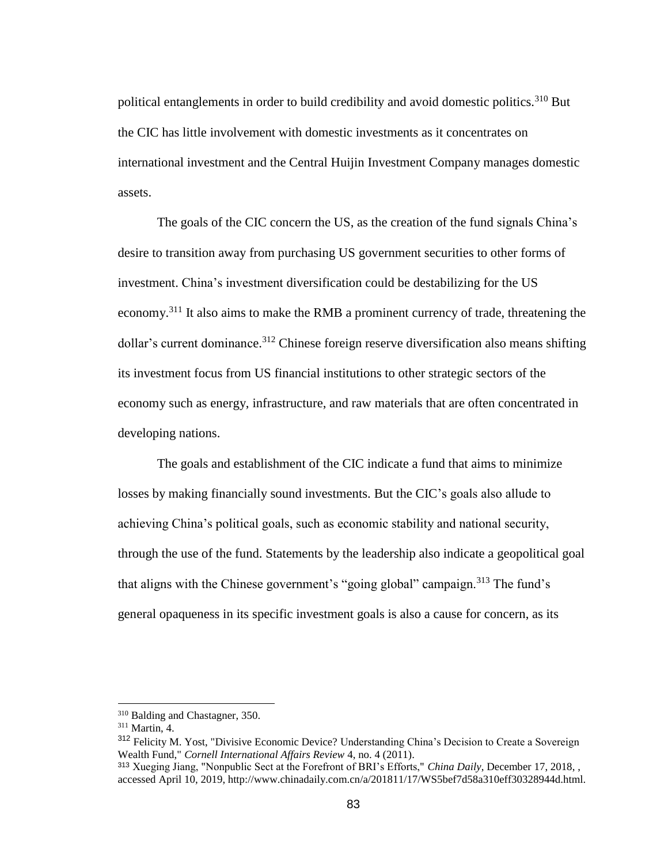political entanglements in order to build credibility and avoid domestic politics.<sup>310</sup> But the CIC has little involvement with domestic investments as it concentrates on international investment and the Central Huijin Investment Company manages domestic assets.

The goals of the CIC concern the US, as the creation of the fund signals China's desire to transition away from purchasing US government securities to other forms of investment. China's investment diversification could be destabilizing for the US economy.<sup>311</sup> It also aims to make the RMB a prominent currency of trade, threatening the  $\delta$ dollar's current dominance.<sup>312</sup> Chinese foreign reserve diversification also means shifting its investment focus from US financial institutions to other strategic sectors of the economy such as energy, infrastructure, and raw materials that are often concentrated in developing nations.

The goals and establishment of the CIC indicate a fund that aims to minimize losses by making financially sound investments. But the CIC's goals also allude to achieving China's political goals, such as economic stability and national security, through the use of the fund. Statements by the leadership also indicate a geopolitical goal that aligns with the Chinese government's "going global" campaign.<sup>313</sup> The fund's general opaqueness in its specific investment goals is also a cause for concern, as its

<sup>310</sup> Balding and Chastagner, 350.

<sup>311</sup> Martin, 4.

<sup>&</sup>lt;sup>312</sup> Felicity M. Yost, "Divisive Economic Device? Understanding China's Decision to Create a Sovereign Wealth Fund," *Cornell International Affairs Review* 4, no. 4 (2011).

<sup>313</sup> Xueging Jiang, "Nonpublic Sect at the Forefront of BRI's Efforts," *China Daily*, December 17, 2018, , accessed April 10, 2019, http://www.chinadaily.com.cn/a/201811/17/WS5bef7d58a310eff30328944d.html.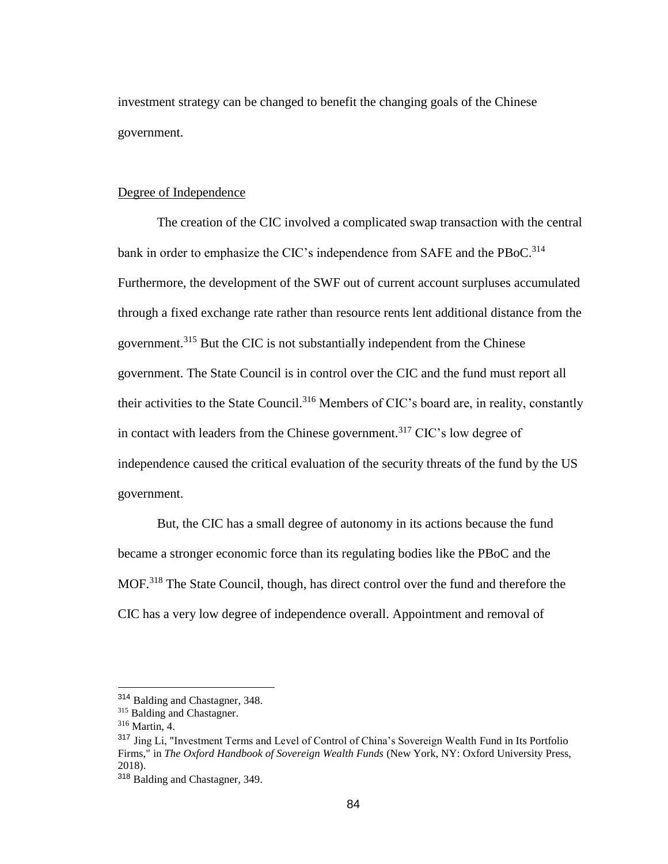investment strategy can be changed to benefit the changing goals of the Chinese government.

## Degree of Independence

The creation of the CIC involved a complicated swap transaction with the central bank in order to emphasize the CIC's independence from SAFE and the PBoC.<sup>314</sup> Furthermore, the development of the SWF out of current account surpluses accumulated through a fixed exchange rate rather than resource rents lent additional distance from the government.<sup>315</sup> But the CIC is not substantially independent from the Chinese government. The State Council is in control over the CIC and the fund must report all their activities to the State Council.<sup>316</sup> Members of CIC's board are, in reality, constantly in contact with leaders from the Chinese government.<sup>317</sup> CIC's low degree of independence caused the critical evaluation of the security threats of the fund by the US government.

But, the CIC has a small degree of autonomy in its actions because the fund became a stronger economic force than its regulating bodies like the PBoC and the MOF.<sup>318</sup> The State Council, though, has direct control over the fund and therefore the CIC has a very low degree of independence overall. Appointment and removal of

<sup>314</sup> Balding and Chastagner, 348.

<sup>315</sup> Balding and Chastagner.

<sup>316</sup> Martin, 4.

<sup>317</sup> Jing Li, "Investment Terms and Level of Control of China's Sovereign Wealth Fund in Its Portfolio Firms," in *The Oxford Handbook of Sovereign Wealth Funds* (New York, NY: Oxford University Press, 2018).

<sup>318</sup> Balding and Chastagner, 349.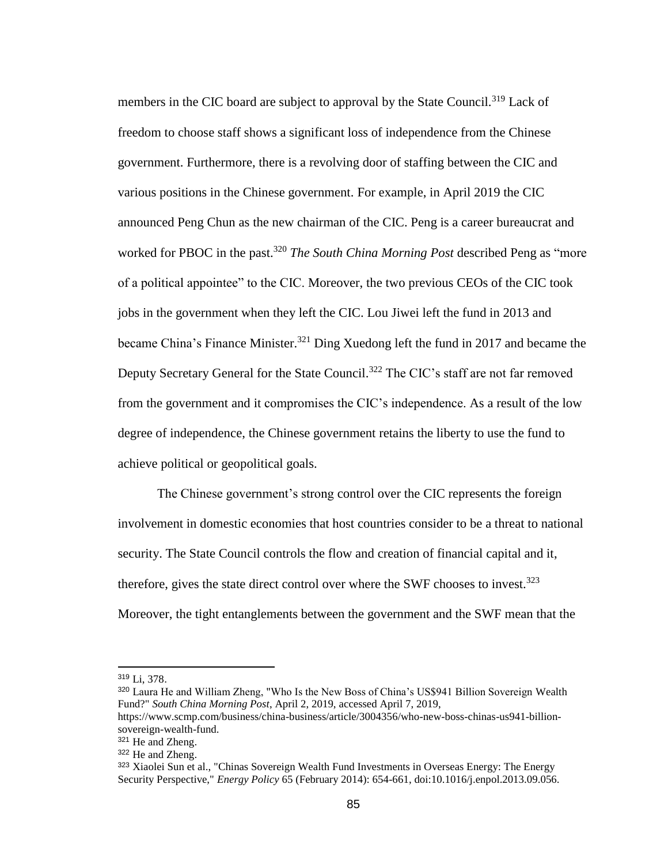members in the CIC board are subject to approval by the State Council.<sup>319</sup> Lack of freedom to choose staff shows a significant loss of independence from the Chinese government. Furthermore, there is a revolving door of staffing between the CIC and various positions in the Chinese government. For example, in April 2019 the CIC announced Peng Chun as the new chairman of the CIC. Peng is a career bureaucrat and worked for PBOC in the past.<sup>320</sup> *The South China Morning Post* described Peng as "more" of a political appointee" to the CIC. Moreover, the two previous CEOs of the CIC took jobs in the government when they left the CIC. Lou Jiwei left the fund in 2013 and became China's Finance Minister.<sup>321</sup> Ding Xuedong left the fund in 2017 and became the Deputy Secretary General for the State Council.<sup>322</sup> The CIC's staff are not far removed from the government and it compromises the CIC's independence. As a result of the low degree of independence, the Chinese government retains the liberty to use the fund to achieve political or geopolitical goals.

The Chinese government's strong control over the CIC represents the foreign involvement in domestic economies that host countries consider to be a threat to national security. The State Council controls the flow and creation of financial capital and it, therefore, gives the state direct control over where the SWF chooses to invest.<sup>323</sup> Moreover, the tight entanglements between the government and the SWF mean that the

<sup>319</sup> Li, 378.

<sup>320</sup> Laura He and William Zheng, "Who Is the New Boss of China's US\$941 Billion Sovereign Wealth Fund?" *South China Morning Post*, April 2, 2019, accessed April 7, 2019,

https://www.scmp.com/business/china-business/article/3004356/who-new-boss-chinas-us941-billionsovereign-wealth-fund.

<sup>321</sup> He and Zheng.

<sup>322</sup> He and Zheng.

<sup>323</sup> Xiaolei Sun et al., "Chinas Sovereign Wealth Fund Investments in Overseas Energy: The Energy Security Perspective," *Energy Policy* 65 (February 2014): 654-661, doi:10.1016/j.enpol.2013.09.056.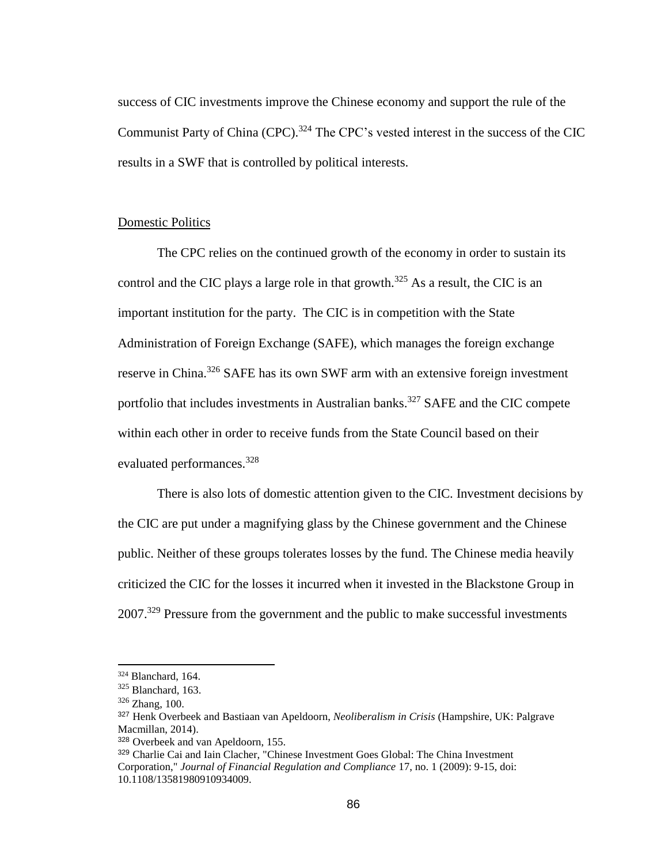success of CIC investments improve the Chinese economy and support the rule of the Communist Party of China (CPC).<sup>324</sup> The CPC's vested interest in the success of the CIC results in a SWF that is controlled by political interests.

## Domestic Politics

The CPC relies on the continued growth of the economy in order to sustain its control and the CIC plays a large role in that growth.<sup>325</sup> As a result, the CIC is an important institution for the party. The CIC is in competition with the State Administration of Foreign Exchange (SAFE), which manages the foreign exchange reserve in China.<sup>326</sup> SAFE has its own SWF arm with an extensive foreign investment portfolio that includes investments in Australian banks.<sup>327</sup> SAFE and the CIC compete within each other in order to receive funds from the State Council based on their evaluated performances.<sup>328</sup>

There is also lots of domestic attention given to the CIC. Investment decisions by the CIC are put under a magnifying glass by the Chinese government and the Chinese public. Neither of these groups tolerates losses by the fund. The Chinese media heavily criticized the CIC for the losses it incurred when it invested in the Blackstone Group in 2007.<sup>329</sup> Pressure from the government and the public to make successful investments

<sup>324</sup> Blanchard, 164.

<sup>325</sup> Blanchard, 163.

<sup>326</sup> Zhang, 100.

<sup>327</sup> Henk Overbeek and Bastiaan van Apeldoorn, *Neoliberalism in Crisis* (Hampshire, UK: Palgrave Macmillan, 2014).

<sup>328</sup> Overbeek and van Apeldoorn, 155.

<sup>329</sup> Charlie Cai and Iain Clacher, "Chinese Investment Goes Global: The China Investment Corporation," *Journal of Financial Regulation and Compliance* 17, no. 1 (2009): 9-15, doi: 10.1108/13581980910934009.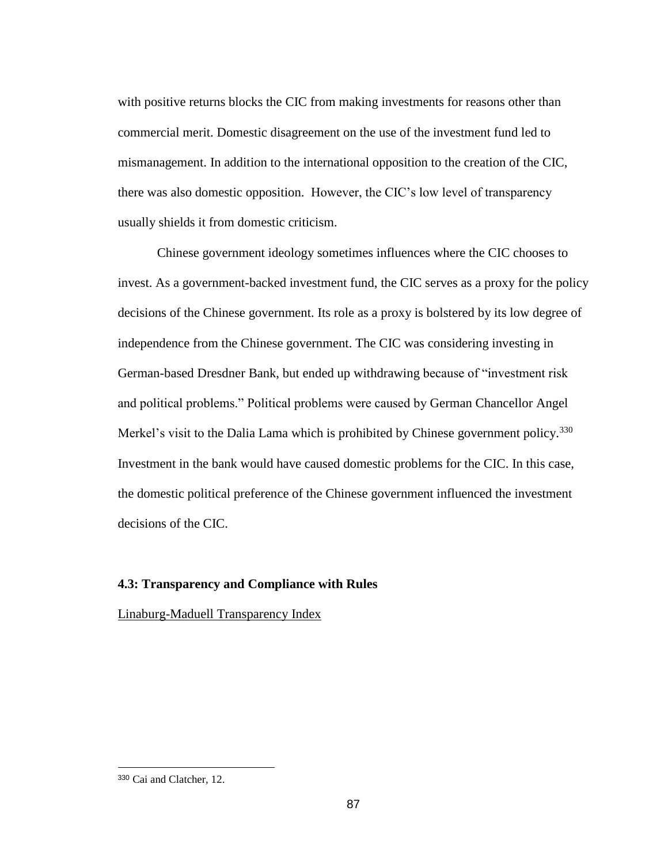with positive returns blocks the CIC from making investments for reasons other than commercial merit. Domestic disagreement on the use of the investment fund led to mismanagement. In addition to the international opposition to the creation of the CIC, there was also domestic opposition. However, the CIC's low level of transparency usually shields it from domestic criticism.

Chinese government ideology sometimes influences where the CIC chooses to invest. As a government-backed investment fund, the CIC serves as a proxy for the policy decisions of the Chinese government. Its role as a proxy is bolstered by its low degree of independence from the Chinese government. The CIC was considering investing in German-based Dresdner Bank, but ended up withdrawing because of "investment risk and political problems." Political problems were caused by German Chancellor Angel Merkel's visit to the Dalia Lama which is prohibited by Chinese government policy.<sup>330</sup> Investment in the bank would have caused domestic problems for the CIC. In this case, the domestic political preference of the Chinese government influenced the investment decisions of the CIC.

## **4.3: Transparency and Compliance with Rules**

Linaburg-Maduell Transparency Index

<sup>330</sup> Cai and Clatcher, 12.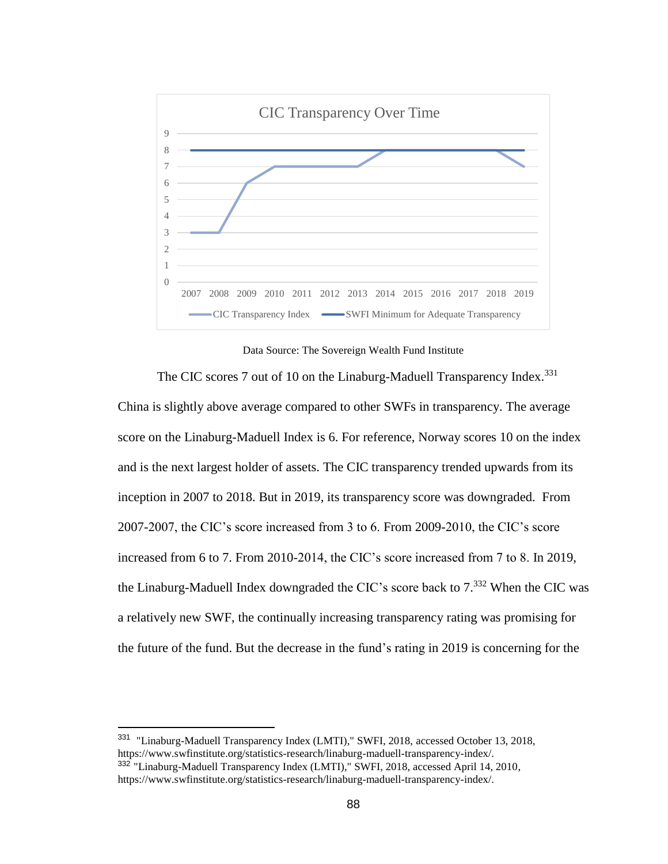

Data Source: The Sovereign Wealth Fund Institute

The CIC scores 7 out of 10 on the Linaburg-Maduell Transparency Index.<sup>331</sup> China is slightly above average compared to other SWFs in transparency. The average score on the Linaburg-Maduell Index is 6. For reference, Norway scores 10 on the index and is the next largest holder of assets. The CIC transparency trended upwards from its inception in 2007 to 2018. But in 2019, its transparency score was downgraded. From 2007-2007, the CIC's score increased from 3 to 6. From 2009-2010, the CIC's score increased from 6 to 7. From 2010-2014, the CIC's score increased from 7 to 8. In 2019, the Linaburg-Maduell Index downgraded the CIC's score back to  $7.^{332}$  When the CIC was a relatively new SWF, the continually increasing transparency rating was promising for the future of the fund. But the decrease in the fund's rating in 2019 is concerning for the

<sup>&</sup>lt;sup>331</sup> "Linaburg-Maduell Transparency Index (LMTI)," SWFI, 2018, accessed October 13, 2018, https://www.swfinstitute.org/statistics-research/linaburg-maduell-transparency-index/. <sup>332</sup> "Linaburg-Maduell Transparency Index (LMTI)," SWFI, 2018, accessed April 14, 2010,

https://www.swfinstitute.org/statistics-research/linaburg-maduell-transparency-index/.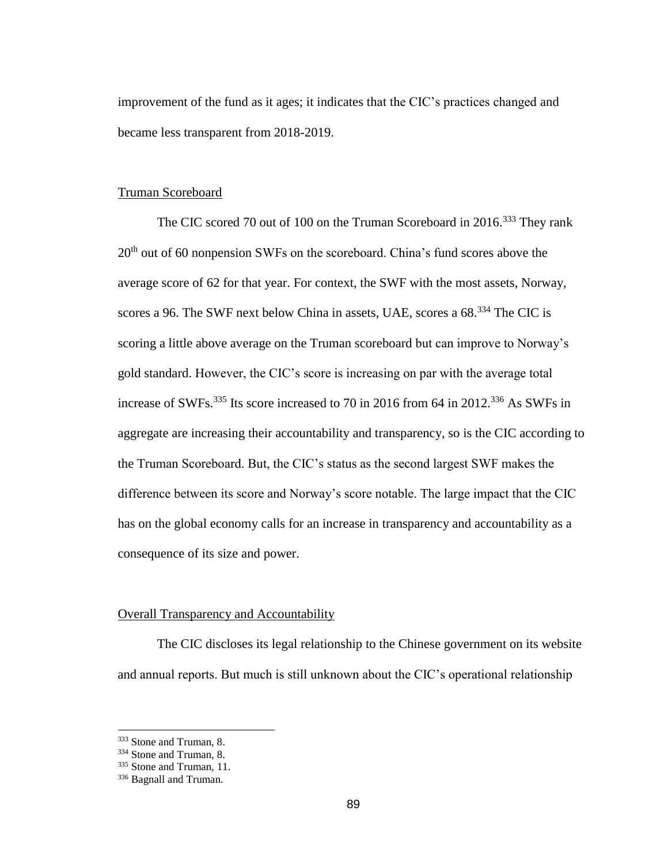improvement of the fund as it ages; it indicates that the CIC's practices changed and became less transparent from 2018-2019.

# Truman Scoreboard

The CIC scored 70 out of 100 on the Truman Scoreboard in 2016.<sup>333</sup> They rank  $20<sup>th</sup>$  out of 60 nonpension SWFs on the scoreboard. China's fund scores above the average score of 62 for that year. For context, the SWF with the most assets, Norway, scores a 96. The SWF next below China in assets, UAE, scores a  $68<sup>334</sup>$  The CIC is scoring a little above average on the Truman scoreboard but can improve to Norway's gold standard. However, the CIC's score is increasing on par with the average total increase of SWFs.<sup>335</sup> Its score increased to 70 in 2016 from 64 in 2012.<sup>336</sup> As SWFs in aggregate are increasing their accountability and transparency, so is the CIC according to the Truman Scoreboard. But, the CIC's status as the second largest SWF makes the difference between its score and Norway's score notable. The large impact that the CIC has on the global economy calls for an increase in transparency and accountability as a consequence of its size and power.

#### Overall Transparency and Accountability

The CIC discloses its legal relationship to the Chinese government on its website and annual reports. But much is still unknown about the CIC's operational relationship

<sup>333</sup> Stone and Truman, 8.

<sup>334</sup> Stone and Truman, 8.

<sup>&</sup>lt;sup>335</sup> Stone and Truman, 11.

<sup>336</sup> Bagnall and Truman.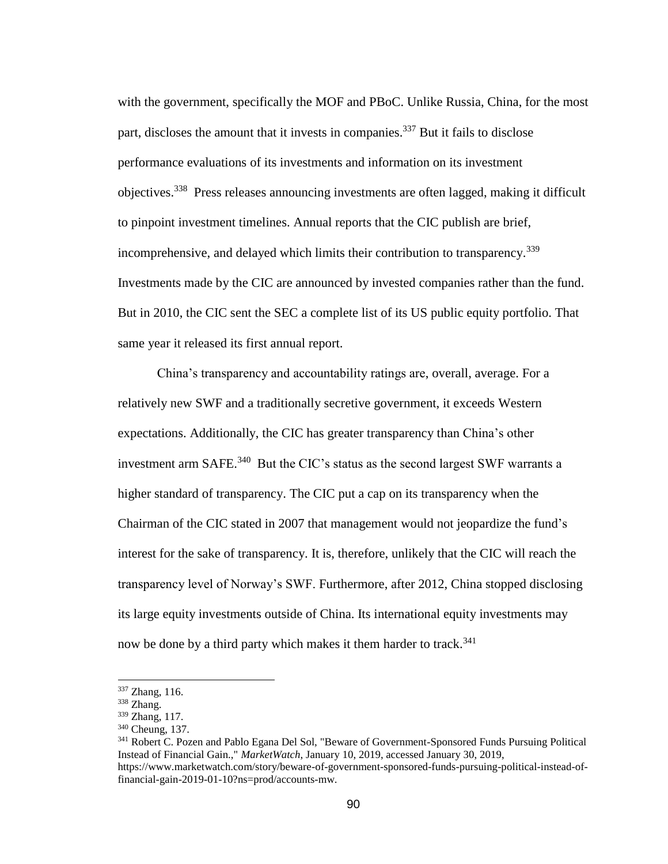with the government, specifically the MOF and PBoC. Unlike Russia, China, for the most part, discloses the amount that it invests in companies.<sup>337</sup> But it fails to disclose performance evaluations of its investments and information on its investment objectives.<sup>338</sup> Press releases announcing investments are often lagged, making it difficult to pinpoint investment timelines. Annual reports that the CIC publish are brief, incomprehensive, and delayed which limits their contribution to transparency.<sup>339</sup> Investments made by the CIC are announced by invested companies rather than the fund. But in 2010, the CIC sent the SEC a complete list of its US public equity portfolio. That same year it released its first annual report.

China's transparency and accountability ratings are, overall, average. For a relatively new SWF and a traditionally secretive government, it exceeds Western expectations. Additionally, the CIC has greater transparency than China's other investment arm SAFE. $340$  But the CIC's status as the second largest SWF warrants a higher standard of transparency. The CIC put a cap on its transparency when the Chairman of the CIC stated in 2007 that management would not jeopardize the fund's interest for the sake of transparency. It is, therefore, unlikely that the CIC will reach the transparency level of Norway's SWF. Furthermore, after 2012, China stopped disclosing its large equity investments outside of China. Its international equity investments may now be done by a third party which makes it them harder to track.<sup>341</sup>

<sup>337</sup> Zhang, 116.

<sup>338</sup> Zhang.

<sup>339</sup> Zhang, 117.

<sup>340</sup> Cheung, 137.

<sup>341</sup> Robert C. Pozen and Pablo Egana Del Sol, "Beware of Government-Sponsored Funds Pursuing Political Instead of Financial Gain.," *MarketWatch*, January 10, 2019, accessed January 30, 2019, https://www.marketwatch.com/story/beware-of-government-sponsored-funds-pursuing-political-instead-of-

financial-gain-2019-01-10?ns=prod/accounts-mw.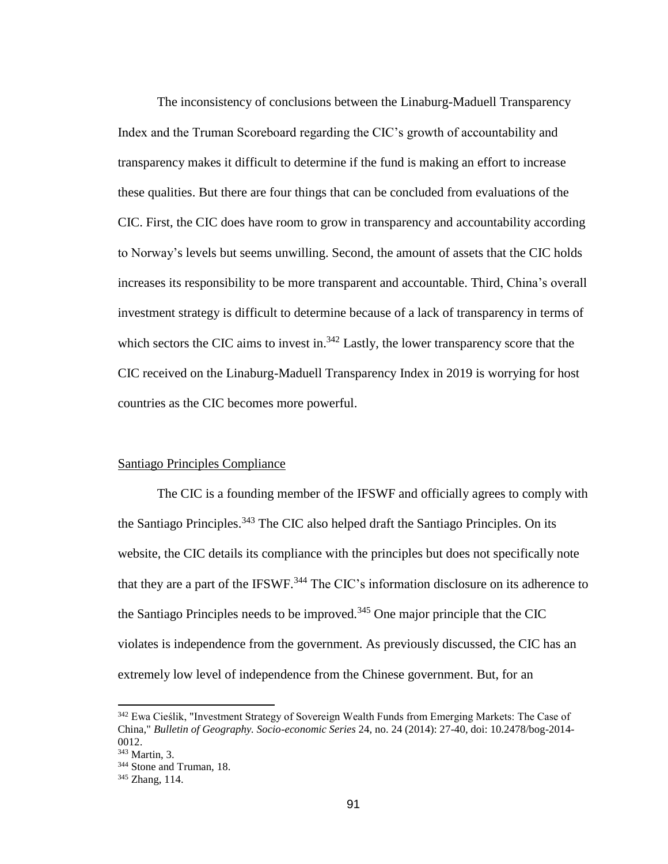The inconsistency of conclusions between the Linaburg-Maduell Transparency Index and the Truman Scoreboard regarding the CIC's growth of accountability and transparency makes it difficult to determine if the fund is making an effort to increase these qualities. But there are four things that can be concluded from evaluations of the CIC. First, the CIC does have room to grow in transparency and accountability according to Norway's levels but seems unwilling. Second, the amount of assets that the CIC holds increases its responsibility to be more transparent and accountable. Third, China's overall investment strategy is difficult to determine because of a lack of transparency in terms of which sectors the CIC aims to invest in.<sup>342</sup> Lastly, the lower transparency score that the CIC received on the Linaburg-Maduell Transparency Index in 2019 is worrying for host countries as the CIC becomes more powerful.

## Santiago Principles Compliance

The CIC is a founding member of the IFSWF and officially agrees to comply with the Santiago Principles.<sup>343</sup> The CIC also helped draft the Santiago Principles. On its website, the CIC details its compliance with the principles but does not specifically note that they are a part of the IFSWF.<sup>344</sup> The CIC's information disclosure on its adherence to the Santiago Principles needs to be improved.<sup>345</sup> One major principle that the CIC violates is independence from the government. As previously discussed, the CIC has an extremely low level of independence from the Chinese government. But, for an

<sup>342</sup> Ewa Cieślik, "Investment Strategy of Sovereign Wealth Funds from Emerging Markets: The Case of China," *Bulletin of Geography. Socio-economic Series* 24, no. 24 (2014): 27-40, doi: 10.2478/bog-2014- 0012.

<sup>343</sup> Martin, 3.

<sup>&</sup>lt;sup>344</sup> Stone and Truman, 18.

<sup>345</sup> Zhang, 114.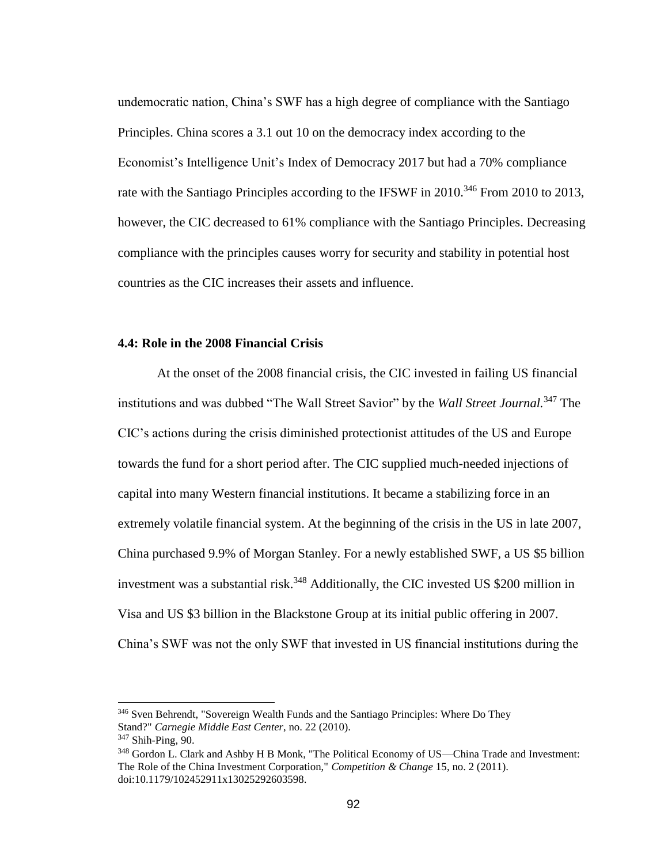undemocratic nation, China's SWF has a high degree of compliance with the Santiago Principles. China scores a 3.1 out 10 on the democracy index according to the Economist's Intelligence Unit's Index of Democracy 2017 but had a 70% compliance rate with the Santiago Principles according to the IFSWF in  $2010^{346}$  From 2010 to 2013, however, the CIC decreased to 61% compliance with the Santiago Principles. Decreasing compliance with the principles causes worry for security and stability in potential host countries as the CIC increases their assets and influence.

#### **4.4: Role in the 2008 Financial Crisis**

At the onset of the 2008 financial crisis, the CIC invested in failing US financial institutions and was dubbed "The Wall Street Savior" by the *Wall Street Journal.*<sup>347</sup> The CIC's actions during the crisis diminished protectionist attitudes of the US and Europe towards the fund for a short period after. The CIC supplied much-needed injections of capital into many Western financial institutions. It became a stabilizing force in an extremely volatile financial system. At the beginning of the crisis in the US in late 2007, China purchased 9.9% of Morgan Stanley. For a newly established SWF, a US \$5 billion investment was a substantial risk.<sup>348</sup> Additionally, the CIC invested US \$200 million in Visa and US \$3 billion in the Blackstone Group at its initial public offering in 2007. China's SWF was not the only SWF that invested in US financial institutions during the

<sup>&</sup>lt;sup>346</sup> Sven Behrendt, "Sovereign Wealth Funds and the Santiago Principles: Where Do They Stand?" *Carnegie Middle East Center*, no. 22 (2010).

<sup>347</sup> Shih-Ping, 90.

<sup>&</sup>lt;sup>348</sup> Gordon L. Clark and Ashby H B Monk, "The Political Economy of US—China Trade and Investment: The Role of the China Investment Corporation," *Competition & Change* 15, no. 2 (2011). doi:10.1179/102452911x13025292603598.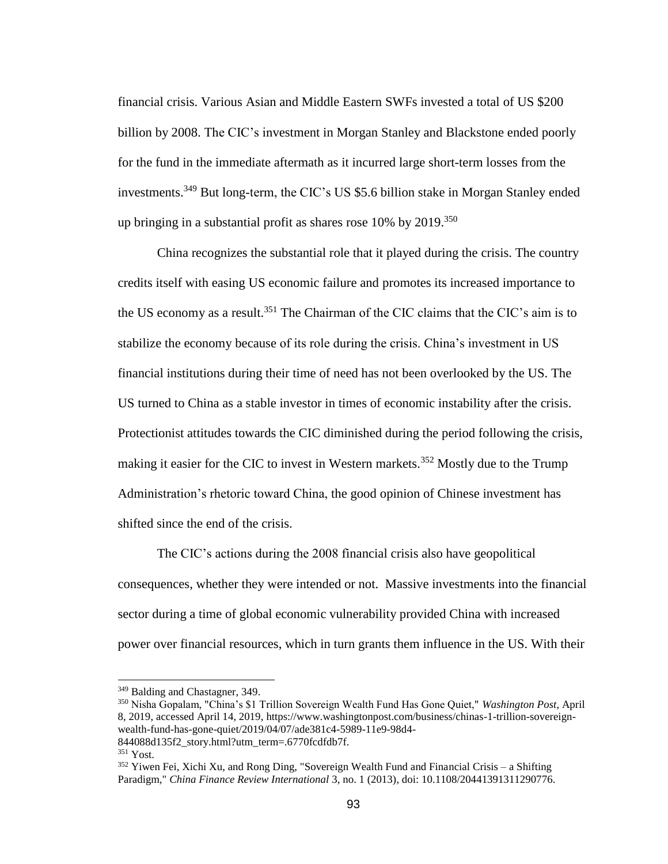financial crisis. Various Asian and Middle Eastern SWFs invested a total of US \$200 billion by 2008. The CIC's investment in Morgan Stanley and Blackstone ended poorly for the fund in the immediate aftermath as it incurred large short-term losses from the investments.<sup>349</sup> But long-term, the CIC's US \$5.6 billion stake in Morgan Stanley ended up bringing in a substantial profit as shares rose  $10\%$  by  $2019$ .<sup>350</sup>

China recognizes the substantial role that it played during the crisis. The country credits itself with easing US economic failure and promotes its increased importance to the US economy as a result.<sup>351</sup> The Chairman of the CIC claims that the CIC's aim is to stabilize the economy because of its role during the crisis. China's investment in US financial institutions during their time of need has not been overlooked by the US. The US turned to China as a stable investor in times of economic instability after the crisis. Protectionist attitudes towards the CIC diminished during the period following the crisis, making it easier for the CIC to invest in Western markets.<sup>352</sup> Mostly due to the Trump Administration's rhetoric toward China, the good opinion of Chinese investment has shifted since the end of the crisis.

The CIC's actions during the 2008 financial crisis also have geopolitical consequences, whether they were intended or not. Massive investments into the financial sector during a time of global economic vulnerability provided China with increased power over financial resources, which in turn grants them influence in the US. With their

<sup>349</sup> Balding and Chastagner, 349.

<sup>350</sup> Nisha Gopalam, "China's \$1 Trillion Sovereign Wealth Fund Has Gone Quiet," *Washington Post*, April 8, 2019, accessed April 14, 2019, https://www.washingtonpost.com/business/chinas-1-trillion-sovereignwealth-fund-has-gone-quiet/2019/04/07/ade381c4-5989-11e9-98d4-

<sup>844088</sup>d135f2\_story.html?utm\_term=.6770fcdfdb7f.

<sup>351</sup> Yost.

 $352$  Yiwen Fei, Xichi Xu, and Rong Ding, "Sovereign Wealth Fund and Financial Crisis – a Shifting Paradigm," *China Finance Review International* 3, no. 1 (2013), doi: 10.1108/20441391311290776.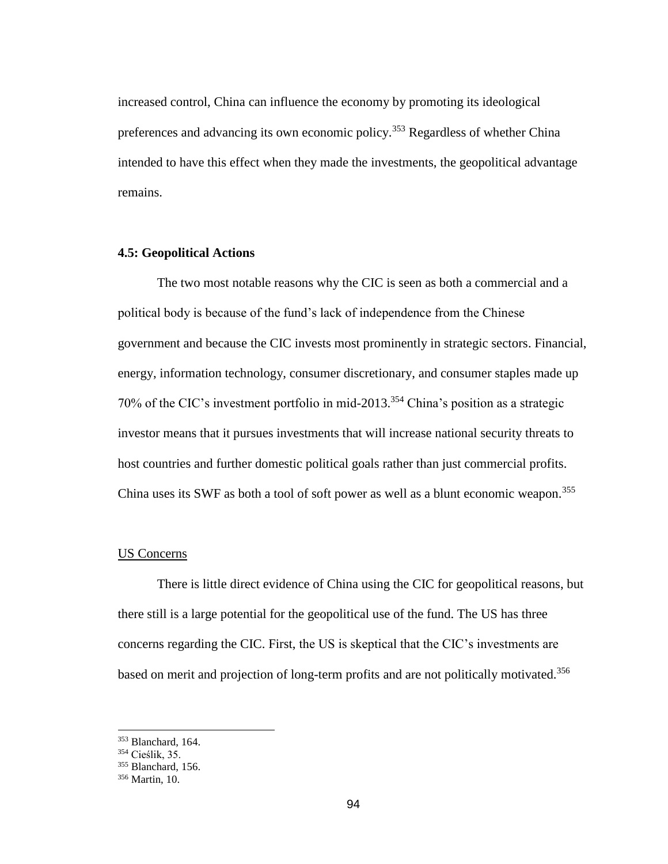increased control, China can influence the economy by promoting its ideological preferences and advancing its own economic policy.<sup>353</sup> Regardless of whether China intended to have this effect when they made the investments, the geopolitical advantage remains.

## **4.5: Geopolitical Actions**

The two most notable reasons why the CIC is seen as both a commercial and a political body is because of the fund's lack of independence from the Chinese government and because the CIC invests most prominently in strategic sectors. Financial, energy, information technology, consumer discretionary, and consumer staples made up 70% of the CIC's investment portfolio in mid-2013.<sup>354</sup> China's position as a strategic investor means that it pursues investments that will increase national security threats to host countries and further domestic political goals rather than just commercial profits. China uses its SWF as both a tool of soft power as well as a blunt economic weapon.<sup>355</sup>

## US Concerns

There is little direct evidence of China using the CIC for geopolitical reasons, but there still is a large potential for the geopolitical use of the fund. The US has three concerns regarding the CIC. First, the US is skeptical that the CIC's investments are based on merit and projection of long-term profits and are not politically motivated.<sup>356</sup>

<sup>353</sup> Blanchard, 164.

<sup>354</sup> Cieślik, 35.

<sup>355</sup> Blanchard, 156.

<sup>356</sup> Martin, 10.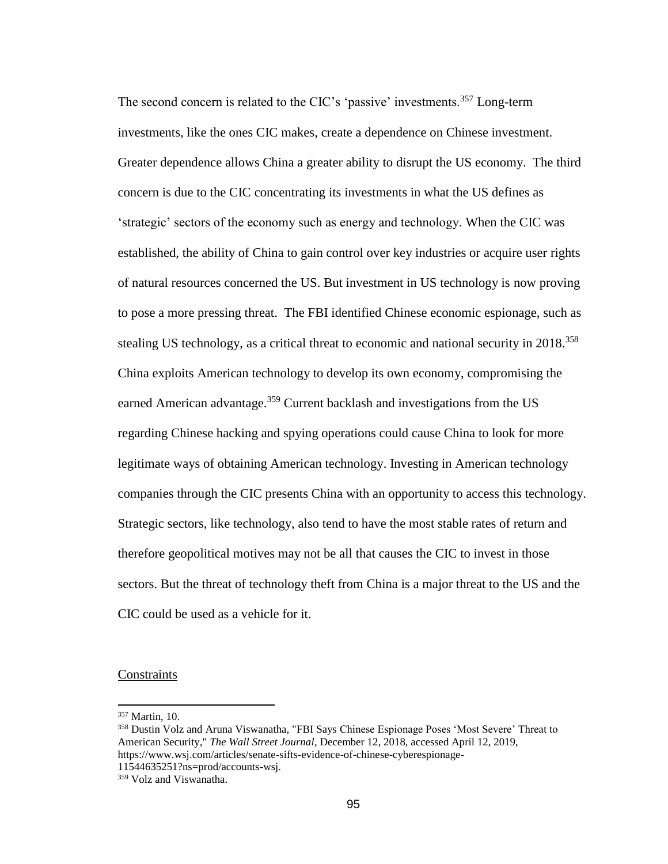The second concern is related to the CIC's 'passive' investments.<sup>357</sup> Long-term investments, like the ones CIC makes, create a dependence on Chinese investment. Greater dependence allows China a greater ability to disrupt the US economy. The third concern is due to the CIC concentrating its investments in what the US defines as 'strategic' sectors of the economy such as energy and technology. When the CIC was established, the ability of China to gain control over key industries or acquire user rights of natural resources concerned the US. But investment in US technology is now proving to pose a more pressing threat. The FBI identified Chinese economic espionage, such as stealing US technology, as a critical threat to economic and national security in 2018.<sup>358</sup> China exploits American technology to develop its own economy, compromising the earned American advantage.<sup>359</sup> Current backlash and investigations from the US regarding Chinese hacking and spying operations could cause China to look for more legitimate ways of obtaining American technology. Investing in American technology companies through the CIC presents China with an opportunity to access this technology. Strategic sectors, like technology, also tend to have the most stable rates of return and therefore geopolitical motives may not be all that causes the CIC to invest in those sectors. But the threat of technology theft from China is a major threat to the US and the CIC could be used as a vehicle for it.

# **Constraints**

<sup>357</sup> Martin, 10.

<sup>358</sup> Dustin Volz and Aruna Viswanatha, "FBI Says Chinese Espionage Poses 'Most Severe' Threat to American Security," *The Wall Street Journal*, December 12, 2018, accessed April 12, 2019, https://www.wsj.com/articles/senate-sifts-evidence-of-chinese-cyberespionage-11544635251?ns=prod/accounts-wsj.

<sup>359</sup> Volz and Viswanatha.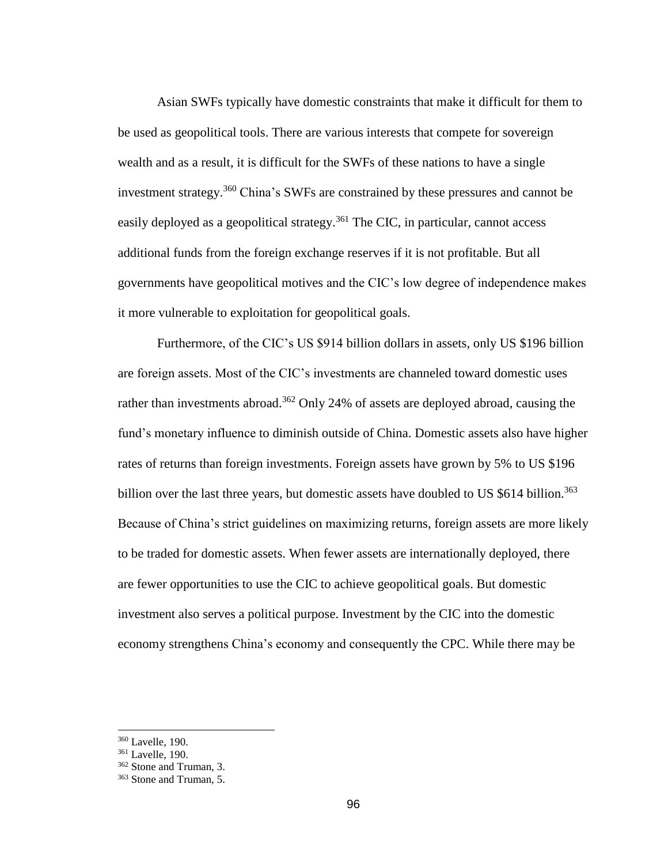Asian SWFs typically have domestic constraints that make it difficult for them to be used as geopolitical tools. There are various interests that compete for sovereign wealth and as a result, it is difficult for the SWFs of these nations to have a single investment strategy.<sup>360</sup> China's SWFs are constrained by these pressures and cannot be easily deployed as a geopolitical strategy.<sup>361</sup> The CIC, in particular, cannot access additional funds from the foreign exchange reserves if it is not profitable. But all governments have geopolitical motives and the CIC's low degree of independence makes it more vulnerable to exploitation for geopolitical goals.

Furthermore, of the CIC's US \$914 billion dollars in assets, only US \$196 billion are foreign assets. Most of the CIC's investments are channeled toward domestic uses rather than investments abroad.<sup>362</sup> Only 24% of assets are deployed abroad, causing the fund's monetary influence to diminish outside of China. Domestic assets also have higher rates of returns than foreign investments. Foreign assets have grown by 5% to US \$196 billion over the last three years, but domestic assets have doubled to US  $$614$  billion.<sup>363</sup> Because of China's strict guidelines on maximizing returns, foreign assets are more likely to be traded for domestic assets. When fewer assets are internationally deployed, there are fewer opportunities to use the CIC to achieve geopolitical goals. But domestic investment also serves a political purpose. Investment by the CIC into the domestic economy strengthens China's economy and consequently the CPC. While there may be

<sup>360</sup> Lavelle, 190.

<sup>361</sup> Lavelle, 190.

<sup>&</sup>lt;sup>362</sup> Stone and Truman, 3.

<sup>363</sup> Stone and Truman, 5.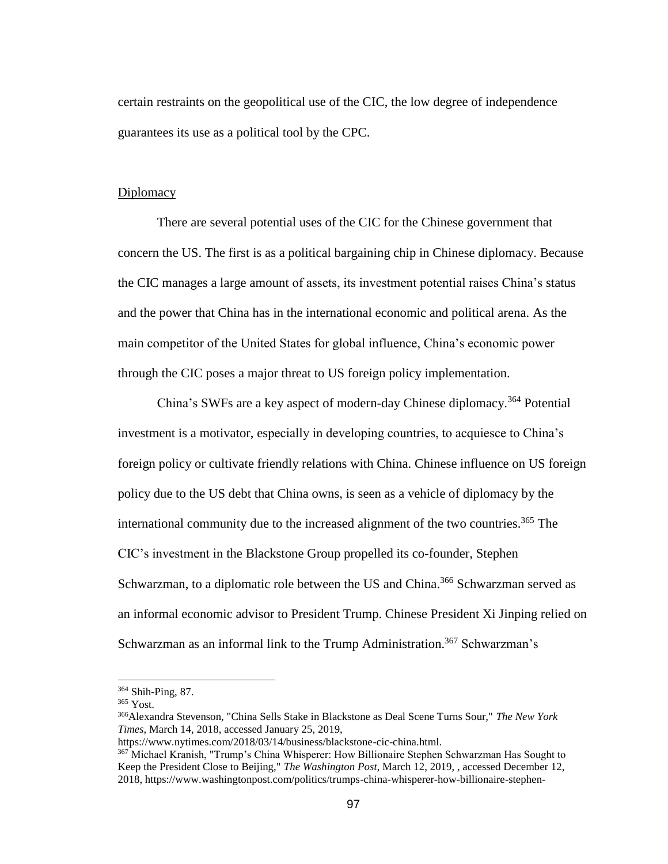certain restraints on the geopolitical use of the CIC, the low degree of independence guarantees its use as a political tool by the CPC.

#### Diplomacy

There are several potential uses of the CIC for the Chinese government that concern the US. The first is as a political bargaining chip in Chinese diplomacy. Because the CIC manages a large amount of assets, its investment potential raises China's status and the power that China has in the international economic and political arena. As the main competitor of the United States for global influence, China's economic power through the CIC poses a major threat to US foreign policy implementation.

China's SWFs are a key aspect of modern-day Chinese diplomacy.<sup>364</sup> Potential investment is a motivator, especially in developing countries, to acquiesce to China's foreign policy or cultivate friendly relations with China. Chinese influence on US foreign policy due to the US debt that China owns, is seen as a vehicle of diplomacy by the international community due to the increased alignment of the two countries.<sup>365</sup> The CIC's investment in the Blackstone Group propelled its co-founder, Stephen Schwarzman, to a diplomatic role between the US and China.<sup>366</sup> Schwarzman served as an informal economic advisor to President Trump. Chinese President Xi Jinping relied on Schwarzman as an informal link to the Trump Administration.<sup>367</sup> Schwarzman's

<sup>364</sup> Shih-Ping, 87.

<sup>365</sup> Yost.

<sup>366</sup>Alexandra Stevenson, "China Sells Stake in Blackstone as Deal Scene Turns Sour," *The New York Times*, March 14, 2018, accessed January 25, 2019,

https://www.nytimes.com/2018/03/14/business/blackstone-cic-china.html.

<sup>367</sup> Michael Kranish, "Trump's China Whisperer: How Billionaire Stephen Schwarzman Has Sought to Keep the President Close to Beijing," *The Washington Post*, March 12, 2019, , accessed December 12, 2018, https://www.washingtonpost.com/politics/trumps-china-whisperer-how-billionaire-stephen-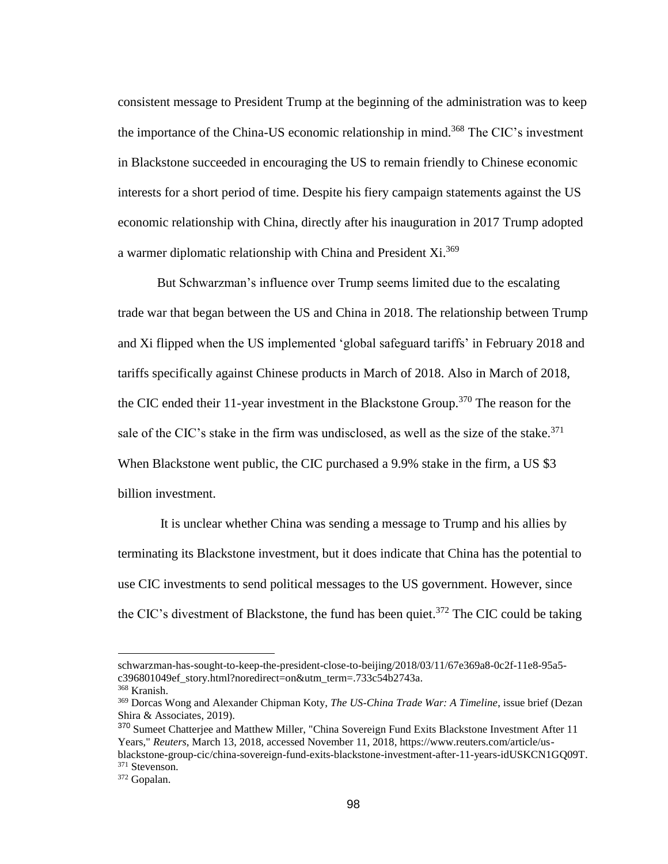consistent message to President Trump at the beginning of the administration was to keep the importance of the China-US economic relationship in mind.<sup>368</sup> The CIC's investment in Blackstone succeeded in encouraging the US to remain friendly to Chinese economic interests for a short period of time. Despite his fiery campaign statements against the US economic relationship with China, directly after his inauguration in 2017 Trump adopted a warmer diplomatic relationship with China and President Xi.<sup>369</sup>

But Schwarzman's influence over Trump seems limited due to the escalating trade war that began between the US and China in 2018. The relationship between Trump and Xi flipped when the US implemented 'global safeguard tariffs' in February 2018 and tariffs specifically against Chinese products in March of 2018. Also in March of 2018, the CIC ended their 11-year investment in the Blackstone Group.<sup>370</sup> The reason for the sale of the CIC's stake in the firm was undisclosed, as well as the size of the stake.<sup>371</sup> When Blackstone went public, the CIC purchased a 9.9% stake in the firm, a US \$3 billion investment.

It is unclear whether China was sending a message to Trump and his allies by terminating its Blackstone investment, but it does indicate that China has the potential to use CIC investments to send political messages to the US government. However, since the CIC's divestment of Blackstone, the fund has been quiet.<sup>372</sup> The CIC could be taking

schwarzman-has-sought-to-keep-the-president-close-to-beijing/2018/03/11/67e369a8-0c2f-11e8-95a5 c396801049ef\_story.html?noredirect=on&utm\_term=.733c54b2743a.

<sup>368</sup> Kranish.

<sup>369</sup> Dorcas Wong and Alexander Chipman Koty, *The US-China Trade War: A Timeline*, issue brief (Dezan Shira & Associates, 2019).

<sup>&</sup>lt;sup>370</sup> Sumeet Chatterjee and Matthew Miller, "China Sovereign Fund Exits Blackstone Investment After 11 Years," *Reuters*, March 13, 2018, accessed November 11, 2018, https://www.reuters.com/article/usblackstone-group-cic/china-sovereign-fund-exits-blackstone-investment-after-11-years-idUSKCN1GQ09T. <sup>371</sup> Stevenson.

<sup>372</sup> Gopalan.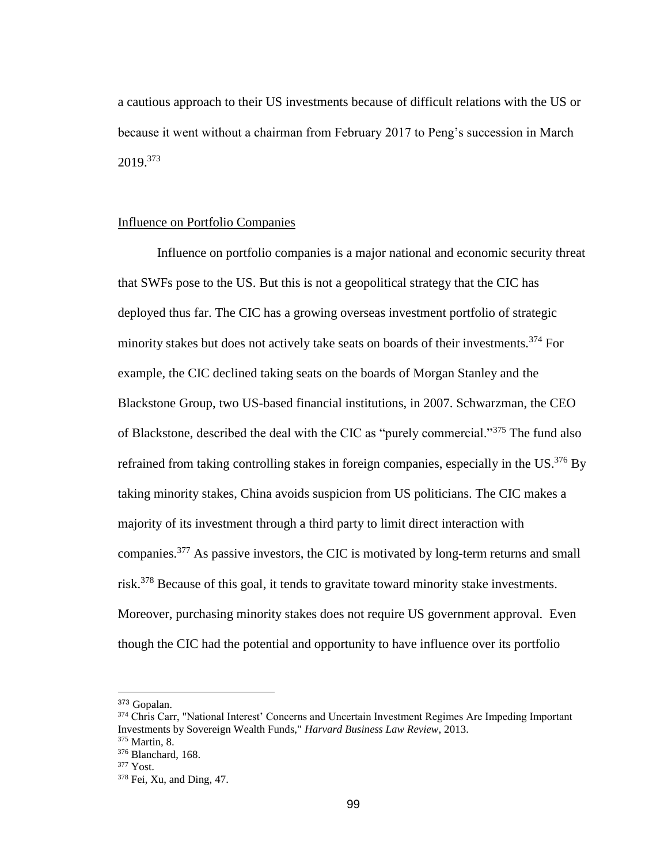a cautious approach to their US investments because of difficult relations with the US or because it went without a chairman from February 2017 to Peng's succession in March 2019.<sup>373</sup>

#### Influence on Portfolio Companies

Influence on portfolio companies is a major national and economic security threat that SWFs pose to the US. But this is not a geopolitical strategy that the CIC has deployed thus far. The CIC has a growing overseas investment portfolio of strategic minority stakes but does not actively take seats on boards of their investments.<sup>374</sup> For example, the CIC declined taking seats on the boards of Morgan Stanley and the Blackstone Group, two US-based financial institutions, in 2007. Schwarzman, the CEO of Blackstone, described the deal with the CIC as "purely commercial."<sup>375</sup> The fund also refrained from taking controlling stakes in foreign companies, especially in the  $US.^{376}$  By taking minority stakes, China avoids suspicion from US politicians. The CIC makes a majority of its investment through a third party to limit direct interaction with companies.<sup>377</sup> As passive investors, the CIC is motivated by long-term returns and small risk.<sup>378</sup> Because of this goal, it tends to gravitate toward minority stake investments. Moreover, purchasing minority stakes does not require US government approval. Even though the CIC had the potential and opportunity to have influence over its portfolio

<sup>373</sup> Gopalan.

<sup>374</sup> Chris Carr, "National Interest' Concerns and Uncertain Investment Regimes Are Impeding Important Investments by Sovereign Wealth Funds," *Harvard Business Law Review*, 2013.

<sup>375</sup> Martin, 8.

<sup>376</sup> Blanchard, 168.

 $377$  Yost.

<sup>378</sup> Fei, Xu, and Ding, 47.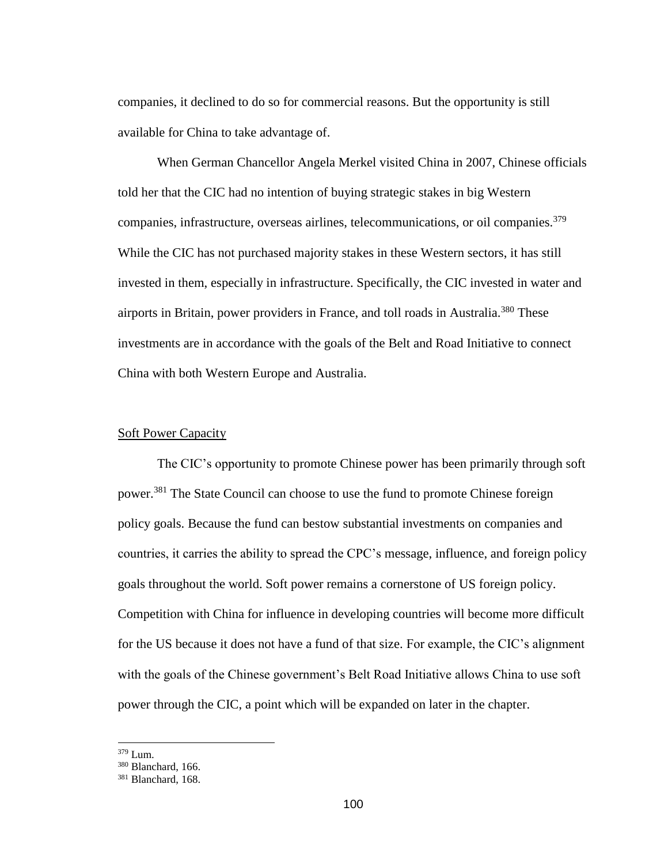companies, it declined to do so for commercial reasons. But the opportunity is still available for China to take advantage of.

When German Chancellor Angela Merkel visited China in 2007, Chinese officials told her that the CIC had no intention of buying strategic stakes in big Western companies, infrastructure, overseas airlines, telecommunications, or oil companies.<sup>379</sup> While the CIC has not purchased majority stakes in these Western sectors, it has still invested in them, especially in infrastructure. Specifically, the CIC invested in water and airports in Britain, power providers in France, and toll roads in Australia.<sup>380</sup> These investments are in accordance with the goals of the Belt and Road Initiative to connect China with both Western Europe and Australia.

## Soft Power Capacity

The CIC's opportunity to promote Chinese power has been primarily through soft power.<sup>381</sup> The State Council can choose to use the fund to promote Chinese foreign policy goals. Because the fund can bestow substantial investments on companies and countries, it carries the ability to spread the CPC's message, influence, and foreign policy goals throughout the world. Soft power remains a cornerstone of US foreign policy. Competition with China for influence in developing countries will become more difficult for the US because it does not have a fund of that size. For example, the CIC's alignment with the goals of the Chinese government's Belt Road Initiative allows China to use soft power through the CIC, a point which will be expanded on later in the chapter.

<sup>379</sup> Lum.

<sup>380</sup> Blanchard, 166.

<sup>381</sup> Blanchard, 168.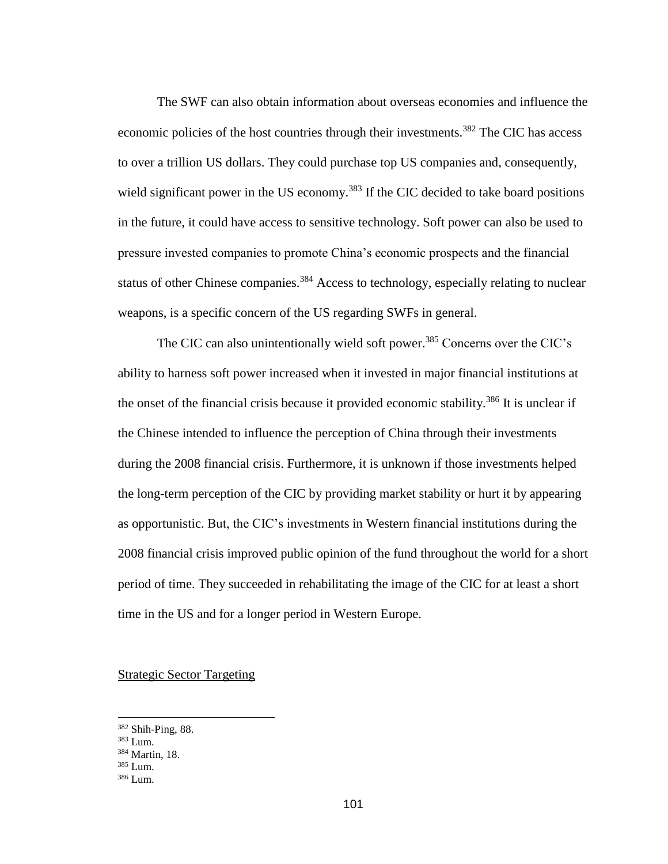The SWF can also obtain information about overseas economies and influence the economic policies of the host countries through their investments.<sup>382</sup> The CIC has access to over a trillion US dollars. They could purchase top US companies and, consequently, wield significant power in the US economy.<sup>383</sup> If the CIC decided to take board positions in the future, it could have access to sensitive technology. Soft power can also be used to pressure invested companies to promote China's economic prospects and the financial status of other Chinese companies.<sup>384</sup> Access to technology, especially relating to nuclear weapons, is a specific concern of the US regarding SWFs in general.

The CIC can also unintentionally wield soft power.<sup>385</sup> Concerns over the CIC's ability to harness soft power increased when it invested in major financial institutions at the onset of the financial crisis because it provided economic stability.<sup>386</sup> It is unclear if the Chinese intended to influence the perception of China through their investments during the 2008 financial crisis. Furthermore, it is unknown if those investments helped the long-term perception of the CIC by providing market stability or hurt it by appearing as opportunistic. But, the CIC's investments in Western financial institutions during the 2008 financial crisis improved public opinion of the fund throughout the world for a short period of time. They succeeded in rehabilitating the image of the CIC for at least a short time in the US and for a longer period in Western Europe.

# Strategic Sector Targeting

<sup>382</sup> Shih-Ping, 88.

<sup>383</sup> Lum.

<sup>384</sup> Martin, 18.

<sup>385</sup> Lum.

<sup>386</sup> Lum.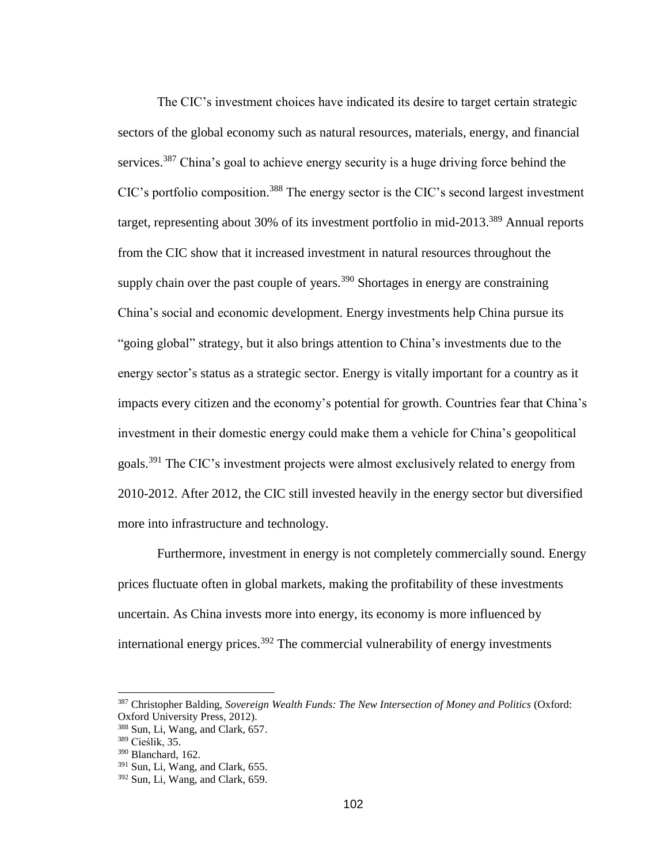The CIC's investment choices have indicated its desire to target certain strategic sectors of the global economy such as natural resources, materials, energy, and financial services.<sup>387</sup> China's goal to achieve energy security is a huge driving force behind the CIC's portfolio composition.<sup>388</sup> The energy sector is the CIC's second largest investment target, representing about 30% of its investment portfolio in mid-2013.<sup>389</sup> Annual reports from the CIC show that it increased investment in natural resources throughout the supply chain over the past couple of years. $390$  Shortages in energy are constraining China's social and economic development. Energy investments help China pursue its "going global" strategy, but it also brings attention to China's investments due to the energy sector's status as a strategic sector. Energy is vitally important for a country as it impacts every citizen and the economy's potential for growth. Countries fear that China's investment in their domestic energy could make them a vehicle for China's geopolitical goals.<sup>391</sup> The CIC's investment projects were almost exclusively related to energy from 2010-2012. After 2012, the CIC still invested heavily in the energy sector but diversified more into infrastructure and technology.

Furthermore, investment in energy is not completely commercially sound. Energy prices fluctuate often in global markets, making the profitability of these investments uncertain. As China invests more into energy, its economy is more influenced by international energy prices.<sup>392</sup> The commercial vulnerability of energy investments

<sup>387</sup> Christopher Balding, *Sovereign Wealth Funds: The New Intersection of Money and Politics* (Oxford: Oxford University Press, 2012).

<sup>388</sup> Sun, Li, Wang, and Clark, 657.

<sup>389</sup> Cieślik, 35.

<sup>390</sup> Blanchard, 162.

 $391$  Sun, Li, Wang, and Clark, 655.

<sup>392</sup> Sun, Li, Wang, and Clark, 659.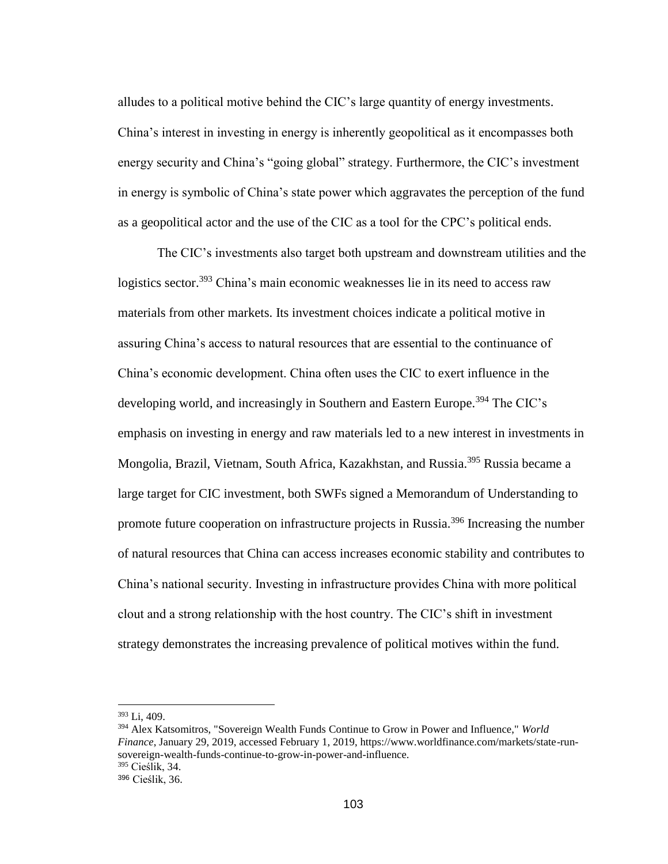alludes to a political motive behind the CIC's large quantity of energy investments. China's interest in investing in energy is inherently geopolitical as it encompasses both energy security and China's "going global" strategy. Furthermore, the CIC's investment in energy is symbolic of China's state power which aggravates the perception of the fund as a geopolitical actor and the use of the CIC as a tool for the CPC's political ends.

The CIC's investments also target both upstream and downstream utilities and the logistics sector.<sup>393</sup> China's main economic weaknesses lie in its need to access raw materials from other markets. Its investment choices indicate a political motive in assuring China's access to natural resources that are essential to the continuance of China's economic development. China often uses the CIC to exert influence in the developing world, and increasingly in Southern and Eastern Europe.<sup>394</sup> The CIC's emphasis on investing in energy and raw materials led to a new interest in investments in Mongolia, Brazil, Vietnam, South Africa, Kazakhstan, and Russia.<sup>395</sup> Russia became a large target for CIC investment, both SWFs signed a Memorandum of Understanding to promote future cooperation on infrastructure projects in Russia.<sup>396</sup> Increasing the number of natural resources that China can access increases economic stability and contributes to China's national security. Investing in infrastructure provides China with more political clout and a strong relationship with the host country. The CIC's shift in investment strategy demonstrates the increasing prevalence of political motives within the fund.

<sup>393</sup> Li, 409.

<sup>394</sup> Alex Katsomitros, "Sovereign Wealth Funds Continue to Grow in Power and Influence," *World Finance*, January 29, 2019, accessed February 1, 2019, https://www.worldfinance.com/markets/state-runsovereign-wealth-funds-continue-to-grow-in-power-and-influence. <sup>395</sup> Cieślik, 34.

<sup>396</sup> Cieślik, 36.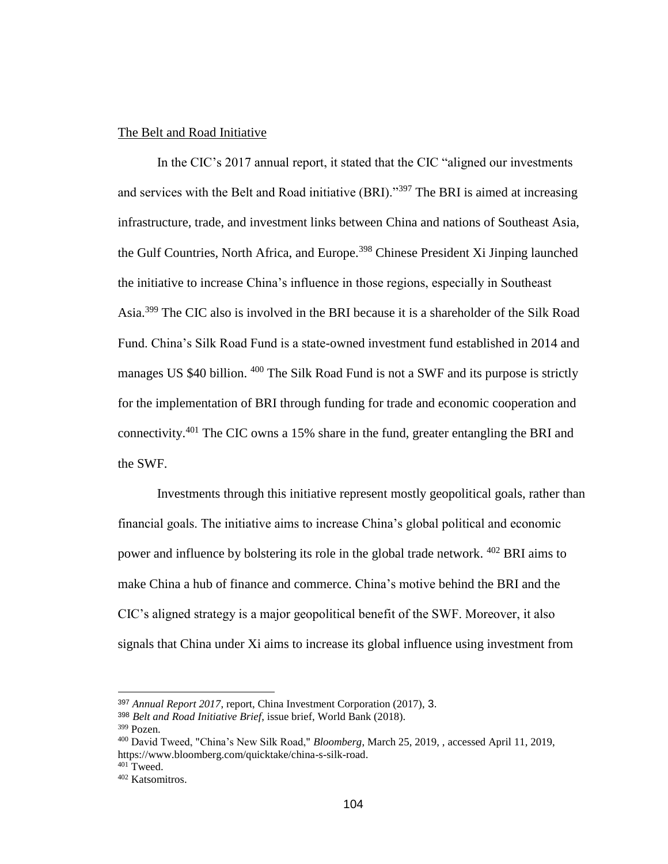## The Belt and Road Initiative

In the CIC's 2017 annual report, it stated that the CIC "aligned our investments and services with the Belt and Road initiative (BRI)."<sup>397</sup> The BRI is aimed at increasing infrastructure, trade, and investment links between China and nations of Southeast Asia, the Gulf Countries, North Africa, and Europe.<sup>398</sup> Chinese President Xi Jinping launched the initiative to increase China's influence in those regions, especially in Southeast Asia.<sup>399</sup> The CIC also is involved in the BRI because it is a shareholder of the Silk Road Fund. China's Silk Road Fund is a state-owned investment fund established in 2014 and manages US \$40 billion. <sup>400</sup> The Silk Road Fund is not a SWF and its purpose is strictly for the implementation of BRI through funding for trade and economic cooperation and connectivity.<sup>401</sup> The CIC owns a 15% share in the fund, greater entangling the BRI and the SWF.

Investments through this initiative represent mostly geopolitical goals, rather than financial goals. The initiative aims to increase China's global political and economic power and influence by bolstering its role in the global trade network. <sup>402</sup> BRI aims to make China a hub of finance and commerce. China's motive behind the BRI and the CIC's aligned strategy is a major geopolitical benefit of the SWF. Moreover, it also signals that China under Xi aims to increase its global influence using investment from

<sup>397</sup> *Annual Report 2017*, report, China Investment Corporation (2017), 3.

<sup>398</sup> *Belt and Road Initiative Brief*, issue brief, World Bank (2018).

 $399$  Pozen.

<sup>400</sup> David Tweed, "China's New Silk Road," *Bloomberg*, March 25, 2019, , accessed April 11, 2019, https://www.bloomberg.com/quicktake/china-s-silk-road.

<sup>401</sup> Tweed.

<sup>402</sup> Katsomitros.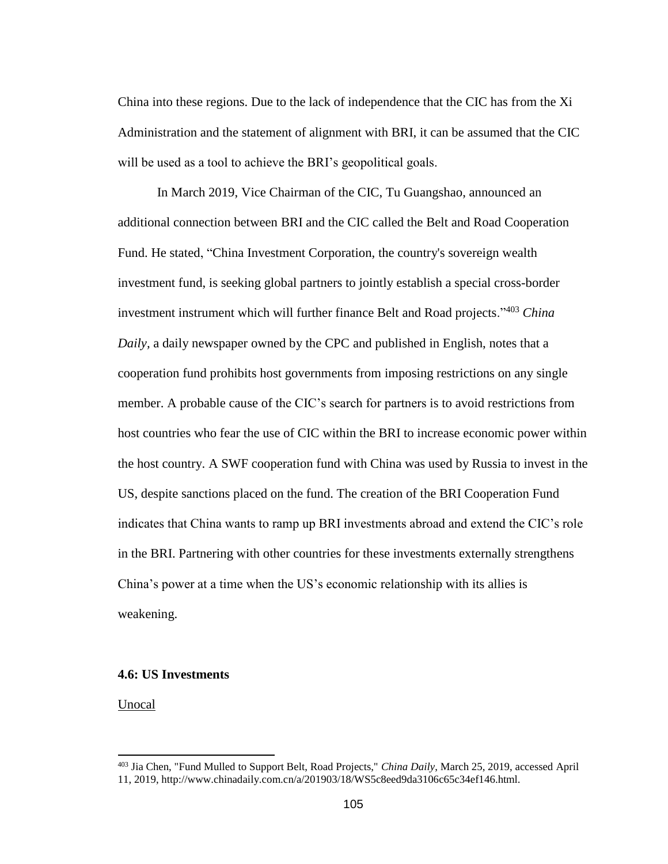China into these regions. Due to the lack of independence that the CIC has from the Xi Administration and the statement of alignment with BRI, it can be assumed that the CIC will be used as a tool to achieve the BRI's geopolitical goals.

In March 2019, Vice Chairman of the CIC, Tu Guangshao, announced an additional connection between BRI and the CIC called the Belt and Road Cooperation Fund. He stated, "China Investment Corporation, the country's sovereign wealth investment fund, is seeking global partners to jointly establish a special cross-border investment instrument which will further finance Belt and Road projects."<sup>403</sup> *China Daily,* a daily newspaper owned by the CPC and published in English, notes that a cooperation fund prohibits host governments from imposing restrictions on any single member. A probable cause of the CIC's search for partners is to avoid restrictions from host countries who fear the use of CIC within the BRI to increase economic power within the host country. A SWF cooperation fund with China was used by Russia to invest in the US, despite sanctions placed on the fund. The creation of the BRI Cooperation Fund indicates that China wants to ramp up BRI investments abroad and extend the CIC's role in the BRI. Partnering with other countries for these investments externally strengthens China's power at a time when the US's economic relationship with its allies is weakening.

## **4.6: US Investments**

Unocal

<sup>403</sup> Jia Chen, "Fund Mulled to Support Belt, Road Projects," *China Daily*, March 25, 2019, accessed April 11, 2019, http://www.chinadaily.com.cn/a/201903/18/WS5c8eed9da3106c65c34ef146.html.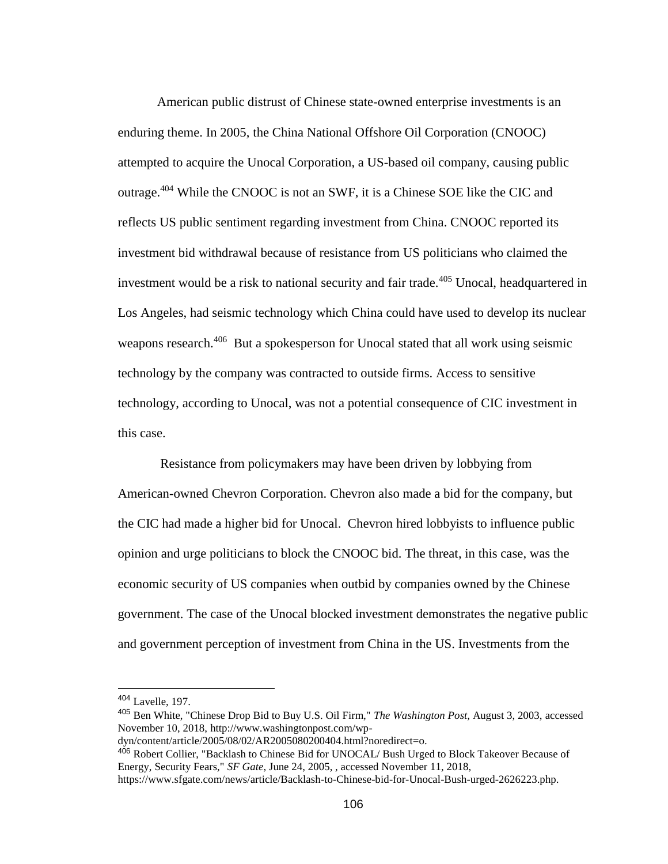American public distrust of Chinese state-owned enterprise investments is an enduring theme. In 2005, the China National Offshore Oil Corporation (CNOOC) attempted to acquire the Unocal Corporation, a US-based oil company, causing public outrage.<sup>404</sup> While the CNOOC is not an SWF, it is a Chinese SOE like the CIC and reflects US public sentiment regarding investment from China. CNOOC reported its investment bid withdrawal because of resistance from US politicians who claimed the investment would be a risk to national security and fair trade.<sup>405</sup> Unocal, headquartered in Los Angeles, had seismic technology which China could have used to develop its nuclear weapons research.<sup>406</sup> But a spokesperson for Unocal stated that all work using seismic technology by the company was contracted to outside firms. Access to sensitive technology, according to Unocal, was not a potential consequence of CIC investment in this case.

Resistance from policymakers may have been driven by lobbying from American-owned Chevron Corporation. Chevron also made a bid for the company, but the CIC had made a higher bid for Unocal. Chevron hired lobbyists to influence public opinion and urge politicians to block the CNOOC bid. The threat, in this case, was the economic security of US companies when outbid by companies owned by the Chinese government. The case of the Unocal blocked investment demonstrates the negative public and government perception of investment from China in the US. Investments from the

<sup>404</sup> Lavelle, 197.

<sup>405</sup> Ben White, "Chinese Drop Bid to Buy U.S. Oil Firm," *The Washington Post*, August 3, 2003, accessed November 10, 2018, http://www.washingtonpost.com/wp-

dyn/content/article/2005/08/02/AR2005080200404.html?noredirect=o.

<sup>406</sup> Robert Collier, "Backlash to Chinese Bid for UNOCAL/ Bush Urged to Block Takeover Because of Energy, Security Fears," *SF Gate*, June 24, 2005, , accessed November 11, 2018,

https://www.sfgate.com/news/article/Backlash-to-Chinese-bid-for-Unocal-Bush-urged-2626223.php.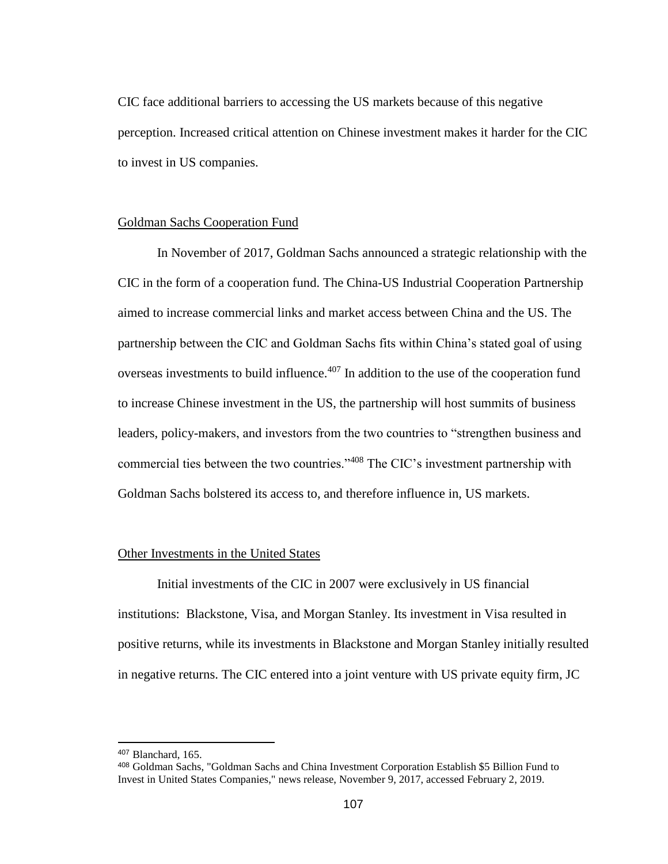CIC face additional barriers to accessing the US markets because of this negative perception. Increased critical attention on Chinese investment makes it harder for the CIC to invest in US companies.

### Goldman Sachs Cooperation Fund

In November of 2017, Goldman Sachs announced a strategic relationship with the CIC in the form of a cooperation fund. The China-US Industrial Cooperation Partnership aimed to increase commercial links and market access between China and the US. The partnership between the CIC and Goldman Sachs fits within China's stated goal of using overseas investments to build influence.<sup>407</sup> In addition to the use of the cooperation fund to increase Chinese investment in the US, the partnership will host summits of business leaders, policy-makers, and investors from the two countries to "strengthen business and commercial ties between the two countries."<sup>408</sup> The CIC's investment partnership with Goldman Sachs bolstered its access to, and therefore influence in, US markets.

## Other Investments in the United States

Initial investments of the CIC in 2007 were exclusively in US financial institutions: Blackstone, Visa, and Morgan Stanley. Its investment in Visa resulted in positive returns, while its investments in Blackstone and Morgan Stanley initially resulted in negative returns. The CIC entered into a joint venture with US private equity firm, JC

<sup>407</sup> Blanchard, 165.

<sup>408</sup> Goldman Sachs, "Goldman Sachs and China Investment Corporation Establish \$5 Billion Fund to Invest in United States Companies," news release, November 9, 2017, accessed February 2, 2019.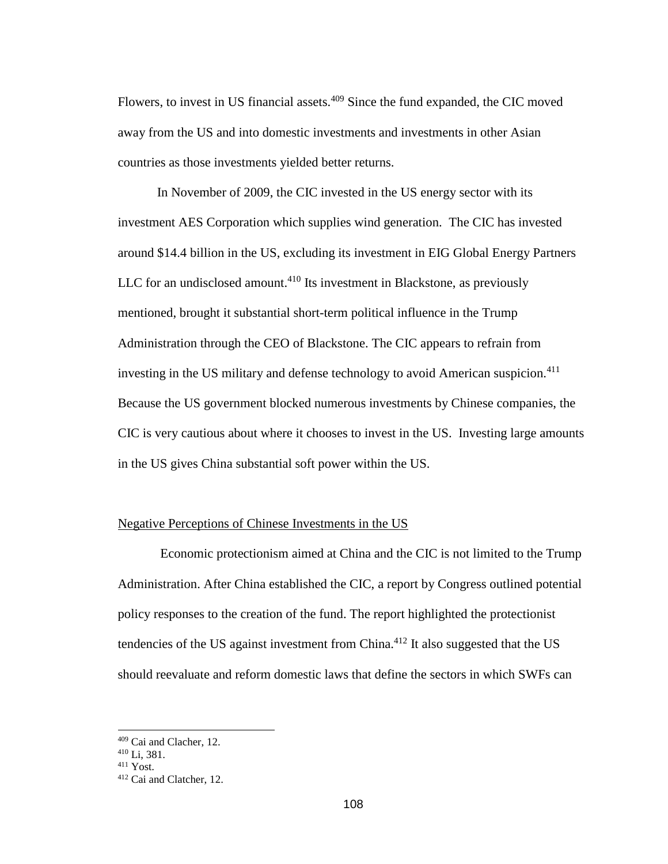Flowers, to invest in US financial assets.<sup>409</sup> Since the fund expanded, the CIC moved away from the US and into domestic investments and investments in other Asian countries as those investments yielded better returns.

In November of 2009, the CIC invested in the US energy sector with its investment AES Corporation which supplies wind generation. The CIC has invested around \$14.4 billion in the US, excluding its investment in EIG Global Energy Partners LLC for an undisclosed amount.<sup>410</sup> Its investment in Blackstone, as previously mentioned, brought it substantial short-term political influence in the Trump Administration through the CEO of Blackstone. The CIC appears to refrain from investing in the US military and defense technology to avoid American suspicion.<sup>411</sup> Because the US government blocked numerous investments by Chinese companies, the CIC is very cautious about where it chooses to invest in the US. Investing large amounts in the US gives China substantial soft power within the US.

## Negative Perceptions of Chinese Investments in the US

Economic protectionism aimed at China and the CIC is not limited to the Trump Administration. After China established the CIC, a report by Congress outlined potential policy responses to the creation of the fund. The report highlighted the protectionist tendencies of the US against investment from China.<sup>412</sup> It also suggested that the US should reevaluate and reform domestic laws that define the sectors in which SWFs can

<sup>409</sup> Cai and Clacher, 12.

<sup>410</sup> Li, 381.

<sup>411</sup> Yost.

<sup>412</sup> Cai and Clatcher, 12.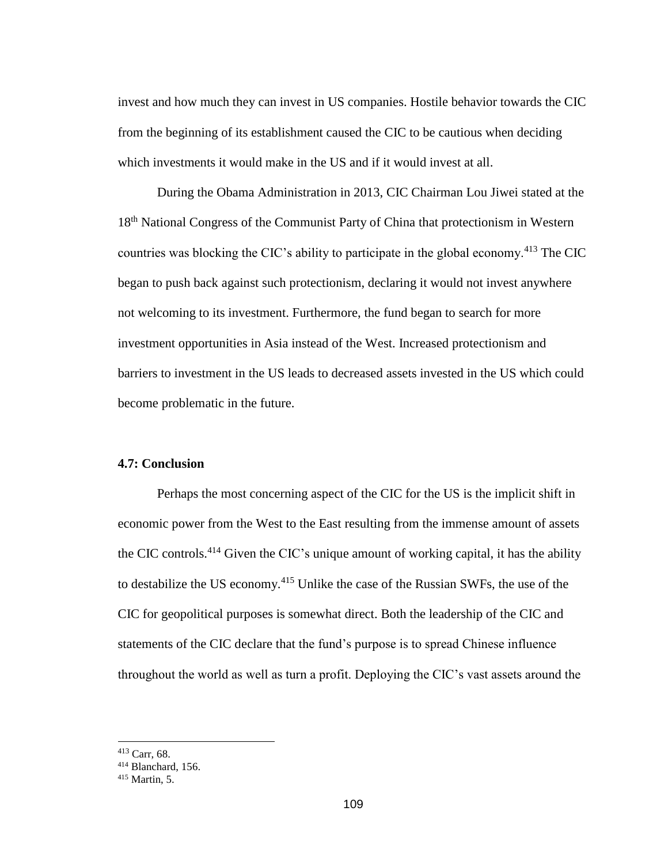invest and how much they can invest in US companies. Hostile behavior towards the CIC from the beginning of its establishment caused the CIC to be cautious when deciding which investments it would make in the US and if it would invest at all.

During the Obama Administration in 2013, CIC Chairman Lou Jiwei stated at the 18<sup>th</sup> National Congress of the Communist Party of China that protectionism in Western countries was blocking the CIC's ability to participate in the global economy.<sup>413</sup> The CIC began to push back against such protectionism, declaring it would not invest anywhere not welcoming to its investment. Furthermore, the fund began to search for more investment opportunities in Asia instead of the West. Increased protectionism and barriers to investment in the US leads to decreased assets invested in the US which could become problematic in the future.

# **4.7: Conclusion**

Perhaps the most concerning aspect of the CIC for the US is the implicit shift in economic power from the West to the East resulting from the immense amount of assets the CIC controls.<sup>414</sup> Given the CIC's unique amount of working capital, it has the ability to destabilize the US economy.<sup>415</sup> Unlike the case of the Russian SWFs, the use of the CIC for geopolitical purposes is somewhat direct. Both the leadership of the CIC and statements of the CIC declare that the fund's purpose is to spread Chinese influence throughout the world as well as turn a profit. Deploying the CIC's vast assets around the

<sup>413</sup> Carr, 68.

<sup>414</sup> Blanchard, 156.

<sup>415</sup> Martin, 5.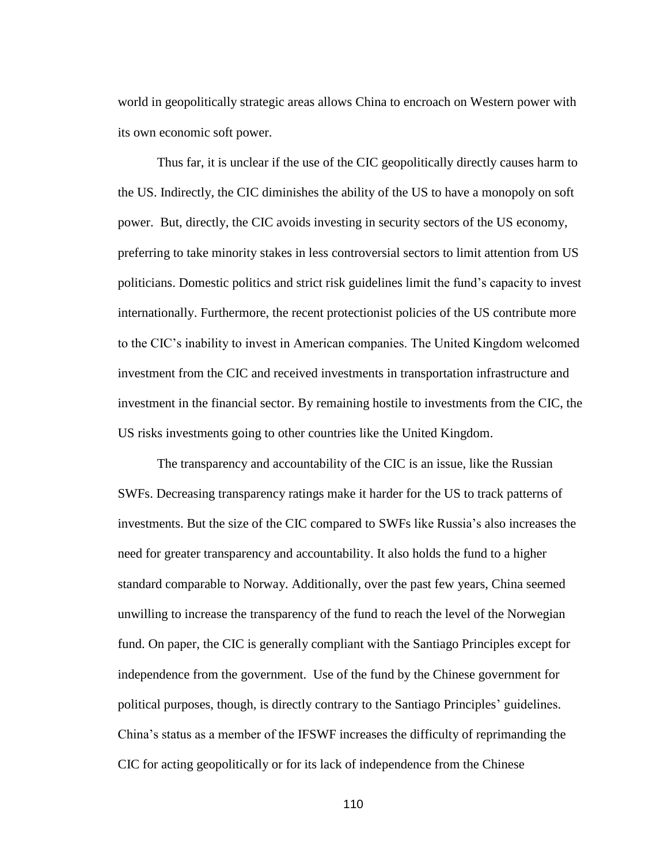world in geopolitically strategic areas allows China to encroach on Western power with its own economic soft power.

Thus far, it is unclear if the use of the CIC geopolitically directly causes harm to the US. Indirectly, the CIC diminishes the ability of the US to have a monopoly on soft power. But, directly, the CIC avoids investing in security sectors of the US economy, preferring to take minority stakes in less controversial sectors to limit attention from US politicians. Domestic politics and strict risk guidelines limit the fund's capacity to invest internationally. Furthermore, the recent protectionist policies of the US contribute more to the CIC's inability to invest in American companies. The United Kingdom welcomed investment from the CIC and received investments in transportation infrastructure and investment in the financial sector. By remaining hostile to investments from the CIC, the US risks investments going to other countries like the United Kingdom.

The transparency and accountability of the CIC is an issue, like the Russian SWFs. Decreasing transparency ratings make it harder for the US to track patterns of investments. But the size of the CIC compared to SWFs like Russia's also increases the need for greater transparency and accountability. It also holds the fund to a higher standard comparable to Norway. Additionally, over the past few years, China seemed unwilling to increase the transparency of the fund to reach the level of the Norwegian fund. On paper, the CIC is generally compliant with the Santiago Principles except for independence from the government. Use of the fund by the Chinese government for political purposes, though, is directly contrary to the Santiago Principles' guidelines. China's status as a member of the IFSWF increases the difficulty of reprimanding the CIC for acting geopolitically or for its lack of independence from the Chinese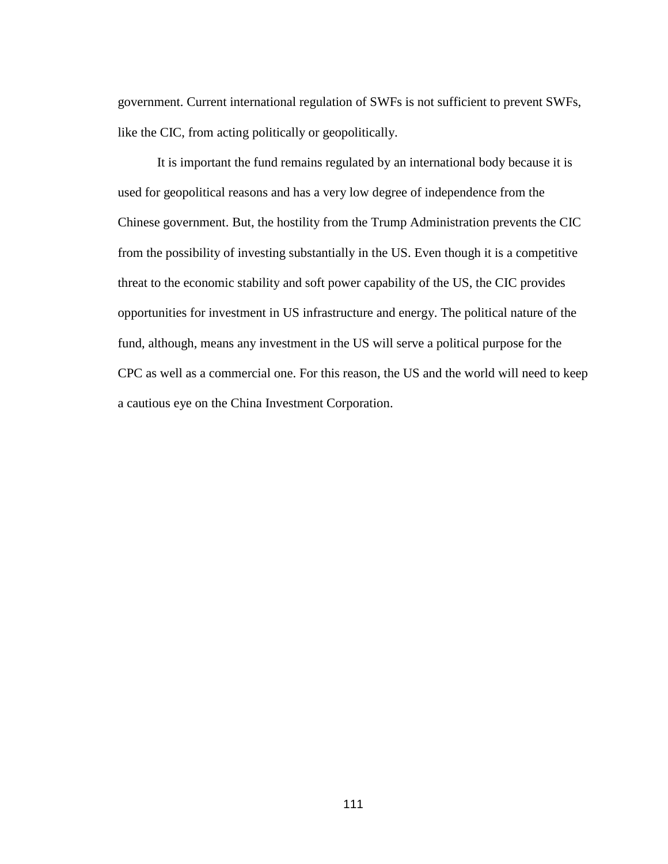government. Current international regulation of SWFs is not sufficient to prevent SWFs, like the CIC, from acting politically or geopolitically.

It is important the fund remains regulated by an international body because it is used for geopolitical reasons and has a very low degree of independence from the Chinese government. But, the hostility from the Trump Administration prevents the CIC from the possibility of investing substantially in the US. Even though it is a competitive threat to the economic stability and soft power capability of the US, the CIC provides opportunities for investment in US infrastructure and energy. The political nature of the fund, although, means any investment in the US will serve a political purpose for the CPC as well as a commercial one. For this reason, the US and the world will need to keep a cautious eye on the China Investment Corporation.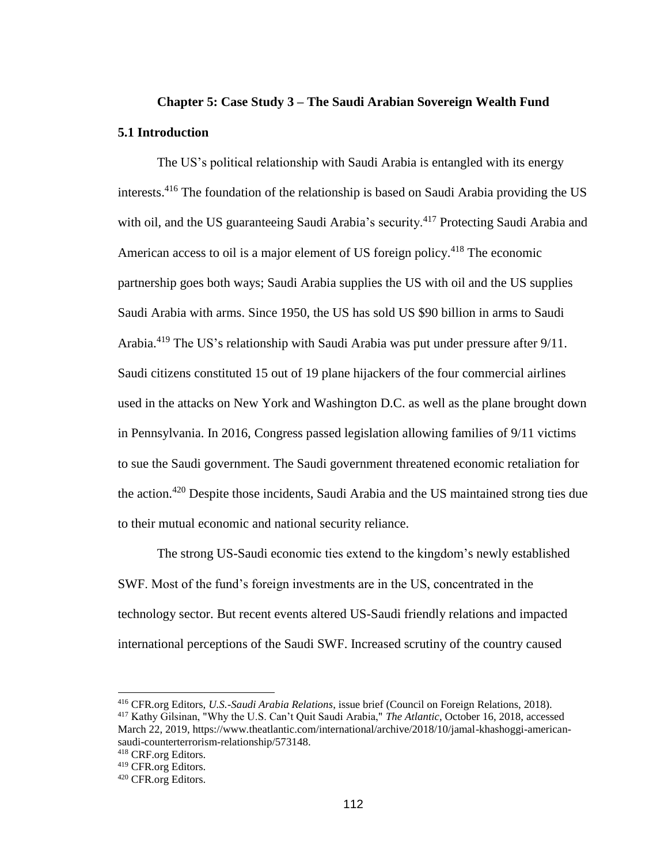# **Chapter 5: Case Study 3 – The Saudi Arabian Sovereign Wealth Fund 5.1 Introduction**

The US's political relationship with Saudi Arabia is entangled with its energy interests. <sup>416</sup> The foundation of the relationship is based on Saudi Arabia providing the US with oil, and the US guaranteeing Saudi Arabia's security.<sup>417</sup> Protecting Saudi Arabia and American access to oil is a major element of US foreign policy.<sup>418</sup> The economic partnership goes both ways; Saudi Arabia supplies the US with oil and the US supplies Saudi Arabia with arms. Since 1950, the US has sold US \$90 billion in arms to Saudi Arabia.<sup>419</sup> The US's relationship with Saudi Arabia was put under pressure after 9/11. Saudi citizens constituted 15 out of 19 plane hijackers of the four commercial airlines used in the attacks on New York and Washington D.C. as well as the plane brought down in Pennsylvania. In 2016, Congress passed legislation allowing families of 9/11 victims to sue the Saudi government. The Saudi government threatened economic retaliation for the action.<sup>420</sup> Despite those incidents, Saudi Arabia and the US maintained strong ties due to their mutual economic and national security reliance.

The strong US-Saudi economic ties extend to the kingdom's newly established SWF. Most of the fund's foreign investments are in the US, concentrated in the technology sector. But recent events altered US-Saudi friendly relations and impacted international perceptions of the Saudi SWF. Increased scrutiny of the country caused

<sup>416</sup> CFR.org Editors, *U.S.-Saudi Arabia Relations*, issue brief (Council on Foreign Relations, 2018).

<sup>417</sup> Kathy Gilsinan, "Why the U.S. Can't Quit Saudi Arabia," *The Atlantic*, October 16, 2018, accessed March 22, 2019, https://www.theatlantic.com/international/archive/2018/10/jamal-khashoggi-americansaudi-counterterrorism-relationship/573148.

<sup>418</sup> CRF.org Editors.

<sup>419</sup> CFR.org Editors.

<sup>420</sup> CFR.org Editors.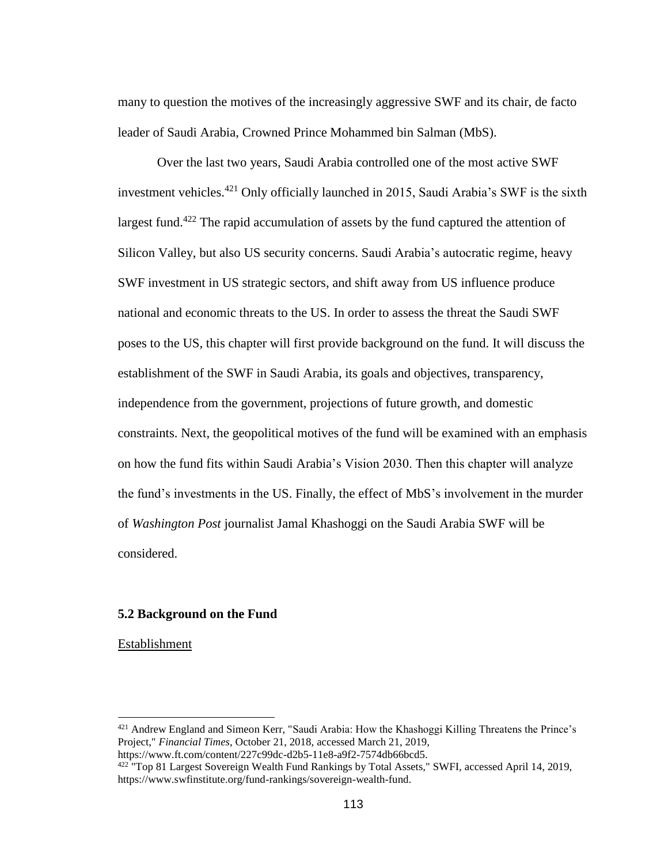many to question the motives of the increasingly aggressive SWF and its chair, de facto leader of Saudi Arabia, Crowned Prince Mohammed bin Salman (MbS).

Over the last two years, Saudi Arabia controlled one of the most active SWF investment vehicles.<sup>421</sup> Only officially launched in 2015, Saudi Arabia's SWF is the sixth largest fund.<sup>422</sup> The rapid accumulation of assets by the fund captured the attention of Silicon Valley, but also US security concerns. Saudi Arabia's autocratic regime, heavy SWF investment in US strategic sectors, and shift away from US influence produce national and economic threats to the US. In order to assess the threat the Saudi SWF poses to the US, this chapter will first provide background on the fund. It will discuss the establishment of the SWF in Saudi Arabia, its goals and objectives, transparency, independence from the government, projections of future growth, and domestic constraints. Next, the geopolitical motives of the fund will be examined with an emphasis on how the fund fits within Saudi Arabia's Vision 2030. Then this chapter will analyze the fund's investments in the US. Finally, the effect of MbS's involvement in the murder of *Washington Post* journalist Jamal Khashoggi on the Saudi Arabia SWF will be considered.

# **5.2 Background on the Fund**

Establishment

<sup>421</sup> Andrew England and Simeon Kerr, "Saudi Arabia: How the Khashoggi Killing Threatens the Prince's Project," *Financial Times*, October 21, 2018, accessed March 21, 2019, https://www.ft.com/content/227c99dc-d2b5-11e8-a9f2-7574db66bcd5.

<sup>&</sup>lt;sup>422 "</sup>Top 81 Largest Sovereign Wealth Fund Rankings by Total Assets," SWFI, accessed April 14, 2019,

https://www.swfinstitute.org/fund-rankings/sovereign-wealth-fund.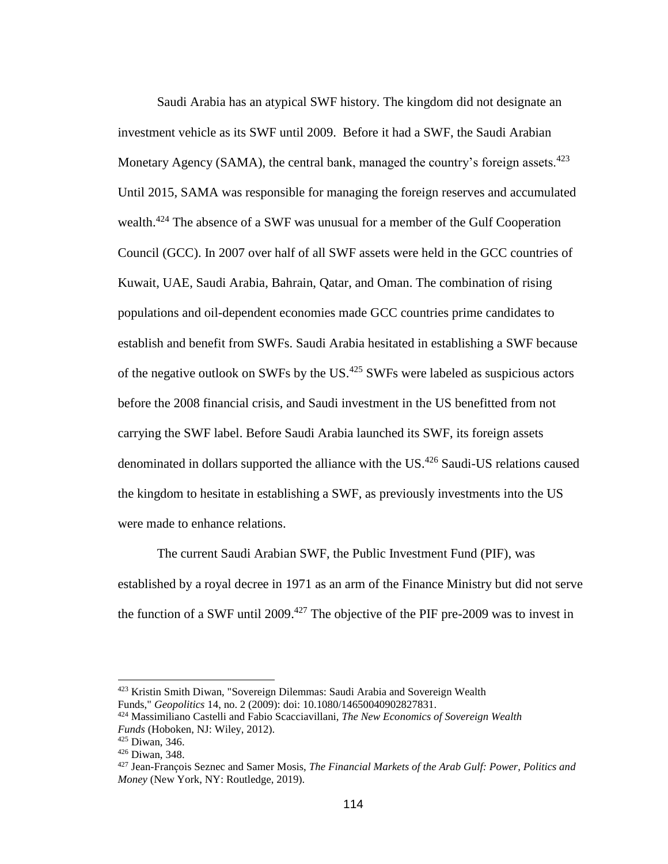Saudi Arabia has an atypical SWF history. The kingdom did not designate an investment vehicle as its SWF until 2009. Before it had a SWF, the Saudi Arabian Monetary Agency (SAMA), the central bank, managed the country's foreign assets.<sup>423</sup> Until 2015, SAMA was responsible for managing the foreign reserves and accumulated wealth.<sup>424</sup> The absence of a SWF was unusual for a member of the Gulf Cooperation Council (GCC). In 2007 over half of all SWF assets were held in the GCC countries of Kuwait, UAE, Saudi Arabia, Bahrain, Qatar, and Oman. The combination of rising populations and oil-dependent economies made GCC countries prime candidates to establish and benefit from SWFs. Saudi Arabia hesitated in establishing a SWF because of the negative outlook on SWFs by the US.<sup>425</sup> SWFs were labeled as suspicious actors before the 2008 financial crisis, and Saudi investment in the US benefitted from not carrying the SWF label. Before Saudi Arabia launched its SWF, its foreign assets denominated in dollars supported the alliance with the US.<sup>426</sup> Saudi-US relations caused the kingdom to hesitate in establishing a SWF, as previously investments into the US were made to enhance relations.

The current Saudi Arabian SWF, the Public Investment Fund (PIF), was established by a royal decree in 1971 as an arm of the Finance Ministry but did not serve the function of a SWF until 2009.<sup>427</sup> The objective of the PIF pre-2009 was to invest in

<sup>&</sup>lt;sup>423</sup> Kristin Smith Diwan, "Sovereign Dilemmas: Saudi Arabia and Sovereign Wealth Funds," *Geopolitics* 14, no. 2 (2009): doi: 10.1080/14650040902827831.

<sup>424</sup> Massimiliano Castelli and Fabio Scacciavillani, *The New Economics of Sovereign Wealth Funds* (Hoboken, NJ: Wiley, 2012).

<sup>425</sup> Diwan, 346.

<sup>426</sup> Diwan, 348.

<sup>427</sup> Jean-François Seznec and Samer Mosis, *The Financial Markets of the Arab Gulf: Power, Politics and Money* (New York, NY: Routledge, 2019).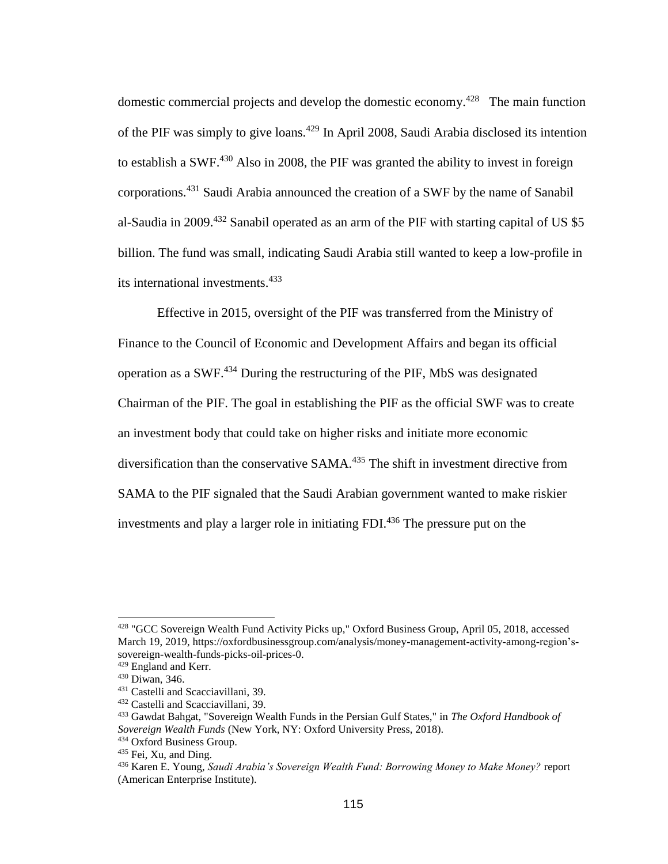domestic commercial projects and develop the domestic economy.<sup>428</sup> The main function of the PIF was simply to give loans.<sup>429</sup> In April 2008, Saudi Arabia disclosed its intention to establish a SWF.<sup>430</sup> Also in 2008, the PIF was granted the ability to invest in foreign corporations.<sup>431</sup> Saudi Arabia announced the creation of a SWF by the name of Sanabil al-Saudia in 2009.<sup>432</sup> Sanabil operated as an arm of the PIF with starting capital of US \$5 billion. The fund was small, indicating Saudi Arabia still wanted to keep a low-profile in its international investments.<sup>433</sup>

Effective in 2015, oversight of the PIF was transferred from the Ministry of Finance to the Council of Economic and Development Affairs and began its official operation as a SWF.<sup>434</sup> During the restructuring of the PIF, MbS was designated Chairman of the PIF. The goal in establishing the PIF as the official SWF was to create an investment body that could take on higher risks and initiate more economic diversification than the conservative SAMA.<sup>435</sup> The shift in investment directive from SAMA to the PIF signaled that the Saudi Arabian government wanted to make riskier investments and play a larger role in initiating FDI. <sup>436</sup> The pressure put on the

<sup>428</sup> "GCC Sovereign Wealth Fund Activity Picks up," Oxford Business Group, April 05, 2018, accessed March 19, 2019, https://oxfordbusinessgroup.com/analysis/money-management-activity-among-region'ssovereign-wealth-funds-picks-oil-prices-0.

<sup>&</sup>lt;sup>429</sup> England and Kerr.

<sup>430</sup> Diwan, 346.

<sup>431</sup> Castelli and Scacciavillani, 39.

<sup>432</sup> Castelli and Scacciavillani, 39.

<sup>433</sup> Gawdat Bahgat, "Sovereign Wealth Funds in the Persian Gulf States," in *The Oxford Handbook of Sovereign Wealth Funds* (New York, NY: Oxford University Press, 2018).

<sup>434</sup> Oxford Business Group.

<sup>435</sup> Fei, Xu, and Ding.

<sup>436</sup> Karen E. Young, *Saudi Arabia's Sovereign Wealth Fund: Borrowing Money to Make Money?* report (American Enterprise Institute).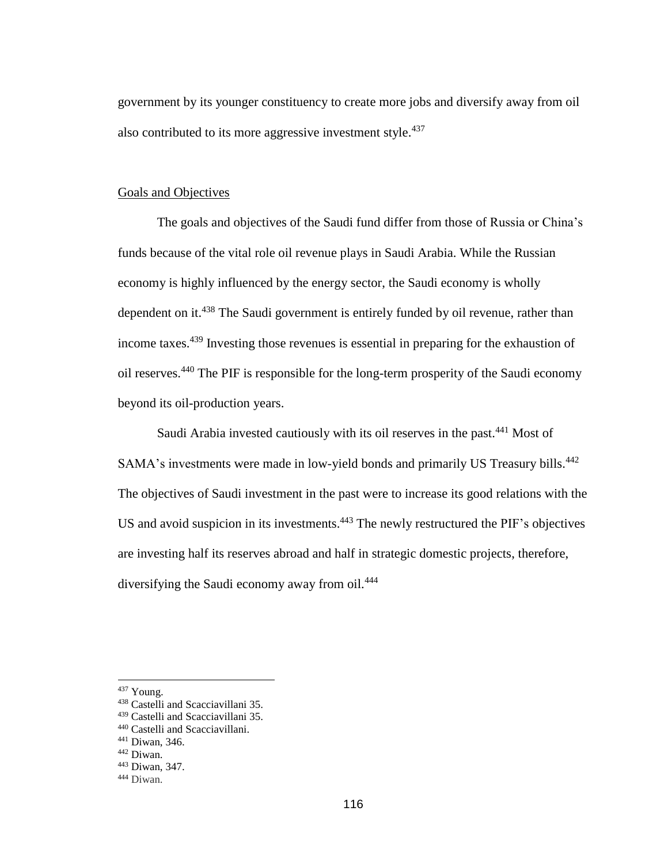government by its younger constituency to create more jobs and diversify away from oil also contributed to its more aggressive investment style.<sup>437</sup>

# Goals and Objectives

The goals and objectives of the Saudi fund differ from those of Russia or China's funds because of the vital role oil revenue plays in Saudi Arabia. While the Russian economy is highly influenced by the energy sector, the Saudi economy is wholly dependent on it.<sup>438</sup> The Saudi government is entirely funded by oil revenue, rather than income taxes.<sup>439</sup> Investing those revenues is essential in preparing for the exhaustion of oil reserves.<sup>440</sup> The PIF is responsible for the long-term prosperity of the Saudi economy beyond its oil-production years.

Saudi Arabia invested cautiously with its oil reserves in the past.<sup>441</sup> Most of SAMA's investments were made in low-yield bonds and primarily US Treasury bills.<sup>442</sup> The objectives of Saudi investment in the past were to increase its good relations with the US and avoid suspicion in its investments.<sup>443</sup> The newly restructured the PIF's objectives are investing half its reserves abroad and half in strategic domestic projects, therefore, diversifying the Saudi economy away from oil.<sup>444</sup>

<sup>437</sup> Young.

<sup>438</sup> Castelli and Scacciavillani 35.

<sup>439</sup> Castelli and Scacciavillani 35.

<sup>440</sup> Castelli and Scacciavillani.

<sup>441</sup> Diwan, 346.

<sup>442</sup> Diwan.

<sup>443</sup> Diwan, 347.

<sup>444</sup> Diwan.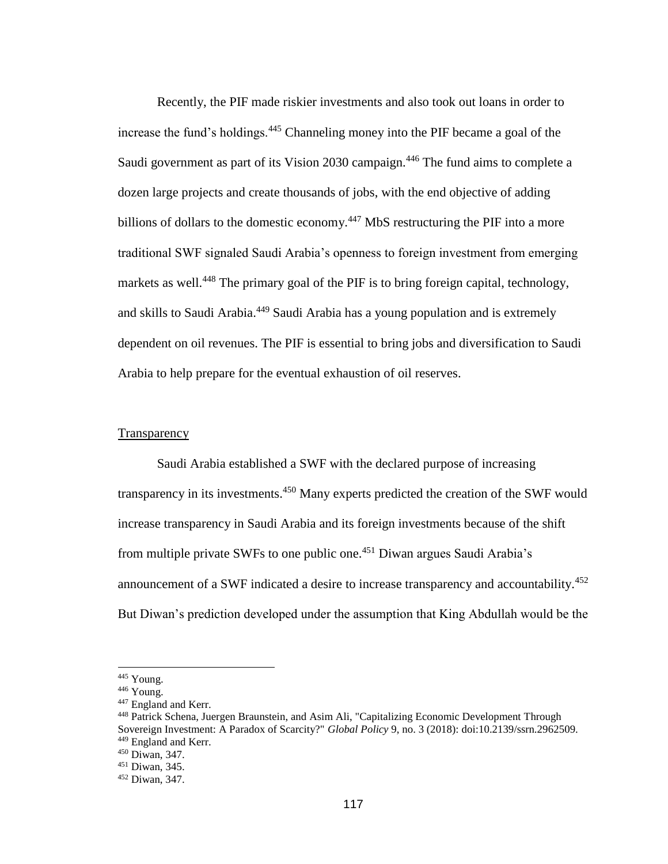Recently, the PIF made riskier investments and also took out loans in order to increase the fund's holdings.<sup>445</sup> Channeling money into the PIF became a goal of the Saudi government as part of its Vision 2030 campaign.<sup>446</sup> The fund aims to complete a dozen large projects and create thousands of jobs, with the end objective of adding billions of dollars to the domestic economy.<sup>447</sup> MbS restructuring the PIF into a more traditional SWF signaled Saudi Arabia's openness to foreign investment from emerging markets as well.<sup>448</sup> The primary goal of the PIF is to bring foreign capital, technology, and skills to Saudi Arabia.<sup>449</sup> Saudi Arabia has a young population and is extremely dependent on oil revenues. The PIF is essential to bring jobs and diversification to Saudi Arabia to help prepare for the eventual exhaustion of oil reserves.

# **Transparency**

Saudi Arabia established a SWF with the declared purpose of increasing transparency in its investments.<sup>450</sup> Many experts predicted the creation of the SWF would increase transparency in Saudi Arabia and its foreign investments because of the shift from multiple private SWFs to one public one.<sup>451</sup> Diwan argues Saudi Arabia's announcement of a SWF indicated a desire to increase transparency and accountability.<sup>452</sup> But Diwan's prediction developed under the assumption that King Abdullah would be the

<sup>&</sup>lt;sup>445</sup> Young.

<sup>446</sup> Young.

<sup>&</sup>lt;sup>447</sup> England and Kerr.

<sup>448</sup> Patrick Schena, Juergen Braunstein, and Asim Ali, "Capitalizing Economic Development Through Sovereign Investment: A Paradox of Scarcity?" *Global Policy* 9, no. 3 (2018): doi:10.2139/ssrn.2962509. <sup>449</sup> England and Kerr.

<sup>450</sup> Diwan, 347.

<sup>451</sup> Diwan, 345.

<sup>452</sup> Diwan, 347.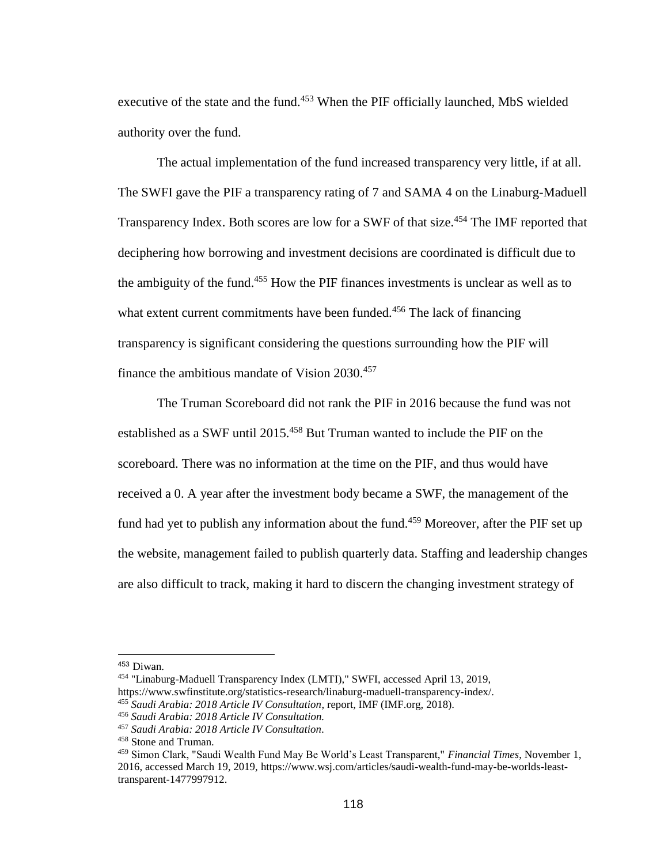executive of the state and the fund.<sup>453</sup> When the PIF officially launched, MbS wielded authority over the fund.

The actual implementation of the fund increased transparency very little, if at all. The SWFI gave the PIF a transparency rating of 7 and SAMA 4 on the Linaburg-Maduell Transparency Index. Both scores are low for a SWF of that size.<sup>454</sup> The IMF reported that deciphering how borrowing and investment decisions are coordinated is difficult due to the ambiguity of the fund. <sup>455</sup> How the PIF finances investments is unclear as well as to what extent current commitments have been funded.<sup>456</sup> The lack of financing transparency is significant considering the questions surrounding how the PIF will finance the ambitious mandate of Vision 2030.<sup>457</sup>

The Truman Scoreboard did not rank the PIF in 2016 because the fund was not established as a SWF until 2015.<sup>458</sup> But Truman wanted to include the PIF on the scoreboard. There was no information at the time on the PIF, and thus would have received a 0. A year after the investment body became a SWF, the management of the fund had yet to publish any information about the fund.<sup>459</sup> Moreover, after the PIF set up the website, management failed to publish quarterly data. Staffing and leadership changes are also difficult to track, making it hard to discern the changing investment strategy of

<sup>453</sup> Diwan.

<sup>454</sup> "Linaburg-Maduell Transparency Index (LMTI)," SWFI, accessed April 13, 2019, https://www.swfinstitute.org/statistics-research/linaburg-maduell-transparency-index/. <sup>455</sup> *Saudi Arabia: 2018 Article IV Consultation*, report, IMF (IMF.org, 2018).

<sup>456</sup> *Saudi Arabia: 2018 Article IV Consultation.* 

<sup>457</sup> *Saudi Arabia: 2018 Article IV Consultation.* 

<sup>458</sup> Stone and Truman.

<sup>459</sup> Simon Clark, "Saudi Wealth Fund May Be World's Least Transparent," *Financial Times*, November 1, 2016, accessed March 19, 2019, https://www.wsj.com/articles/saudi-wealth-fund-may-be-worlds-leasttransparent-1477997912.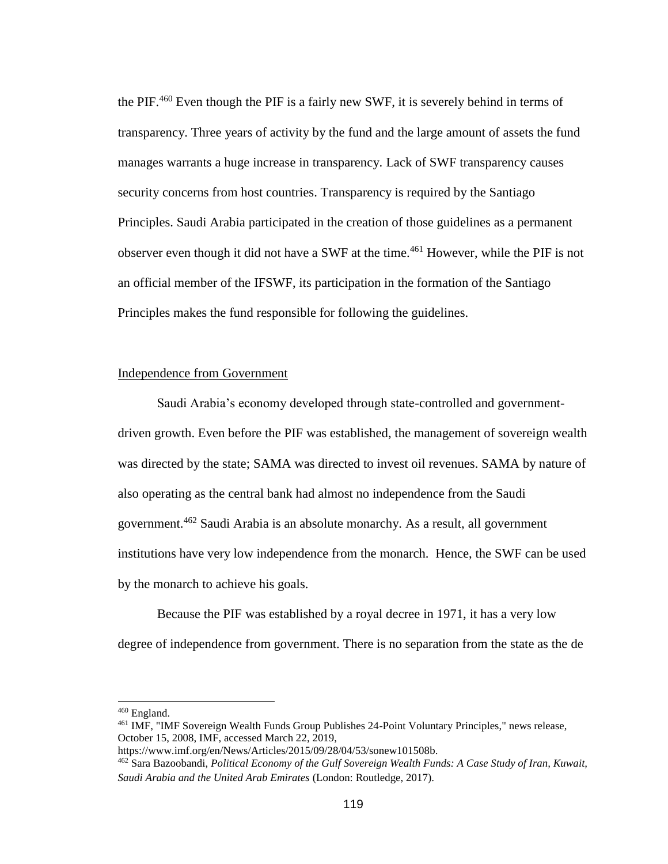the PIF.<sup>460</sup> Even though the PIF is a fairly new SWF, it is severely behind in terms of transparency. Three years of activity by the fund and the large amount of assets the fund manages warrants a huge increase in transparency. Lack of SWF transparency causes security concerns from host countries. Transparency is required by the Santiago Principles. Saudi Arabia participated in the creation of those guidelines as a permanent observer even though it did not have a SWF at the time.<sup>461</sup> However, while the PIF is not an official member of the IFSWF, its participation in the formation of the Santiago Principles makes the fund responsible for following the guidelines.

## Independence from Government

Saudi Arabia's economy developed through state-controlled and governmentdriven growth. Even before the PIF was established, the management of sovereign wealth was directed by the state; SAMA was directed to invest oil revenues. SAMA by nature of also operating as the central bank had almost no independence from the Saudi government.<sup>462</sup> Saudi Arabia is an absolute monarchy. As a result, all government institutions have very low independence from the monarch. Hence, the SWF can be used by the monarch to achieve his goals.

Because the PIF was established by a royal decree in 1971, it has a very low degree of independence from government. There is no separation from the state as the de

<sup>460</sup> England.

<sup>461</sup> IMF, "IMF Sovereign Wealth Funds Group Publishes 24-Point Voluntary Principles," news release, October 15, 2008, IMF, accessed March 22, 2019,

https://www.imf.org/en/News/Articles/2015/09/28/04/53/sonew101508b.

<sup>462</sup> Sara Bazoobandi, *Political Economy of the Gulf Sovereign Wealth Funds: A Case Study of Iran, Kuwait, Saudi Arabia and the United Arab Emirates* (London: Routledge, 2017).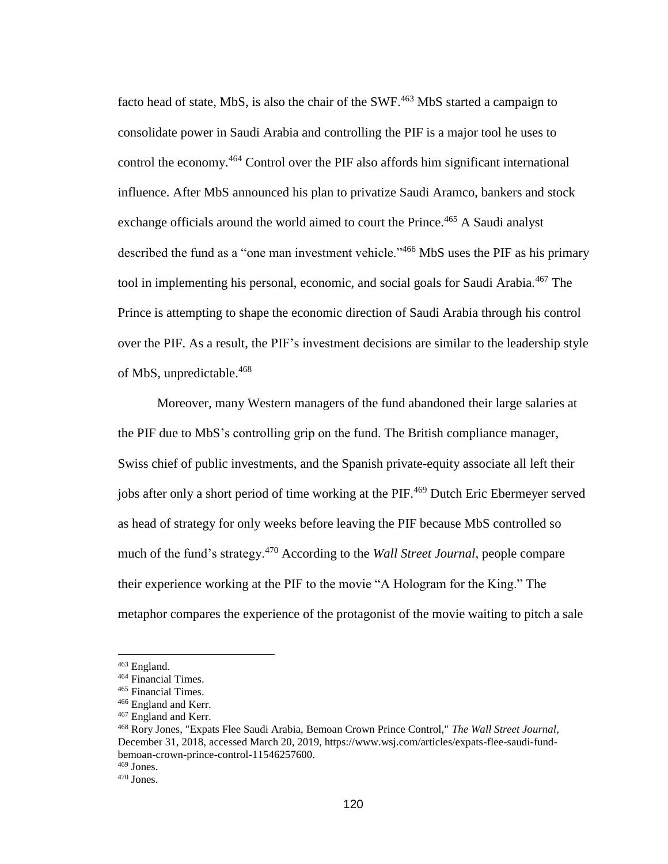facto head of state, MbS, is also the chair of the SWF.<sup>463</sup> MbS started a campaign to consolidate power in Saudi Arabia and controlling the PIF is a major tool he uses to control the economy.<sup>464</sup> Control over the PIF also affords him significant international influence. After MbS announced his plan to privatize Saudi Aramco, bankers and stock exchange officials around the world aimed to court the Prince.<sup>465</sup> A Saudi analyst described the fund as a "one man investment vehicle."<sup>466</sup> MbS uses the PIF as his primary tool in implementing his personal, economic, and social goals for Saudi Arabia.<sup>467</sup> The Prince is attempting to shape the economic direction of Saudi Arabia through his control over the PIF. As a result, the PIF's investment decisions are similar to the leadership style of MbS, unpredictable.<sup>468</sup>

Moreover, many Western managers of the fund abandoned their large salaries at the PIF due to MbS's controlling grip on the fund. The British compliance manager, Swiss chief of public investments, and the Spanish private-equity associate all left their jobs after only a short period of time working at the PIF.<sup>469</sup> Dutch Eric Ebermeyer served as head of strategy for only weeks before leaving the PIF because MbS controlled so much of the fund's strategy.<sup>470</sup> According to the *Wall Street Journal,* people compare their experience working at the PIF to the movie "A Hologram for the King." The metaphor compares the experience of the protagonist of the movie waiting to pitch a sale

<sup>463</sup> England.

<sup>464</sup> Financial Times.

<sup>465</sup> Financial Times.

<sup>466</sup> England and Kerr.

<sup>467</sup> England and Kerr.

<sup>468</sup> Rory Jones, "Expats Flee Saudi Arabia, Bemoan Crown Prince Control," *The Wall Street Journal*, December 31, 2018, accessed March 20, 2019, https://www.wsj.com/articles/expats-flee-saudi-fundbemoan-crown-prince-control-11546257600.

 $469$  Jones.

<sup>470</sup> Jones.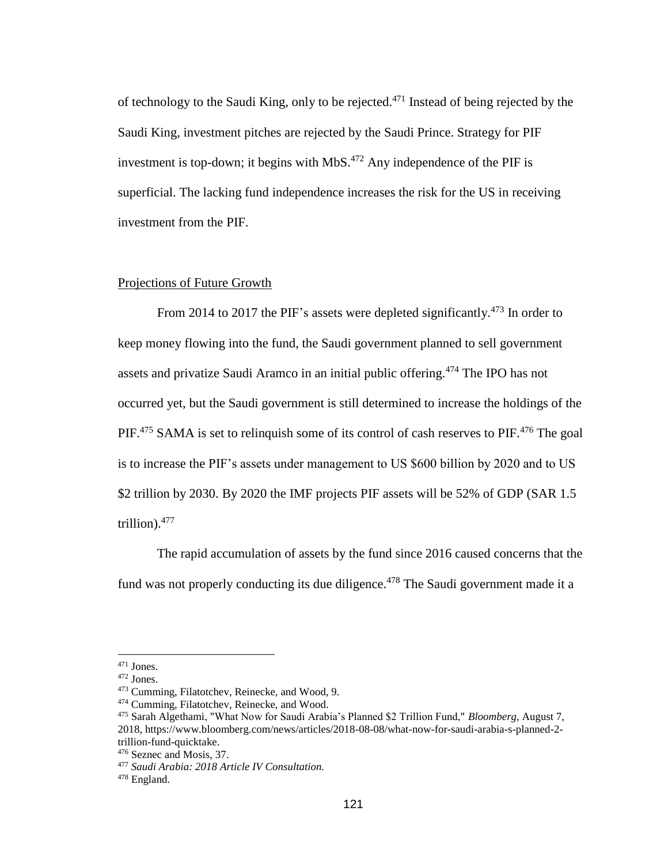of technology to the Saudi King, only to be rejected.<sup>471</sup> Instead of being rejected by the Saudi King, investment pitches are rejected by the Saudi Prince. Strategy for PIF investment is top-down; it begins with MbS. $472$  Any independence of the PIF is superficial. The lacking fund independence increases the risk for the US in receiving investment from the PIF.

## Projections of Future Growth

From 2014 to 2017 the PIF's assets were depleted significantly.<sup>473</sup> In order to keep money flowing into the fund, the Saudi government planned to sell government assets and privatize Saudi Aramco in an initial public offering.<sup>474</sup> The IPO has not occurred yet, but the Saudi government is still determined to increase the holdings of the PIF.<sup>475</sup> SAMA is set to relinquish some of its control of cash reserves to PIF.<sup>476</sup> The goal is to increase the PIF's assets under management to US \$600 billion by 2020 and to US \$2 trillion by 2030. By 2020 the IMF projects PIF assets will be 52% of GDP (SAR 1.5 trillion).<sup>477</sup>

The rapid accumulation of assets by the fund since 2016 caused concerns that the fund was not properly conducting its due diligence.<sup>478</sup> The Saudi government made it a

 $471$  Jones.

<sup>472</sup> Jones.

<sup>473</sup> Cumming, Filatotchev, Reinecke, and Wood, 9.

<sup>474</sup> Cumming, Filatotchev, Reinecke, and Wood.

<sup>475</sup> Sarah Algethami, "What Now for Saudi Arabia's Planned \$2 Trillion Fund," *Bloomberg*, August 7, 2018, https://www.bloomberg.com/news/articles/2018-08-08/what-now-for-saudi-arabia-s-planned-2 trillion-fund-quicktake.

<sup>476</sup> Seznec and Mosis, 37.

<sup>477</sup> *Saudi Arabia: 2018 Article IV Consultation.*

<sup>478</sup> England.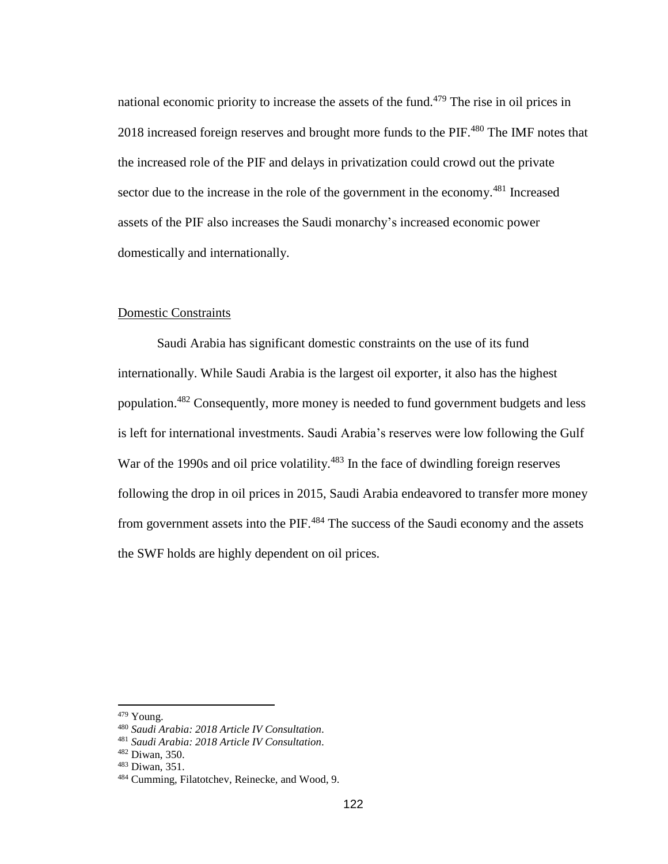national economic priority to increase the assets of the fund.<sup> $479$ </sup> The rise in oil prices in 2018 increased foreign reserves and brought more funds to the PIF.<sup>480</sup> The IMF notes that the increased role of the PIF and delays in privatization could crowd out the private sector due to the increase in the role of the government in the economy.<sup>481</sup> Increased assets of the PIF also increases the Saudi monarchy's increased economic power domestically and internationally.

# Domestic Constraints

Saudi Arabia has significant domestic constraints on the use of its fund internationally. While Saudi Arabia is the largest oil exporter, it also has the highest population.<sup>482</sup> Consequently, more money is needed to fund government budgets and less is left for international investments. Saudi Arabia's reserves were low following the Gulf War of the 1990s and oil price volatility.<sup>483</sup> In the face of dwindling foreign reserves following the drop in oil prices in 2015, Saudi Arabia endeavored to transfer more money from government assets into the PIF.<sup>484</sup> The success of the Saudi economy and the assets the SWF holds are highly dependent on oil prices.

<sup>479</sup> Young.

<sup>480</sup> *Saudi Arabia: 2018 Article IV Consultation.*

<sup>481</sup> *Saudi Arabia: 2018 Article IV Consultation.*

<sup>482</sup> Diwan, 350.

<sup>483</sup> Diwan, 351.

<sup>484</sup> Cumming, Filatotchev, Reinecke, and Wood, 9.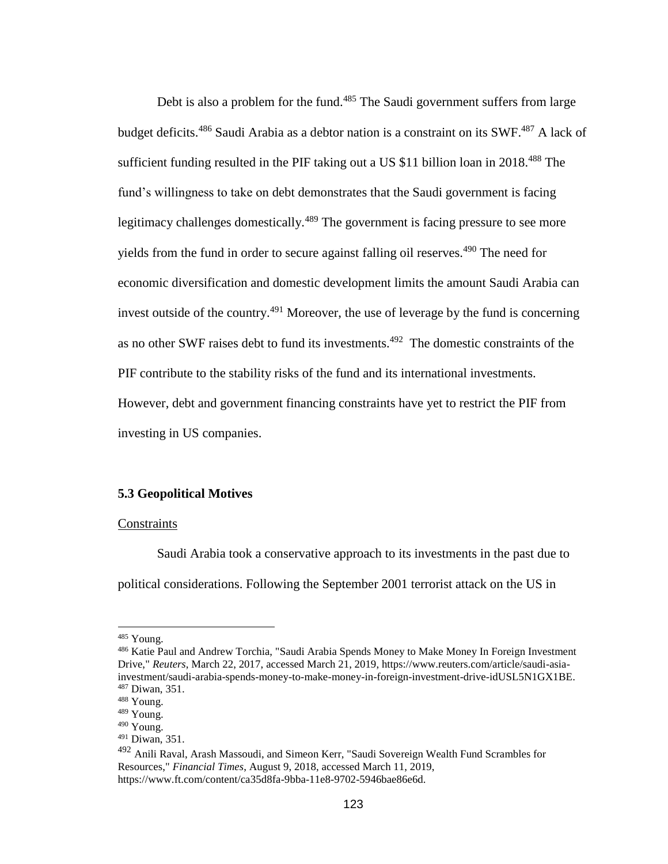Debt is also a problem for the fund.<sup>485</sup> The Saudi government suffers from large budget deficits.<sup>486</sup> Saudi Arabia as a debtor nation is a constraint on its SWF.<sup>487</sup> A lack of sufficient funding resulted in the PIF taking out a US  $$11$  billion loan in 2018.<sup>488</sup> The fund's willingness to take on debt demonstrates that the Saudi government is facing legitimacy challenges domestically.<sup>489</sup> The government is facing pressure to see more yields from the fund in order to secure against falling oil reserves.<sup>490</sup> The need for economic diversification and domestic development limits the amount Saudi Arabia can invest outside of the country.<sup>491</sup> Moreover, the use of leverage by the fund is concerning as no other SWF raises debt to fund its investments.<sup>492</sup> The domestic constraints of the PIF contribute to the stability risks of the fund and its international investments. However, debt and government financing constraints have yet to restrict the PIF from investing in US companies.

## **5.3 Geopolitical Motives**

#### **Constraints**

Saudi Arabia took a conservative approach to its investments in the past due to political considerations. Following the September 2001 terrorist attack on the US in

<sup>&</sup>lt;sup>485</sup> Young.

<sup>486</sup> Katie Paul and Andrew Torchia, "Saudi Arabia Spends Money to Make Money In Foreign Investment Drive," *Reuters*, March 22, 2017, accessed March 21, 2019, https://www.reuters.com/article/saudi-asiainvestment/saudi-arabia-spends-money-to-make-money-in-foreign-investment-drive-idUSL5N1GX1BE. <sup>487</sup> Diwan, 351.

<sup>488</sup> Young.

<sup>489</sup> Young.

<sup>490</sup> Young.

<sup>491</sup> Diwan, 351.

<sup>&</sup>lt;sup>492</sup> Anili Raval, Arash Massoudi, and Simeon Kerr, "Saudi Sovereign Wealth Fund Scrambles for Resources," *Financial Times*, August 9, 2018, accessed March 11, 2019, https://www.ft.com/content/ca35d8fa-9bba-11e8-9702-5946bae86e6d.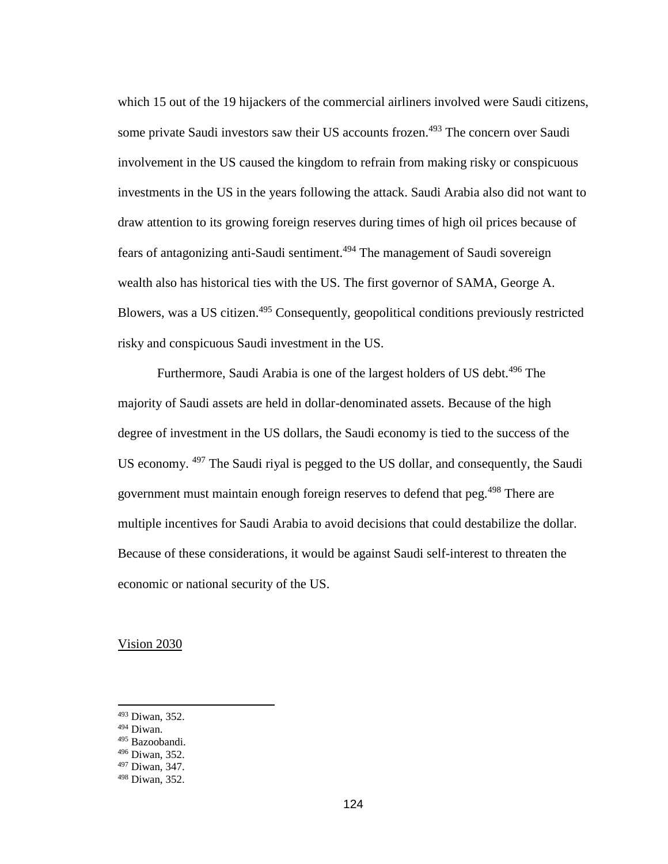which 15 out of the 19 hijackers of the commercial airliners involved were Saudi citizens, some private Saudi investors saw their US accounts frozen.<sup>493</sup> The concern over Saudi involvement in the US caused the kingdom to refrain from making risky or conspicuous investments in the US in the years following the attack. Saudi Arabia also did not want to draw attention to its growing foreign reserves during times of high oil prices because of fears of antagonizing anti-Saudi sentiment.<sup>494</sup> The management of Saudi sovereign wealth also has historical ties with the US. The first governor of SAMA, George A. Blowers, was a US citizen.<sup>495</sup> Consequently, geopolitical conditions previously restricted risky and conspicuous Saudi investment in the US.

Furthermore, Saudi Arabia is one of the largest holders of US debt.<sup>496</sup> The majority of Saudi assets are held in dollar-denominated assets. Because of the high degree of investment in the US dollars, the Saudi economy is tied to the success of the US economy. <sup>497</sup> The Saudi riyal is pegged to the US dollar, and consequently, the Saudi government must maintain enough foreign reserves to defend that peg.<sup>498</sup> There are multiple incentives for Saudi Arabia to avoid decisions that could destabilize the dollar. Because of these considerations, it would be against Saudi self-interest to threaten the economic or national security of the US.

Vision 2030

<sup>493</sup> Diwan, 352.

<sup>494</sup> Diwan.

<sup>495</sup> Bazoobandi.

<sup>496</sup> Diwan, 352.

<sup>497</sup> Diwan, 347.

<sup>498</sup> Diwan, 352.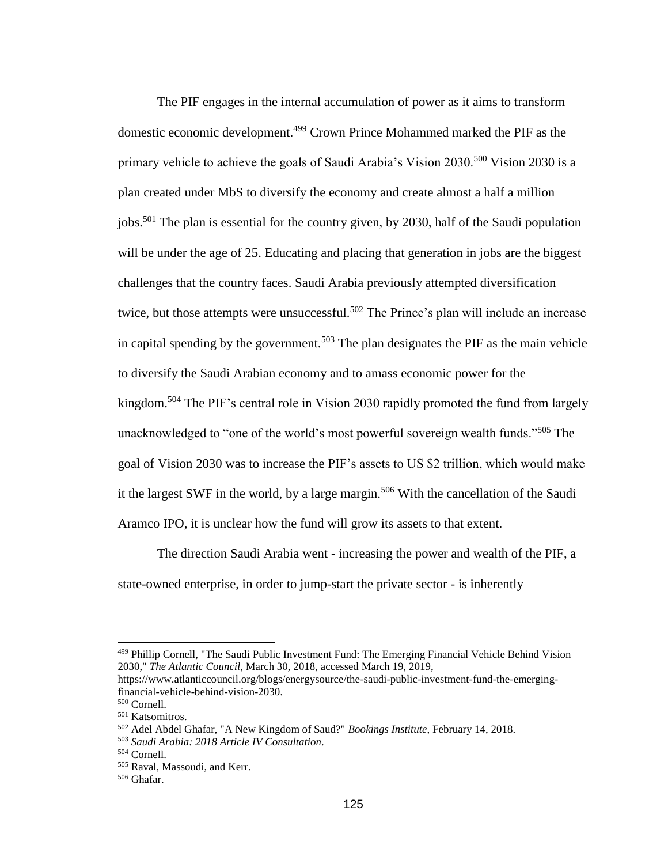The PIF engages in the internal accumulation of power as it aims to transform domestic economic development.<sup>499</sup> Crown Prince Mohammed marked the PIF as the primary vehicle to achieve the goals of Saudi Arabia's Vision  $2030$ <sup>500</sup> Vision 2030 is a plan created under MbS to diversify the economy and create almost a half a million jobs.<sup>501</sup> The plan is essential for the country given, by 2030, half of the Saudi population will be under the age of 25. Educating and placing that generation in jobs are the biggest challenges that the country faces. Saudi Arabia previously attempted diversification twice, but those attempts were unsuccessful.<sup>502</sup> The Prince's plan will include an increase in capital spending by the government.<sup>503</sup> The plan designates the PIF as the main vehicle to diversify the Saudi Arabian economy and to amass economic power for the kingdom.<sup>504</sup> The PIF's central role in Vision 2030 rapidly promoted the fund from largely unacknowledged to "one of the world's most powerful sovereign wealth funds."<sup>505</sup> The goal of Vision 2030 was to increase the PIF's assets to US \$2 trillion, which would make it the largest SWF in the world, by a large margin.<sup>506</sup> With the cancellation of the Saudi Aramco IPO, it is unclear how the fund will grow its assets to that extent.

The direction Saudi Arabia went - increasing the power and wealth of the PIF, a state-owned enterprise, in order to jump-start the private sector - is inherently

<sup>499</sup> Phillip Cornell, "The Saudi Public Investment Fund: The Emerging Financial Vehicle Behind Vision 2030," *The Atlantic Council*, March 30, 2018, accessed March 19, 2019,

https://www.atlanticcouncil.org/blogs/energysource/the-saudi-public-investment-fund-the-emergingfinancial-vehicle-behind-vision-2030.

<sup>500</sup> Cornell.

<sup>501</sup> Katsomitros.

<sup>502</sup> Adel Abdel Ghafar, "A New Kingdom of Saud?" *Bookings Institute*, February 14, 2018.

<sup>503</sup> *Saudi Arabia: 2018 Article IV Consultation.*

<sup>504</sup> Cornell.

<sup>505</sup> Raval, Massoudi, and Kerr.

<sup>506</sup> Ghafar.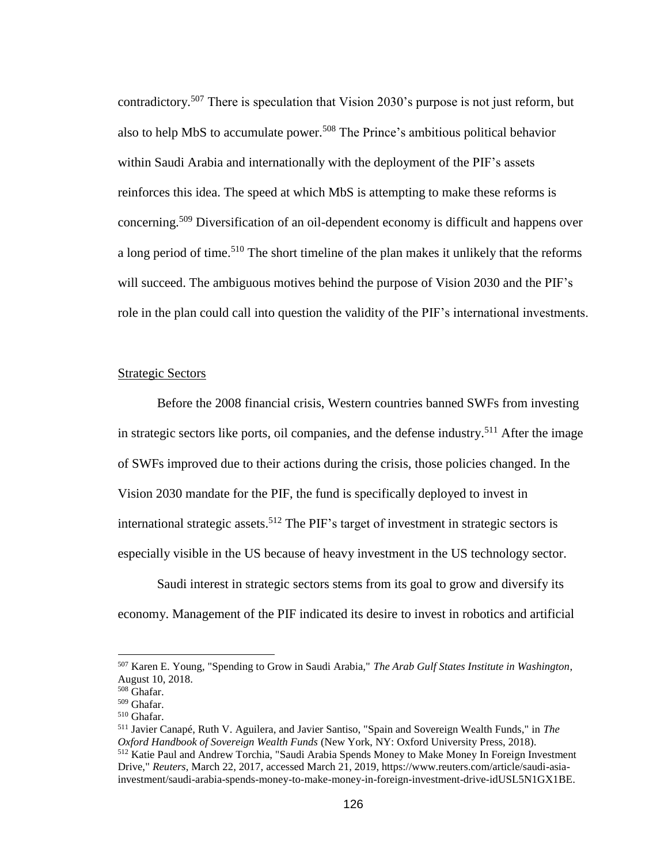contradictory.<sup>507</sup> There is speculation that Vision 2030's purpose is not just reform, but also to help MbS to accumulate power.<sup>508</sup> The Prince's ambitious political behavior within Saudi Arabia and internationally with the deployment of the PIF's assets reinforces this idea. The speed at which MbS is attempting to make these reforms is concerning.<sup>509</sup> Diversification of an oil-dependent economy is difficult and happens over a long period of time.<sup>510</sup> The short timeline of the plan makes it unlikely that the reforms will succeed. The ambiguous motives behind the purpose of Vision 2030 and the PIF's role in the plan could call into question the validity of the PIF's international investments.

# Strategic Sectors

Before the 2008 financial crisis, Western countries banned SWFs from investing in strategic sectors like ports, oil companies, and the defense industry.<sup>511</sup> After the image of SWFs improved due to their actions during the crisis, those policies changed. In the Vision 2030 mandate for the PIF, the fund is specifically deployed to invest in international strategic assets.<sup>512</sup> The PIF's target of investment in strategic sectors is especially visible in the US because of heavy investment in the US technology sector.

Saudi interest in strategic sectors stems from its goal to grow and diversify its economy. Management of the PIF indicated its desire to invest in robotics and artificial

<sup>507</sup> Karen E. Young, "Spending to Grow in Saudi Arabia," *The Arab Gulf States Institute in Washington*, August 10, 2018.

<sup>508</sup> Ghafar.

<sup>509</sup> Ghafar.

<sup>510</sup> Ghafar.

<sup>511</sup> Javier Canapé, Ruth V. Aguilera, and Javier Santiso, "Spain and Sovereign Wealth Funds," in *The Oxford Handbook of Sovereign Wealth Funds* (New York, NY: Oxford University Press, 2018). <sup>512</sup> Katie Paul and Andrew Torchia, "Saudi Arabia Spends Money to Make Money In Foreign Investment Drive," *Reuters*, March 22, 2017, accessed March 21, 2019, https://www.reuters.com/article/saudi-asiainvestment/saudi-arabia-spends-money-to-make-money-in-foreign-investment-drive-idUSL5N1GX1BE.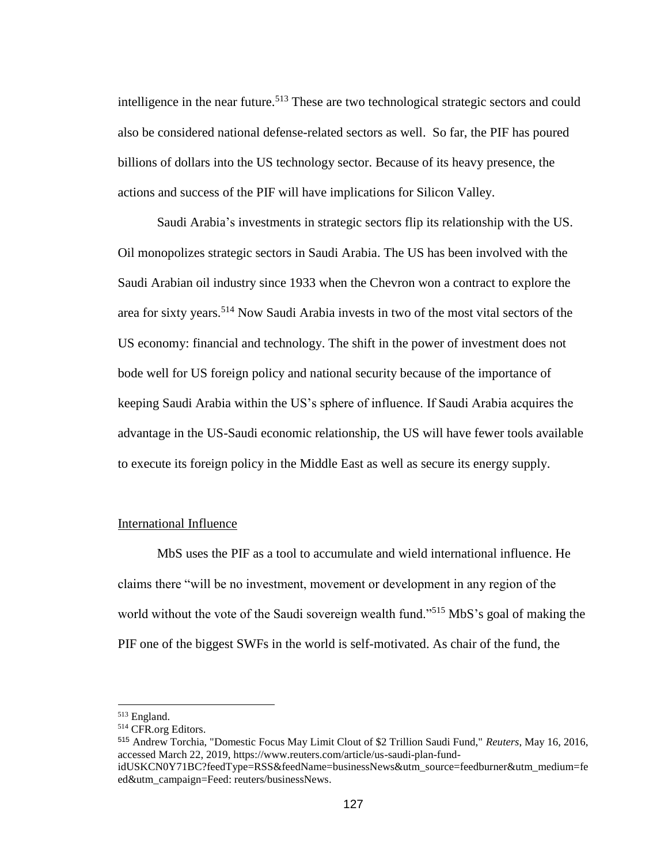intelligence in the near future.<sup>513</sup> These are two technological strategic sectors and could also be considered national defense-related sectors as well. So far, the PIF has poured billions of dollars into the US technology sector. Because of its heavy presence, the actions and success of the PIF will have implications for Silicon Valley.

Saudi Arabia's investments in strategic sectors flip its relationship with the US. Oil monopolizes strategic sectors in Saudi Arabia. The US has been involved with the Saudi Arabian oil industry since 1933 when the Chevron won a contract to explore the area for sixty years.<sup>514</sup> Now Saudi Arabia invests in two of the most vital sectors of the US economy: financial and technology. The shift in the power of investment does not bode well for US foreign policy and national security because of the importance of keeping Saudi Arabia within the US's sphere of influence. If Saudi Arabia acquires the advantage in the US-Saudi economic relationship, the US will have fewer tools available to execute its foreign policy in the Middle East as well as secure its energy supply.

## International Influence

MbS uses the PIF as a tool to accumulate and wield international influence. He claims there "will be no investment, movement or development in any region of the world without the vote of the Saudi sovereign wealth fund."<sup>515</sup> MbS's goal of making the PIF one of the biggest SWFs in the world is self-motivated. As chair of the fund, the

 $\overline{a}$ 

<sup>515</sup> Andrew Torchia, "Domestic Focus May Limit Clout of \$2 Trillion Saudi Fund," *Reuters*, May 16, 2016, accessed March 22, 2019, https://www.reuters.com/article/us-saudi-plan-fund-

<sup>513</sup> England.

<sup>514</sup> CFR.org Editors.

idUSKCN0Y71BC?feedType=RSS&feedName=businessNews&utm\_source=feedburner&utm\_medium=fe ed&utm\_campaign=Feed: reuters/businessNews.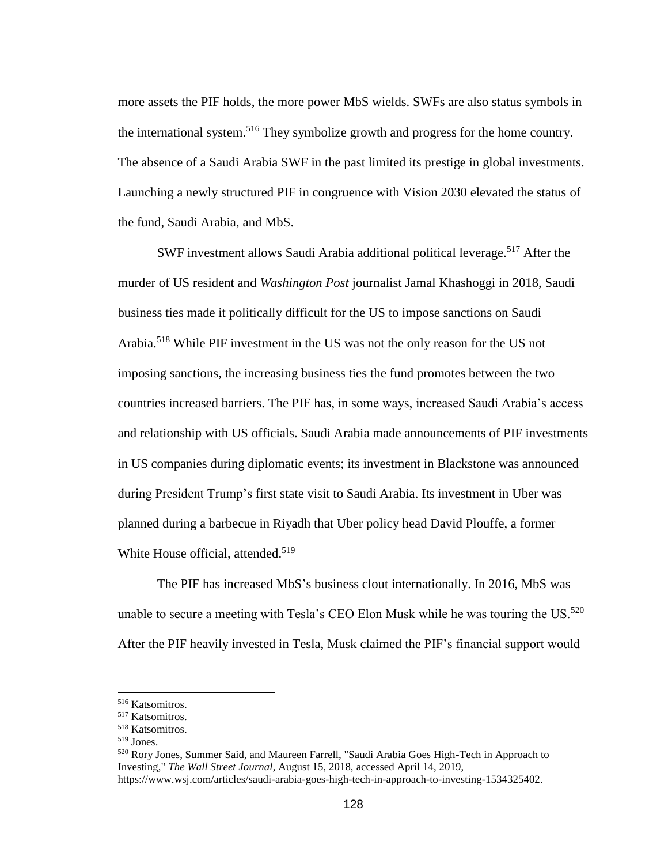more assets the PIF holds, the more power MbS wields. SWFs are also status symbols in the international system.<sup>516</sup> They symbolize growth and progress for the home country. The absence of a Saudi Arabia SWF in the past limited its prestige in global investments. Launching a newly structured PIF in congruence with Vision 2030 elevated the status of the fund, Saudi Arabia, and MbS.

SWF investment allows Saudi Arabia additional political leverage.<sup>517</sup> After the murder of US resident and *Washington Post* journalist Jamal Khashoggi in 2018, Saudi business ties made it politically difficult for the US to impose sanctions on Saudi Arabia.<sup>518</sup> While PIF investment in the US was not the only reason for the US not imposing sanctions, the increasing business ties the fund promotes between the two countries increased barriers. The PIF has, in some ways, increased Saudi Arabia's access and relationship with US officials. Saudi Arabia made announcements of PIF investments in US companies during diplomatic events; its investment in Blackstone was announced during President Trump's first state visit to Saudi Arabia. Its investment in Uber was planned during a barbecue in Riyadh that Uber policy head David Plouffe, a former White House official, attended.<sup>519</sup>

The PIF has increased MbS's business clout internationally. In 2016, MbS was unable to secure a meeting with Tesla's CEO Elon Musk while he was touring the US. $^{520}$ After the PIF heavily invested in Tesla, Musk claimed the PIF's financial support would

<sup>516</sup> Katsomitros.

<sup>517</sup> Katsomitros.

<sup>518</sup> Katsomitros.

<sup>519</sup> Jones.

<sup>&</sup>lt;sup>520</sup> Rory Jones, Summer Said, and Maureen Farrell, "Saudi Arabia Goes High-Tech in Approach to Investing," *The Wall Street Journal*, August 15, 2018, accessed April 14, 2019, https://www.wsj.com/articles/saudi-arabia-goes-high-tech-in-approach-to-investing-1534325402.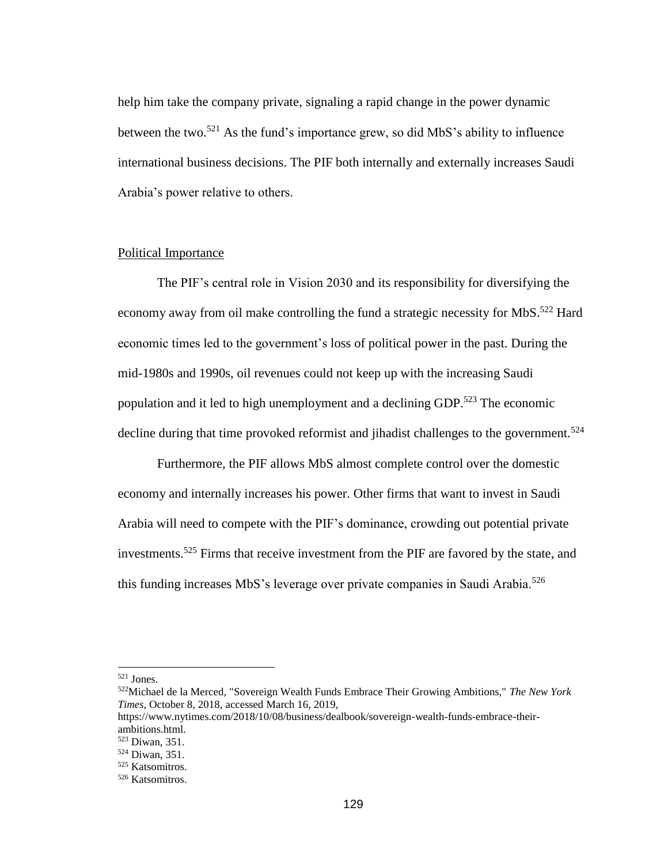help him take the company private, signaling a rapid change in the power dynamic between the two.<sup>521</sup> As the fund's importance grew, so did MbS's ability to influence international business decisions. The PIF both internally and externally increases Saudi Arabia's power relative to others.

#### Political Importance

The PIF's central role in Vision 2030 and its responsibility for diversifying the economy away from oil make controlling the fund a strategic necessity for MbS.<sup>522</sup> Hard economic times led to the government's loss of political power in the past. During the mid-1980s and 1990s, oil revenues could not keep up with the increasing Saudi population and it led to high unemployment and a declining GDP.<sup>523</sup> The economic decline during that time provoked reformist and jihadist challenges to the government.<sup>524</sup>

Furthermore, the PIF allows MbS almost complete control over the domestic economy and internally increases his power. Other firms that want to invest in Saudi Arabia will need to compete with the PIF's dominance, crowding out potential private investments.<sup>525</sup> Firms that receive investment from the PIF are favored by the state, and this funding increases MbS's leverage over private companies in Saudi Arabia.<sup>526</sup>

<sup>521</sup> Jones.

<sup>522</sup>Michael de la Merced, "Sovereign Wealth Funds Embrace Their Growing Ambitions," *The New York Times*, October 8, 2018, accessed March 16, 2019,

https://www.nytimes.com/2018/10/08/business/dealbook/sovereign-wealth-funds-embrace-theirambitions.html.

<sup>523</sup> Diwan, 351.

<sup>524</sup> Diwan, 351.

<sup>525</sup> Katsomitros.

<sup>526</sup> Katsomitros.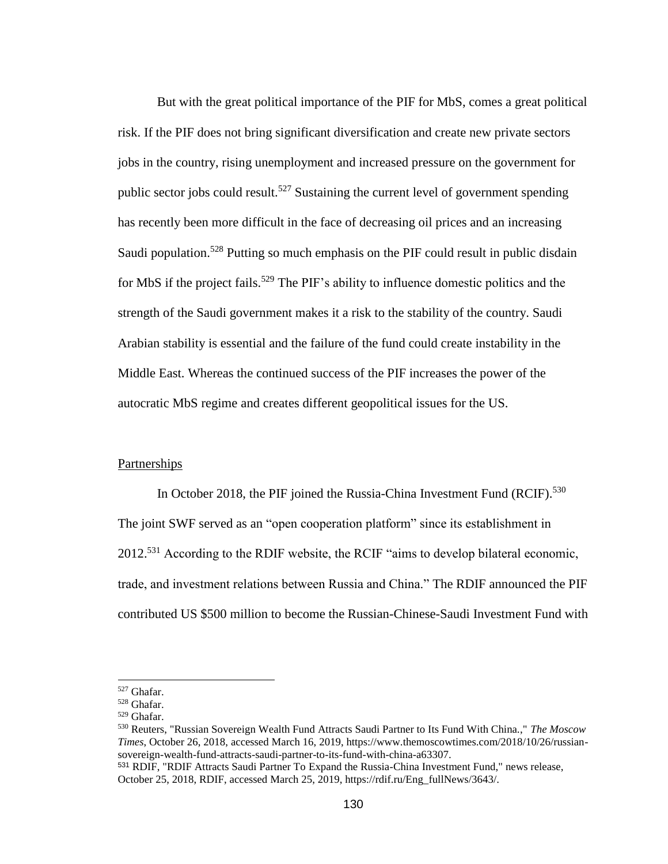But with the great political importance of the PIF for MbS, comes a great political risk. If the PIF does not bring significant diversification and create new private sectors jobs in the country, rising unemployment and increased pressure on the government for public sector jobs could result.<sup>527</sup> Sustaining the current level of government spending has recently been more difficult in the face of decreasing oil prices and an increasing Saudi population.<sup>528</sup> Putting so much emphasis on the PIF could result in public disdain for MbS if the project fails.<sup>529</sup> The PIF's ability to influence domestic politics and the strength of the Saudi government makes it a risk to the stability of the country. Saudi Arabian stability is essential and the failure of the fund could create instability in the Middle East. Whereas the continued success of the PIF increases the power of the autocratic MbS regime and creates different geopolitical issues for the US.

## Partnerships

In October 2018, the PIF joined the Russia-China Investment Fund (RCIF).<sup>530</sup> The joint SWF served as an "open cooperation platform" since its establishment in  $2012<sup>531</sup>$  According to the RDIF website, the RCIF "aims to develop bilateral economic, trade, and investment relations between Russia and China." The RDIF announced the PIF contributed US \$500 million to become the Russian-Chinese-Saudi Investment Fund with

<sup>527</sup> Ghafar.

<sup>528</sup> Ghafar.

<sup>529</sup> Ghafar.

<sup>530</sup> Reuters, "Russian Sovereign Wealth Fund Attracts Saudi Partner to Its Fund With China.," *The Moscow Times*, October 26, 2018, accessed March 16, 2019, https://www.themoscowtimes.com/2018/10/26/russiansovereign-wealth-fund-attracts-saudi-partner-to-its-fund-with-china-a63307.

<sup>531</sup> RDIF, "RDIF Attracts Saudi Partner To Expand the Russia-China Investment Fund," news release, October 25, 2018, RDIF, accessed March 25, 2019, https://rdif.ru/Eng\_fullNews/3643/.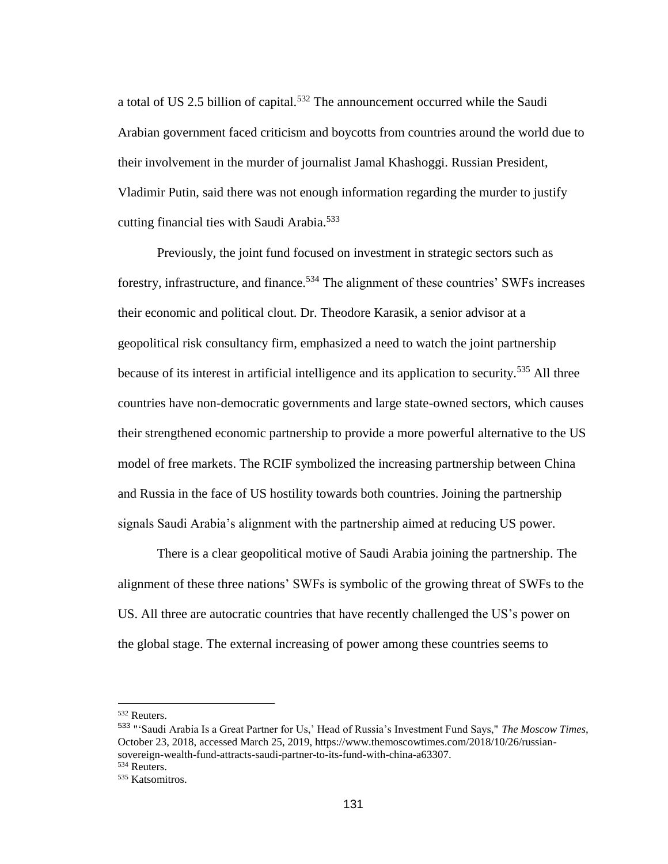a total of US 2.5 billion of capital.<sup>532</sup> The announcement occurred while the Saudi Arabian government faced criticism and boycotts from countries around the world due to their involvement in the murder of journalist Jamal Khashoggi. Russian President, Vladimir Putin, said there was not enough information regarding the murder to justify cutting financial ties with Saudi Arabia.<sup>533</sup>

Previously, the joint fund focused on investment in strategic sectors such as forestry, infrastructure, and finance.<sup>534</sup> The alignment of these countries' SWFs increases their economic and political clout. Dr. Theodore Karasik, a senior advisor at a geopolitical risk consultancy firm, emphasized a need to watch the joint partnership because of its interest in artificial intelligence and its application to security.<sup>535</sup> All three countries have non-democratic governments and large state-owned sectors, which causes their strengthened economic partnership to provide a more powerful alternative to the US model of free markets. The RCIF symbolized the increasing partnership between China and Russia in the face of US hostility towards both countries. Joining the partnership signals Saudi Arabia's alignment with the partnership aimed at reducing US power.

There is a clear geopolitical motive of Saudi Arabia joining the partnership. The alignment of these three nations' SWFs is symbolic of the growing threat of SWFs to the US. All three are autocratic countries that have recently challenged the US's power on the global stage. The external increasing of power among these countries seems to

<sup>532</sup> Reuters.

<sup>533</sup> "'Saudi Arabia Is a Great Partner for Us,' Head of Russia's Investment Fund Says," *The Moscow Times*, October 23, 2018, accessed March 25, 2019, https://www.themoscowtimes.com/2018/10/26/russiansovereign-wealth-fund-attracts-saudi-partner-to-its-fund-with-china-a63307. <sup>534</sup> Reuters.

<sup>535</sup> Katsomitros.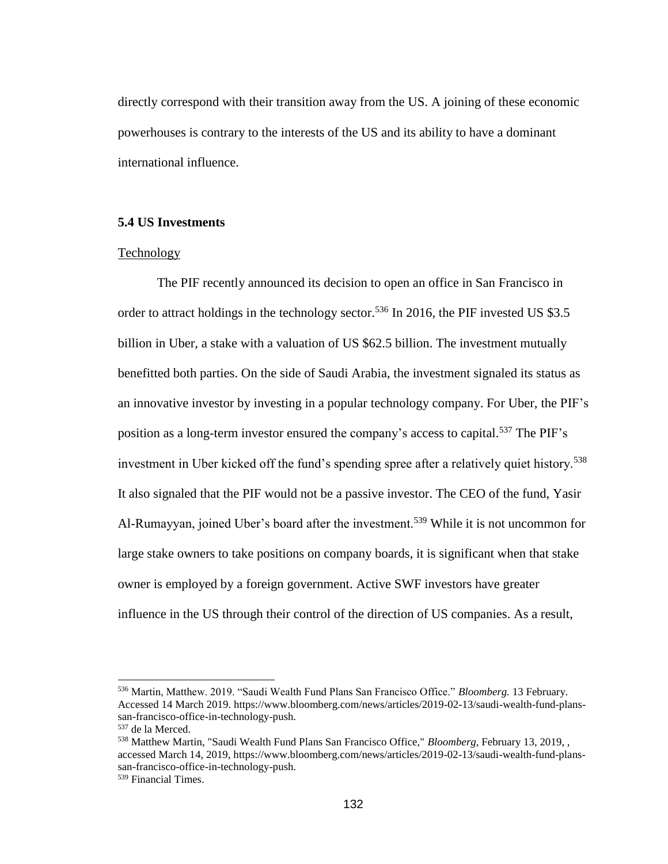directly correspond with their transition away from the US. A joining of these economic powerhouses is contrary to the interests of the US and its ability to have a dominant international influence.

## **5.4 US Investments**

#### Technology

The PIF recently announced its decision to open an office in San Francisco in order to attract holdings in the technology sector.<sup>536</sup> In 2016, the PIF invested US \$3.5 billion in Uber, a stake with a valuation of US \$62.5 billion. The investment mutually benefitted both parties. On the side of Saudi Arabia, the investment signaled its status as an innovative investor by investing in a popular technology company. For Uber, the PIF's position as a long-term investor ensured the company's access to capital.<sup>537</sup> The PIF's investment in Uber kicked off the fund's spending spree after a relatively quiet history.<sup>538</sup> It also signaled that the PIF would not be a passive investor. The CEO of the fund, Yasir Al-Rumayyan, joined Uber's board after the investment.<sup>539</sup> While it is not uncommon for large stake owners to take positions on company boards, it is significant when that stake owner is employed by a foreign government. Active SWF investors have greater influence in the US through their control of the direction of US companies. As a result,

<sup>536</sup> Martin, Matthew. 2019. "Saudi Wealth Fund Plans San Francisco Office." *Bloomberg.* 13 February. Accessed 14 March 2019. [https://www.bloomberg.com/news/articles/2019-02-13/saudi-wealth-fund-plans](https://www.bloomberg.com/news/articles/2019-02-13/saudi-wealth-fund-plans-san-francisco-office-in-technology-push)[san-francisco-office-in-technology-push.](https://www.bloomberg.com/news/articles/2019-02-13/saudi-wealth-fund-plans-san-francisco-office-in-technology-push)

<sup>537</sup> de la Merced.

<sup>538</sup> Matthew Martin, "Saudi Wealth Fund Plans San Francisco Office," *Bloomberg*, February 13, 2019, , accessed March 14, 2019, https://www.bloomberg.com/news/articles/2019-02-13/saudi-wealth-fund-planssan-francisco-office-in-technology-push.

<sup>539</sup> Financial Times.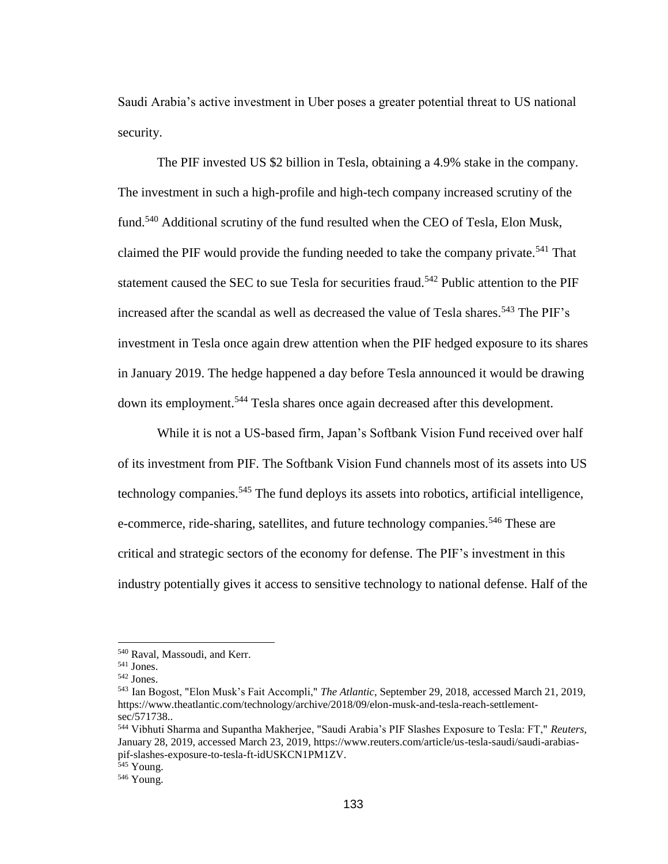Saudi Arabia's active investment in Uber poses a greater potential threat to US national security.

The PIF invested US \$2 billion in Tesla, obtaining a 4.9% stake in the company. The investment in such a high-profile and high-tech company increased scrutiny of the fund.<sup>540</sup> Additional scrutiny of the fund resulted when the CEO of Tesla, Elon Musk, claimed the PIF would provide the funding needed to take the company private.<sup>541</sup> That statement caused the SEC to sue Tesla for securities fraud.<sup>542</sup> Public attention to the PIF increased after the scandal as well as decreased the value of Tesla shares.<sup>543</sup> The PIF's investment in Tesla once again drew attention when the PIF hedged exposure to its shares in January 2019. The hedge happened a day before Tesla announced it would be drawing down its employment.<sup>544</sup> Tesla shares once again decreased after this development.

While it is not a US-based firm, Japan's Softbank Vision Fund received over half of its investment from PIF. The Softbank Vision Fund channels most of its assets into US technology companies.<sup>545</sup> The fund deploys its assets into robotics, artificial intelligence, e-commerce, ride-sharing, satellites, and future technology companies.<sup>546</sup> These are critical and strategic sectors of the economy for defense. The PIF's investment in this industry potentially gives it access to sensitive technology to national defense. Half of the

<sup>540</sup> Raval, Massoudi, and Kerr.

<sup>541</sup> Jones.

<sup>542</sup> Jones.

<sup>543</sup> Ian Bogost, "Elon Musk's Fait Accompli," *The Atlantic*, September 29, 2018, accessed March 21, 2019, https://www.theatlantic.com/technology/archive/2018/09/elon-musk-and-tesla-reach-settlementsec/571738..

<sup>544</sup> Vibhuti Sharma and Supantha Makherjee, "Saudi Arabia's PIF Slashes Exposure to Tesla: FT," *Reuters*, January 28, 2019, accessed March 23, 2019, https://www.reuters.com/article/us-tesla-saudi/saudi-arabiaspif-slashes-exposure-to-tesla-ft-idUSKCN1PM1ZV.

<sup>&</sup>lt;sup>545</sup> Young.

<sup>546</sup> Young.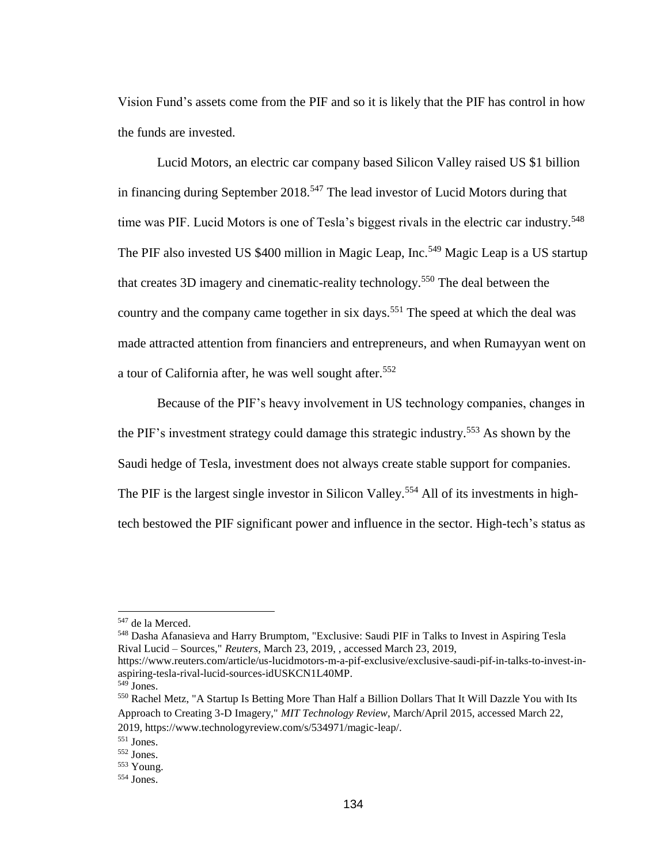Vision Fund's assets come from the PIF and so it is likely that the PIF has control in how the funds are invested.

Lucid Motors, an electric car company based Silicon Valley raised US \$1 billion in financing during September 2018.<sup>547</sup> The lead investor of Lucid Motors during that time was PIF. Lucid Motors is one of Tesla's biggest rivals in the electric car industry.<sup>548</sup> The PIF also invested US \$400 million in Magic Leap, Inc.<sup>549</sup> Magic Leap is a US startup that creates 3D imagery and cinematic-reality technology.<sup>550</sup> The deal between the country and the company came together in six days.<sup>551</sup> The speed at which the deal was made attracted attention from financiers and entrepreneurs, and when Rumayyan went on a tour of California after, he was well sought after.<sup>552</sup>

Because of the PIF's heavy involvement in US technology companies, changes in the PIF's investment strategy could damage this strategic industry.<sup>553</sup> As shown by the Saudi hedge of Tesla, investment does not always create stable support for companies. The PIF is the largest single investor in Silicon Valley.<sup>554</sup> All of its investments in hightech bestowed the PIF significant power and influence in the sector. High-tech's status as

<sup>548</sup> Dasha Afanasieva and Harry Brumptom, "Exclusive: Saudi PIF in Talks to Invest in Aspiring Tesla Rival Lucid – Sources," *Reuters*, March 23, 2019, , accessed March 23, 2019,

https://www.reuters.com/article/us-lucidmotors-m-a-pif-exclusive/exclusive-saudi-pif-in-talks-to-invest-inaspiring-tesla-rival-lucid-sources-idUSKCN1L40MP.

 $\overline{a}$ 

<sup>550</sup> Rachel Metz, "A Startup Is Betting More Than Half a Billion Dollars That It Will Dazzle You with Its Approach to Creating 3-D Imagery," *MIT Technology Review*, March/April 2015, accessed March 22, 2019, https://www.technologyreview.com/s/534971/magic-leap/.

<sup>547</sup> de la Merced.

<sup>549</sup> Jones.

<sup>551</sup> Jones.

<sup>552</sup> Jones.

<sup>553</sup> Young.

<sup>554</sup> Jones.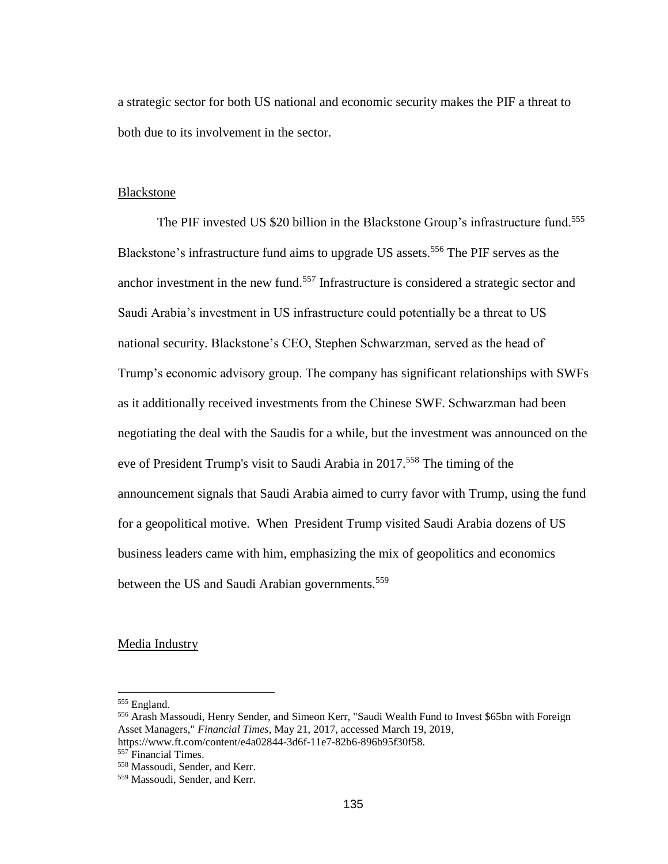a strategic sector for both US national and economic security makes the PIF a threat to both due to its involvement in the sector.

#### Blackstone

The PIF invested US \$20 billion in the Blackstone Group's infrastructure fund.<sup>555</sup> Blackstone's infrastructure fund aims to upgrade US assets.<sup>556</sup> The PIF serves as the anchor investment in the new fund.<sup>557</sup> Infrastructure is considered a strategic sector and Saudi Arabia's investment in US infrastructure could potentially be a threat to US national security. Blackstone's CEO, Stephen Schwarzman, served as the head of Trump's economic advisory group. The company has significant relationships with SWFs as it additionally received investments from the Chinese SWF. Schwarzman had been negotiating the deal with the Saudis for a while, but the investment was announced on the eve of President Trump's visit to Saudi Arabia in 2017.<sup>558</sup> The timing of the announcement signals that Saudi Arabia aimed to curry favor with Trump, using the fund for a geopolitical motive. When President Trump visited Saudi Arabia dozens of US business leaders came with him, emphasizing the mix of geopolitics and economics between the US and Saudi Arabian governments.<sup>559</sup>

## Media Industry

<sup>&</sup>lt;sup>555</sup> England.

<sup>556</sup> Arash Massoudi, Henry Sender, and Simeon Kerr, "Saudi Wealth Fund to Invest \$65bn with Foreign Asset Managers," *Financial Times*, May 21, 2017, accessed March 19, 2019, https://www.ft.com/content/e4a02844-3d6f-11e7-82b6-896b95f30f58.

<sup>&</sup>lt;sup>557</sup> Financial Times.

<sup>558</sup> Massoudi, Sender, and Kerr.

<sup>559</sup> Massoudi, Sender, and Kerr.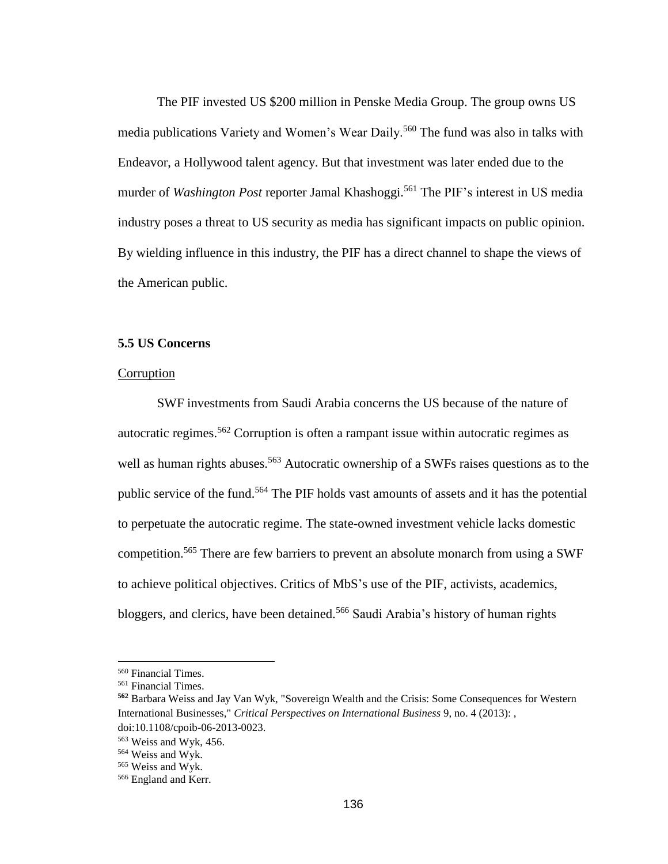The PIF invested US \$200 million in Penske Media Group. The group owns US media publications Variety and Women's Wear Daily.<sup>560</sup> The fund was also in talks with Endeavor, a Hollywood talent agency. But that investment was later ended due to the murder of *Washington Post* reporter Jamal Khashoggi.<sup>561</sup> The PIF's interest in US media industry poses a threat to US security as media has significant impacts on public opinion. By wielding influence in this industry, the PIF has a direct channel to shape the views of the American public.

## **5.5 US Concerns**

## **Corruption**

SWF investments from Saudi Arabia concerns the US because of the nature of autocratic regimes.<sup>562</sup> Corruption is often a rampant issue within autocratic regimes as well as human rights abuses.<sup>563</sup> Autocratic ownership of a SWFs raises questions as to the public service of the fund.<sup>564</sup> The PIF holds vast amounts of assets and it has the potential to perpetuate the autocratic regime. The state-owned investment vehicle lacks domestic competition.<sup>565</sup> There are few barriers to prevent an absolute monarch from using a SWF to achieve political objectives. Critics of MbS's use of the PIF, activists, academics, bloggers, and clerics, have been detained.<sup>566</sup> Saudi Arabia's history of human rights

<sup>560</sup> Financial Times.

<sup>561</sup> Financial Times.

**<sup>562</sup>** Barbara Weiss and Jay Van Wyk, "Sovereign Wealth and the Crisis: Some Consequences for Western International Businesses," *Critical Perspectives on International Business* 9, no. 4 (2013): , doi:10.1108/cpoib-06-2013-0023.

<sup>563</sup> Weiss and Wyk, 456.

<sup>564</sup> Weiss and Wyk.

<sup>565</sup> Weiss and Wyk.

<sup>566</sup> England and Kerr.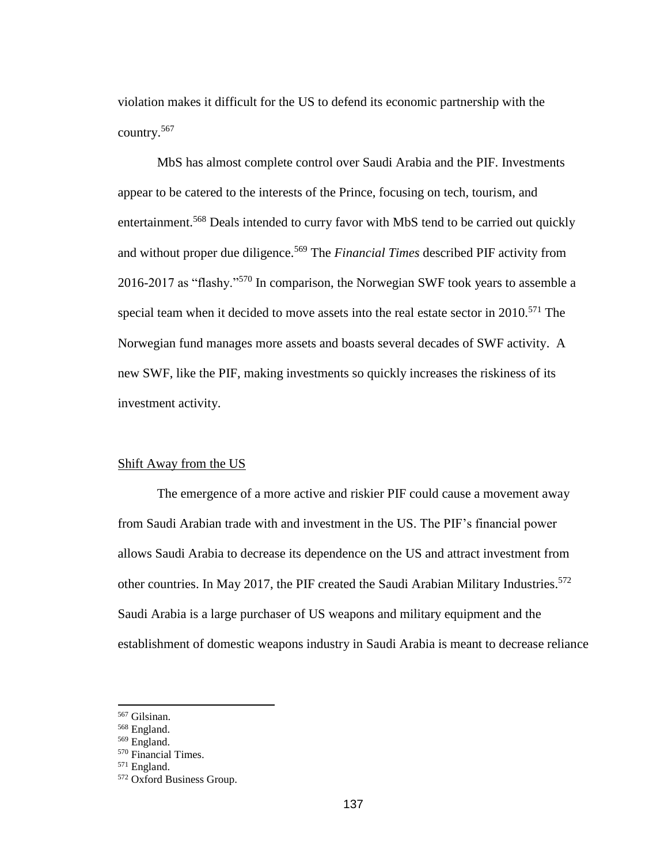violation makes it difficult for the US to defend its economic partnership with the country.<sup>567</sup>

MbS has almost complete control over Saudi Arabia and the PIF. Investments appear to be catered to the interests of the Prince, focusing on tech, tourism, and entertainment.<sup>568</sup> Deals intended to curry favor with MbS tend to be carried out quickly and without proper due diligence.<sup>569</sup> The *Financial Times* described PIF activity from 2016-2017 as "flashy."<sup>570</sup> In comparison, the Norwegian SWF took years to assemble a special team when it decided to move assets into the real estate sector in  $2010$ <sup>571</sup>. The Norwegian fund manages more assets and boasts several decades of SWF activity. A new SWF, like the PIF, making investments so quickly increases the riskiness of its investment activity.

#### Shift Away from the US

The emergence of a more active and riskier PIF could cause a movement away from Saudi Arabian trade with and investment in the US. The PIF's financial power allows Saudi Arabia to decrease its dependence on the US and attract investment from other countries. In May 2017, the PIF created the Saudi Arabian Military Industries.<sup>572</sup> Saudi Arabia is a large purchaser of US weapons and military equipment and the establishment of domestic weapons industry in Saudi Arabia is meant to decrease reliance

<sup>567</sup> Gilsinan.

<sup>568</sup> England.

<sup>569</sup> England.

<sup>570</sup> Financial Times.

<sup>571</sup> England.

<sup>572</sup> Oxford Business Group.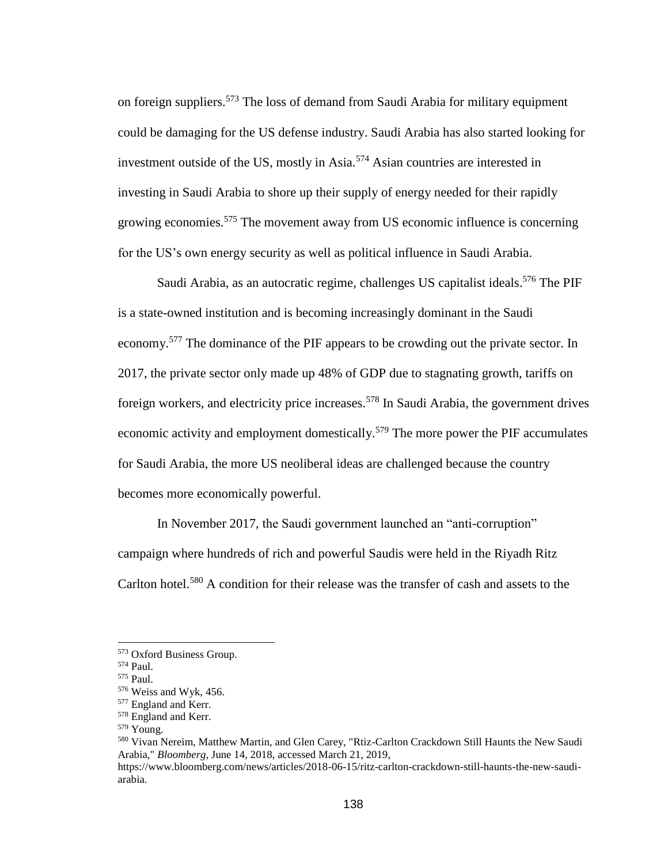on foreign suppliers. <sup>573</sup> The loss of demand from Saudi Arabia for military equipment could be damaging for the US defense industry. Saudi Arabia has also started looking for investment outside of the US, mostly in Asia.<sup>574</sup> Asian countries are interested in investing in Saudi Arabia to shore up their supply of energy needed for their rapidly growing economies.<sup>575</sup> The movement away from US economic influence is concerning for the US's own energy security as well as political influence in Saudi Arabia.

Saudi Arabia, as an autocratic regime, challenges US capitalist ideals.<sup>576</sup> The PIF is a state-owned institution and is becoming increasingly dominant in the Saudi economy.<sup>577</sup> The dominance of the PIF appears to be crowding out the private sector. In 2017, the private sector only made up 48% of GDP due to stagnating growth, tariffs on foreign workers, and electricity price increases.<sup>578</sup> In Saudi Arabia, the government drives economic activity and employment domestically.<sup>579</sup> The more power the PIF accumulates for Saudi Arabia, the more US neoliberal ideas are challenged because the country becomes more economically powerful.

In November 2017, the Saudi government launched an "anti-corruption" campaign where hundreds of rich and powerful Saudis were held in the Riyadh Ritz Carlton hotel.<sup>580</sup> A condition for their release was the transfer of cash and assets to the

<sup>573</sup> Oxford Business Group.

<sup>574</sup> Paul.

<sup>575</sup> Paul.

<sup>576</sup> Weiss and Wyk, 456.

<sup>577</sup> England and Kerr.

<sup>578</sup> England and Kerr.

<sup>579</sup> Young.

<sup>580</sup> Vivan Nereim, Matthew Martin, and Glen Carey, "Rtiz-Carlton Crackdown Still Haunts the New Saudi Arabia," *Bloomberg*, June 14, 2018, accessed March 21, 2019,

https://www.bloomberg.com/news/articles/2018-06-15/ritz-carlton-crackdown-still-haunts-the-new-saudiarabia.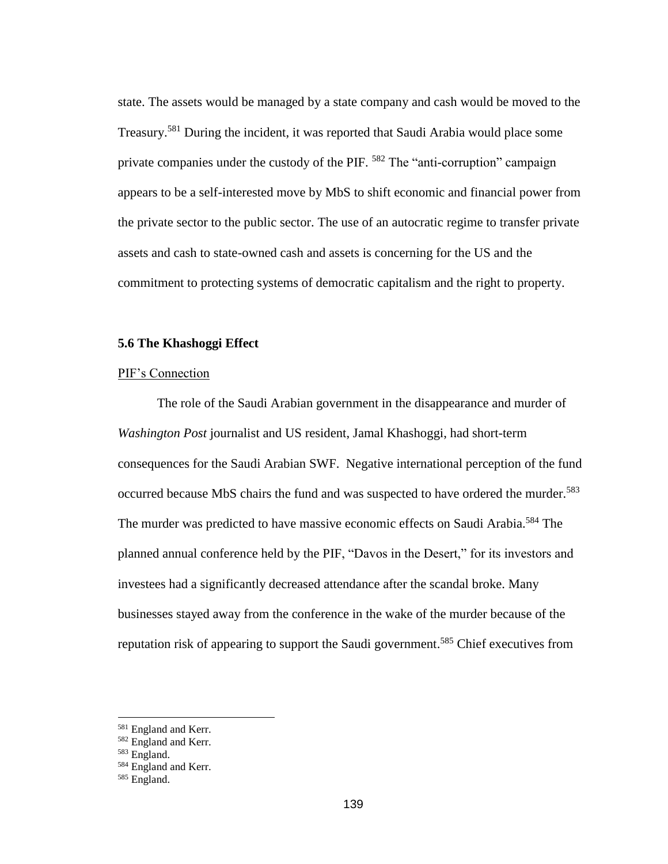state. The assets would be managed by a state company and cash would be moved to the Treasury.<sup>581</sup> During the incident, it was reported that Saudi Arabia would place some private companies under the custody of the PIF. <sup>582</sup> The "anti-corruption" campaign appears to be a self-interested move by MbS to shift economic and financial power from the private sector to the public sector. The use of an autocratic regime to transfer private assets and cash to state-owned cash and assets is concerning for the US and the commitment to protecting systems of democratic capitalism and the right to property.

#### **5.6 The Khashoggi Effect**

## PIF's Connection

The role of the Saudi Arabian government in the disappearance and murder of *Washington Post* journalist and US resident, Jamal Khashoggi, had short-term consequences for the Saudi Arabian SWF. Negative international perception of the fund occurred because MbS chairs the fund and was suspected to have ordered the murder.<sup>583</sup> The murder was predicted to have massive economic effects on Saudi Arabia.<sup>584</sup> The planned annual conference held by the PIF, "Davos in the Desert," for its investors and investees had a significantly decreased attendance after the scandal broke. Many businesses stayed away from the conference in the wake of the murder because of the reputation risk of appearing to support the Saudi government.<sup>585</sup> Chief executives from

<sup>581</sup> England and Kerr.

<sup>&</sup>lt;sup>582</sup> England and Kerr.

<sup>583</sup> England.

<sup>&</sup>lt;sup>584</sup> England and Kerr.

<sup>585</sup> England.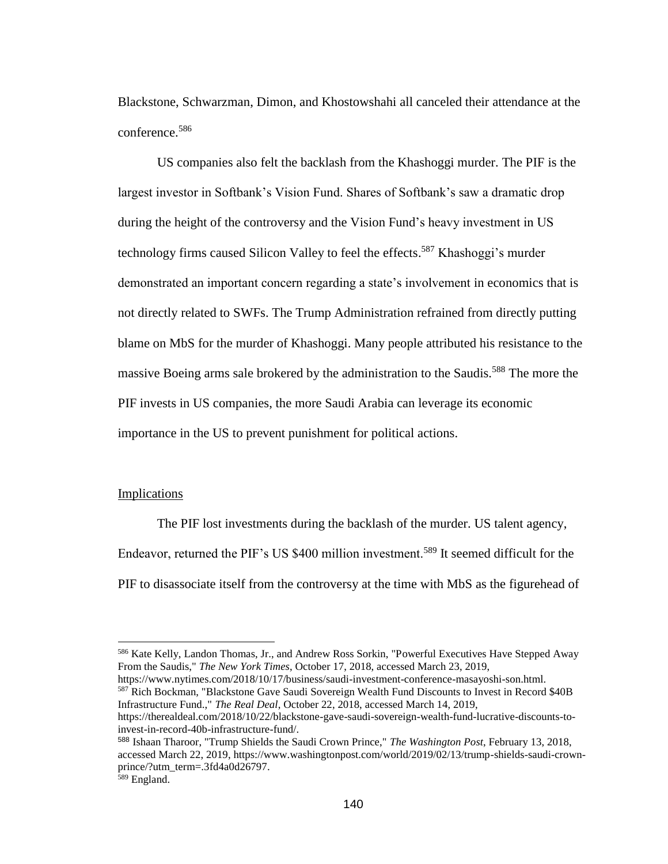Blackstone, Schwarzman, Dimon, and Khostowshahi all canceled their attendance at the conference.<sup>586</sup>

US companies also felt the backlash from the Khashoggi murder. The PIF is the largest investor in Softbank's Vision Fund. Shares of Softbank's saw a dramatic drop during the height of the controversy and the Vision Fund's heavy investment in US technology firms caused Silicon Valley to feel the effects. <sup>587</sup> Khashoggi's murder demonstrated an important concern regarding a state's involvement in economics that is not directly related to SWFs. The Trump Administration refrained from directly putting blame on MbS for the murder of Khashoggi. Many people attributed his resistance to the massive Boeing arms sale brokered by the administration to the Saudis.<sup>588</sup> The more the PIF invests in US companies, the more Saudi Arabia can leverage its economic importance in the US to prevent punishment for political actions.

## Implications

The PIF lost investments during the backlash of the murder. US talent agency, Endeavor, returned the PIF's US \$400 million investment.<sup>589</sup> It seemed difficult for the PIF to disassociate itself from the controversy at the time with MbS as the figurehead of

https://www.nytimes.com/2018/10/17/business/saudi-investment-conference-masayoshi-son.html. <sup>587</sup> Rich Bockman, "Blackstone Gave Saudi Sovereign Wealth Fund Discounts to Invest in Record \$40B Infrastructure Fund.," *The Real Deal*, October 22, 2018, accessed March 14, 2019,

<sup>586</sup> Kate Kelly, Landon Thomas, Jr., and Andrew Ross Sorkin, "Powerful Executives Have Stepped Away From the Saudis," *The New York Times*, October 17, 2018, accessed March 23, 2019,

https://therealdeal.com/2018/10/22/blackstone-gave-saudi-sovereign-wealth-fund-lucrative-discounts-toinvest-in-record-40b-infrastructure-fund/.

<sup>588</sup> Ishaan Tharoor, "Trump Shields the Saudi Crown Prince," *The Washington Post*, February 13, 2018, accessed March 22, 2019, https://www.washingtonpost.com/world/2019/02/13/trump-shields-saudi-crownprince/?utm\_term=.3fd4a0d26797.

<sup>&</sup>lt;sup>589</sup> England.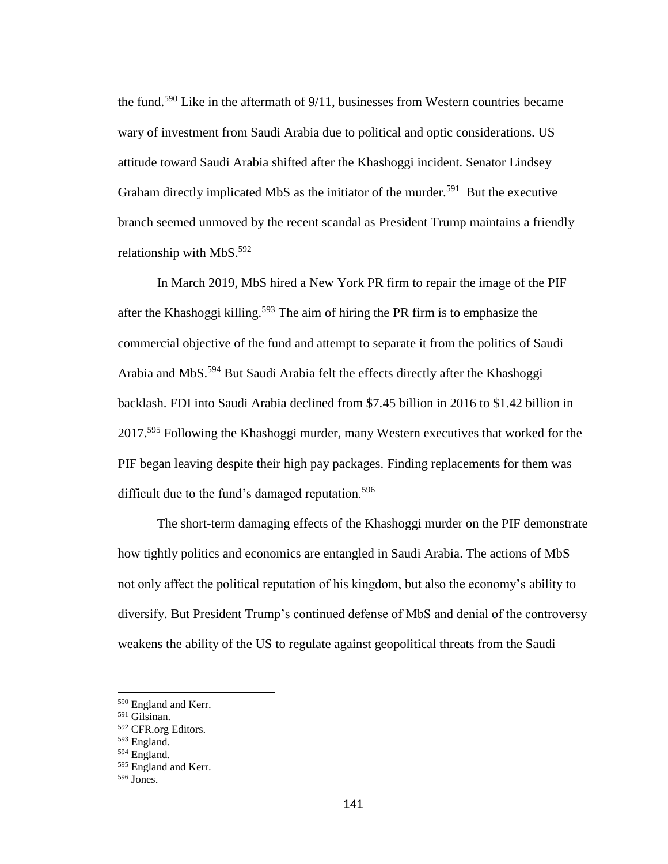the fund.<sup>590</sup> Like in the aftermath of 9/11, businesses from Western countries became wary of investment from Saudi Arabia due to political and optic considerations. US attitude toward Saudi Arabia shifted after the Khashoggi incident. Senator Lindsey Graham directly implicated MbS as the initiator of the murder.<sup>591</sup> But the executive branch seemed unmoved by the recent scandal as President Trump maintains a friendly relationship with MbS.<sup>592</sup>

In March 2019, MbS hired a New York PR firm to repair the image of the PIF after the Khashoggi killing.<sup>593</sup> The aim of hiring the PR firm is to emphasize the commercial objective of the fund and attempt to separate it from the politics of Saudi Arabia and MbS.<sup>594</sup> But Saudi Arabia felt the effects directly after the Khashoggi backlash. FDI into Saudi Arabia declined from \$7.45 billion in 2016 to \$1.42 billion in 2017.<sup>595</sup> Following the Khashoggi murder, many Western executives that worked for the PIF began leaving despite their high pay packages. Finding replacements for them was difficult due to the fund's damaged reputation.<sup>596</sup>

The short-term damaging effects of the Khashoggi murder on the PIF demonstrate how tightly politics and economics are entangled in Saudi Arabia. The actions of MbS not only affect the political reputation of his kingdom, but also the economy's ability to diversify. But President Trump's continued defense of MbS and denial of the controversy weakens the ability of the US to regulate against geopolitical threats from the Saudi

<sup>590</sup> England and Kerr.

<sup>591</sup> Gilsinan.

<sup>592</sup> CFR.org Editors.

<sup>593</sup> England.

<sup>594</sup> England.

<sup>595</sup> England and Kerr.

<sup>596</sup> Jones.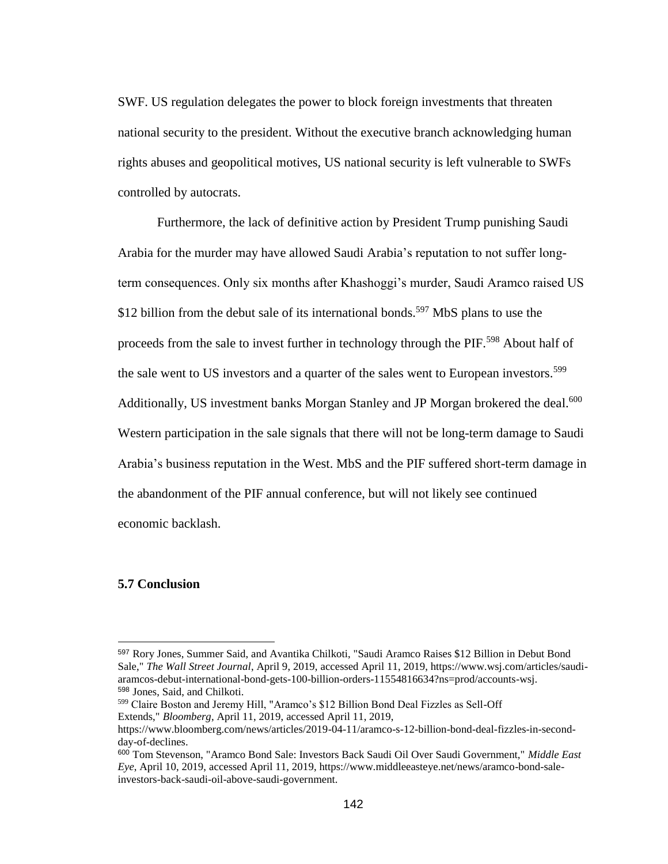SWF. US regulation delegates the power to block foreign investments that threaten national security to the president. Without the executive branch acknowledging human rights abuses and geopolitical motives, US national security is left vulnerable to SWFs controlled by autocrats.

Furthermore, the lack of definitive action by President Trump punishing Saudi Arabia for the murder may have allowed Saudi Arabia's reputation to not suffer longterm consequences. Only six months after Khashoggi's murder, Saudi Aramco raised US \$12 billion from the debut sale of its international bonds.<sup>597</sup> MbS plans to use the proceeds from the sale to invest further in technology through the PIF.<sup>598</sup> About half of the sale went to US investors and a quarter of the sales went to European investors.<sup>599</sup> Additionally, US investment banks Morgan Stanley and JP Morgan brokered the deal.<sup>600</sup> Western participation in the sale signals that there will not be long-term damage to Saudi Arabia's business reputation in the West. MbS and the PIF suffered short-term damage in the abandonment of the PIF annual conference, but will not likely see continued economic backlash.

# **5.7 Conclusion**

<sup>597</sup> Rory Jones, Summer Said, and Avantika Chilkoti, "Saudi Aramco Raises \$12 Billion in Debut Bond Sale," *The Wall Street Journal*, April 9, 2019, accessed April 11, 2019, https://www.wsj.com/articles/saudiaramcos-debut-international-bond-gets-100-billion-orders-11554816634?ns=prod/accounts-wsj. <sup>598</sup> Jones, Said, and Chilkoti.

<sup>599</sup> Claire Boston and Jeremy Hill, "Aramco's \$12 Billion Bond Deal Fizzles as Sell-Off Extends," *Bloomberg*, April 11, 2019, accessed April 11, 2019,

https://www.bloomberg.com/news/articles/2019-04-11/aramco-s-12-billion-bond-deal-fizzles-in-secondday-of-declines.

<sup>600</sup> Tom Stevenson, "Aramco Bond Sale: Investors Back Saudi Oil Over Saudi Government," *Middle East Eye*, April 10, 2019, accessed April 11, 2019, https://www.middleeasteye.net/news/aramco-bond-saleinvestors-back-saudi-oil-above-saudi-government.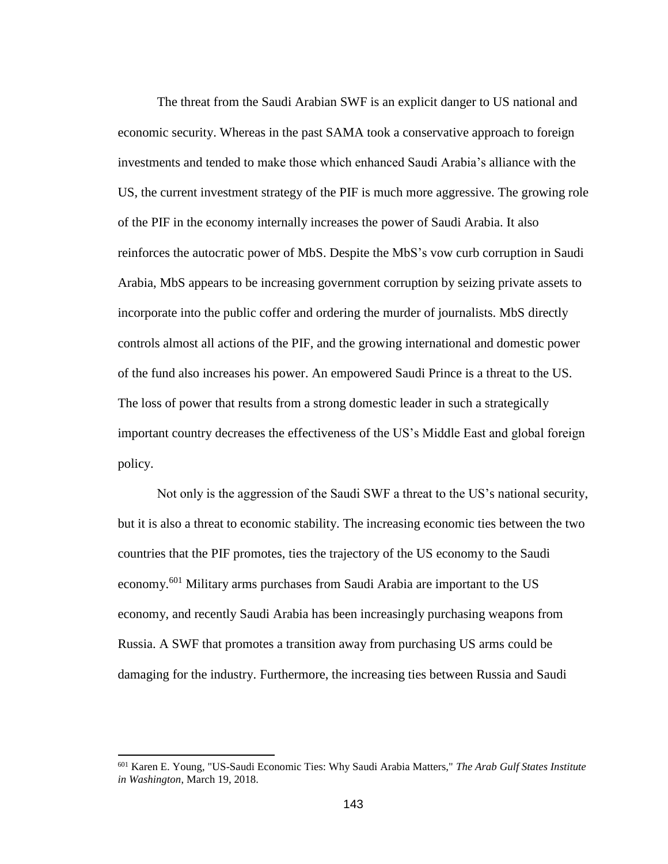The threat from the Saudi Arabian SWF is an explicit danger to US national and economic security. Whereas in the past SAMA took a conservative approach to foreign investments and tended to make those which enhanced Saudi Arabia's alliance with the US, the current investment strategy of the PIF is much more aggressive. The growing role of the PIF in the economy internally increases the power of Saudi Arabia. It also reinforces the autocratic power of MbS. Despite the MbS's vow curb corruption in Saudi Arabia, MbS appears to be increasing government corruption by seizing private assets to incorporate into the public coffer and ordering the murder of journalists. MbS directly controls almost all actions of the PIF, and the growing international and domestic power of the fund also increases his power. An empowered Saudi Prince is a threat to the US. The loss of power that results from a strong domestic leader in such a strategically important country decreases the effectiveness of the US's Middle East and global foreign policy.

Not only is the aggression of the Saudi SWF a threat to the US's national security, but it is also a threat to economic stability. The increasing economic ties between the two countries that the PIF promotes, ties the trajectory of the US economy to the Saudi economy.<sup>601</sup> Military arms purchases from Saudi Arabia are important to the US economy, and recently Saudi Arabia has been increasingly purchasing weapons from Russia. A SWF that promotes a transition away from purchasing US arms could be damaging for the industry. Furthermore, the increasing ties between Russia and Saudi

 $\overline{a}$ 

<sup>601</sup> Karen E. Young, "US-Saudi Economic Ties: Why Saudi Arabia Matters," *The Arab Gulf States Institute in Washington*, March 19, 2018.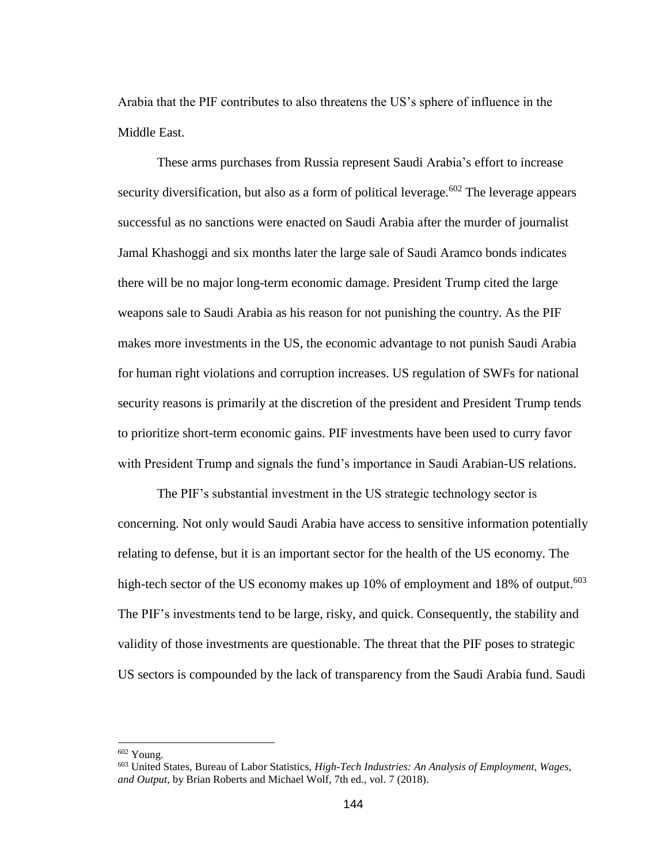Arabia that the PIF contributes to also threatens the US's sphere of influence in the Middle East.

These arms purchases from Russia represent Saudi Arabia's effort to increase security diversification, but also as a form of political leverage.<sup>602</sup> The leverage appears successful as no sanctions were enacted on Saudi Arabia after the murder of journalist Jamal Khashoggi and six months later the large sale of Saudi Aramco bonds indicates there will be no major long-term economic damage. President Trump cited the large weapons sale to Saudi Arabia as his reason for not punishing the country. As the PIF makes more investments in the US, the economic advantage to not punish Saudi Arabia for human right violations and corruption increases. US regulation of SWFs for national security reasons is primarily at the discretion of the president and President Trump tends to prioritize short-term economic gains. PIF investments have been used to curry favor with President Trump and signals the fund's importance in Saudi Arabian-US relations.

The PIF's substantial investment in the US strategic technology sector is concerning. Not only would Saudi Arabia have access to sensitive information potentially relating to defense, but it is an important sector for the health of the US economy. The high-tech sector of the US economy makes up 10% of employment and 18% of output.<sup>603</sup> The PIF's investments tend to be large, risky, and quick. Consequently, the stability and validity of those investments are questionable. The threat that the PIF poses to strategic US sectors is compounded by the lack of transparency from the Saudi Arabia fund. Saudi

<sup>602</sup> Young.

<sup>603</sup> United States, Bureau of Labor Statistics, *High-Tech Industries: An Analysis of Employment, Wages, and Output*, by Brian Roberts and Michael Wolf, 7th ed., vol. 7 (2018).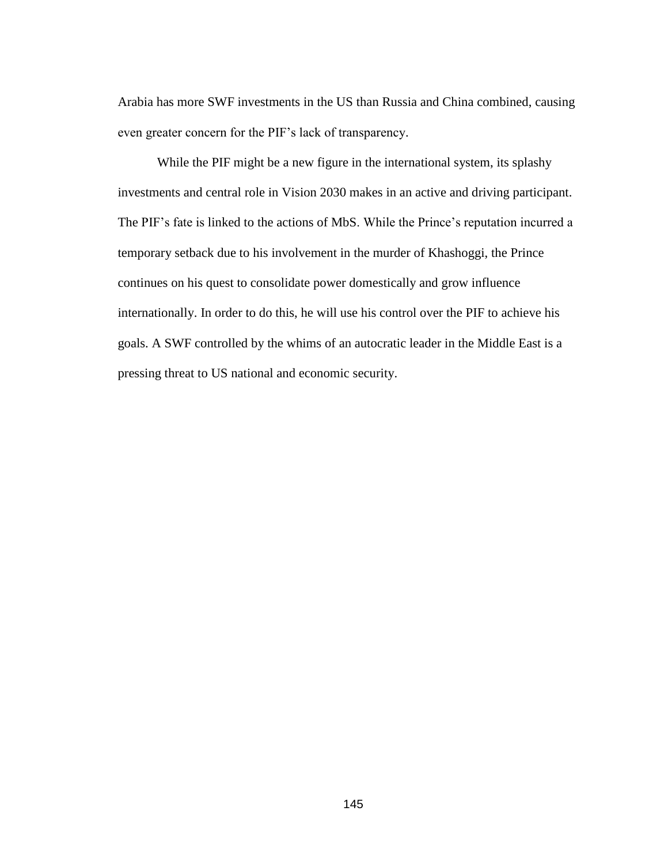Arabia has more SWF investments in the US than Russia and China combined, causing even greater concern for the PIF's lack of transparency.

While the PIF might be a new figure in the international system, its splashy investments and central role in Vision 2030 makes in an active and driving participant. The PIF's fate is linked to the actions of MbS. While the Prince's reputation incurred a temporary setback due to his involvement in the murder of Khashoggi, the Prince continues on his quest to consolidate power domestically and grow influence internationally. In order to do this, he will use his control over the PIF to achieve his goals. A SWF controlled by the whims of an autocratic leader in the Middle East is a pressing threat to US national and economic security.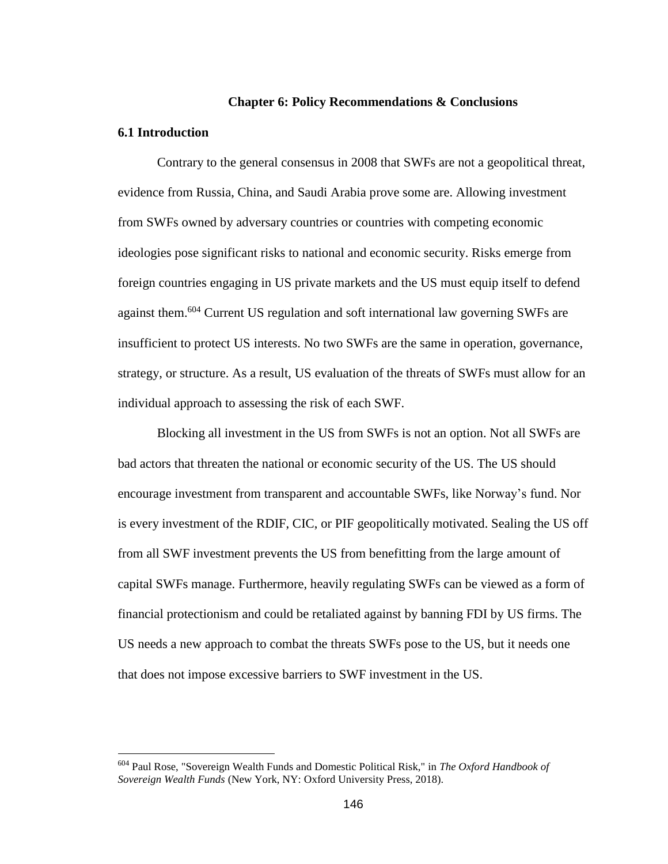#### **Chapter 6: Policy Recommendations & Conclusions**

#### **6.1 Introduction**

 $\overline{a}$ 

Contrary to the general consensus in 2008 that SWFs are not a geopolitical threat, evidence from Russia, China, and Saudi Arabia prove some are. Allowing investment from SWFs owned by adversary countries or countries with competing economic ideologies pose significant risks to national and economic security. Risks emerge from foreign countries engaging in US private markets and the US must equip itself to defend against them.<sup>604</sup> Current US regulation and soft international law governing SWFs are insufficient to protect US interests. No two SWFs are the same in operation, governance, strategy, or structure. As a result, US evaluation of the threats of SWFs must allow for an individual approach to assessing the risk of each SWF.

Blocking all investment in the US from SWFs is not an option. Not all SWFs are bad actors that threaten the national or economic security of the US. The US should encourage investment from transparent and accountable SWFs, like Norway's fund. Nor is every investment of the RDIF, CIC, or PIF geopolitically motivated. Sealing the US off from all SWF investment prevents the US from benefitting from the large amount of capital SWFs manage. Furthermore, heavily regulating SWFs can be viewed as a form of financial protectionism and could be retaliated against by banning FDI by US firms. The US needs a new approach to combat the threats SWFs pose to the US, but it needs one that does not impose excessive barriers to SWF investment in the US.

<sup>604</sup> Paul Rose, "Sovereign Wealth Funds and Domestic Political Risk," in *The Oxford Handbook of Sovereign Wealth Funds* (New York, NY: Oxford University Press, 2018).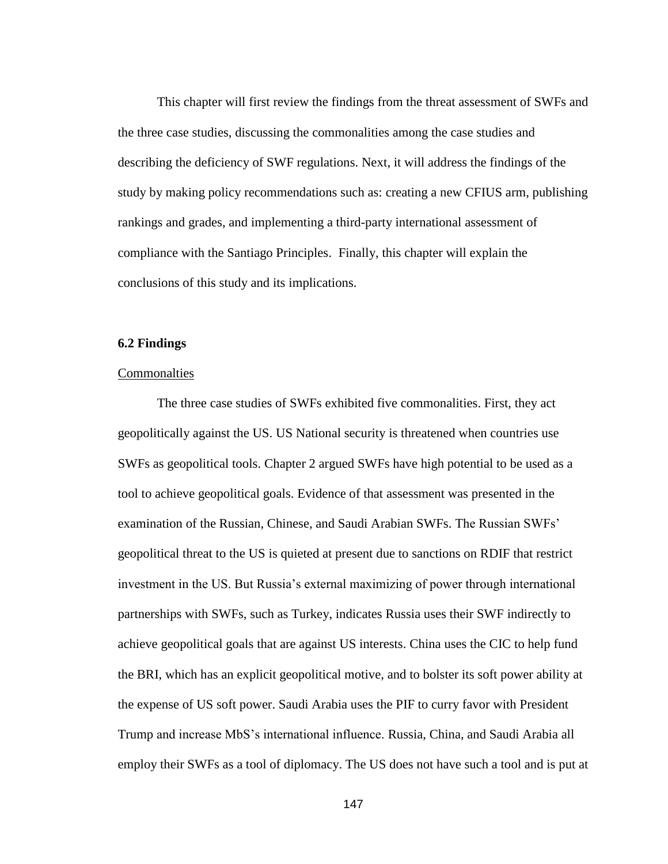This chapter will first review the findings from the threat assessment of SWFs and the three case studies, discussing the commonalities among the case studies and describing the deficiency of SWF regulations. Next, it will address the findings of the study by making policy recommendations such as: creating a new CFIUS arm, publishing rankings and grades, and implementing a third-party international assessment of compliance with the Santiago Principles. Finally, this chapter will explain the conclusions of this study and its implications.

## **6.2 Findings**

## **Commonalties**

The three case studies of SWFs exhibited five commonalities. First, they act geopolitically against the US. US National security is threatened when countries use SWFs as geopolitical tools. Chapter 2 argued SWFs have high potential to be used as a tool to achieve geopolitical goals. Evidence of that assessment was presented in the examination of the Russian, Chinese, and Saudi Arabian SWFs. The Russian SWFs' geopolitical threat to the US is quieted at present due to sanctions on RDIF that restrict investment in the US. But Russia's external maximizing of power through international partnerships with SWFs, such as Turkey, indicates Russia uses their SWF indirectly to achieve geopolitical goals that are against US interests. China uses the CIC to help fund the BRI, which has an explicit geopolitical motive, and to bolster its soft power ability at the expense of US soft power. Saudi Arabia uses the PIF to curry favor with President Trump and increase MbS's international influence. Russia, China, and Saudi Arabia all employ their SWFs as a tool of diplomacy. The US does not have such a tool and is put at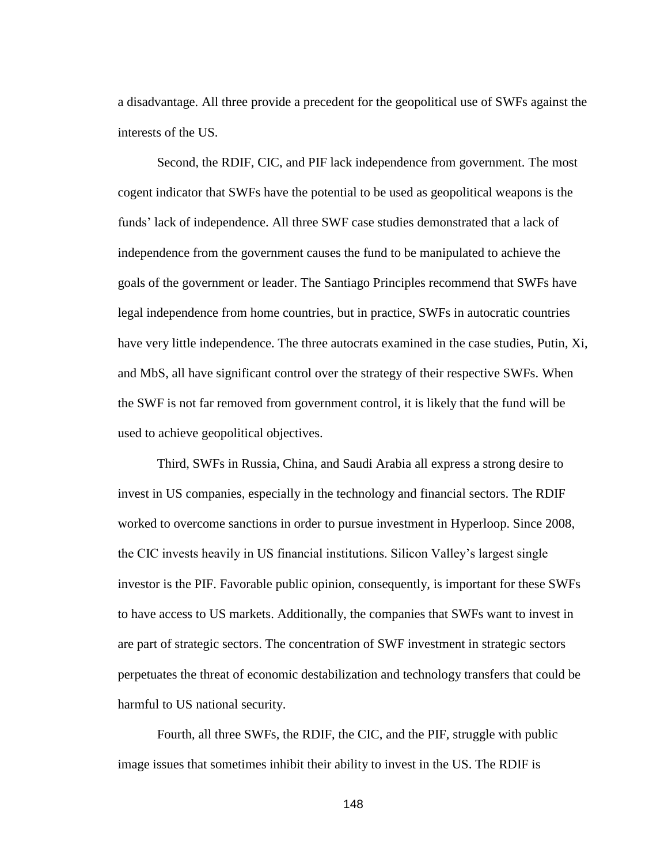a disadvantage. All three provide a precedent for the geopolitical use of SWFs against the interests of the US.

Second, the RDIF, CIC, and PIF lack independence from government. The most cogent indicator that SWFs have the potential to be used as geopolitical weapons is the funds' lack of independence. All three SWF case studies demonstrated that a lack of independence from the government causes the fund to be manipulated to achieve the goals of the government or leader. The Santiago Principles recommend that SWFs have legal independence from home countries, but in practice, SWFs in autocratic countries have very little independence. The three autocrats examined in the case studies, Putin, Xi, and MbS, all have significant control over the strategy of their respective SWFs. When the SWF is not far removed from government control, it is likely that the fund will be used to achieve geopolitical objectives.

Third, SWFs in Russia, China, and Saudi Arabia all express a strong desire to invest in US companies, especially in the technology and financial sectors. The RDIF worked to overcome sanctions in order to pursue investment in Hyperloop. Since 2008, the CIC invests heavily in US financial institutions. Silicon Valley's largest single investor is the PIF. Favorable public opinion, consequently, is important for these SWFs to have access to US markets. Additionally, the companies that SWFs want to invest in are part of strategic sectors. The concentration of SWF investment in strategic sectors perpetuates the threat of economic destabilization and technology transfers that could be harmful to US national security.

Fourth, all three SWFs, the RDIF, the CIC, and the PIF, struggle with public image issues that sometimes inhibit their ability to invest in the US. The RDIF is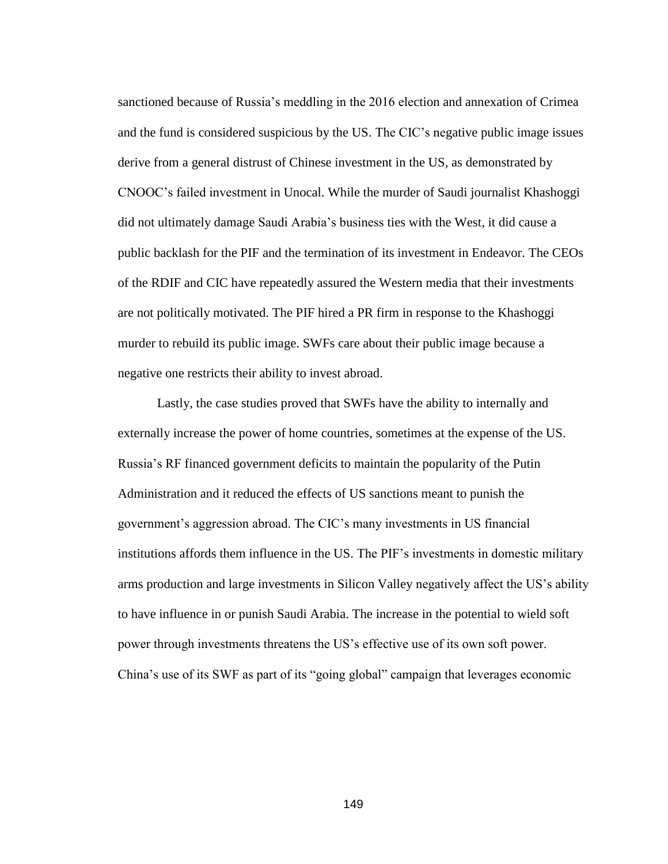sanctioned because of Russia's meddling in the 2016 election and annexation of Crimea and the fund is considered suspicious by the US. The CIC's negative public image issues derive from a general distrust of Chinese investment in the US, as demonstrated by CNOOC's failed investment in Unocal. While the murder of Saudi journalist Khashoggi did not ultimately damage Saudi Arabia's business ties with the West, it did cause a public backlash for the PIF and the termination of its investment in Endeavor. The CEOs of the RDIF and CIC have repeatedly assured the Western media that their investments are not politically motivated. The PIF hired a PR firm in response to the Khashoggi murder to rebuild its public image. SWFs care about their public image because a negative one restricts their ability to invest abroad.

Lastly, the case studies proved that SWFs have the ability to internally and externally increase the power of home countries, sometimes at the expense of the US. Russia's RF financed government deficits to maintain the popularity of the Putin Administration and it reduced the effects of US sanctions meant to punish the government's aggression abroad. The CIC's many investments in US financial institutions affords them influence in the US. The PIF's investments in domestic military arms production and large investments in Silicon Valley negatively affect the US's ability to have influence in or punish Saudi Arabia. The increase in the potential to wield soft power through investments threatens the US's effective use of its own soft power. China's use of its SWF as part of its "going global" campaign that leverages economic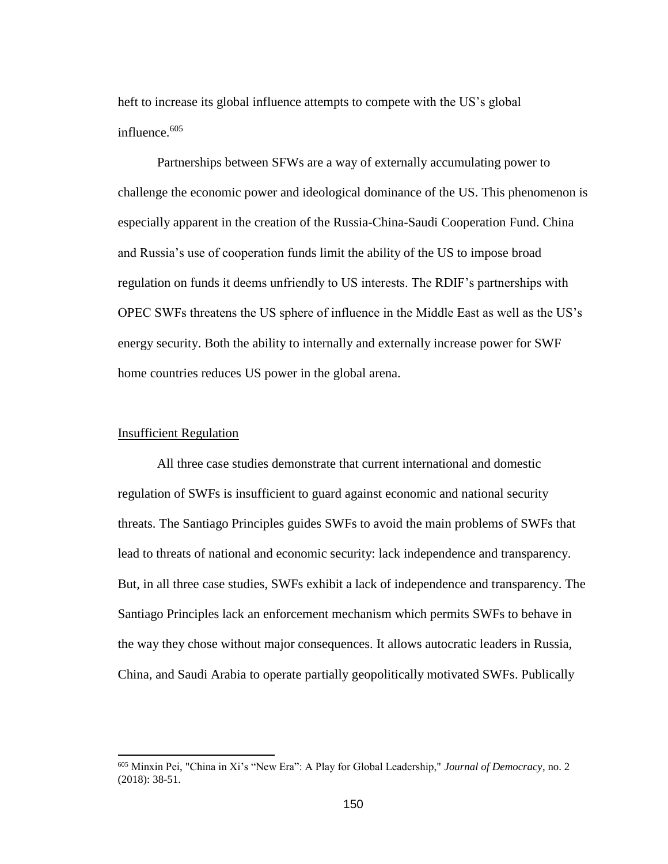heft to increase its global influence attempts to compete with the US's global influence. 605

Partnerships between SFWs are a way of externally accumulating power to challenge the economic power and ideological dominance of the US. This phenomenon is especially apparent in the creation of the Russia-China-Saudi Cooperation Fund. China and Russia's use of cooperation funds limit the ability of the US to impose broad regulation on funds it deems unfriendly to US interests. The RDIF's partnerships with OPEC SWFs threatens the US sphere of influence in the Middle East as well as the US's energy security. Both the ability to internally and externally increase power for SWF home countries reduces US power in the global arena.

#### Insufficient Regulation

 $\overline{a}$ 

All three case studies demonstrate that current international and domestic regulation of SWFs is insufficient to guard against economic and national security threats. The Santiago Principles guides SWFs to avoid the main problems of SWFs that lead to threats of national and economic security: lack independence and transparency. But, in all three case studies, SWFs exhibit a lack of independence and transparency. The Santiago Principles lack an enforcement mechanism which permits SWFs to behave in the way they chose without major consequences. It allows autocratic leaders in Russia, China, and Saudi Arabia to operate partially geopolitically motivated SWFs. Publically

<sup>605</sup> Minxin Pei, "China in Xi's "New Era": A Play for Global Leadership," *Journal of Democracy*, no. 2 (2018): 38-51.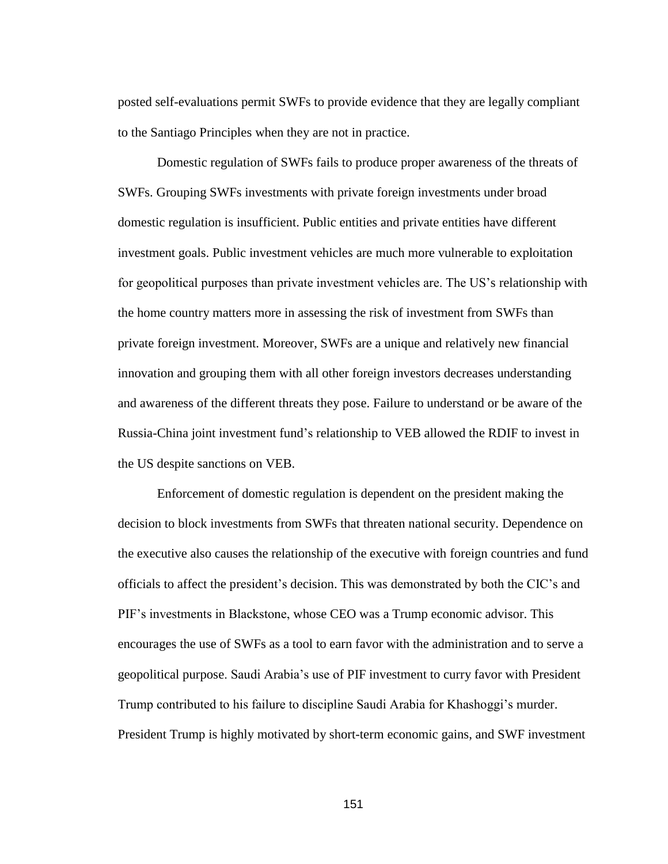posted self-evaluations permit SWFs to provide evidence that they are legally compliant to the Santiago Principles when they are not in practice.

Domestic regulation of SWFs fails to produce proper awareness of the threats of SWFs. Grouping SWFs investments with private foreign investments under broad domestic regulation is insufficient. Public entities and private entities have different investment goals. Public investment vehicles are much more vulnerable to exploitation for geopolitical purposes than private investment vehicles are. The US's relationship with the home country matters more in assessing the risk of investment from SWFs than private foreign investment. Moreover, SWFs are a unique and relatively new financial innovation and grouping them with all other foreign investors decreases understanding and awareness of the different threats they pose. Failure to understand or be aware of the Russia-China joint investment fund's relationship to VEB allowed the RDIF to invest in the US despite sanctions on VEB.

Enforcement of domestic regulation is dependent on the president making the decision to block investments from SWFs that threaten national security. Dependence on the executive also causes the relationship of the executive with foreign countries and fund officials to affect the president's decision. This was demonstrated by both the CIC's and PIF's investments in Blackstone, whose CEO was a Trump economic advisor. This encourages the use of SWFs as a tool to earn favor with the administration and to serve a geopolitical purpose. Saudi Arabia's use of PIF investment to curry favor with President Trump contributed to his failure to discipline Saudi Arabia for Khashoggi's murder. President Trump is highly motivated by short-term economic gains, and SWF investment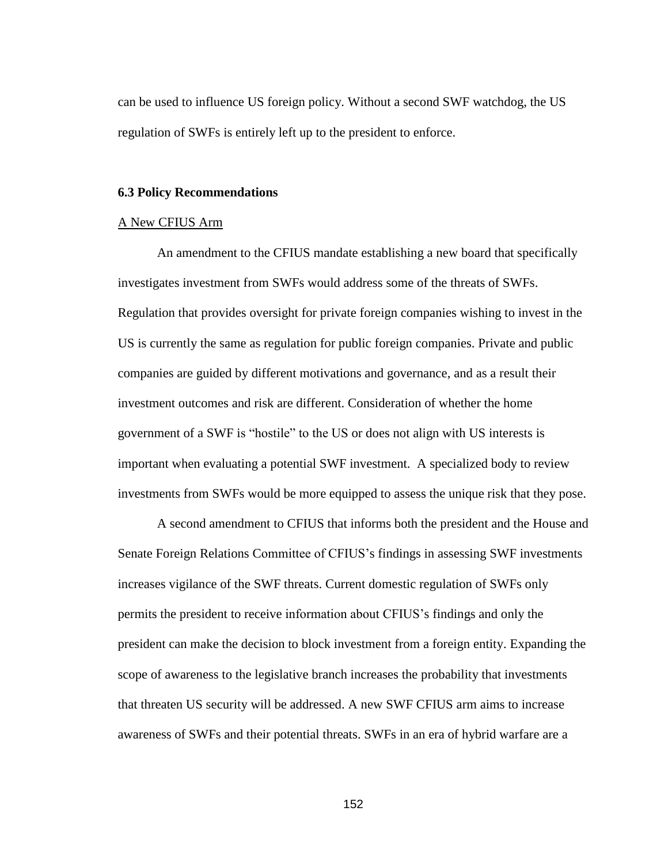can be used to influence US foreign policy. Without a second SWF watchdog, the US regulation of SWFs is entirely left up to the president to enforce.

## **6.3 Policy Recommendations**

#### A New CFIUS Arm

An amendment to the CFIUS mandate establishing a new board that specifically investigates investment from SWFs would address some of the threats of SWFs. Regulation that provides oversight for private foreign companies wishing to invest in the US is currently the same as regulation for public foreign companies. Private and public companies are guided by different motivations and governance, and as a result their investment outcomes and risk are different. Consideration of whether the home government of a SWF is "hostile" to the US or does not align with US interests is important when evaluating a potential SWF investment. A specialized body to review investments from SWFs would be more equipped to assess the unique risk that they pose.

A second amendment to CFIUS that informs both the president and the House and Senate Foreign Relations Committee of CFIUS's findings in assessing SWF investments increases vigilance of the SWF threats. Current domestic regulation of SWFs only permits the president to receive information about CFIUS's findings and only the president can make the decision to block investment from a foreign entity. Expanding the scope of awareness to the legislative branch increases the probability that investments that threaten US security will be addressed. A new SWF CFIUS arm aims to increase awareness of SWFs and their potential threats. SWFs in an era of hybrid warfare are a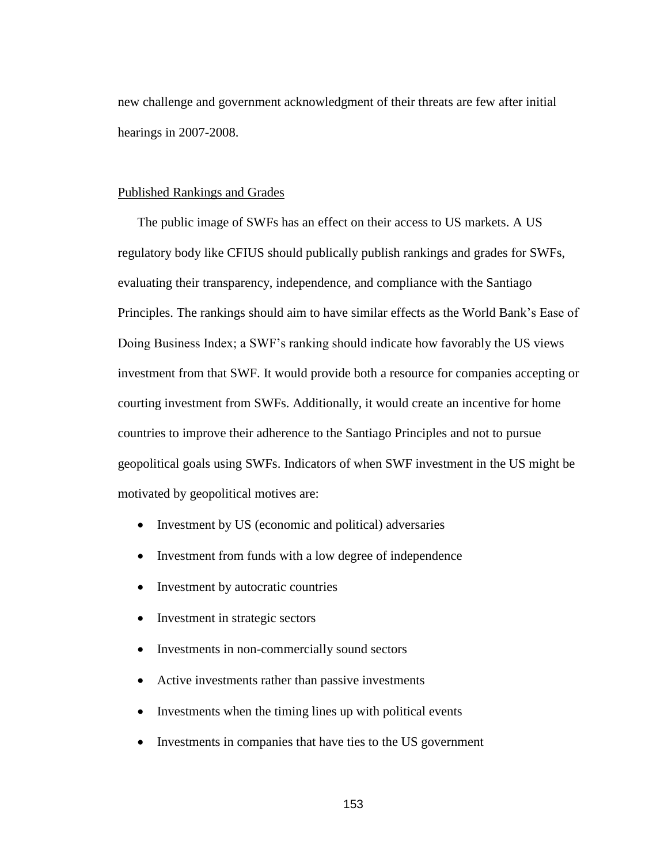new challenge and government acknowledgment of their threats are few after initial hearings in 2007-2008.

# Published Rankings and Grades

The public image of SWFs has an effect on their access to US markets. A US regulatory body like CFIUS should publically publish rankings and grades for SWFs, evaluating their transparency, independence, and compliance with the Santiago Principles. The rankings should aim to have similar effects as the World Bank's Ease of Doing Business Index; a SWF's ranking should indicate how favorably the US views investment from that SWF. It would provide both a resource for companies accepting or courting investment from SWFs. Additionally, it would create an incentive for home countries to improve their adherence to the Santiago Principles and not to pursue geopolitical goals using SWFs. Indicators of when SWF investment in the US might be motivated by geopolitical motives are:

- Investment by US (economic and political) adversaries
- Investment from funds with a low degree of independence
- Investment by autocratic countries
- Investment in strategic sectors
- Investments in non-commercially sound sectors
- Active investments rather than passive investments
- Investments when the timing lines up with political events
- Investments in companies that have ties to the US government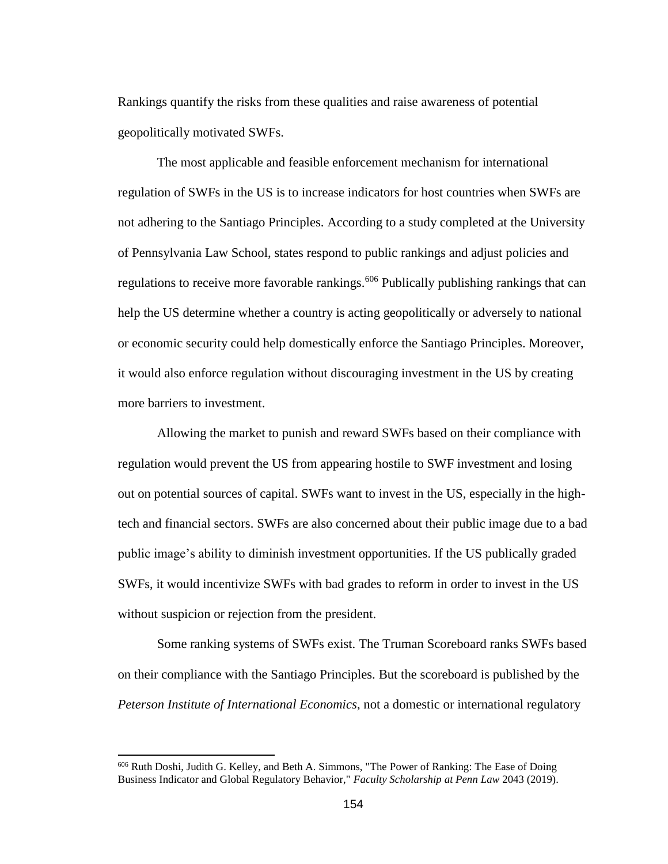Rankings quantify the risks from these qualities and raise awareness of potential geopolitically motivated SWFs.

The most applicable and feasible enforcement mechanism for international regulation of SWFs in the US is to increase indicators for host countries when SWFs are not adhering to the Santiago Principles. According to a study completed at the University of Pennsylvania Law School, states respond to public rankings and adjust policies and regulations to receive more favorable rankings.<sup>606</sup> Publically publishing rankings that can help the US determine whether a country is acting geopolitically or adversely to national or economic security could help domestically enforce the Santiago Principles. Moreover, it would also enforce regulation without discouraging investment in the US by creating more barriers to investment.

Allowing the market to punish and reward SWFs based on their compliance with regulation would prevent the US from appearing hostile to SWF investment and losing out on potential sources of capital. SWFs want to invest in the US, especially in the hightech and financial sectors. SWFs are also concerned about their public image due to a bad public image's ability to diminish investment opportunities. If the US publically graded SWFs, it would incentivize SWFs with bad grades to reform in order to invest in the US without suspicion or rejection from the president.

Some ranking systems of SWFs exist. The Truman Scoreboard ranks SWFs based on their compliance with the Santiago Principles. But the scoreboard is published by the *Peterson Institute of International Economics*, not a domestic or international regulatory

 $\overline{a}$ 

<sup>606</sup> Ruth Doshi, Judith G. Kelley, and Beth A. Simmons, "The Power of Ranking: The Ease of Doing Business Indicator and Global Regulatory Behavior," *Faculty Scholarship at Penn Law* 2043 (2019).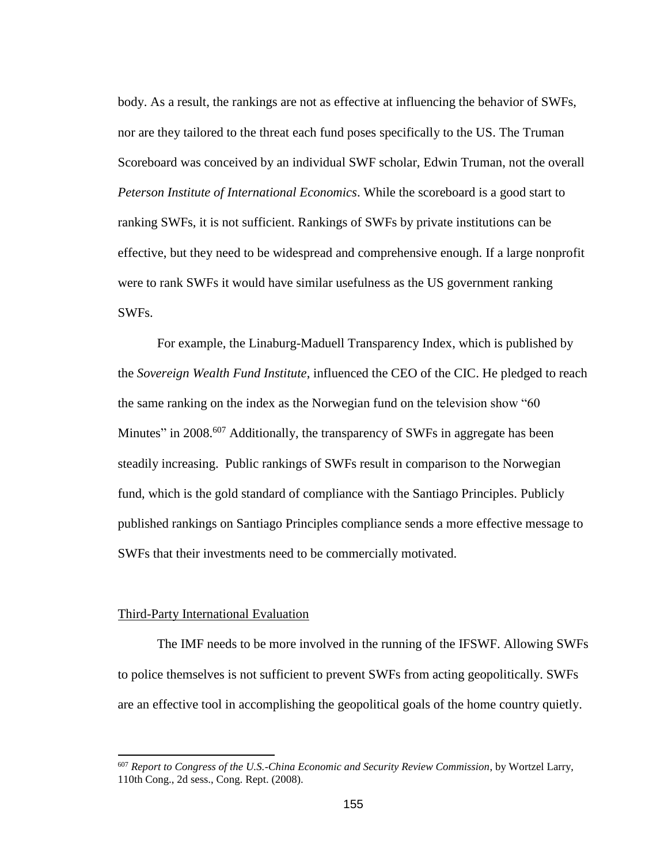body. As a result, the rankings are not as effective at influencing the behavior of SWFs, nor are they tailored to the threat each fund poses specifically to the US. The Truman Scoreboard was conceived by an individual SWF scholar, Edwin Truman, not the overall *Peterson Institute of International Economics*. While the scoreboard is a good start to ranking SWFs, it is not sufficient. Rankings of SWFs by private institutions can be effective, but they need to be widespread and comprehensive enough. If a large nonprofit were to rank SWFs it would have similar usefulness as the US government ranking SWFs.

For example, the Linaburg-Maduell Transparency Index, which is published by the *Sovereign Wealth Fund Institute*, influenced the CEO of the CIC. He pledged to reach the same ranking on the index as the Norwegian fund on the television show "60 Minutes" in 2008.<sup>607</sup> Additionally, the transparency of SWFs in aggregate has been steadily increasing. Public rankings of SWFs result in comparison to the Norwegian fund, which is the gold standard of compliance with the Santiago Principles. Publicly published rankings on Santiago Principles compliance sends a more effective message to SWFs that their investments need to be commercially motivated.

# Third-Party International Evaluation

 $\overline{a}$ 

The IMF needs to be more involved in the running of the IFSWF. Allowing SWFs to police themselves is not sufficient to prevent SWFs from acting geopolitically. SWFs are an effective tool in accomplishing the geopolitical goals of the home country quietly.

<sup>607</sup> *Report to Congress of the U.S.-China Economic and Security Review Commission*, by Wortzel Larry, 110th Cong., 2d sess., Cong. Rept. (2008).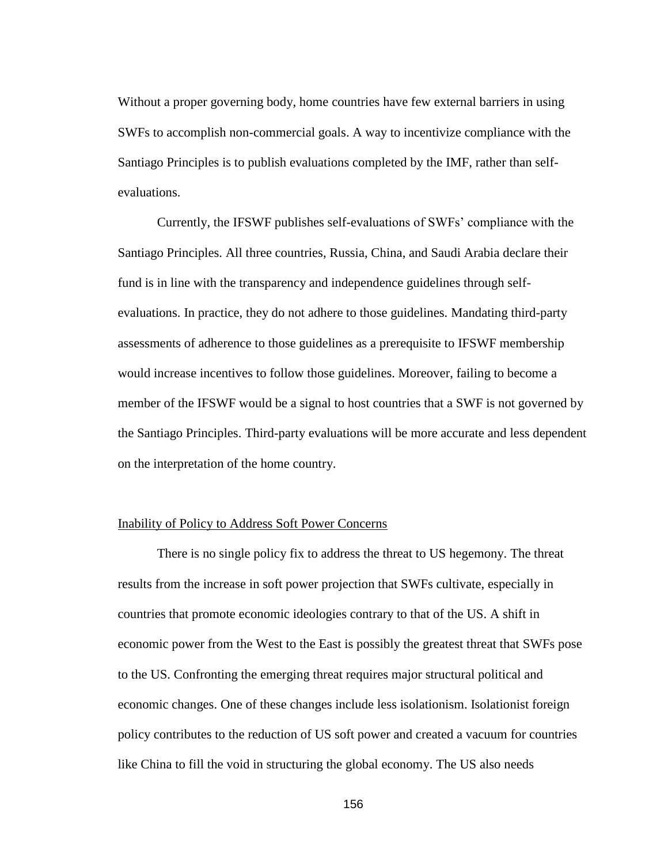Without a proper governing body, home countries have few external barriers in using SWFs to accomplish non-commercial goals. A way to incentivize compliance with the Santiago Principles is to publish evaluations completed by the IMF, rather than selfevaluations.

Currently, the IFSWF publishes self-evaluations of SWFs' compliance with the Santiago Principles. All three countries, Russia, China, and Saudi Arabia declare their fund is in line with the transparency and independence guidelines through selfevaluations. In practice, they do not adhere to those guidelines. Mandating third-party assessments of adherence to those guidelines as a prerequisite to IFSWF membership would increase incentives to follow those guidelines. Moreover, failing to become a member of the IFSWF would be a signal to host countries that a SWF is not governed by the Santiago Principles. Third-party evaluations will be more accurate and less dependent on the interpretation of the home country.

#### Inability of Policy to Address Soft Power Concerns

There is no single policy fix to address the threat to US hegemony. The threat results from the increase in soft power projection that SWFs cultivate, especially in countries that promote economic ideologies contrary to that of the US. A shift in economic power from the West to the East is possibly the greatest threat that SWFs pose to the US. Confronting the emerging threat requires major structural political and economic changes. One of these changes include less isolationism. Isolationist foreign policy contributes to the reduction of US soft power and created a vacuum for countries like China to fill the void in structuring the global economy. The US also needs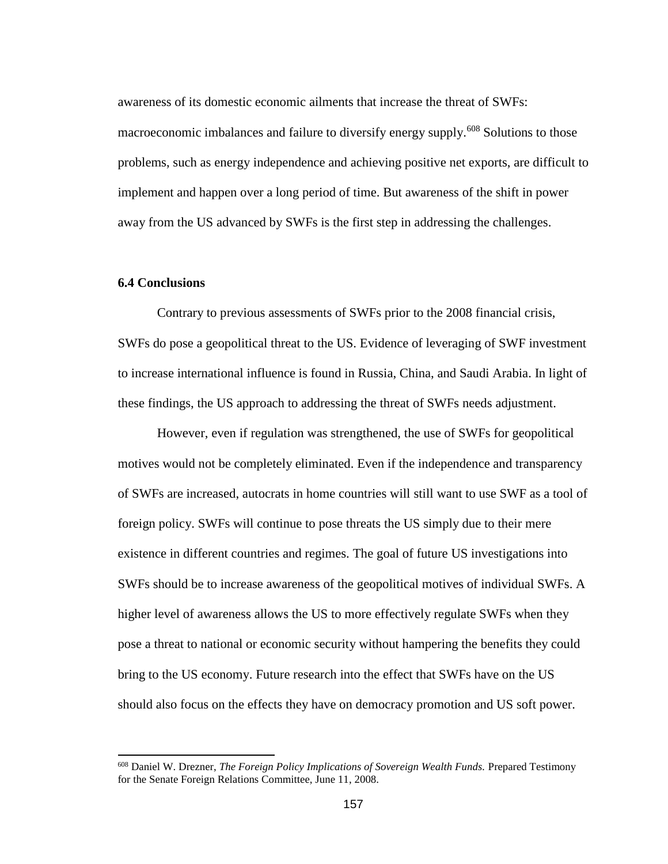awareness of its domestic economic ailments that increase the threat of SWFs: macroeconomic imbalances and failure to diversify energy supply.<sup>608</sup> Solutions to those problems, such as energy independence and achieving positive net exports, are difficult to implement and happen over a long period of time. But awareness of the shift in power away from the US advanced by SWFs is the first step in addressing the challenges.

# **6.4 Conclusions**

 $\overline{a}$ 

Contrary to previous assessments of SWFs prior to the 2008 financial crisis, SWFs do pose a geopolitical threat to the US. Evidence of leveraging of SWF investment to increase international influence is found in Russia, China, and Saudi Arabia. In light of these findings, the US approach to addressing the threat of SWFs needs adjustment.

However, even if regulation was strengthened, the use of SWFs for geopolitical motives would not be completely eliminated. Even if the independence and transparency of SWFs are increased, autocrats in home countries will still want to use SWF as a tool of foreign policy. SWFs will continue to pose threats the US simply due to their mere existence in different countries and regimes. The goal of future US investigations into SWFs should be to increase awareness of the geopolitical motives of individual SWFs. A higher level of awareness allows the US to more effectively regulate SWFs when they pose a threat to national or economic security without hampering the benefits they could bring to the US economy. Future research into the effect that SWFs have on the US should also focus on the effects they have on democracy promotion and US soft power.

<sup>608</sup> Daniel W. Drezner, *The Foreign Policy Implications of Sovereign Wealth Funds.* Prepared Testimony for the Senate Foreign Relations Committee, June 11, 2008.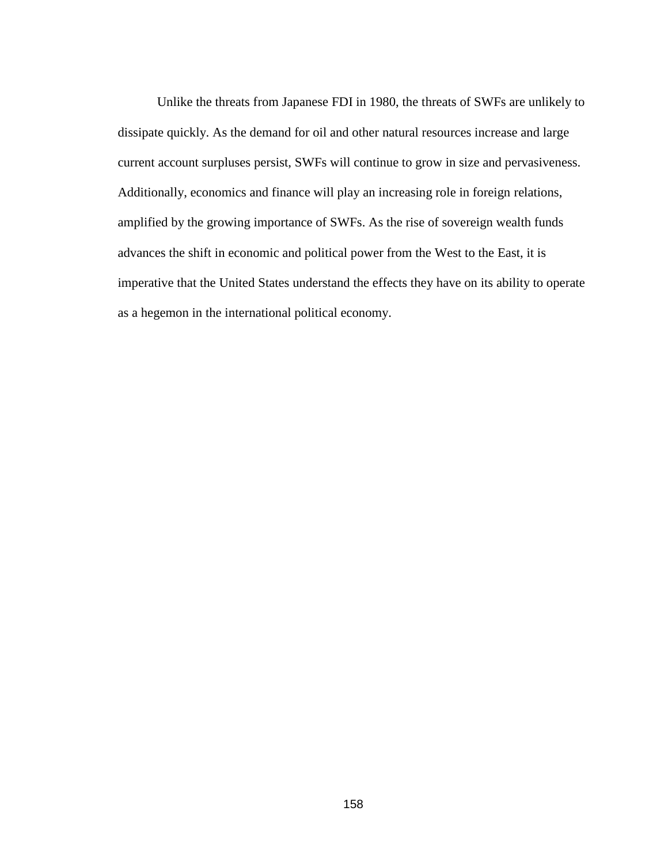Unlike the threats from Japanese FDI in 1980, the threats of SWFs are unlikely to dissipate quickly. As the demand for oil and other natural resources increase and large current account surpluses persist, SWFs will continue to grow in size and pervasiveness. Additionally, economics and finance will play an increasing role in foreign relations, amplified by the growing importance of SWFs. As the rise of sovereign wealth funds advances the shift in economic and political power from the West to the East, it is imperative that the United States understand the effects they have on its ability to operate as a hegemon in the international political economy.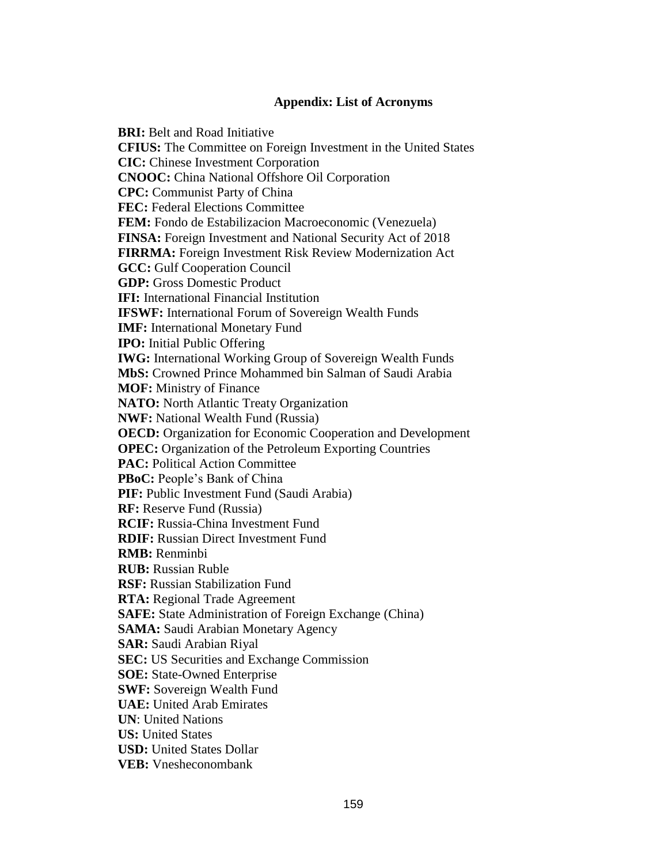# **Appendix: List of Acronyms**

**BRI:** Belt and Road Initiative **CFIUS:** The Committee on Foreign Investment in the United States **CIC:** Chinese Investment Corporation **CNOOC:** China National Offshore Oil Corporation **CPC:** Communist Party of China **FEC:** Federal Elections Committee **FEM:** Fondo de Estabilizacion Macroeconomic (Venezuela) **FINSA:** Foreign Investment and National Security Act of 2018 **FIRRMA:** Foreign Investment Risk Review Modernization Act **GCC:** Gulf Cooperation Council **GDP:** Gross Domestic Product **IFI:** International Financial Institution **IFSWF:** International Forum of Sovereign Wealth Funds **IMF:** International Monetary Fund **IPO:** Initial Public Offering **IWG:** International Working Group of Sovereign Wealth Funds **MbS:** Crowned Prince Mohammed bin Salman of Saudi Arabia **MOF:** Ministry of Finance **NATO:** North Atlantic Treaty Organization **NWF:** National Wealth Fund (Russia) **OECD:** Organization for Economic Cooperation and Development **OPEC:** Organization of the Petroleum Exporting Countries **PAC: Political Action Committee PBoC:** People's Bank of China **PIF:** Public Investment Fund (Saudi Arabia) **RF:** Reserve Fund (Russia) **RCIF:** Russia-China Investment Fund **RDIF:** Russian Direct Investment Fund **RMB:** Renminbi **RUB:** Russian Ruble **RSF:** Russian Stabilization Fund **RTA:** Regional Trade Agreement **SAFE:** State Administration of Foreign Exchange (China) **SAMA:** Saudi Arabian Monetary Agency **SAR:** Saudi Arabian Riyal **SEC:** US Securities and Exchange Commission **SOE:** State-Owned Enterprise **SWF:** Sovereign Wealth Fund **UAE:** United Arab Emirates **UN**: United Nations **US:** United States **USD:** United States Dollar **VEB:** Vnesheconombank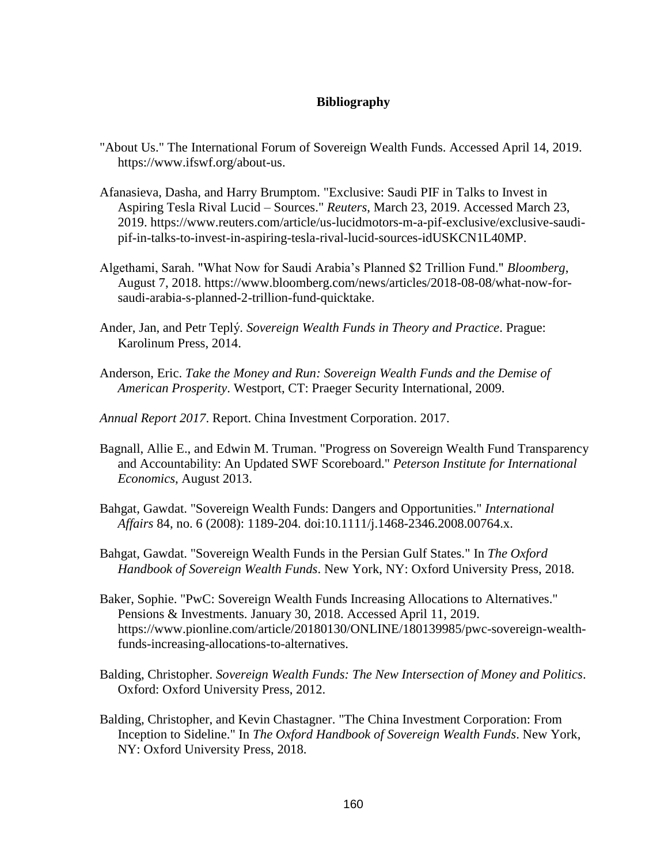# **Bibliography**

- "About Us." The International Forum of Sovereign Wealth Funds. Accessed April 14, 2019. https://www.ifswf.org/about-us.
- Afanasieva, Dasha, and Harry Brumptom. "Exclusive: Saudi PIF in Talks to Invest in Aspiring Tesla Rival Lucid – Sources." *Reuters*, March 23, 2019. Accessed March 23, 2019. https://www.reuters.com/article/us-lucidmotors-m-a-pif-exclusive/exclusive-saudipif-in-talks-to-invest-in-aspiring-tesla-rival-lucid-sources-idUSKCN1L40MP.
- Algethami, Sarah. "What Now for Saudi Arabia's Planned \$2 Trillion Fund." *Bloomberg*, August 7, 2018. https://www.bloomberg.com/news/articles/2018-08-08/what-now-forsaudi-arabia-s-planned-2-trillion-fund-quicktake.
- Ander, Jan, and Petr Teplý . *Sovereign Wealth Funds in Theory and Practice*. Prague: Karolinum Press, 2014.
- Anderson, Eric. *Take the Money and Run: Sovereign Wealth Funds and the Demise of American Prosperity*. Westport, CT: Praeger Security International, 2009.
- *Annual Report 2017*. Report. China Investment Corporation. 2017.
- Bagnall, Allie E., and Edwin M. Truman. "Progress on Sovereign Wealth Fund Transparency and Accountability: An Updated SWF Scoreboard." *Peterson Institute for International Economics*, August 2013.
- Bahgat, Gawdat. "Sovereign Wealth Funds: Dangers and Opportunities." *International Affairs* 84, no. 6 (2008): 1189-204. doi:10.1111/j.1468-2346.2008.00764.x.
- Bahgat, Gawdat. "Sovereign Wealth Funds in the Persian Gulf States." In *The Oxford Handbook of Sovereign Wealth Funds*. New York, NY: Oxford University Press, 2018.
- Baker, Sophie. "PwC: Sovereign Wealth Funds Increasing Allocations to Alternatives." Pensions & Investments. January 30, 2018. Accessed April 11, 2019. https://www.pionline.com/article/20180130/ONLINE/180139985/pwc-sovereign-wealthfunds-increasing-allocations-to-alternatives.
- Balding, Christopher. *Sovereign Wealth Funds: The New Intersection of Money and Politics*. Oxford: Oxford University Press, 2012.
- Balding, Christopher, and Kevin Chastagner. "The China Investment Corporation: From Inception to Sideline." In *The Oxford Handbook of Sovereign Wealth Funds*. New York, NY: Oxford University Press, 2018.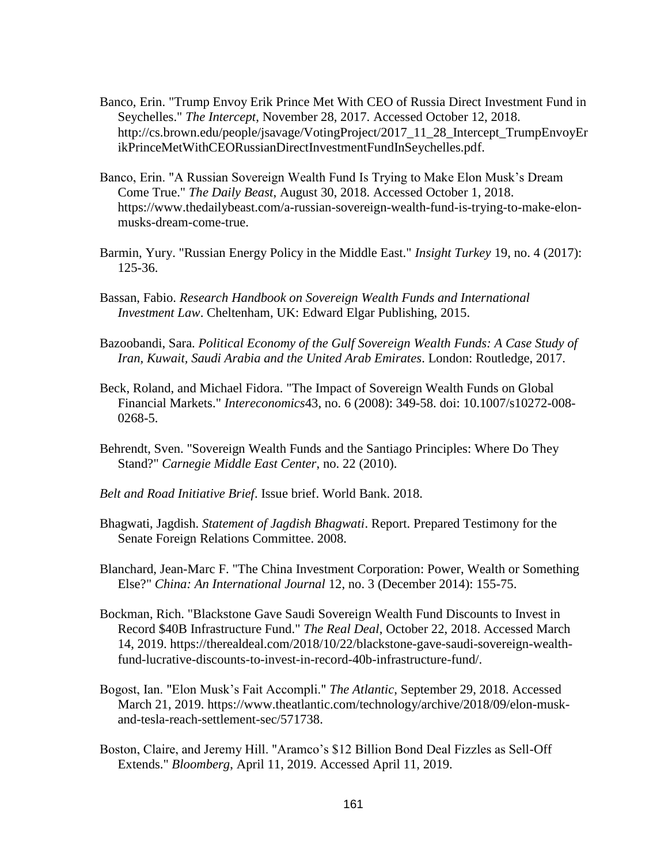- Banco, Erin. "Trump Envoy Erik Prince Met With CEO of Russia Direct Investment Fund in Seychelles." *The Intercept*, November 28, 2017. Accessed October 12, 2018. http://cs.brown.edu/people/jsavage/VotingProject/2017\_11\_28\_Intercept\_TrumpEnvoyEr ikPrinceMetWithCEORussianDirectInvestmentFundInSeychelles.pdf.
- Banco, Erin. "A Russian Sovereign Wealth Fund Is Trying to Make Elon Musk's Dream Come True." *The Daily Beast*, August 30, 2018. Accessed October 1, 2018. https://www.thedailybeast.com/a-russian-sovereign-wealth-fund-is-trying-to-make-elonmusks-dream-come-true.
- Barmin, Yury. "Russian Energy Policy in the Middle East." *Insight Turkey* 19, no. 4 (2017): 125-36.
- Bassan, Fabio. *Research Handbook on Sovereign Wealth Funds and International Investment Law*. Cheltenham, UK: Edward Elgar Publishing, 2015.
- Bazoobandi, Sara. *Political Economy of the Gulf Sovereign Wealth Funds: A Case Study of Iran, Kuwait, Saudi Arabia and the United Arab Emirates*. London: Routledge, 2017.
- Beck, Roland, and Michael Fidora. "The Impact of Sovereign Wealth Funds on Global Financial Markets." *Intereconomics*43, no. 6 (2008): 349-58. doi: 10.1007/s10272-008- 0268-5.
- Behrendt, Sven. "Sovereign Wealth Funds and the Santiago Principles: Where Do They Stand?" *Carnegie Middle East Center*, no. 22 (2010).
- *Belt and Road Initiative Brief*. Issue brief. World Bank. 2018.
- Bhagwati, Jagdish. *Statement of Jagdish Bhagwati*. Report. Prepared Testimony for the Senate Foreign Relations Committee. 2008.
- Blanchard, Jean-Marc F. "The China Investment Corporation: Power, Wealth or Something Else?" *China: An International Journal* 12, no. 3 (December 2014): 155-75.
- Bockman, Rich. "Blackstone Gave Saudi Sovereign Wealth Fund Discounts to Invest in Record \$40B Infrastructure Fund." *The Real Deal*, October 22, 2018. Accessed March 14, 2019. https://therealdeal.com/2018/10/22/blackstone-gave-saudi-sovereign-wealthfund-lucrative-discounts-to-invest-in-record-40b-infrastructure-fund/.
- Bogost, Ian. "Elon Musk's Fait Accompli." *The Atlantic*, September 29, 2018. Accessed March 21, 2019. https://www.theatlantic.com/technology/archive/2018/09/elon-muskand-tesla-reach-settlement-sec/571738.
- Boston, Claire, and Jeremy Hill. "Aramco's \$12 Billion Bond Deal Fizzles as Sell-Off Extends." *Bloomberg*, April 11, 2019. Accessed April 11, 2019.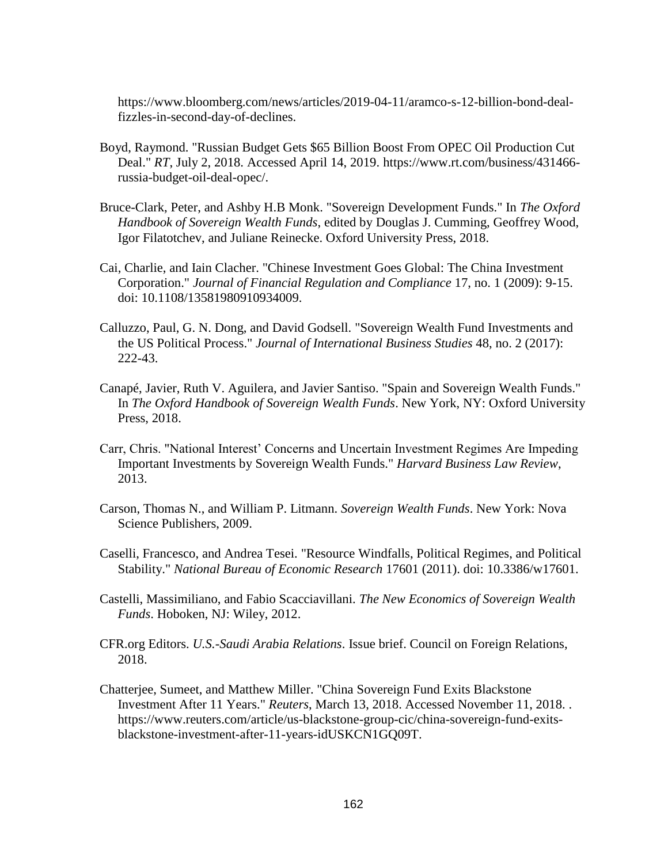https://www.bloomberg.com/news/articles/2019-04-11/aramco-s-12-billion-bond-dealfizzles-in-second-day-of-declines.

- Boyd, Raymond. "Russian Budget Gets \$65 Billion Boost From OPEC Oil Production Cut Deal." *RT*, July 2, 2018. Accessed April 14, 2019. https://www.rt.com/business/431466 russia-budget-oil-deal-opec/.
- Bruce-Clark, Peter, and Ashby H.B Monk. "Sovereign Development Funds." In *The Oxford Handbook of Sovereign Wealth Funds*, edited by Douglas J. Cumming, Geoffrey Wood, Igor Filatotchev, and Juliane Reinecke. Oxford University Press, 2018.
- Cai, Charlie, and Iain Clacher. "Chinese Investment Goes Global: The China Investment Corporation." *Journal of Financial Regulation and Compliance* 17, no. 1 (2009): 9-15. doi: 10.1108/13581980910934009.
- Calluzzo, Paul, G. N. Dong, and David Godsell. "Sovereign Wealth Fund Investments and the US Political Process." *Journal of International Business Studies* 48, no. 2 (2017): 222-43.
- Canapé, Javier, Ruth V. Aguilera, and Javier Santiso. "Spain and Sovereign Wealth Funds." In *The Oxford Handbook of Sovereign Wealth Funds*. New York, NY: Oxford University Press, 2018.
- Carr, Chris. "National Interest' Concerns and Uncertain Investment Regimes Are Impeding Important Investments by Sovereign Wealth Funds." *Harvard Business Law Review*, 2013.
- Carson, Thomas N., and William P. Litmann. *Sovereign Wealth Funds*. New York: Nova Science Publishers, 2009.
- Caselli, Francesco, and Andrea Tesei. "Resource Windfalls, Political Regimes, and Political Stability." *National Bureau of Economic Research* 17601 (2011). doi: 10.3386/w17601.
- Castelli, Massimiliano, and Fabio Scacciavillani. *The New Economics of Sovereign Wealth Funds*. Hoboken, NJ: Wiley, 2012.
- CFR.org Editors. *U.S.-Saudi Arabia Relations*. Issue brief. Council on Foreign Relations, 2018.
- Chatterjee, Sumeet, and Matthew Miller. "China Sovereign Fund Exits Blackstone Investment After 11 Years." *Reuters*, March 13, 2018. Accessed November 11, 2018. . https://www.reuters.com/article/us-blackstone-group-cic/china-sovereign-fund-exitsblackstone-investment-after-11-years-idUSKCN1GQ09T.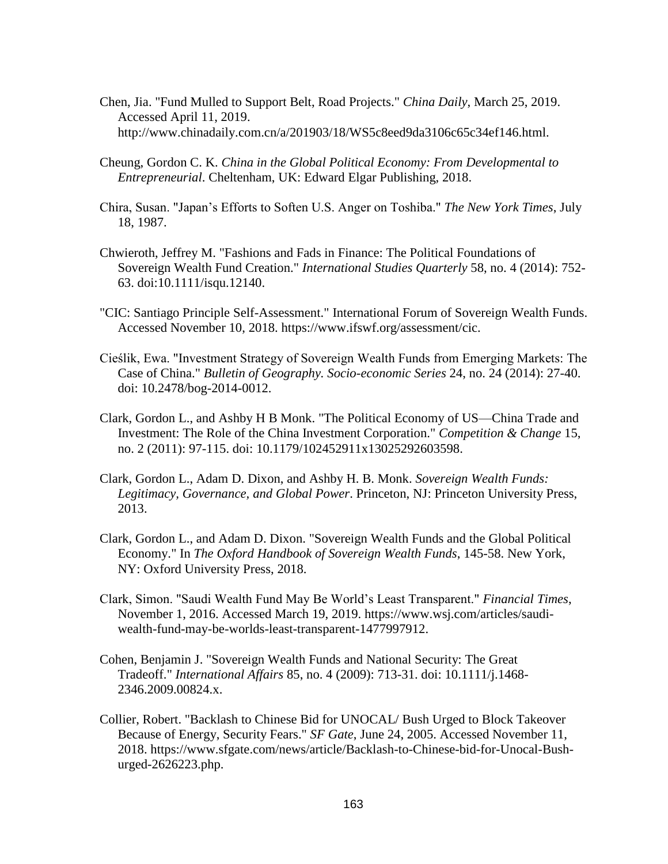- Chen, Jia. "Fund Mulled to Support Belt, Road Projects." *China Daily*, March 25, 2019. Accessed April 11, 2019. http://www.chinadaily.com.cn/a/201903/18/WS5c8eed9da3106c65c34ef146.html.
- Cheung, Gordon C. K. *China in the Global Political Economy: From Developmental to Entrepreneurial*. Cheltenham, UK: Edward Elgar Publishing, 2018.
- Chira, Susan. "Japan's Efforts to Soften U.S. Anger on Toshiba." *The New York Times*, July 18, 1987.
- Chwieroth, Jeffrey M. "Fashions and Fads in Finance: The Political Foundations of Sovereign Wealth Fund Creation." *International Studies Quarterly* 58, no. 4 (2014): 752- 63. doi:10.1111/isqu.12140.
- "CIC: Santiago Principle Self-Assessment." International Forum of Sovereign Wealth Funds. Accessed November 10, 2018. https://www.ifswf.org/assessment/cic.
- Cieślik, Ewa. "Investment Strategy of Sovereign Wealth Funds from Emerging Markets: The Case of China." *Bulletin of Geography. Socio-economic Series* 24, no. 24 (2014): 27-40. doi: 10.2478/bog-2014-0012.
- Clark, Gordon L., and Ashby H B Monk. "The Political Economy of US—China Trade and Investment: The Role of the China Investment Corporation." *Competition & Change* 15, no. 2 (2011): 97-115. doi: 10.1179/102452911x13025292603598.
- Clark, Gordon L., Adam D. Dixon, and Ashby H. B. Monk. *Sovereign Wealth Funds: Legitimacy, Governance, and Global Power*. Princeton, NJ: Princeton University Press, 2013.
- Clark, Gordon L., and Adam D. Dixon. "Sovereign Wealth Funds and the Global Political Economy." In *The Oxford Handbook of Sovereign Wealth Funds*, 145-58. New York, NY: Oxford University Press, 2018.
- Clark, Simon. "Saudi Wealth Fund May Be World's Least Transparent." *Financial Times*, November 1, 2016. Accessed March 19, 2019. https://www.wsj.com/articles/saudiwealth-fund-may-be-worlds-least-transparent-1477997912.
- Cohen, Benjamin J. "Sovereign Wealth Funds and National Security: The Great Tradeoff." *International Affairs* 85, no. 4 (2009): 713-31. doi: 10.1111/j.1468- 2346.2009.00824.x.
- Collier, Robert. "Backlash to Chinese Bid for UNOCAL/ Bush Urged to Block Takeover Because of Energy, Security Fears." *SF Gate*, June 24, 2005. Accessed November 11, 2018. https://www.sfgate.com/news/article/Backlash-to-Chinese-bid-for-Unocal-Bushurged-2626223.php.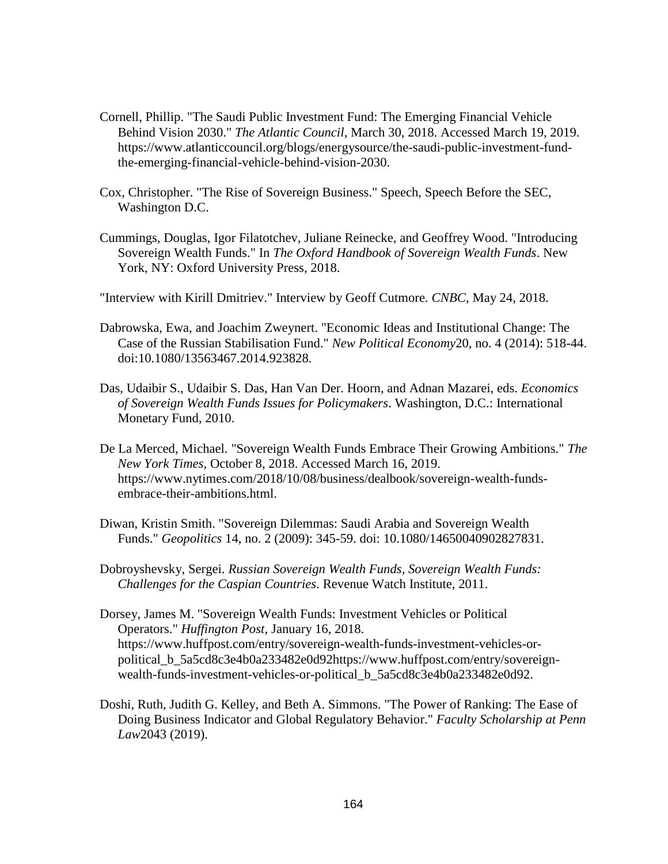- Cornell, Phillip. "The Saudi Public Investment Fund: The Emerging Financial Vehicle Behind Vision 2030." *The Atlantic Council*, March 30, 2018. Accessed March 19, 2019. https://www.atlanticcouncil.org/blogs/energysource/the-saudi-public-investment-fundthe-emerging-financial-vehicle-behind-vision-2030.
- Cox, Christopher. "The Rise of Sovereign Business." Speech, Speech Before the SEC, Washington D.C.
- Cummings, Douglas, Igor Filatotchev, Juliane Reinecke, and Geoffrey Wood. "Introducing Sovereign Wealth Funds." In *The Oxford Handbook of Sovereign Wealth Funds*. New York, NY: Oxford University Press, 2018.
- "Interview with Kirill Dmitriev." Interview by Geoff Cutmore. *CNBC*, May 24, 2018.
- Dabrowska, Ewa, and Joachim Zweynert. "Economic Ideas and Institutional Change: The Case of the Russian Stabilisation Fund." *New Political Economy*20, no. 4 (2014): 518-44. doi:10.1080/13563467.2014.923828.
- Das, Udaibir S., Udaibir S. Das, Han Van Der. Hoorn, and Adnan Mazarei, eds. *Economics of Sovereign Wealth Funds Issues for Policymakers*. Washington, D.C.: International Monetary Fund, 2010.
- De La Merced, Michael. "Sovereign Wealth Funds Embrace Their Growing Ambitions." *The New York Times*, October 8, 2018. Accessed March 16, 2019. https://www.nytimes.com/2018/10/08/business/dealbook/sovereign-wealth-fundsembrace-their-ambitions.html.
- Diwan, Kristin Smith. "Sovereign Dilemmas: Saudi Arabia and Sovereign Wealth Funds." *Geopolitics* 14, no. 2 (2009): 345-59. doi: 10.1080/14650040902827831.
- Dobroyshevsky, Sergei. *Russian Sovereign Wealth Funds, Sovereign Wealth Funds: Challenges for the Caspian Countries*. Revenue Watch Institute, 2011.
- Dorsey, James M. "Sovereign Wealth Funds: Investment Vehicles or Political Operators." *Huffington Post*, January 16, 2018. https://www.huffpost.com/entry/sovereign-wealth-funds-investment-vehicles-orpolitical\_b\_5a5cd8c3e4b0a233482e0d92https://www.huffpost.com/entry/sovereignwealth-funds-investment-vehicles-or-political\_b\_5a5cd8c3e4b0a233482e0d92.
- Doshi, Ruth, Judith G. Kelley, and Beth A. Simmons. "The Power of Ranking: The Ease of Doing Business Indicator and Global Regulatory Behavior." *Faculty Scholarship at Penn Law*2043 (2019).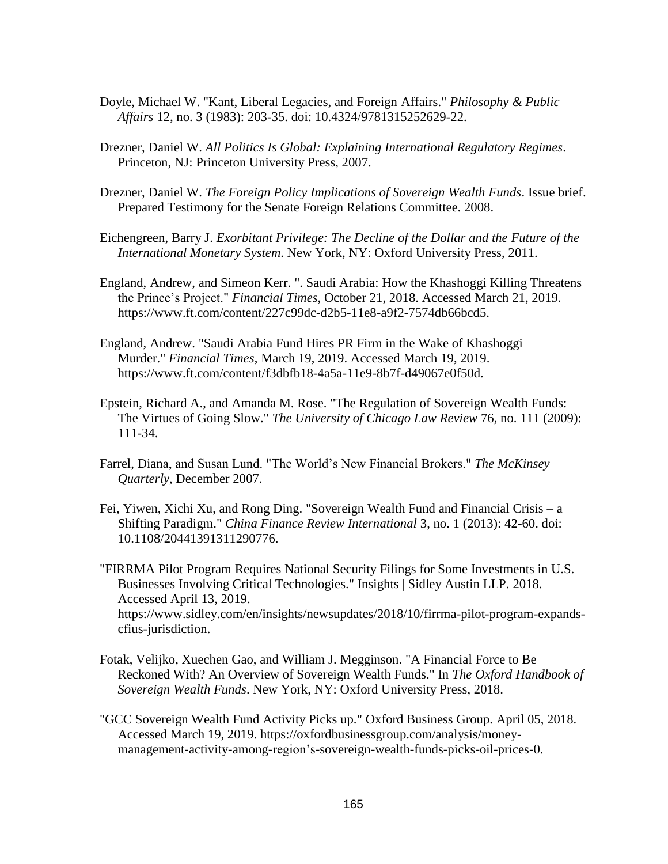- Doyle, Michael W. "Kant, Liberal Legacies, and Foreign Affairs." *Philosophy & Public Affairs* 12, no. 3 (1983): 203-35. doi: 10.4324/9781315252629-22.
- Drezner, Daniel W. *All Politics Is Global: Explaining International Regulatory Regimes*. Princeton, NJ: Princeton University Press, 2007.
- Drezner, Daniel W. *The Foreign Policy Implications of Sovereign Wealth Funds*. Issue brief. Prepared Testimony for the Senate Foreign Relations Committee. 2008.
- Eichengreen, Barry J. *Exorbitant Privilege: The Decline of the Dollar and the Future of the International Monetary System*. New York, NY: Oxford University Press, 2011.
- England, Andrew, and Simeon Kerr. ". Saudi Arabia: How the Khashoggi Killing Threatens the Prince's Project." *Financial Times*, October 21, 2018. Accessed March 21, 2019. https://www.ft.com/content/227c99dc-d2b5-11e8-a9f2-7574db66bcd5.
- England, Andrew. "Saudi Arabia Fund Hires PR Firm in the Wake of Khashoggi Murder." *Financial Times*, March 19, 2019. Accessed March 19, 2019. https://www.ft.com/content/f3dbfb18-4a5a-11e9-8b7f-d49067e0f50d.
- Epstein, Richard A., and Amanda M. Rose. "The Regulation of Sovereign Wealth Funds: The Virtues of Going Slow." *The University of Chicago Law Review* 76, no. 111 (2009): 111-34.
- Farrel, Diana, and Susan Lund. "The World's New Financial Brokers." *The McKinsey Quarterly*, December 2007.
- Fei, Yiwen, Xichi Xu, and Rong Ding. "Sovereign Wealth Fund and Financial Crisis a Shifting Paradigm." *China Finance Review International* 3, no. 1 (2013): 42-60. doi: 10.1108/20441391311290776.
- "FIRRMA Pilot Program Requires National Security Filings for Some Investments in U.S. Businesses Involving Critical Technologies." Insights | Sidley Austin LLP. 2018. Accessed April 13, 2019. https://www.sidley.com/en/insights/newsupdates/2018/10/firrma-pilot-program-expandscfius-jurisdiction.
- Fotak, Velijko, Xuechen Gao, and William J. Megginson. "A Financial Force to Be Reckoned With? An Overview of Sovereign Wealth Funds." In *The Oxford Handbook of Sovereign Wealth Funds*. New York, NY: Oxford University Press, 2018.
- "GCC Sovereign Wealth Fund Activity Picks up." Oxford Business Group. April 05, 2018. Accessed March 19, 2019. https://oxfordbusinessgroup.com/analysis/moneymanagement-activity-among-region's-sovereign-wealth-funds-picks-oil-prices-0.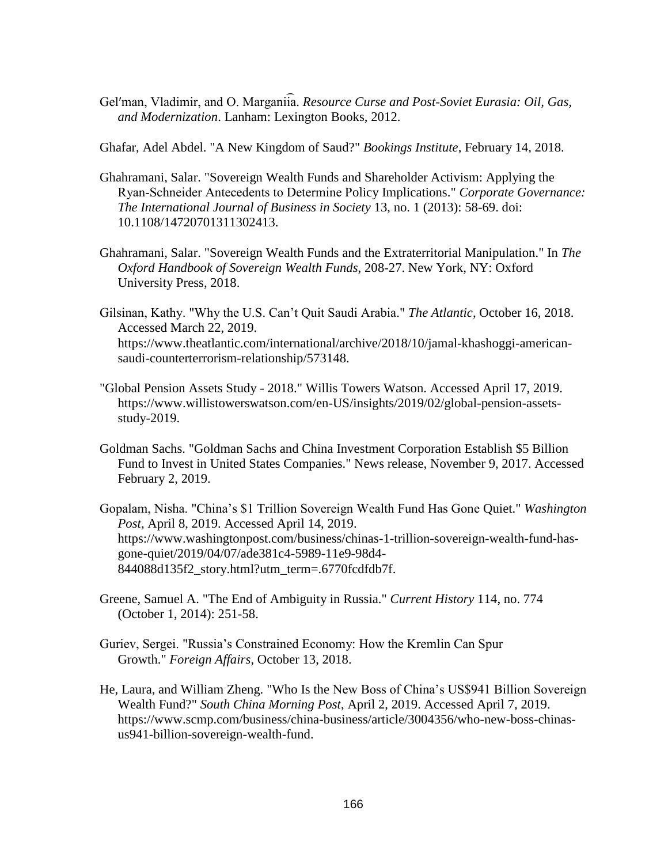Gel'man, Vladimir, and O. Marganiia. Resource Curse and Post-Soviet Eurasia: Oil, Gas, *and Modernization*. Lanham: Lexington Books, 2012.

Ghafar, Adel Abdel. "A New Kingdom of Saud?" *Bookings Institute*, February 14, 2018.

- Ghahramani, Salar. "Sovereign Wealth Funds and Shareholder Activism: Applying the Ryan‐Schneider Antecedents to Determine Policy Implications." *Corporate Governance: The International Journal of Business in Society* 13, no. 1 (2013): 58-69. doi: 10.1108/14720701311302413.
- Ghahramani, Salar. "Sovereign Wealth Funds and the Extraterritorial Manipulation." In *The Oxford Handbook of Sovereign Wealth Funds*, 208-27. New York, NY: Oxford University Press, 2018.
- Gilsinan, Kathy. "Why the U.S. Can't Quit Saudi Arabia." *The Atlantic*, October 16, 2018. Accessed March 22, 2019. https://www.theatlantic.com/international/archive/2018/10/jamal-khashoggi-americansaudi-counterterrorism-relationship/573148.
- "Global Pension Assets Study 2018." Willis Towers Watson. Accessed April 17, 2019. https://www.willistowerswatson.com/en-US/insights/2019/02/global-pension-assetsstudy-2019.
- Goldman Sachs. "Goldman Sachs and China Investment Corporation Establish \$5 Billion Fund to Invest in United States Companies." News release, November 9, 2017. Accessed February 2, 2019.
- Gopalam, Nisha. "China's \$1 Trillion Sovereign Wealth Fund Has Gone Quiet." *Washington Post*, April 8, 2019. Accessed April 14, 2019. https://www.washingtonpost.com/business/chinas-1-trillion-sovereign-wealth-fund-hasgone-quiet/2019/04/07/ade381c4-5989-11e9-98d4- 844088d135f2\_story.html?utm\_term=.6770fcdfdb7f.
- Greene, Samuel A. "The End of Ambiguity in Russia." *Current History* 114, no. 774 (October 1, 2014): 251-58.
- Guriev, Sergei. "Russia's Constrained Economy: How the Kremlin Can Spur Growth." *Foreign Affairs*, October 13, 2018.
- He, Laura, and William Zheng. "Who Is the New Boss of China's US\$941 Billion Sovereign Wealth Fund?" *South China Morning Post*, April 2, 2019. Accessed April 7, 2019. https://www.scmp.com/business/china-business/article/3004356/who-new-boss-chinasus941-billion-sovereign-wealth-fund.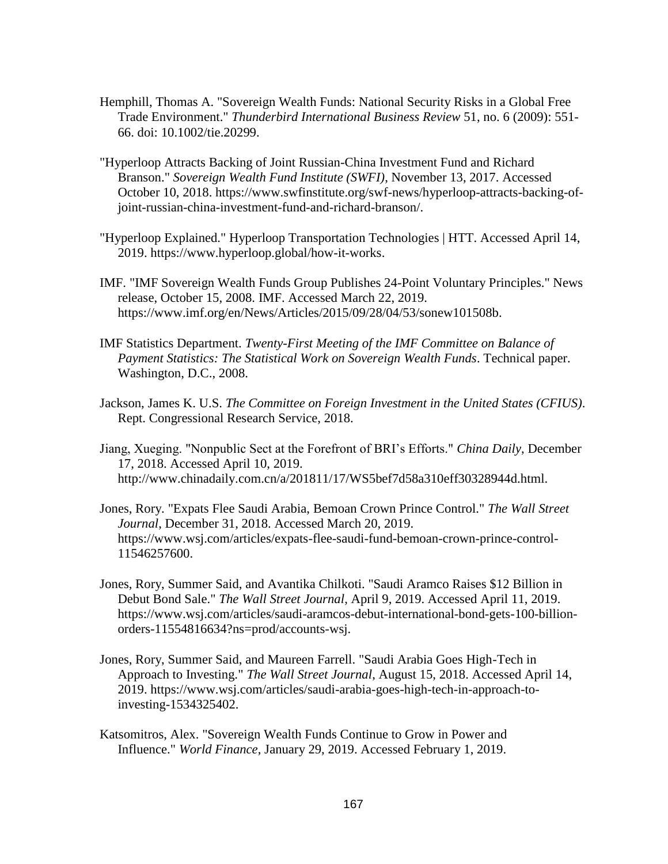- Hemphill, Thomas A. "Sovereign Wealth Funds: National Security Risks in a Global Free Trade Environment." *Thunderbird International Business Review* 51, no. 6 (2009): 551- 66. doi: 10.1002/tie.20299.
- "Hyperloop Attracts Backing of Joint Russian-China Investment Fund and Richard Branson." *Sovereign Wealth Fund Institute (SWFI)*, November 13, 2017. Accessed October 10, 2018. https://www.swfinstitute.org/swf-news/hyperloop-attracts-backing-ofjoint-russian-china-investment-fund-and-richard-branson/.
- "Hyperloop Explained." Hyperloop Transportation Technologies | HTT. Accessed April 14, 2019. https://www.hyperloop.global/how-it-works.
- IMF. "IMF Sovereign Wealth Funds Group Publishes 24-Point Voluntary Principles." News release, October 15, 2008. IMF. Accessed March 22, 2019. https://www.imf.org/en/News/Articles/2015/09/28/04/53/sonew101508b.
- IMF Statistics Department. *Twenty-First Meeting of the IMF Committee on Balance of Payment Statistics: The Statistical Work on Sovereign Wealth Funds*. Technical paper. Washington, D.C., 2008.
- Jackson, James K. U.S. *The Committee on Foreign Investment in the United States (CFIUS)*. Rept. Congressional Research Service, 2018.
- Jiang, Xueging. "Nonpublic Sect at the Forefront of BRI's Efforts." *China Daily*, December 17, 2018. Accessed April 10, 2019. http://www.chinadaily.com.cn/a/201811/17/WS5bef7d58a310eff30328944d.html.
- Jones, Rory. "Expats Flee Saudi Arabia, Bemoan Crown Prince Control." *The Wall Street Journal*, December 31, 2018. Accessed March 20, 2019. https://www.wsj.com/articles/expats-flee-saudi-fund-bemoan-crown-prince-control-11546257600.
- Jones, Rory, Summer Said, and Avantika Chilkoti. "Saudi Aramco Raises \$12 Billion in Debut Bond Sale." *The Wall Street Journal*, April 9, 2019. Accessed April 11, 2019. [https://www.wsj.com/articles/saudi-aramcos-debut-international-bond-gets-100-billion](https://www.wsj.com/articles/saudi-aramcos-debut-international-bond-gets-100-billion-orders-11554816634?ns=prod/accounts-wsj)[orders-11554816634?ns=prod/accounts-wsj.](https://www.wsj.com/articles/saudi-aramcos-debut-international-bond-gets-100-billion-orders-11554816634?ns=prod/accounts-wsj)
- Jones, Rory, Summer Said, and Maureen Farrell. "Saudi Arabia Goes High-Tech in Approach to Investing." *The Wall Street Journal*, August 15, 2018. Accessed April 14, 2019. https://www.wsj.com/articles/saudi-arabia-goes-high-tech-in-approach-toinvesting-1534325402.
- Katsomitros, Alex. "Sovereign Wealth Funds Continue to Grow in Power and Influence." *World Finance*, January 29, 2019. Accessed February 1, 2019.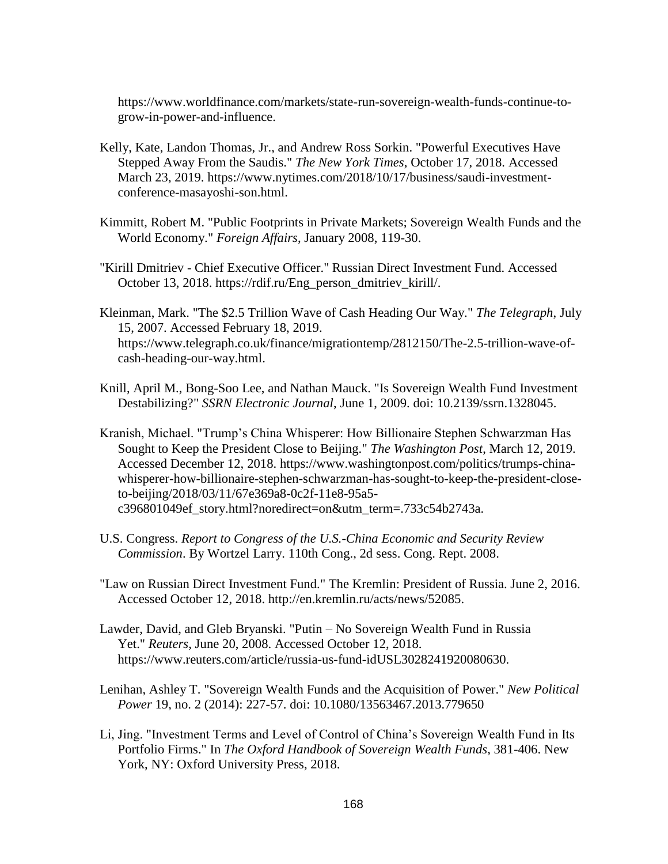https://www.worldfinance.com/markets/state-run-sovereign-wealth-funds-continue-togrow-in-power-and-influence.

- Kelly, Kate, Landon Thomas, Jr., and Andrew Ross Sorkin. "Powerful Executives Have Stepped Away From the Saudis." *The New York Times*, October 17, 2018. Accessed March 23, 2019. https://www.nytimes.com/2018/10/17/business/saudi-investmentconference-masayoshi-son.html.
- Kimmitt, Robert M. "Public Footprints in Private Markets; Sovereign Wealth Funds and the World Economy." *Foreign Affairs*, January 2008, 119-30.
- "Kirill Dmitriev Chief Executive Officer." Russian Direct Investment Fund. Accessed October 13, 2018. https://rdif.ru/Eng\_person\_dmitriev\_kirill/.
- Kleinman, Mark. "The \$2.5 Trillion Wave of Cash Heading Our Way." *The Telegraph*, July 15, 2007. Accessed February 18, 2019. https://www.telegraph.co.uk/finance/migrationtemp/2812150/The-2.5-trillion-wave-ofcash-heading-our-way.html.
- Knill, April M., Bong-Soo Lee, and Nathan Mauck. "Is Sovereign Wealth Fund Investment Destabilizing?" *SSRN Electronic Journal*, June 1, 2009. doi: 10.2139/ssrn.1328045.
- Kranish, Michael. "Trump's China Whisperer: How Billionaire Stephen Schwarzman Has Sought to Keep the President Close to Beijing." *The Washington Post*, March 12, 2019. Accessed December 12, 2018. https://www.washingtonpost.com/politics/trumps-chinawhisperer-how-billionaire-stephen-schwarzman-has-sought-to-keep-the-president-closeto-beijing/2018/03/11/67e369a8-0c2f-11e8-95a5 c396801049ef\_story.html?noredirect=on&utm\_term=.733c54b2743a.
- U.S. Congress. *Report to Congress of the U.S.-China Economic and Security Review Commission*. By Wortzel Larry. 110th Cong., 2d sess. Cong. Rept. 2008.
- "Law on Russian Direct Investment Fund." The Kremlin: President of Russia. June 2, 2016. Accessed October 12, 2018. http://en.kremlin.ru/acts/news/52085.
- Lawder, David, and Gleb Bryanski. "Putin No Sovereign Wealth Fund in Russia Yet." *Reuters*, June 20, 2008. Accessed October 12, 2018. https://www.reuters.com/article/russia-us-fund-idUSL3028241920080630.
- Lenihan, Ashley T. "Sovereign Wealth Funds and the Acquisition of Power." *New Political Power* 19, no. 2 (2014): 227-57. doi: 10.1080/13563467.2013.779650
- Li, Jing. "Investment Terms and Level of Control of China's Sovereign Wealth Fund in Its Portfolio Firms." In *The Oxford Handbook of Sovereign Wealth Funds*, 381-406. New York, NY: Oxford University Press, 2018.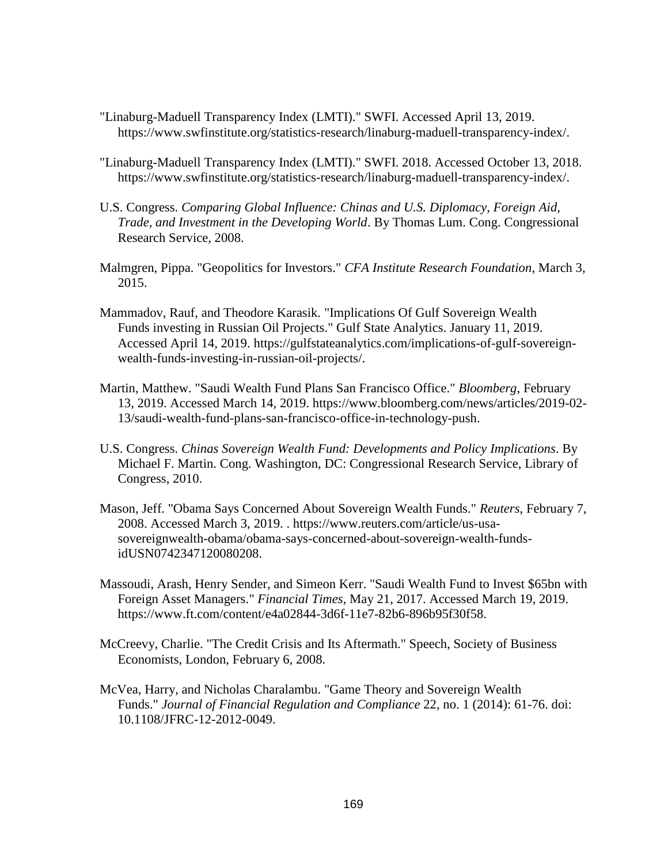- "Linaburg-Maduell Transparency Index (LMTI)." SWFI. Accessed April 13, 2019. https://www.swfinstitute.org/statistics-research/linaburg-maduell-transparency-index/.
- "Linaburg-Maduell Transparency Index (LMTI)." SWFI. 2018. Accessed October 13, 2018. https://www.swfinstitute.org/statistics-research/linaburg-maduell-transparency-index/.
- U.S. Congress. *Comparing Global Influence: Chinas and U.S. Diplomacy, Foreign Aid, Trade, and Investment in the Developing World*. By Thomas Lum. Cong. Congressional Research Service, 2008.
- Malmgren, Pippa. "Geopolitics for Investors." *CFA Institute Research Foundation*, March 3, 2015.
- Mammadov, Rauf, and Theodore Karasik. "Implications Of Gulf Sovereign Wealth Funds investing in Russian Oil Projects." Gulf State Analytics. January 11, 2019. Accessed April 14, 2019. https://gulfstateanalytics.com/implications-of-gulf-sovereignwealth-funds-investing-in-russian-oil-projects/.
- Martin, Matthew. "Saudi Wealth Fund Plans San Francisco Office." *Bloomberg*, February 13, 2019. Accessed March 14, 2019. https://www.bloomberg.com/news/articles/2019-02- 13/saudi-wealth-fund-plans-san-francisco-office-in-technology-push.
- U.S. Congress. *Chinas Sovereign Wealth Fund: Developments and Policy Implications*. By Michael F. Martin. Cong. Washington, DC: Congressional Research Service, Library of Congress, 2010.
- Mason, Jeff. "Obama Says Concerned About Sovereign Wealth Funds." *Reuters*, February 7, 2008. Accessed March 3, 2019. . https://www.reuters.com/article/us-usasovereignwealth-obama/obama-says-concerned-about-sovereign-wealth-fundsidUSN0742347120080208.
- Massoudi, Arash, Henry Sender, and Simeon Kerr. "Saudi Wealth Fund to Invest \$65bn with Foreign Asset Managers." *Financial Times*, May 21, 2017. Accessed March 19, 2019. https://www.ft.com/content/e4a02844-3d6f-11e7-82b6-896b95f30f58.
- McCreevy, Charlie. "The Credit Crisis and Its Aftermath." Speech, Society of Business Economists, London, February 6, 2008.
- McVea, Harry, and Nicholas Charalambu. "Game Theory and Sovereign Wealth Funds." *Journal of Financial Regulation and Compliance* 22, no. 1 (2014): 61-76. doi: 10.1108/JFRC-12-2012-0049.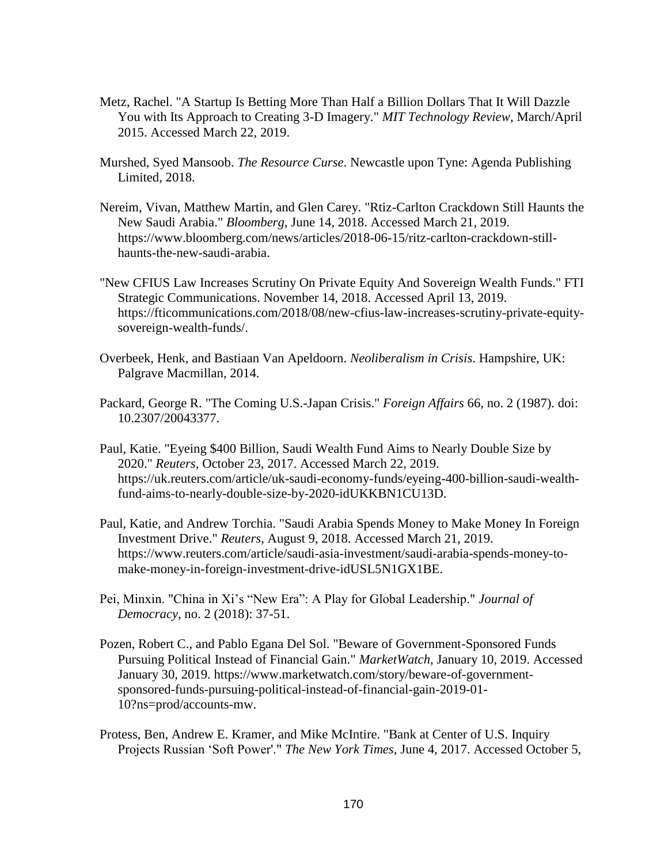- Metz, Rachel. "A Startup Is Betting More Than Half a Billion Dollars That It Will Dazzle You with Its Approach to Creating 3-D Imagery." *MIT Technology Review*, March/April 2015. Accessed March 22, 2019.
- Murshed, Syed Mansoob. *The Resource Curse*. Newcastle upon Tyne: Agenda Publishing Limited, 2018.
- Nereim, Vivan, Matthew Martin, and Glen Carey. "Rtiz-Carlton Crackdown Still Haunts the New Saudi Arabia." *Bloomberg*, June 14, 2018. Accessed March 21, 2019. https://www.bloomberg.com/news/articles/2018-06-15/ritz-carlton-crackdown-stillhaunts-the-new-saudi-arabia.
- "New CFIUS Law Increases Scrutiny On Private Equity And Sovereign Wealth Funds." FTI Strategic Communications. November 14, 2018. Accessed April 13, 2019. https://fticommunications.com/2018/08/new-cfius-law-increases-scrutiny-private-equitysovereign-wealth-funds/.
- Overbeek, Henk, and Bastiaan Van Apeldoorn. *Neoliberalism in Crisis*. Hampshire, UK: Palgrave Macmillan, 2014.
- Packard, George R. "The Coming U.S.-Japan Crisis." *Foreign Affairs* 66, no. 2 (1987). doi: 10.2307/20043377.
- Paul, Katie. "Eyeing \$400 Billion, Saudi Wealth Fund Aims to Nearly Double Size by 2020." *Reuters*, October 23, 2017. Accessed March 22, 2019. https://uk.reuters.com/article/uk-saudi-economy-funds/eyeing-400-billion-saudi-wealthfund-aims-to-nearly-double-size-by-2020-idUKKBN1CU13D.
- Paul, Katie, and Andrew Torchia. "Saudi Arabia Spends Money to Make Money In Foreign Investment Drive." *Reuters*, August 9, 2018. Accessed March 21, 2019. https://www.reuters.com/article/saudi-asia-investment/saudi-arabia-spends-money-tomake-money-in-foreign-investment-drive-idUSL5N1GX1BE.
- Pei, Minxin. "China in Xi's "New Era": A Play for Global Leadership." *Journal of Democracy*, no. 2 (2018): 37-51.
- Pozen, Robert C., and Pablo Egana Del Sol. "Beware of Government-Sponsored Funds Pursuing Political Instead of Financial Gain." *MarketWatch*, January 10, 2019. Accessed January 30, 2019. https://www.marketwatch.com/story/beware-of-governmentsponsored-funds-pursuing-political-instead-of-financial-gain-2019-01- 10?ns=prod/accounts-mw.
- Protess, Ben, Andrew E. Kramer, and Mike McIntire. "Bank at Center of U.S. Inquiry Projects Russian 'Soft Power'." *The New York Times*, June 4, 2017. Accessed October 5,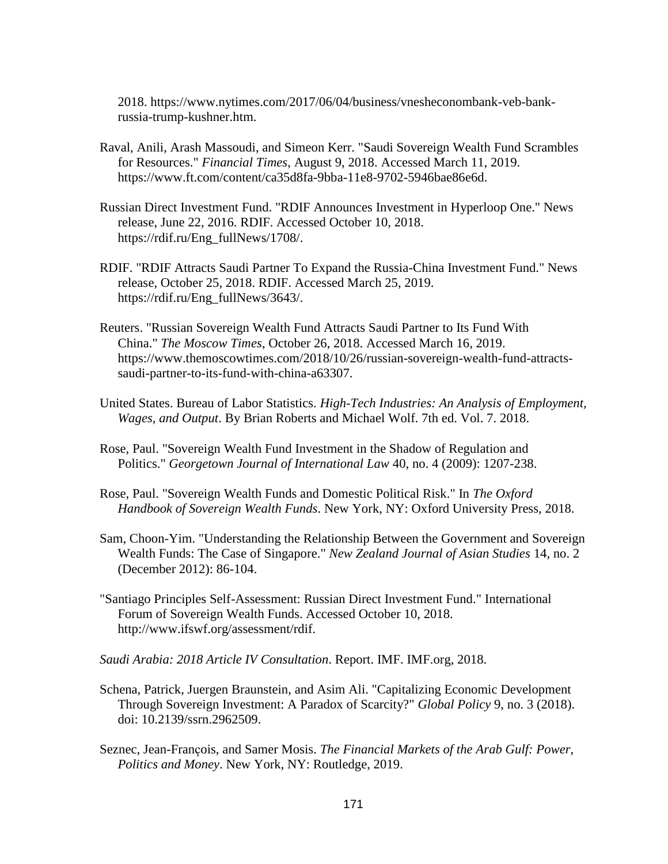2018. https://www.nytimes.com/2017/06/04/business/vnesheconombank-veb-bankrussia-trump-kushner.htm.

- Raval, Anili, Arash Massoudi, and Simeon Kerr. "Saudi Sovereign Wealth Fund Scrambles for Resources." *Financial Times*, August 9, 2018. Accessed March 11, 2019. https://www.ft.com/content/ca35d8fa-9bba-11e8-9702-5946bae86e6d.
- Russian Direct Investment Fund. "RDIF Announces Investment in Hyperloop One." News release, June 22, 2016. RDIF. Accessed October 10, 2018. https://rdif.ru/Eng\_fullNews/1708/.
- RDIF. "RDIF Attracts Saudi Partner To Expand the Russia-China Investment Fund." News release, October 25, 2018. RDIF. Accessed March 25, 2019. https://rdif.ru/Eng\_fullNews/3643/.
- Reuters. "Russian Sovereign Wealth Fund Attracts Saudi Partner to Its Fund With China." *The Moscow Times*, October 26, 2018. Accessed March 16, 2019. https://www.themoscowtimes.com/2018/10/26/russian-sovereign-wealth-fund-attractssaudi-partner-to-its-fund-with-china-a63307.
- United States. Bureau of Labor Statistics. *High-Tech Industries: An Analysis of Employment, Wages, and Output*. By Brian Roberts and Michael Wolf. 7th ed. Vol. 7. 2018.
- Rose, Paul. "Sovereign Wealth Fund Investment in the Shadow of Regulation and Politics." *Georgetown Journal of International Law* 40, no. 4 (2009): 1207-238.
- Rose, Paul. "Sovereign Wealth Funds and Domestic Political Risk." In *The Oxford Handbook of Sovereign Wealth Funds*. New York, NY: Oxford University Press, 2018.
- Sam, Choon-Yim. "Understanding the Relationship Between the Government and Sovereign Wealth Funds: The Case of Singapore." *New Zealand Journal of Asian Studies* 14, no. 2 (December 2012): 86-104.
- "Santiago Principles Self-Assessment: Russian Direct Investment Fund." International Forum of Sovereign Wealth Funds. Accessed October 10, 2018. http://www.ifswf.org/assessment/rdif.
- *Saudi Arabia: 2018 Article IV Consultation*. Report. IMF. IMF.org, 2018.
- Schena, Patrick, Juergen Braunstein, and Asim Ali. "Capitalizing Economic Development Through Sovereign Investment: A Paradox of Scarcity?" *Global Policy* 9, no. 3 (2018). doi: 10.2139/ssrn.2962509.
- Seznec, Jean-François, and Samer Mosis. *The Financial Markets of the Arab Gulf: Power, Politics and Money*. New York, NY: Routledge, 2019.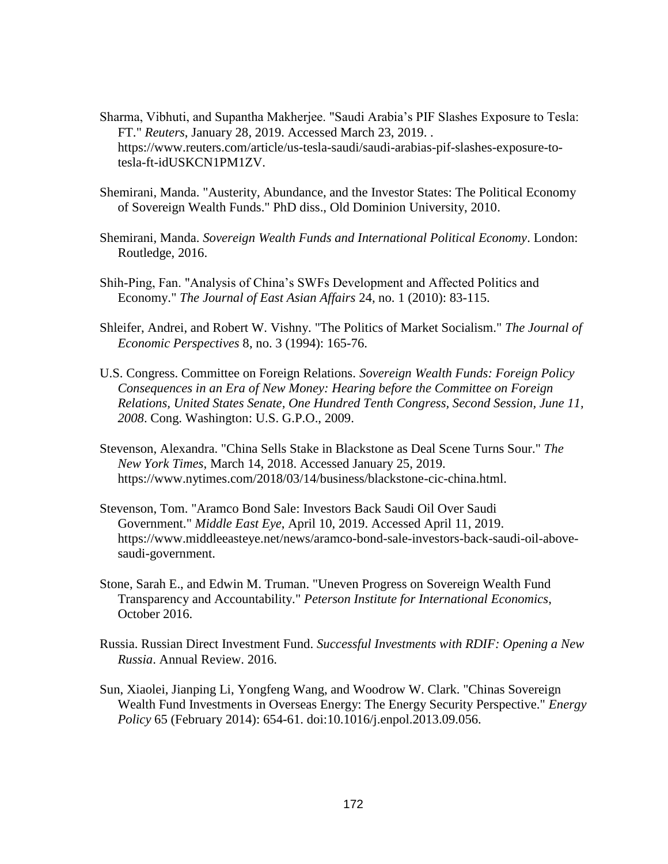- Sharma, Vibhuti, and Supantha Makherjee. "Saudi Arabia's PIF Slashes Exposure to Tesla: FT." *Reuters*, January 28, 2019. Accessed March 23, 2019. . https://www.reuters.com/article/us-tesla-saudi/saudi-arabias-pif-slashes-exposure-totesla-ft-idUSKCN1PM1ZV.
- Shemirani, Manda. "Austerity, Abundance, and the Investor States: The Political Economy of Sovereign Wealth Funds." PhD diss., Old Dominion University, 2010.
- Shemirani, Manda. *Sovereign Wealth Funds and International Political Economy*. London: Routledge, 2016.
- Shih-Ping, Fan. "Analysis of China's SWFs Development and Affected Politics and Economy." *The Journal of East Asian Affairs* 24, no. 1 (2010): 83-115.
- Shleifer, Andrei, and Robert W. Vishny. "The Politics of Market Socialism." *The Journal of Economic Perspectives* 8, no. 3 (1994): 165-76.
- U.S. Congress. Committee on Foreign Relations. *Sovereign Wealth Funds: Foreign Policy Consequences in an Era of New Money: Hearing before the Committee on Foreign Relations, United States Senate, One Hundred Tenth Congress, Second Session, June 11, 2008*. Cong. Washington: U.S. G.P.O., 2009.
- Stevenson, Alexandra. "China Sells Stake in Blackstone as Deal Scene Turns Sour." *The New York Times*, March 14, 2018. Accessed January 25, 2019. https://www.nytimes.com/2018/03/14/business/blackstone-cic-china.html.
- Stevenson, Tom. "Aramco Bond Sale: Investors Back Saudi Oil Over Saudi Government." *Middle East Eye*, April 10, 2019. Accessed April 11, 2019. https://www.middleeasteye.net/news/aramco-bond-sale-investors-back-saudi-oil-abovesaudi-government.
- Stone, Sarah E., and Edwin M. Truman. "Uneven Progress on Sovereign Wealth Fund Transparency and Accountability." *Peterson Institute for International Economics*, October 2016.
- Russia. Russian Direct Investment Fund. *Successful Investments with RDIF: Opening a New Russia*. Annual Review. 2016.
- Sun, Xiaolei, Jianping Li, Yongfeng Wang, and Woodrow W. Clark. "Chinas Sovereign Wealth Fund Investments in Overseas Energy: The Energy Security Perspective." *Energy Policy* 65 (February 2014): 654-61. doi:10.1016/j.enpol.2013.09.056.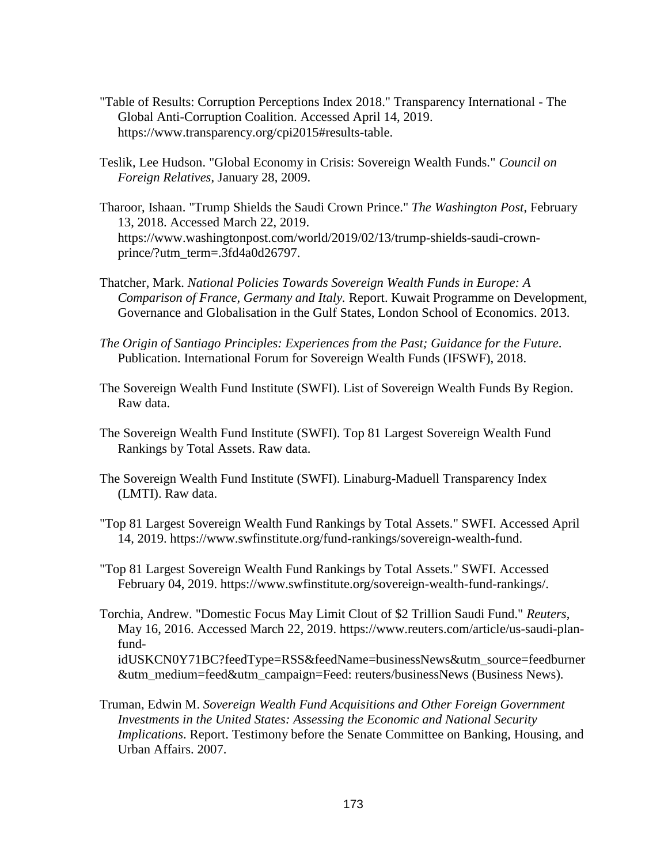- "Table of Results: Corruption Perceptions Index 2018." Transparency International The Global Anti-Corruption Coalition. Accessed April 14, 2019. https://www.transparency.org/cpi2015#results-table.
- Teslik, Lee Hudson. "Global Economy in Crisis: Sovereign Wealth Funds." *Council on Foreign Relatives*, January 28, 2009.
- Tharoor, Ishaan. "Trump Shields the Saudi Crown Prince." *The Washington Post*, February 13, 2018. Accessed March 22, 2019. https://www.washingtonpost.com/world/2019/02/13/trump-shields-saudi-crownprince/?utm\_term=.3fd4a0d26797.
- Thatcher, Mark. *National Policies Towards Sovereign Wealth Funds in Europe: A Comparison of France, Germany and Italy.* Report. Kuwait Programme on Development, Governance and Globalisation in the Gulf States, London School of Economics. 2013.
- *The Origin of Santiago Principles: Experiences from the Past; Guidance for the Future*. Publication. International Forum for Sovereign Wealth Funds (IFSWF), 2018.
- The Sovereign Wealth Fund Institute (SWFI). List of Sovereign Wealth Funds By Region. Raw data.
- The Sovereign Wealth Fund Institute (SWFI). Top 81 Largest Sovereign Wealth Fund Rankings by Total Assets. Raw data.
- The Sovereign Wealth Fund Institute (SWFI). Linaburg-Maduell Transparency Index (LMTI). Raw data.
- "Top 81 Largest Sovereign Wealth Fund Rankings by Total Assets." SWFI. Accessed April 14, 2019. https://www.swfinstitute.org/fund-rankings/sovereign-wealth-fund.
- "Top 81 Largest Sovereign Wealth Fund Rankings by Total Assets." SWFI. Accessed February 04, 2019. https://www.swfinstitute.org/sovereign-wealth-fund-rankings/.
- Torchia, Andrew. "Domestic Focus May Limit Clout of \$2 Trillion Saudi Fund." *Reuters*, May 16, 2016. Accessed March 22, 2019. https://www.reuters.com/article/us-saudi-planfundidUSKCN0Y71BC?feedType=RSS&feedName=businessNews&utm\_source=feedburner &utm\_medium=feed&utm\_campaign=Feed: reuters/businessNews (Business News).
- Truman, Edwin M. *Sovereign Wealth Fund Acquisitions and Other Foreign Government Investments in the United States: Assessing the Economic and National Security Implications*. Report. Testimony before the Senate Committee on Banking, Housing, and Urban Affairs. 2007.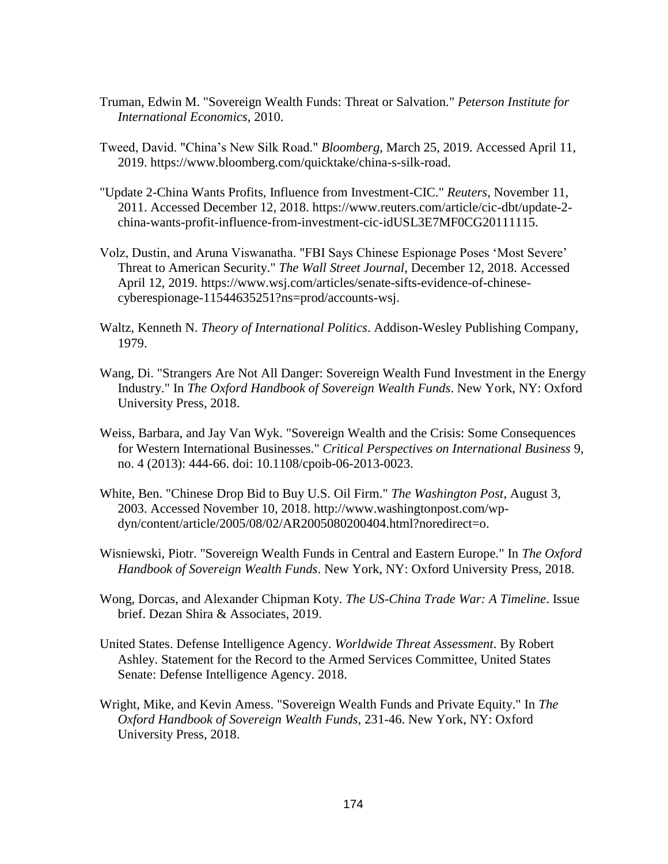- Truman, Edwin M. "Sovereign Wealth Funds: Threat or Salvation." *Peterson Institute for International Economics*, 2010.
- Tweed, David. "China's New Silk Road." *Bloomberg*, March 25, 2019. Accessed April 11, 2019. https://www.bloomberg.com/quicktake/china-s-silk-road.
- "Update 2-China Wants Profits, Influence from Investment-CIC." *Reuters*, November 11, 2011. Accessed December 12, 2018. https://www.reuters.com/article/cic-dbt/update-2 china-wants-profit-influence-from-investment-cic-idUSL3E7MF0CG20111115.
- Volz, Dustin, and Aruna Viswanatha. "FBI Says Chinese Espionage Poses 'Most Severe' Threat to American Security." *The Wall Street Journal*, December 12, 2018. Accessed April 12, 2019. https://www.wsj.com/articles/senate-sifts-evidence-of-chinesecyberespionage-11544635251?ns=prod/accounts-wsj.
- Waltz, Kenneth N. *Theory of International Politics*. Addison-Wesley Publishing Company, 1979.
- Wang, Di. "Strangers Are Not All Danger: Sovereign Wealth Fund Investment in the Energy Industry." In *The Oxford Handbook of Sovereign Wealth Funds*. New York, NY: Oxford University Press, 2018.
- Weiss, Barbara, and Jay Van Wyk. "Sovereign Wealth and the Crisis: Some Consequences for Western International Businesses." *Critical Perspectives on International Business* 9, no. 4 (2013): 444-66. doi: 10.1108/cpoib-06-2013-0023.
- White, Ben. "Chinese Drop Bid to Buy U.S. Oil Firm." *The Washington Post*, August 3, 2003. Accessed November 10, 2018. http://www.washingtonpost.com/wpdyn/content/article/2005/08/02/AR2005080200404.html?noredirect=o.
- Wisniewski, Piotr. "Sovereign Wealth Funds in Central and Eastern Europe." In *The Oxford Handbook of Sovereign Wealth Funds*. New York, NY: Oxford University Press, 2018.
- Wong, Dorcas, and Alexander Chipman Koty. *The US-China Trade War: A Timeline*. Issue brief. Dezan Shira & Associates, 2019.
- United States. Defense Intelligence Agency. *Worldwide Threat Assessment*. By Robert Ashley. Statement for the Record to the Armed Services Committee, United States Senate: Defense Intelligence Agency. 2018.
- Wright, Mike, and Kevin Amess. "Sovereign Wealth Funds and Private Equity." In *The Oxford Handbook of Sovereign Wealth Funds*, 231-46. New York, NY: Oxford University Press, 2018.